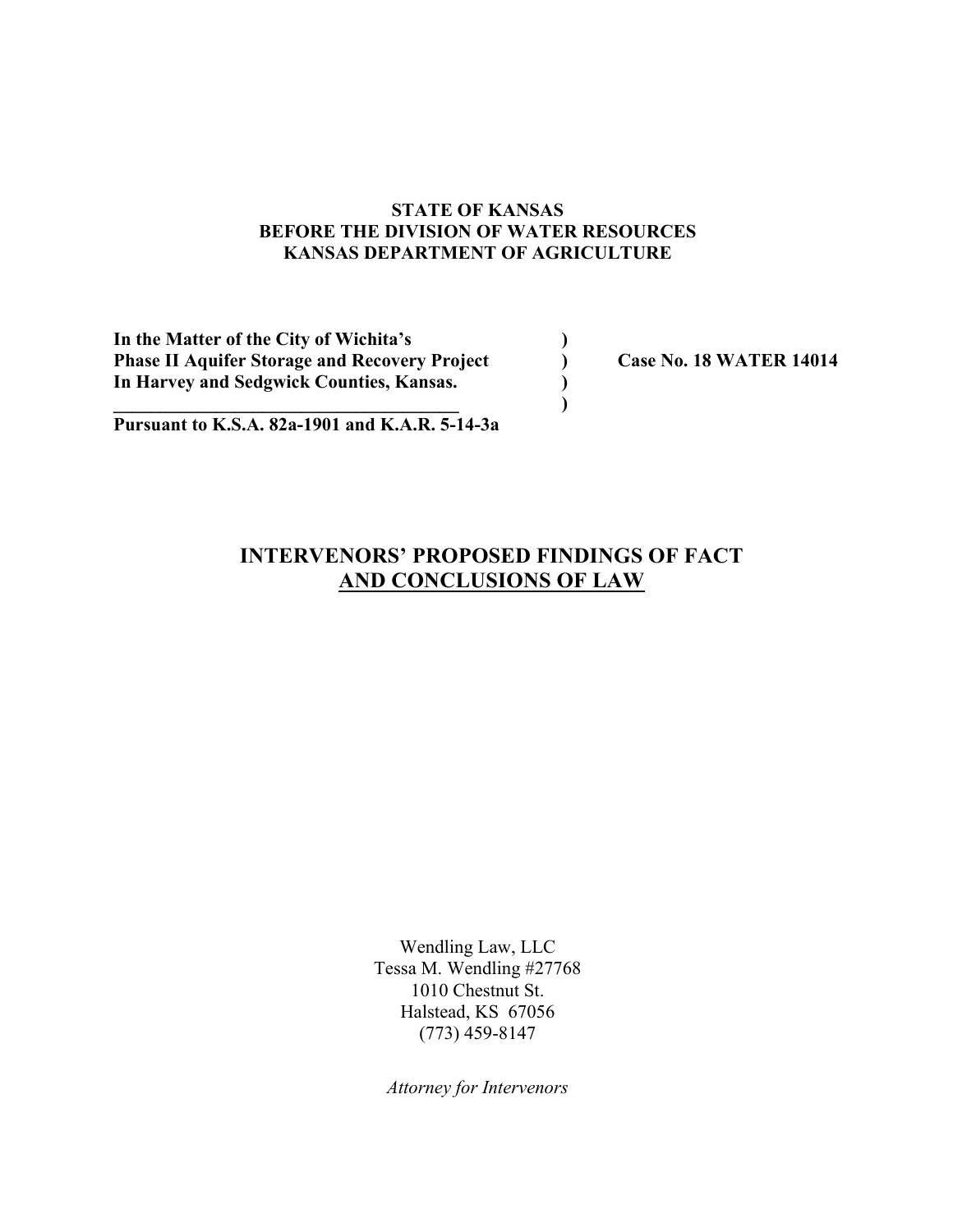## **STATE OF KANSAS BEFORE THE DIVISION OF WATER RESOURCES KANSAS DEPARTMENT OF AGRICULTURE**

| In the Matter of the City of Wichita's               |                                |
|------------------------------------------------------|--------------------------------|
| <b>Phase II Aquifer Storage and Recovery Project</b> | <b>Case No. 18 WATER 14014</b> |
| In Harvey and Sedgwick Counties, Kansas.             |                                |
|                                                      |                                |

**Pursuant to K.S.A. 82a-1901 and K.A.R. 5-14-3a**

# **INTERVENORS' PROPOSED FINDINGS OF FACT AND CONCLUSIONS OF LAW**

Wendling Law, LLC Tessa M. Wendling #27768 1010 Chestnut St. Halstead, KS 67056 (773) 459-8147

*Attorney for Intervenors*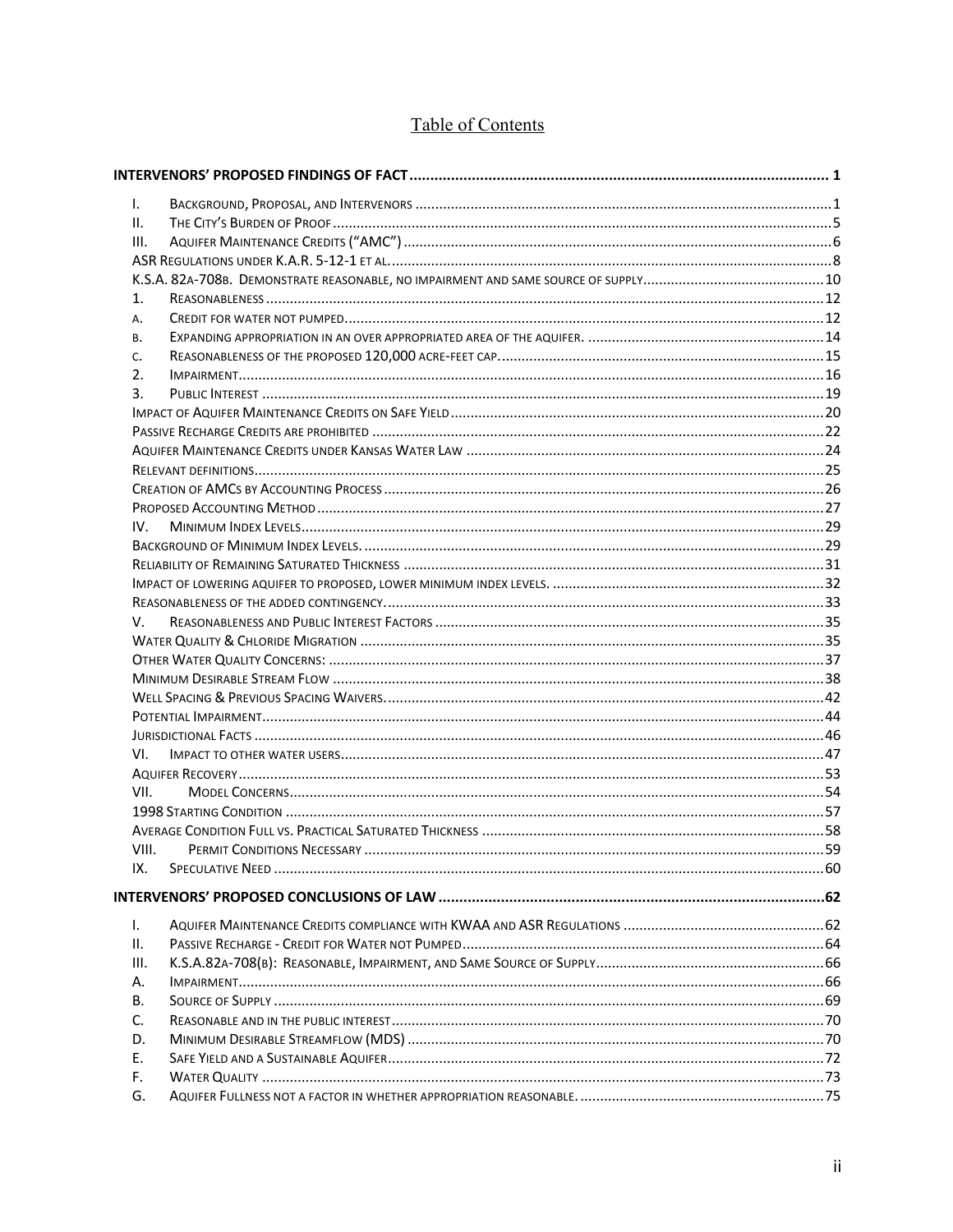# Table of Contents

| I.    |  |
|-------|--|
| ΙΙ.   |  |
| III.  |  |
|       |  |
|       |  |
| 1.    |  |
| А.    |  |
| В.    |  |
| C.    |  |
| 2.    |  |
| 3.    |  |
|       |  |
|       |  |
|       |  |
|       |  |
|       |  |
|       |  |
| IV.   |  |
|       |  |
|       |  |
|       |  |
|       |  |
| V.    |  |
|       |  |
|       |  |
|       |  |
|       |  |
|       |  |
|       |  |
| VI.   |  |
|       |  |
| VII.  |  |
|       |  |
|       |  |
| VIII. |  |
| IX.   |  |
|       |  |
|       |  |
| L.    |  |
| ΙΙ.   |  |
| III.  |  |
| А.    |  |
| В.    |  |
| C.    |  |
| D.    |  |
| Ε.    |  |
| F.    |  |
| G.    |  |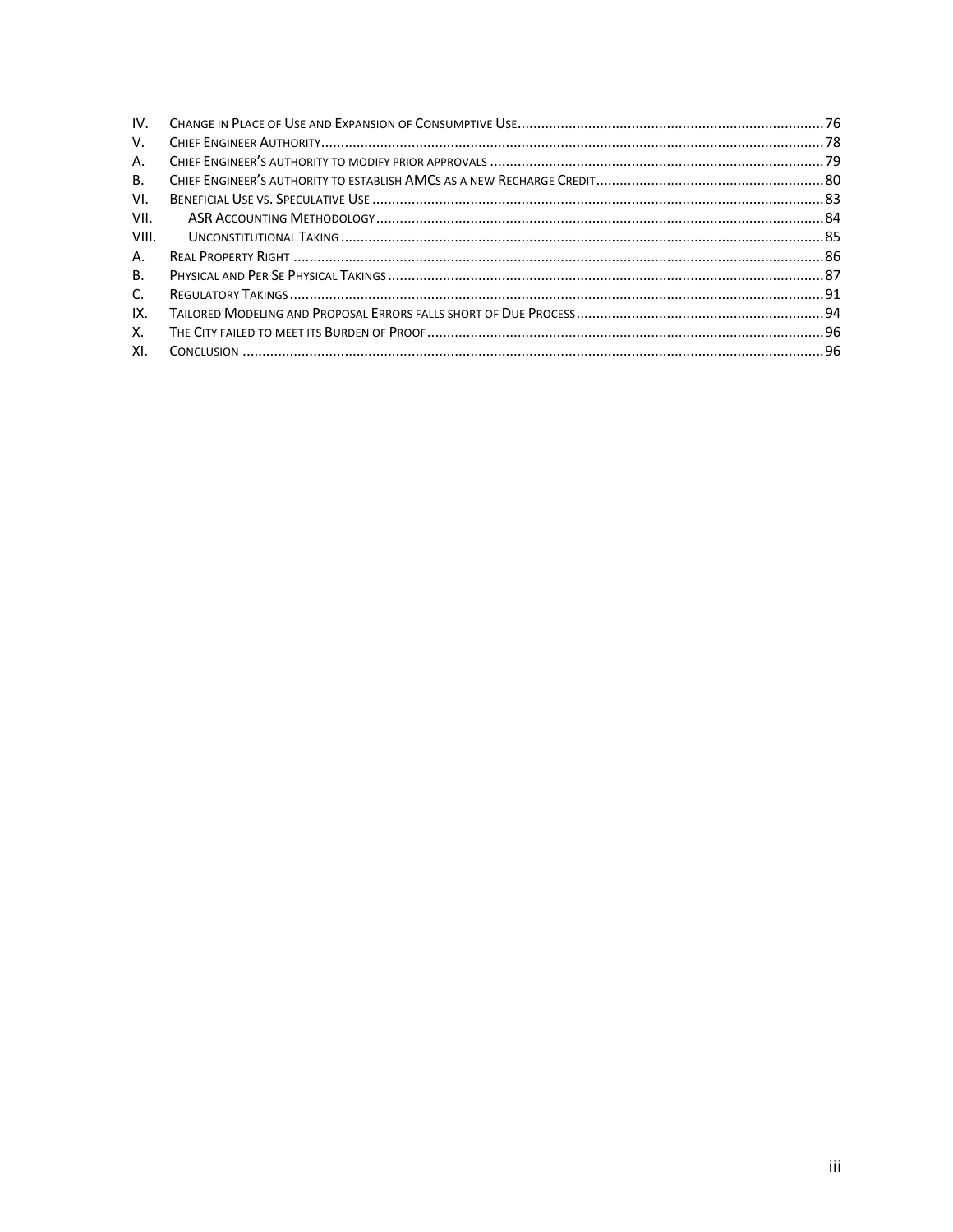| IV.       |  |
|-----------|--|
| V.        |  |
| А.        |  |
| <b>B.</b> |  |
| VI.       |  |
| VII.      |  |
| VIII.     |  |
| A.        |  |
| <b>B.</b> |  |
| C.        |  |
| IX.       |  |
| X.        |  |
| XI.       |  |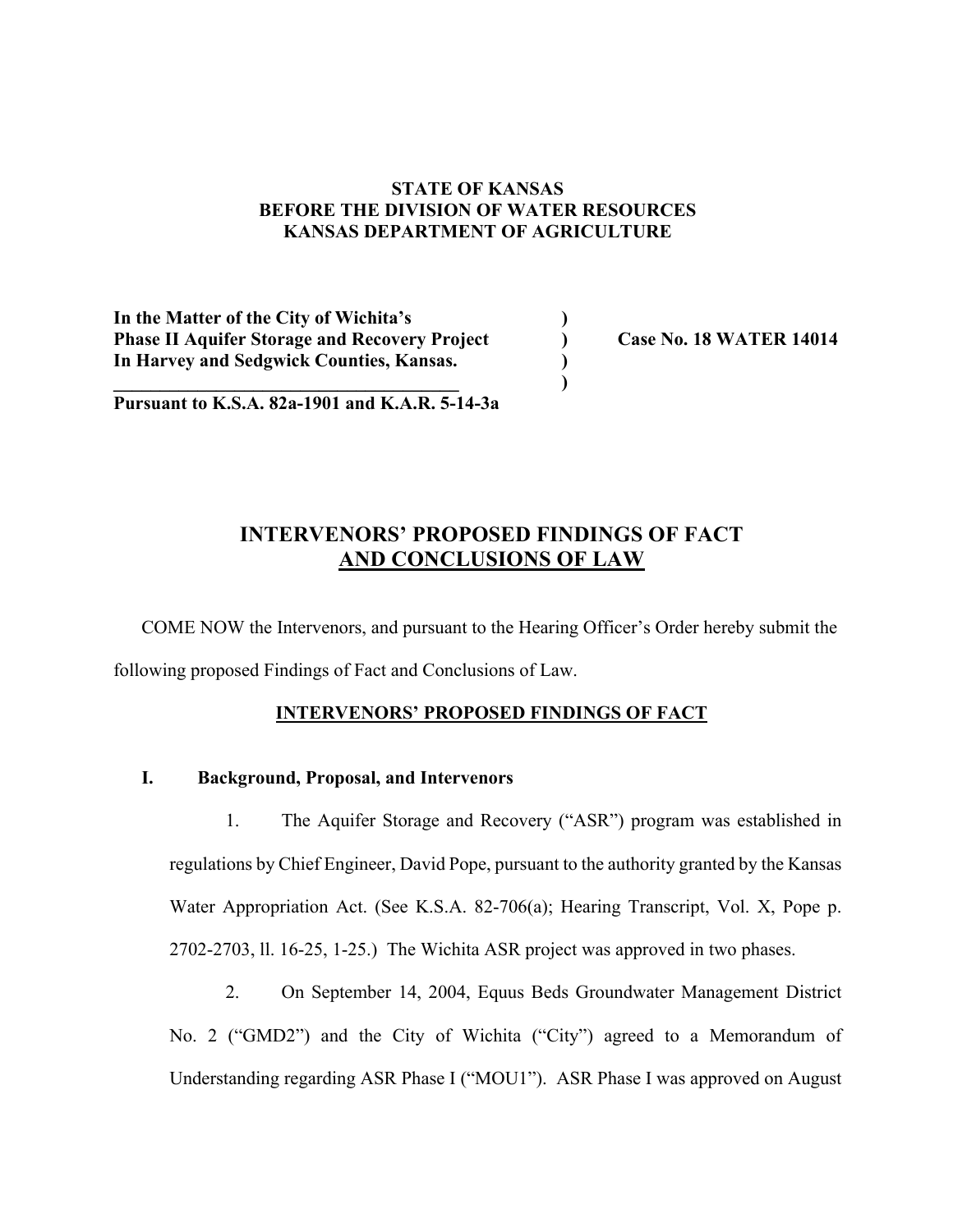## **STATE OF KANSAS BEFORE THE DIVISION OF WATER RESOURCES KANSAS DEPARTMENT OF AGRICULTURE**

**In the Matter of the City of Wichita's ) Phase II Aquifer Storage and Recovery Project ) Case No. 18 WATER 14014 In Harvey and Sedgwick Counties, Kansas. )**

**Pursuant to K.S.A. 82a-1901 and K.A.R. 5-14-3a**

**\_\_\_\_\_\_\_\_\_\_\_\_\_\_\_\_\_\_\_\_\_\_\_\_\_\_\_\_\_\_\_\_\_\_\_\_\_ )**

## **INTERVENORS' PROPOSED FINDINGS OF FACT AND CONCLUSIONS OF LAW**

COME NOW the Intervenors, and pursuant to the Hearing Officer's Order hereby submit the following proposed Findings of Fact and Conclusions of Law.

## **INTERVENORS' PROPOSED FINDINGS OF FACT**

## **I. Background, Proposal, and Intervenors**

1. The Aquifer Storage and Recovery ("ASR") program was established in regulations by Chief Engineer, David Pope, pursuant to the authority granted by the Kansas Water Appropriation Act. (See K.S.A. 82-706(a); Hearing Transcript, Vol. X, Pope p. 2702-2703, ll. 16-25, 1-25.) The Wichita ASR project was approved in two phases.

2. On September 14, 2004, Equus Beds Groundwater Management District No. 2 ("GMD2") and the City of Wichita ("City") agreed to a Memorandum of Understanding regarding ASR Phase I ("MOU1"). ASR Phase I was approved on August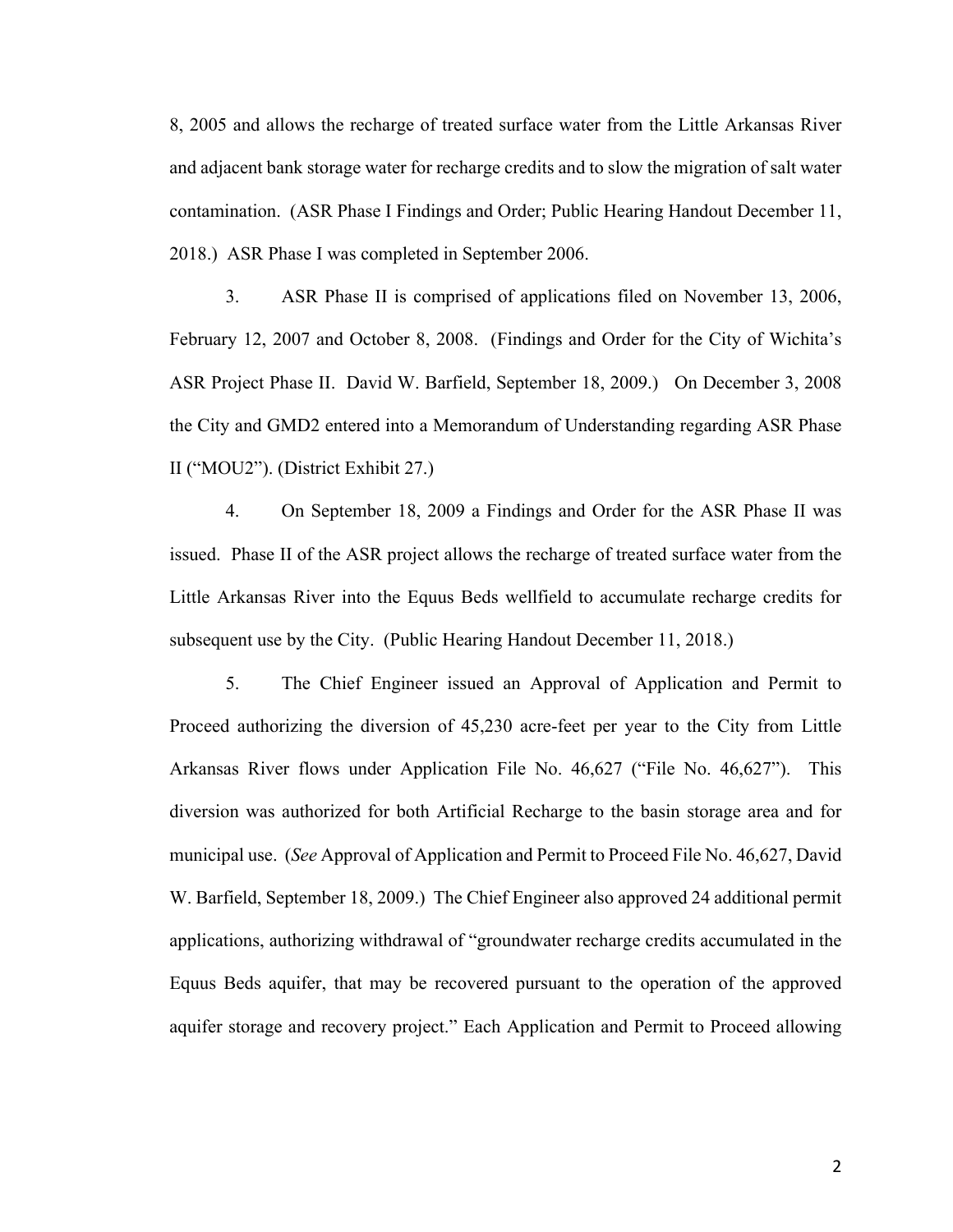8, 2005 and allows the recharge of treated surface water from the Little Arkansas River and adjacent bank storage water for recharge credits and to slow the migration of salt water contamination. (ASR Phase I Findings and Order; Public Hearing Handout December 11, 2018.) ASR Phase I was completed in September 2006.

3. ASR Phase II is comprised of applications filed on November 13, 2006, February 12, 2007 and October 8, 2008. (Findings and Order for the City of Wichita's ASR Project Phase II. David W. Barfield, September 18, 2009.) On December 3, 2008 the City and GMD2 entered into a Memorandum of Understanding regarding ASR Phase II ("MOU2"). (District Exhibit 27.)

4. On September 18, 2009 a Findings and Order for the ASR Phase II was issued. Phase II of the ASR project allows the recharge of treated surface water from the Little Arkansas River into the Equus Beds wellfield to accumulate recharge credits for subsequent use by the City. (Public Hearing Handout December 11, 2018.)

5. The Chief Engineer issued an Approval of Application and Permit to Proceed authorizing the diversion of 45,230 acre-feet per year to the City from Little Arkansas River flows under Application File No. 46,627 ("File No. 46,627"). This diversion was authorized for both Artificial Recharge to the basin storage area and for municipal use. (*See* Approval of Application and Permit to Proceed File No. 46,627, David W. Barfield, September 18, 2009.) The Chief Engineer also approved 24 additional permit applications, authorizing withdrawal of "groundwater recharge credits accumulated in the Equus Beds aquifer, that may be recovered pursuant to the operation of the approved aquifer storage and recovery project." Each Application and Permit to Proceed allowing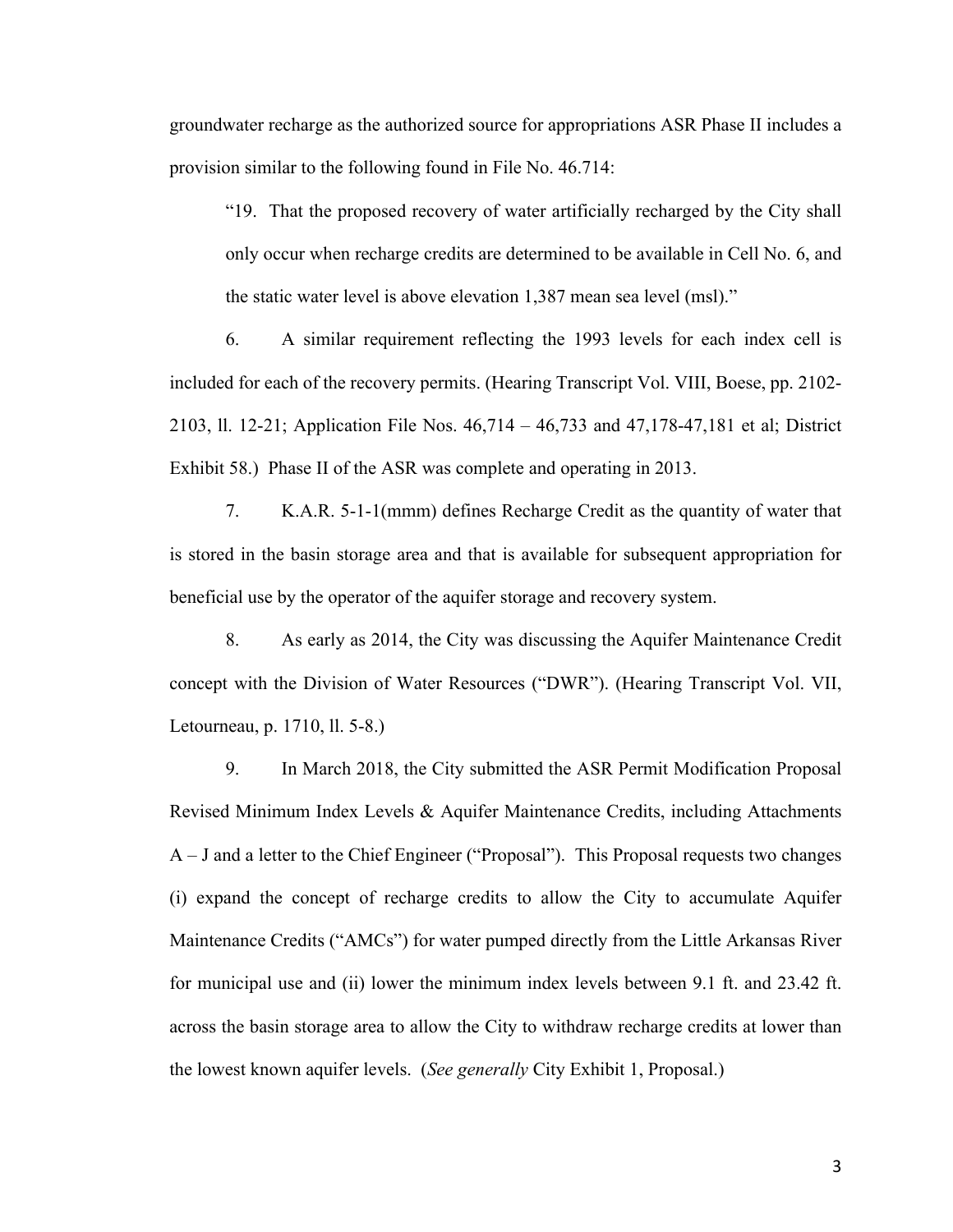groundwater recharge as the authorized source for appropriations ASR Phase II includes a provision similar to the following found in File No. 46.714:

"19. That the proposed recovery of water artificially recharged by the City shall only occur when recharge credits are determined to be available in Cell No. 6, and the static water level is above elevation 1,387 mean sea level (msl)."

6. A similar requirement reflecting the 1993 levels for each index cell is included for each of the recovery permits. (Hearing Transcript Vol. VIII, Boese, pp. 2102- 2103, ll. 12-21; Application File Nos. 46,714 – 46,733 and 47,178-47,181 et al; District Exhibit 58.) Phase II of the ASR was complete and operating in 2013.

7. K.A.R. 5-1-1(mmm) defines Recharge Credit as the quantity of water that is stored in the basin storage area and that is available for subsequent appropriation for beneficial use by the operator of the aquifer storage and recovery system.

8. As early as 2014, the City was discussing the Aquifer Maintenance Credit concept with the Division of Water Resources ("DWR"). (Hearing Transcript Vol. VII, Letourneau, p. 1710, ll. 5-8.)

9. In March 2018, the City submitted the ASR Permit Modification Proposal Revised Minimum Index Levels & Aquifer Maintenance Credits, including Attachments A – J and a letter to the Chief Engineer ("Proposal"). This Proposal requests two changes (i) expand the concept of recharge credits to allow the City to accumulate Aquifer Maintenance Credits ("AMCs") for water pumped directly from the Little Arkansas River for municipal use and (ii) lower the minimum index levels between 9.1 ft. and 23.42 ft. across the basin storage area to allow the City to withdraw recharge credits at lower than the lowest known aquifer levels. (*See generally* City Exhibit 1, Proposal.)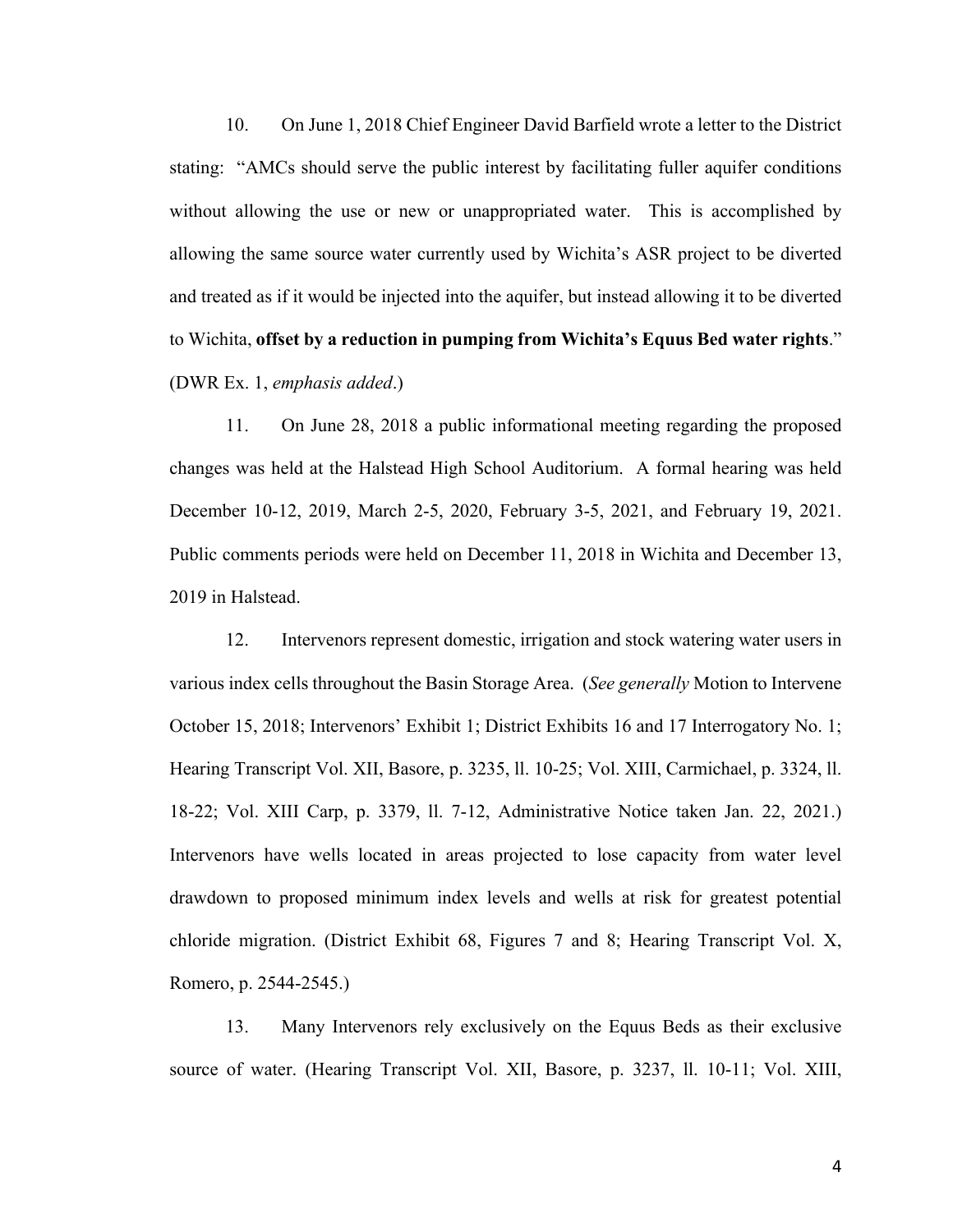10. On June 1, 2018 Chief Engineer David Barfield wrote a letter to the District stating: "AMCs should serve the public interest by facilitating fuller aquifer conditions without allowing the use or new or unappropriated water. This is accomplished by allowing the same source water currently used by Wichita's ASR project to be diverted and treated as if it would be injected into the aquifer, but instead allowing it to be diverted to Wichita, **offset by a reduction in pumping from Wichita's Equus Bed water rights**." (DWR Ex. 1, *emphasis added*.)

11. On June 28, 2018 a public informational meeting regarding the proposed changes was held at the Halstead High School Auditorium. A formal hearing was held December 10-12, 2019, March 2-5, 2020, February 3-5, 2021, and February 19, 2021. Public comments periods were held on December 11, 2018 in Wichita and December 13, 2019 in Halstead.

12. Intervenors represent domestic, irrigation and stock watering water users in various index cells throughout the Basin Storage Area. (*See generally* Motion to Intervene October 15, 2018; Intervenors' Exhibit 1; District Exhibits 16 and 17 Interrogatory No. 1; Hearing Transcript Vol. XII, Basore, p. 3235, ll. 10-25; Vol. XIII, Carmichael, p. 3324, ll. 18-22; Vol. XIII Carp, p. 3379, ll. 7-12, Administrative Notice taken Jan. 22, 2021.) Intervenors have wells located in areas projected to lose capacity from water level drawdown to proposed minimum index levels and wells at risk for greatest potential chloride migration. (District Exhibit 68, Figures 7 and 8; Hearing Transcript Vol. X, Romero, p. 2544-2545.)

13. Many Intervenors rely exclusively on the Equus Beds as their exclusive source of water. (Hearing Transcript Vol. XII, Basore, p. 3237, ll. 10-11; Vol. XIII,

4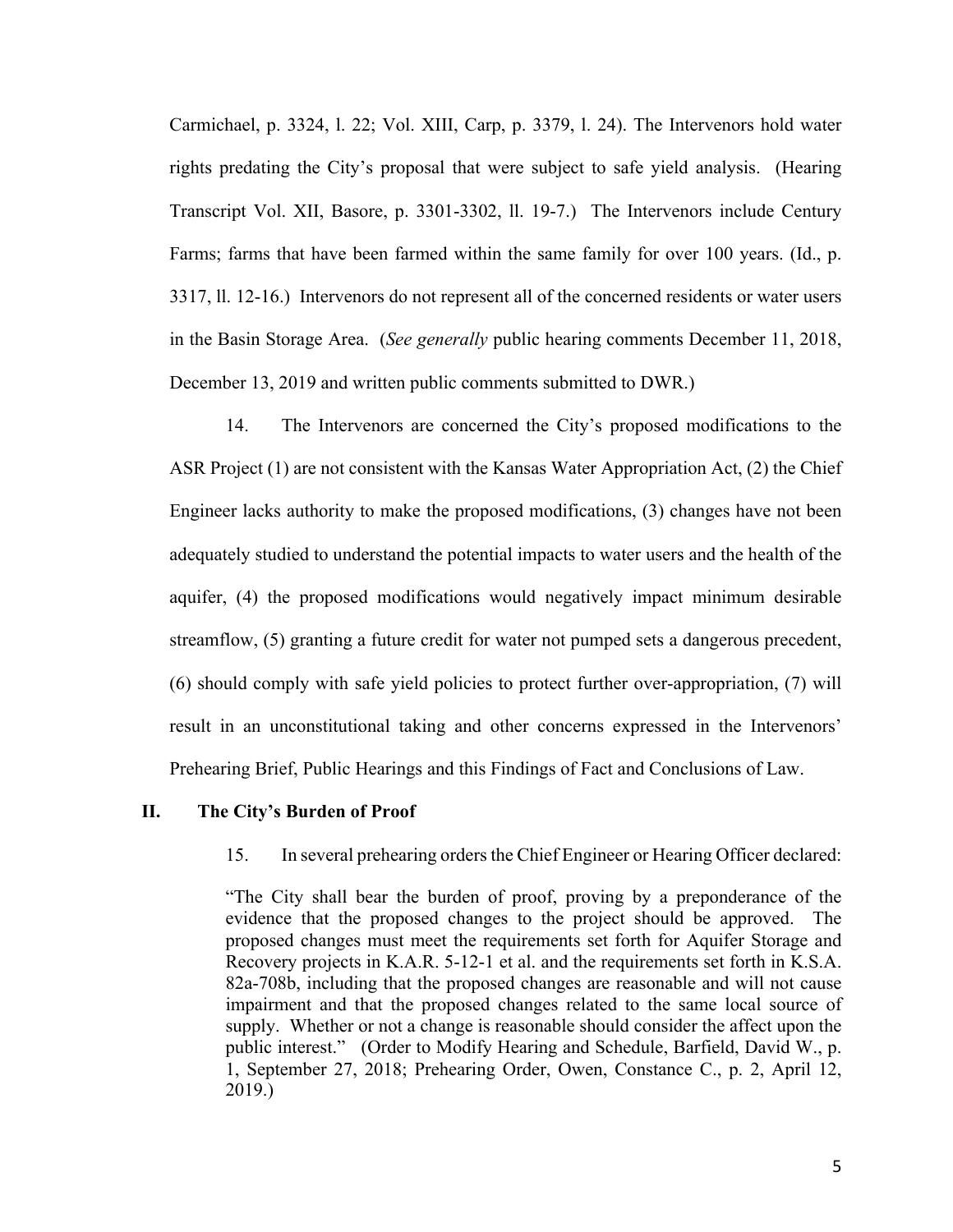Carmichael, p. 3324, l. 22; Vol. XIII, Carp, p. 3379, l. 24). The Intervenors hold water rights predating the City's proposal that were subject to safe yield analysis. (Hearing Transcript Vol. XII, Basore, p. 3301-3302, ll. 19-7.) The Intervenors include Century Farms; farms that have been farmed within the same family for over 100 years. (Id., p. 3317, ll. 12-16.) Intervenors do not represent all of the concerned residents or water users in the Basin Storage Area. (*See generally* public hearing comments December 11, 2018, December 13, 2019 and written public comments submitted to DWR.)

14. The Intervenors are concerned the City's proposed modifications to the ASR Project (1) are not consistent with the Kansas Water Appropriation Act, (2) the Chief Engineer lacks authority to make the proposed modifications, (3) changes have not been adequately studied to understand the potential impacts to water users and the health of the aquifer, (4) the proposed modifications would negatively impact minimum desirable streamflow, (5) granting a future credit for water not pumped sets a dangerous precedent, (6) should comply with safe yield policies to protect further over-appropriation, (7) will result in an unconstitutional taking and other concerns expressed in the Intervenors' Prehearing Brief, Public Hearings and this Findings of Fact and Conclusions of Law.

#### **II. The City's Burden of Proof**

#### 15. In several prehearing orders the Chief Engineer or Hearing Officer declared:

"The City shall bear the burden of proof, proving by a preponderance of the evidence that the proposed changes to the project should be approved. The proposed changes must meet the requirements set forth for Aquifer Storage and Recovery projects in K.A.R. 5-12-1 et al. and the requirements set forth in K.S.A. 82a-708b, including that the proposed changes are reasonable and will not cause impairment and that the proposed changes related to the same local source of supply. Whether or not a change is reasonable should consider the affect upon the public interest." (Order to Modify Hearing and Schedule, Barfield, David W., p. 1, September 27, 2018; Prehearing Order, Owen, Constance C., p. 2, April 12, 2019.)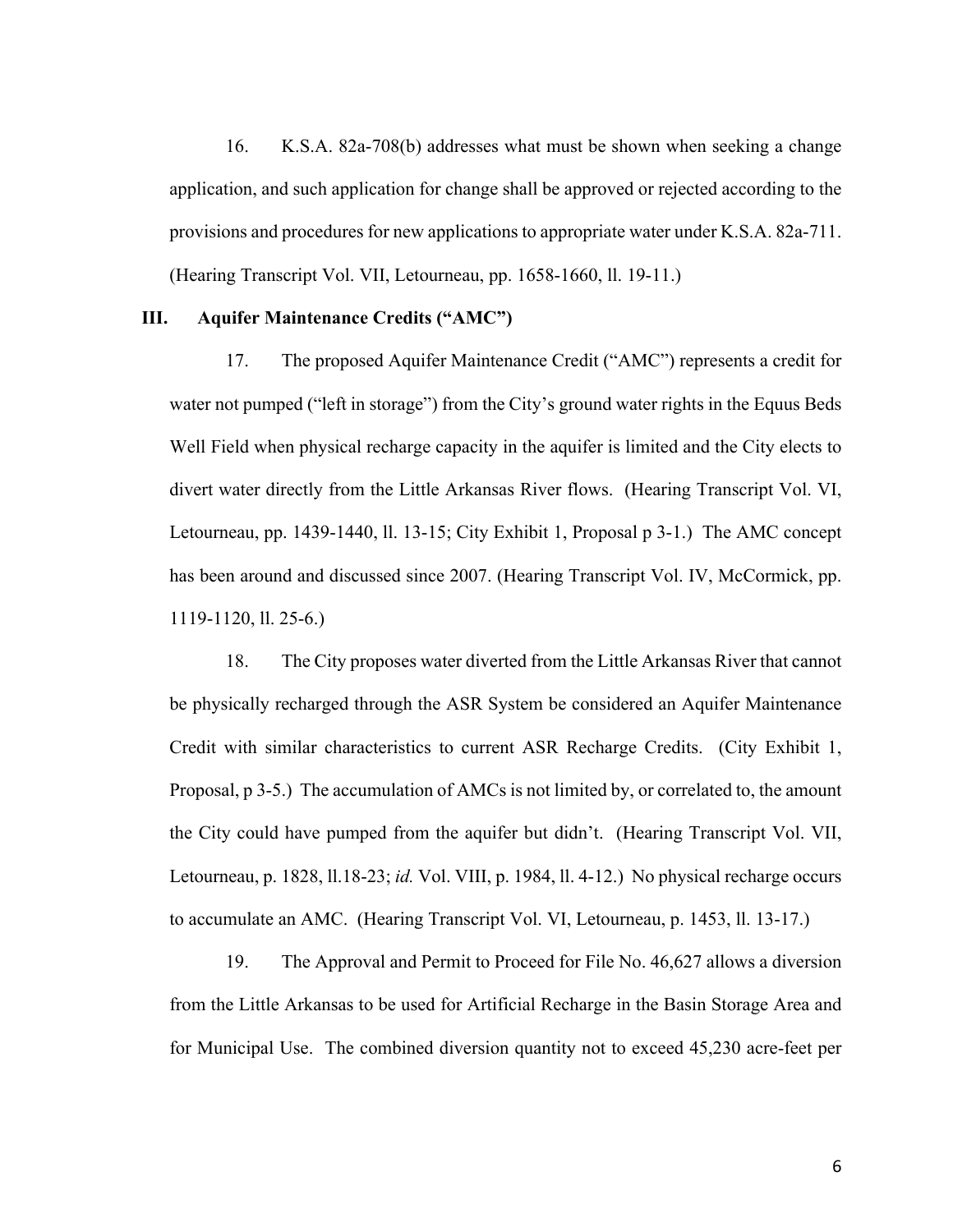16. K.S.A. 82a-708(b) addresses what must be shown when seeking a change application, and such application for change shall be approved or rejected according to the provisions and procedures for new applications to appropriate water under K.S.A. 82a-711. (Hearing Transcript Vol. VII, Letourneau, pp. 1658-1660, ll. 19-11.)

## **III. Aquifer Maintenance Credits ("AMC")**

17. The proposed Aquifer Maintenance Credit ("AMC") represents a credit for water not pumped ("left in storage") from the City's ground water rights in the Equus Beds Well Field when physical recharge capacity in the aquifer is limited and the City elects to divert water directly from the Little Arkansas River flows. (Hearing Transcript Vol. VI, Letourneau, pp. 1439-1440, ll. 13-15; City Exhibit 1, Proposal p 3-1.) The AMC concept has been around and discussed since 2007. (Hearing Transcript Vol. IV, McCormick, pp. 1119-1120, ll. 25-6.)

18. The City proposes water diverted from the Little Arkansas River that cannot be physically recharged through the ASR System be considered an Aquifer Maintenance Credit with similar characteristics to current ASR Recharge Credits. (City Exhibit 1, Proposal, p 3-5.) The accumulation of AMCs is not limited by, or correlated to, the amount the City could have pumped from the aquifer but didn't. (Hearing Transcript Vol. VII, Letourneau, p. 1828, ll.18-23; *id.* Vol. VIII, p. 1984, ll. 4-12.) No physical recharge occurs to accumulate an AMC. (Hearing Transcript Vol. VI, Letourneau, p. 1453, ll. 13-17.)

19. The Approval and Permit to Proceed for File No. 46,627 allows a diversion from the Little Arkansas to be used for Artificial Recharge in the Basin Storage Area and for Municipal Use. The combined diversion quantity not to exceed 45,230 acre-feet per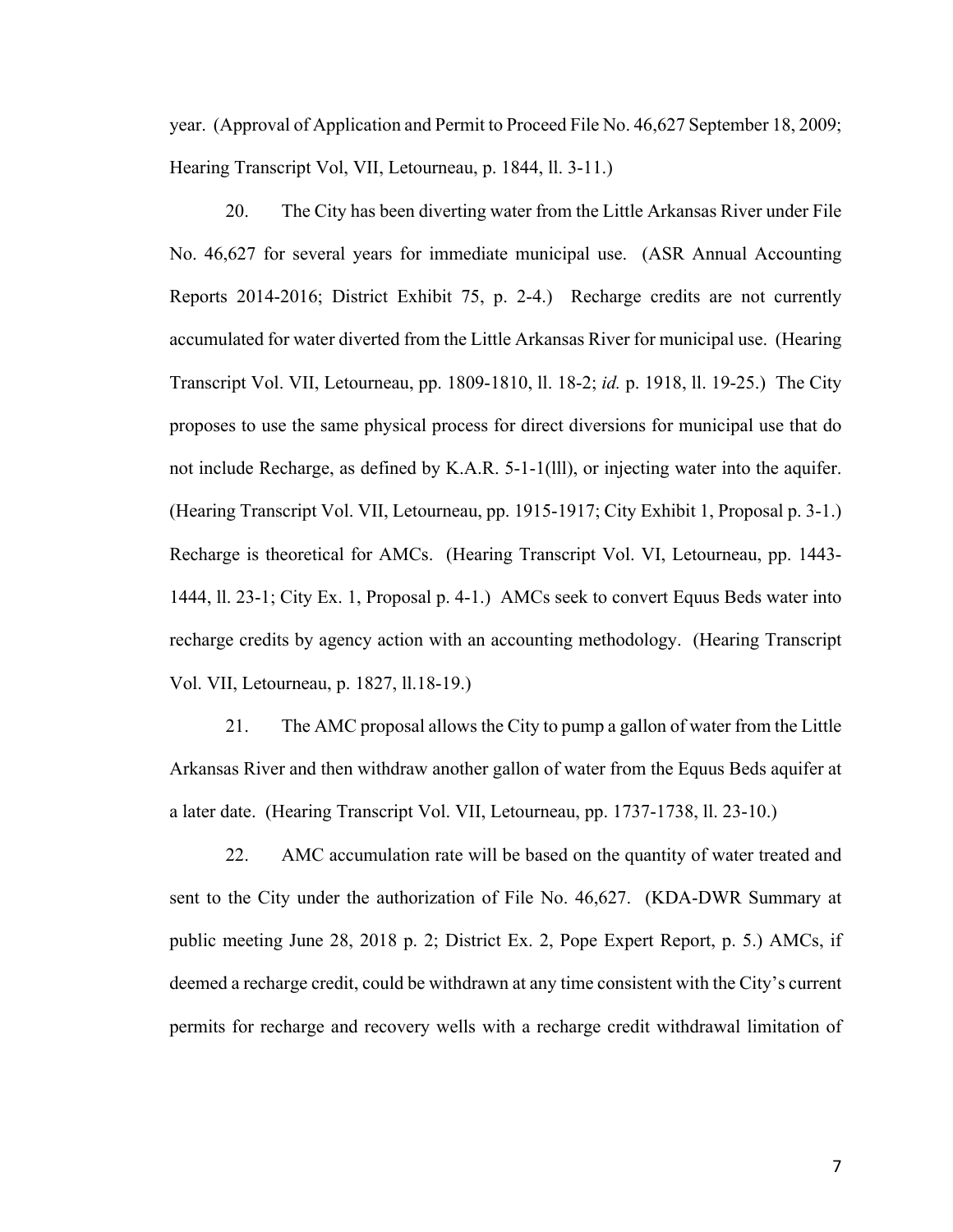year. (Approval of Application and Permit to Proceed File No. 46,627 September 18, 2009; Hearing Transcript Vol, VII, Letourneau, p. 1844, ll. 3-11.)

20. The City has been diverting water from the Little Arkansas River under File No. 46,627 for several years for immediate municipal use. (ASR Annual Accounting Reports 2014-2016; District Exhibit 75, p. 2-4.) Recharge credits are not currently accumulated for water diverted from the Little Arkansas River for municipal use. (Hearing Transcript Vol. VII, Letourneau, pp. 1809-1810, ll. 18-2; *id.* p. 1918, ll. 19-25.) The City proposes to use the same physical process for direct diversions for municipal use that do not include Recharge, as defined by K.A.R. 5-1-1(lll), or injecting water into the aquifer. (Hearing Transcript Vol. VII, Letourneau, pp. 1915-1917; City Exhibit 1, Proposal p. 3-1.) Recharge is theoretical for AMCs. (Hearing Transcript Vol. VI, Letourneau, pp. 1443- 1444, ll. 23-1; City Ex. 1, Proposal p. 4-1.) AMCs seek to convert Equus Beds water into recharge credits by agency action with an accounting methodology. (Hearing Transcript Vol. VII, Letourneau, p. 1827, ll.18-19.)

21. The AMC proposal allows the City to pump a gallon of water from the Little Arkansas River and then withdraw another gallon of water from the Equus Beds aquifer at a later date. (Hearing Transcript Vol. VII, Letourneau, pp. 1737-1738, ll. 23-10.)

22. AMC accumulation rate will be based on the quantity of water treated and sent to the City under the authorization of File No. 46,627. (KDA-DWR Summary at public meeting June 28, 2018 p. 2; District Ex. 2, Pope Expert Report, p. 5.) AMCs, if deemed a recharge credit, could be withdrawn at any time consistent with the City's current permits for recharge and recovery wells with a recharge credit withdrawal limitation of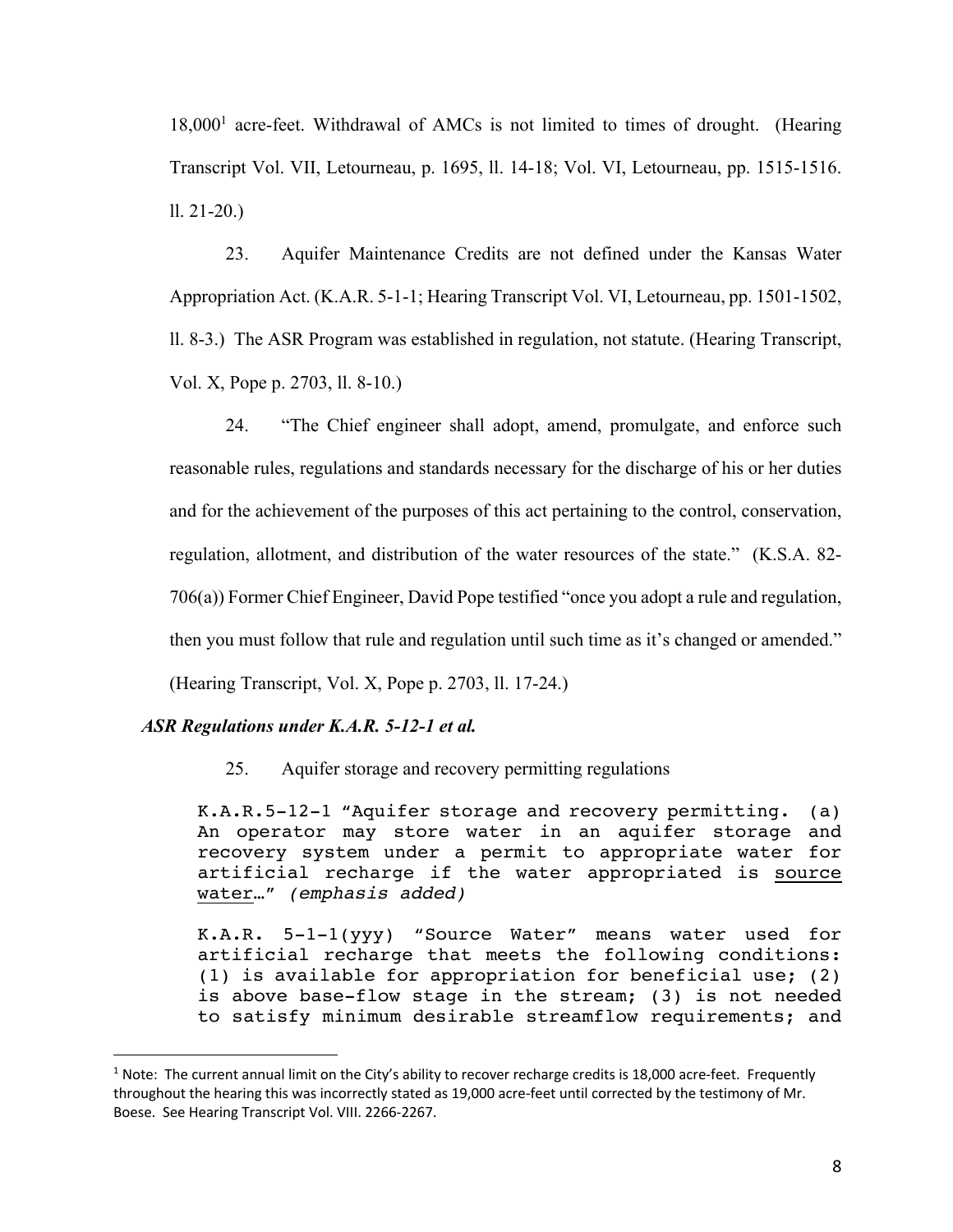18,000<sup>1</sup> acre-feet. Withdrawal of AMCs is not limited to times of drought. (Hearing Transcript Vol. VII, Letourneau, p. 1695, ll. 14-18; Vol. VI, Letourneau, pp. 1515-1516. ll. 21-20.)

23. Aquifer Maintenance Credits are not defined under the Kansas Water Appropriation Act. (K.A.R. 5-1-1; Hearing Transcript Vol. VI, Letourneau, pp. 1501-1502, ll. 8-3.) The ASR Program was established in regulation, not statute. (Hearing Transcript, Vol. X, Pope p. 2703, ll. 8-10.)

24. "The Chief engineer shall adopt, amend, promulgate, and enforce such reasonable rules, regulations and standards necessary for the discharge of his or her duties and for the achievement of the purposes of this act pertaining to the control, conservation, regulation, allotment, and distribution of the water resources of the state." (K.S.A. 82- 706(a)) Former Chief Engineer, David Pope testified "once you adopt a rule and regulation, then you must follow that rule and regulation until such time as it's changed or amended." (Hearing Transcript, Vol. X, Pope p. 2703, ll. 17-24.)

#### *ASR Regulations under K.A.R. 5-12-1 et al.*

25. Aquifer storage and recovery permitting regulations

K.A.R.5-12-1 "Aquifer storage and recovery permitting. (a) An operator may store water in an aquifer storage and recovery system under a permit to appropriate water for artificial recharge if the water appropriated is source water…" *(emphasis added)*

K.A.R. 5-1-1(yyy) "Source Water" means water used for artificial recharge that meets the following conditions: (1) is available for appropriation for beneficial use; (2) is above base-flow stage in the stream; (3) is not needed to satisfy minimum desirable streamflow requirements; and

 $1$  Note: The current annual limit on the City's ability to recover recharge credits is 18,000 acre-feet. Frequently throughout the hearing this was incorrectly stated as 19,000 acre-feet until corrected by the testimony of Mr. Boese. See Hearing Transcript Vol. VIII. 2266-2267.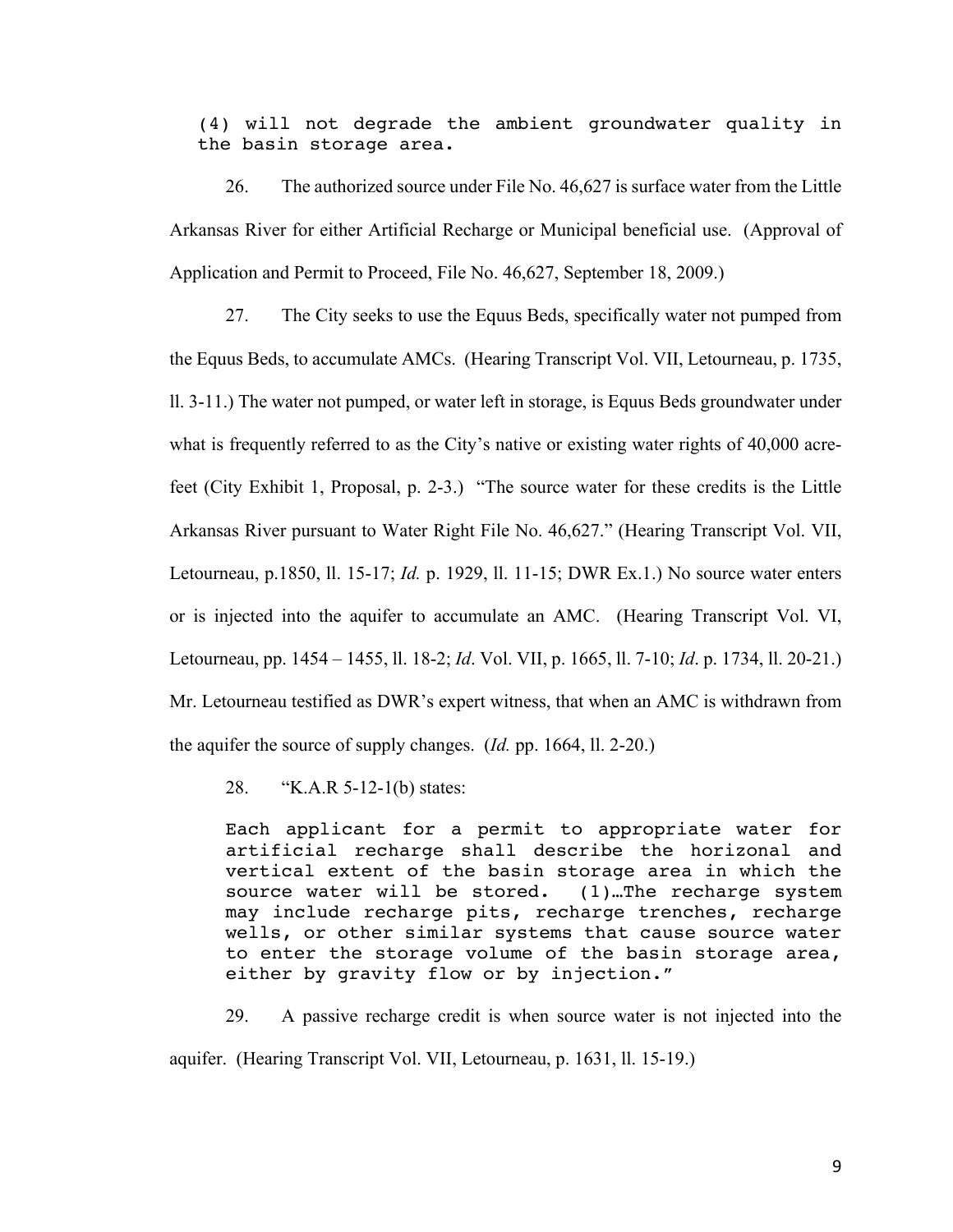(4) will not degrade the ambient groundwater quality in the basin storage area.

26. The authorized source under File No. 46,627 is surface water from the Little Arkansas River for either Artificial Recharge or Municipal beneficial use. (Approval of Application and Permit to Proceed, File No. 46,627, September 18, 2009.)

27. The City seeks to use the Equus Beds, specifically water not pumped from the Equus Beds, to accumulate AMCs. (Hearing Transcript Vol. VII, Letourneau, p. 1735, ll. 3-11.) The water not pumped, or water left in storage, is Equus Beds groundwater under what is frequently referred to as the City's native or existing water rights of 40,000 acrefeet (City Exhibit 1, Proposal, p. 2-3.) "The source water for these credits is the Little Arkansas River pursuant to Water Right File No. 46,627." (Hearing Transcript Vol. VII, Letourneau, p.1850, ll. 15-17; *Id.* p. 1929, ll. 11-15; DWR Ex.1.) No source water enters or is injected into the aquifer to accumulate an AMC. (Hearing Transcript Vol. VI, Letourneau, pp. 1454 – 1455, ll. 18-2; *Id*. Vol. VII, p. 1665, ll. 7-10; *Id*. p. 1734, ll. 20-21.) Mr. Letourneau testified as DWR's expert witness, that when an AMC is withdrawn from the aquifer the source of supply changes. (*Id.* pp. 1664, ll. 2-20.)

28. "K.A.R 5-12-1(b) states:

Each applicant for a permit to appropriate water for artificial recharge shall describe the horizonal and vertical extent of the basin storage area in which the source water will be stored. (1)…The recharge system may include recharge pits, recharge trenches, recharge wells, or other similar systems that cause source water to enter the storage volume of the basin storage area, either by gravity flow or by injection."

29. A passive recharge credit is when source water is not injected into the

aquifer. (Hearing Transcript Vol. VII, Letourneau, p. 1631, ll. 15-19.)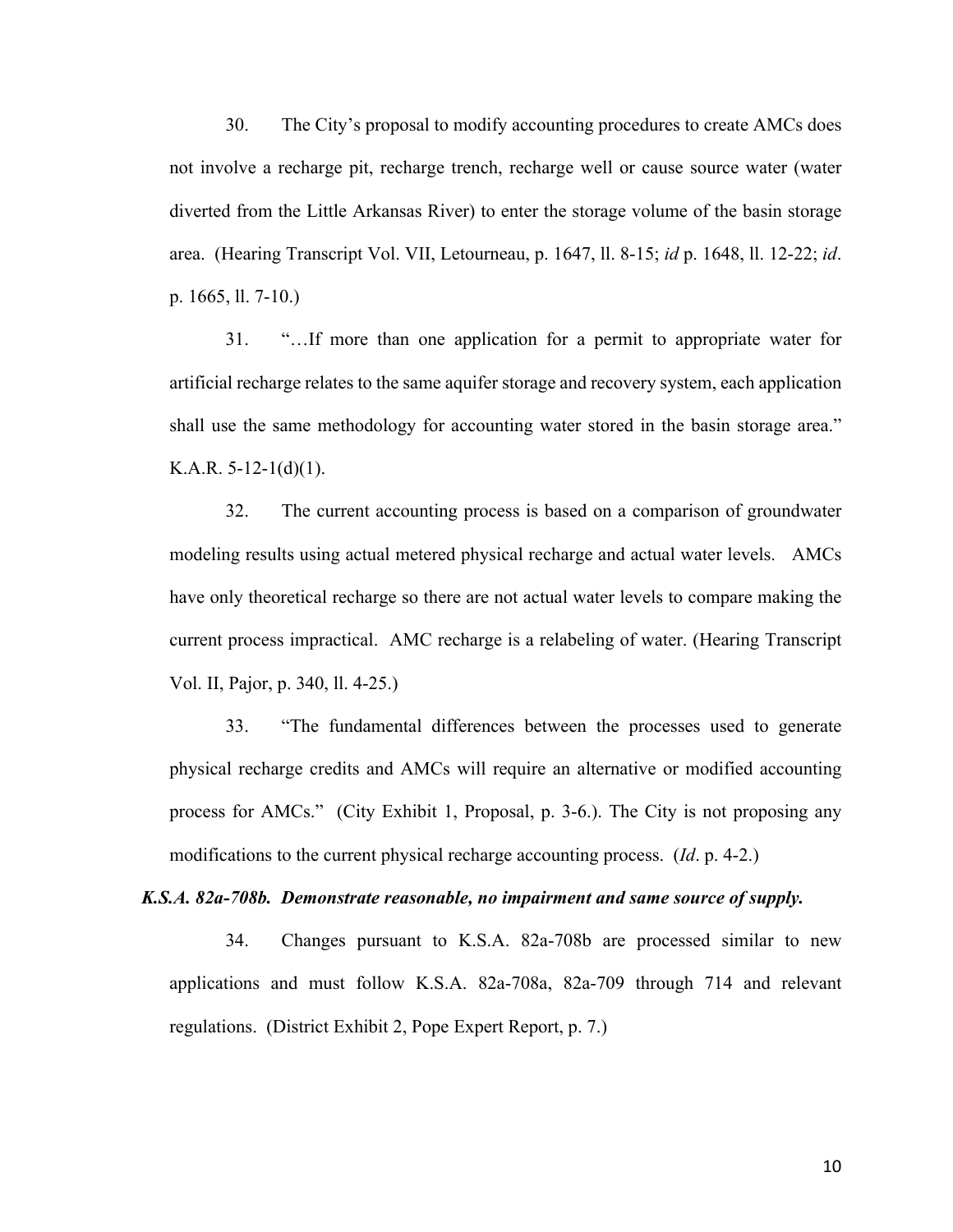30. The City's proposal to modify accounting procedures to create AMCs does not involve a recharge pit, recharge trench, recharge well or cause source water (water diverted from the Little Arkansas River) to enter the storage volume of the basin storage area. (Hearing Transcript Vol. VII, Letourneau, p. 1647, ll. 8-15; *id* p. 1648, ll. 12-22; *id*. p. 1665, ll. 7-10.)

31. "…If more than one application for a permit to appropriate water for artificial recharge relates to the same aquifer storage and recovery system, each application shall use the same methodology for accounting water stored in the basin storage area." K.A.R.  $5-12-1(d)(1)$ .

32. The current accounting process is based on a comparison of groundwater modeling results using actual metered physical recharge and actual water levels. AMCs have only theoretical recharge so there are not actual water levels to compare making the current process impractical. AMC recharge is a relabeling of water. (Hearing Transcript Vol. II, Pajor, p. 340, ll. 4-25.)

33. "The fundamental differences between the processes used to generate physical recharge credits and AMCs will require an alternative or modified accounting process for AMCs." (City Exhibit 1, Proposal, p. 3-6.). The City is not proposing any modifications to the current physical recharge accounting process. (*Id*. p. 4-2.)

## *K.S.A. 82a-708b. Demonstrate reasonable, no impairment and same source of supply.*

34. Changes pursuant to K.S.A. 82a-708b are processed similar to new applications and must follow K.S.A. 82a-708a, 82a-709 through 714 and relevant regulations. (District Exhibit 2, Pope Expert Report, p. 7.)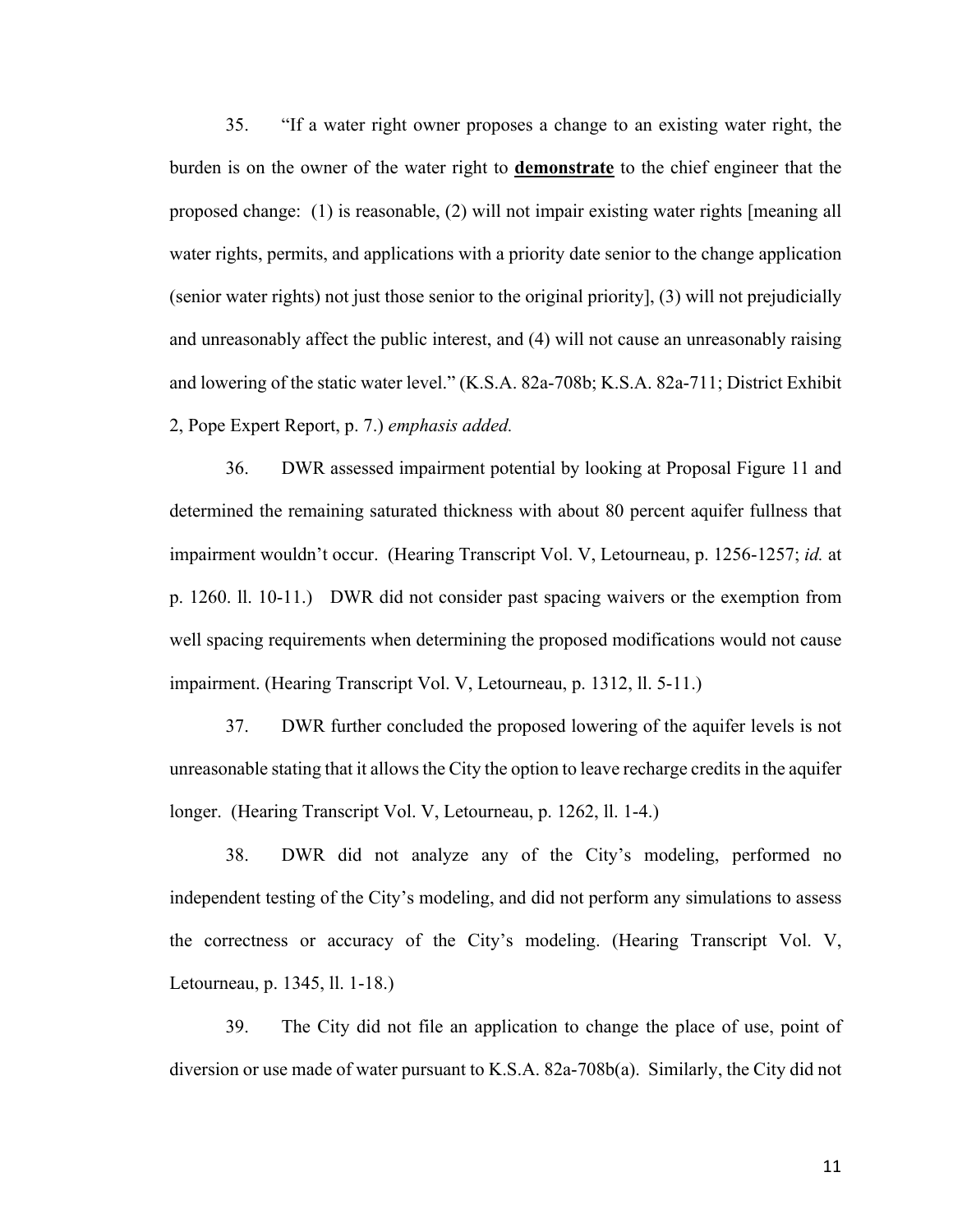35. "If a water right owner proposes a change to an existing water right, the burden is on the owner of the water right to **demonstrate** to the chief engineer that the proposed change: (1) is reasonable, (2) will not impair existing water rights [meaning all water rights, permits, and applications with a priority date senior to the change application (senior water rights) not just those senior to the original priority], (3) will not prejudicially and unreasonably affect the public interest, and (4) will not cause an unreasonably raising and lowering of the static water level." (K.S.A. 82a-708b; K.S.A. 82a-711; District Exhibit 2, Pope Expert Report, p. 7.) *emphasis added.*

36. DWR assessed impairment potential by looking at Proposal Figure 11 and determined the remaining saturated thickness with about 80 percent aquifer fullness that impairment wouldn't occur. (Hearing Transcript Vol. V, Letourneau, p. 1256-1257; *id.* at p. 1260. ll. 10-11.) DWR did not consider past spacing waivers or the exemption from well spacing requirements when determining the proposed modifications would not cause impairment. (Hearing Transcript Vol. V, Letourneau, p. 1312, ll. 5-11.)

37. DWR further concluded the proposed lowering of the aquifer levels is not unreasonable stating that it allows the City the option to leave recharge credits in the aquifer longer. (Hearing Transcript Vol. V, Letourneau, p. 1262, ll. 1-4.)

38. DWR did not analyze any of the City's modeling, performed no independent testing of the City's modeling, and did not perform any simulations to assess the correctness or accuracy of the City's modeling. (Hearing Transcript Vol. V, Letourneau, p. 1345, ll. 1-18.)

39. The City did not file an application to change the place of use, point of diversion or use made of water pursuant to K.S.A. 82a-708b(a). Similarly, the City did not

11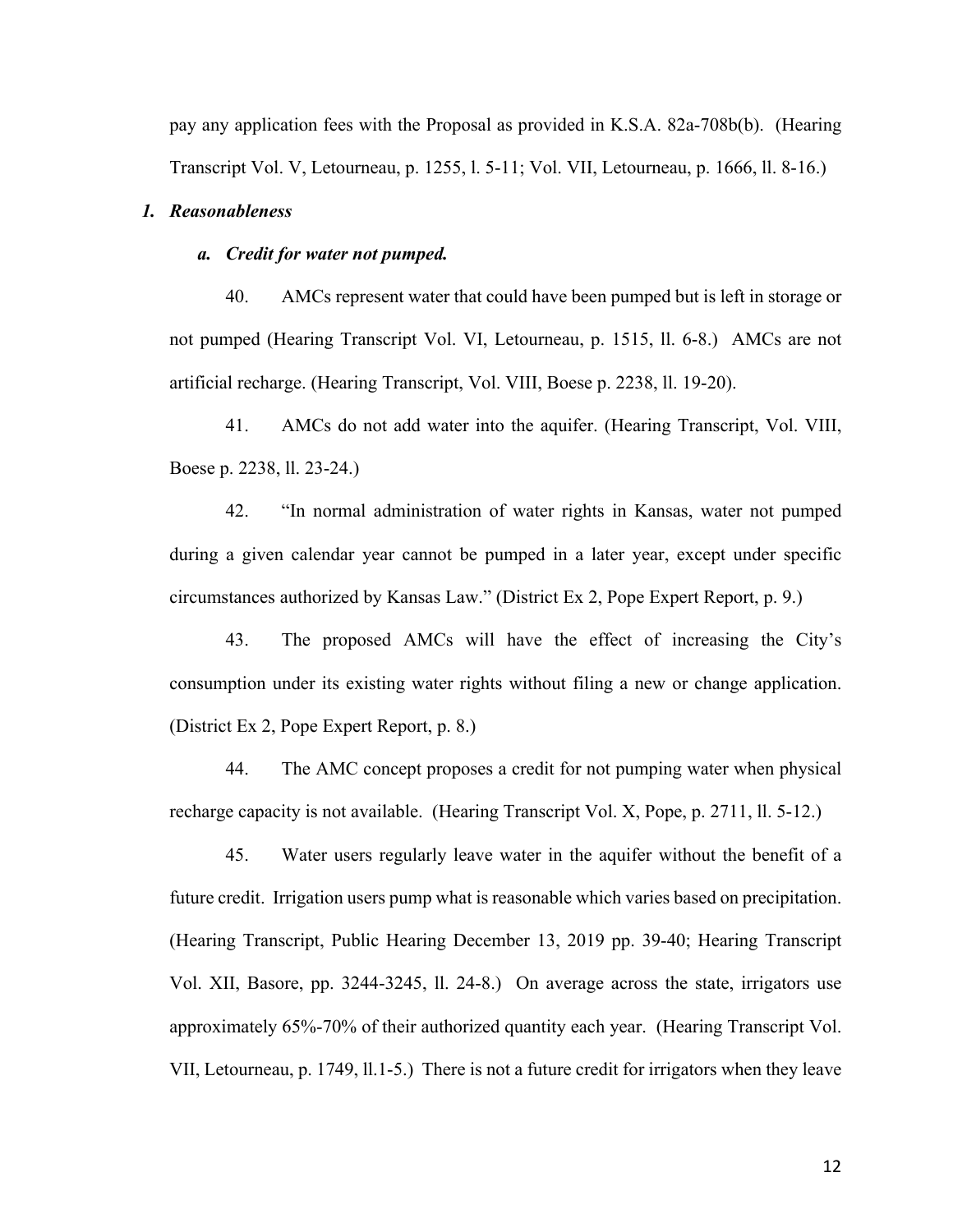pay any application fees with the Proposal as provided in K.S.A. 82a-708b(b). (Hearing Transcript Vol. V, Letourneau, p. 1255, l. 5-11; Vol. VII, Letourneau, p. 1666, ll. 8-16.)

#### *1. Reasonableness*

## *a. Credit for water not pumped.*

40. AMCs represent water that could have been pumped but is left in storage or not pumped (Hearing Transcript Vol. VI, Letourneau, p. 1515, ll. 6-8.) AMCs are not artificial recharge. (Hearing Transcript, Vol. VIII, Boese p. 2238, ll. 19-20).

41. AMCs do not add water into the aquifer. (Hearing Transcript, Vol. VIII, Boese p. 2238, ll. 23-24.)

42. "In normal administration of water rights in Kansas, water not pumped during a given calendar year cannot be pumped in a later year, except under specific circumstances authorized by Kansas Law." (District Ex 2, Pope Expert Report, p. 9.)

43. The proposed AMCs will have the effect of increasing the City's consumption under its existing water rights without filing a new or change application. (District Ex 2, Pope Expert Report, p. 8.)

44. The AMC concept proposes a credit for not pumping water when physical recharge capacity is not available. (Hearing Transcript Vol. X, Pope, p. 2711, ll. 5-12.)

45. Water users regularly leave water in the aquifer without the benefit of a future credit. Irrigation users pump what is reasonable which varies based on precipitation. (Hearing Transcript, Public Hearing December 13, 2019 pp. 39-40; Hearing Transcript Vol. XII, Basore, pp. 3244-3245, ll. 24-8.) On average across the state, irrigators use approximately 65%-70% of their authorized quantity each year. (Hearing Transcript Vol. VII, Letourneau, p. 1749, ll.1-5.) There is not a future credit for irrigators when they leave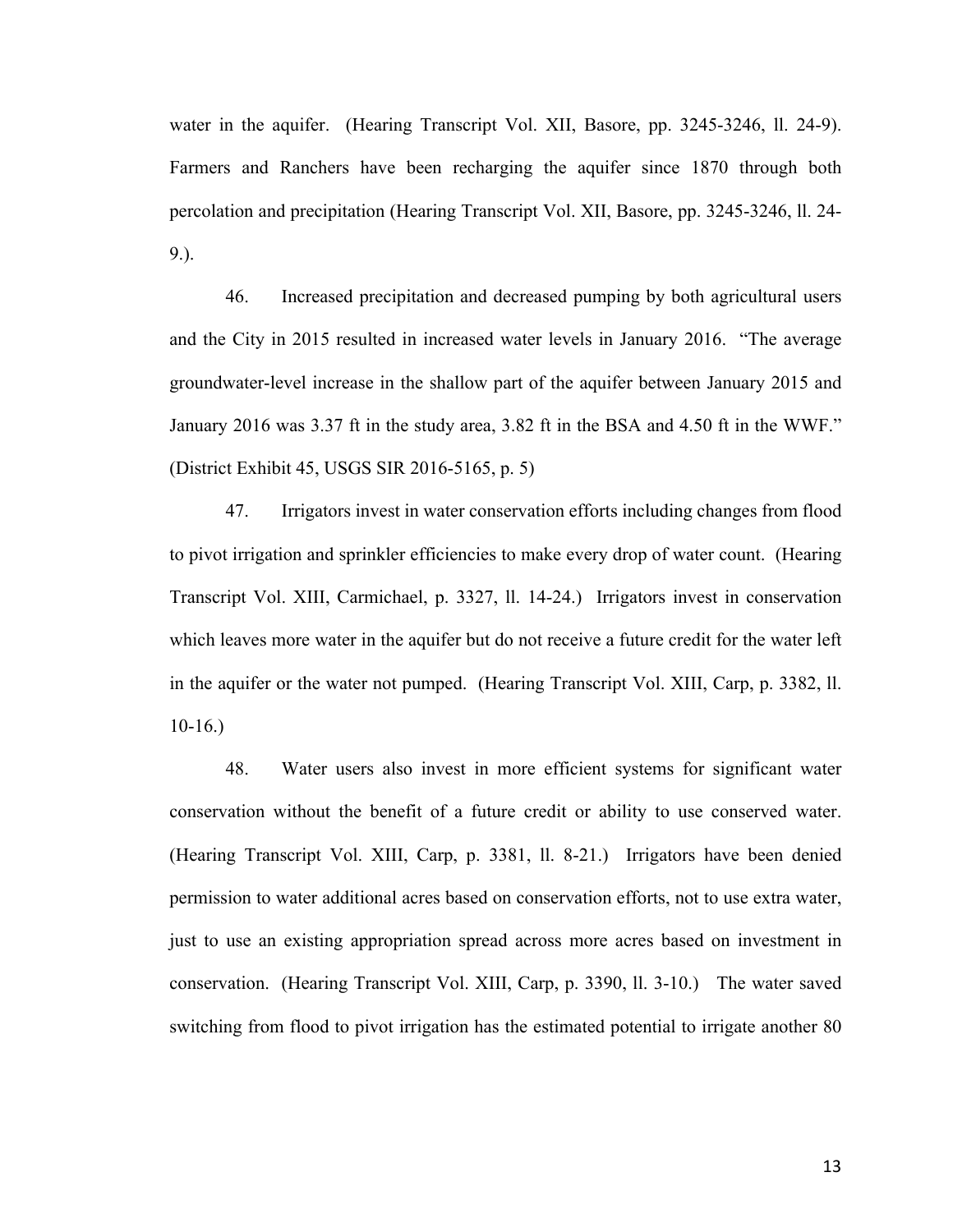water in the aquifer. (Hearing Transcript Vol. XII, Basore, pp. 3245-3246, ll. 24-9). Farmers and Ranchers have been recharging the aquifer since 1870 through both percolation and precipitation (Hearing Transcript Vol. XII, Basore, pp. 3245-3246, ll. 24- 9.).

46. Increased precipitation and decreased pumping by both agricultural users and the City in 2015 resulted in increased water levels in January 2016. "The average groundwater-level increase in the shallow part of the aquifer between January 2015 and January 2016 was 3.37 ft in the study area, 3.82 ft in the BSA and 4.50 ft in the WWF." (District Exhibit 45, USGS SIR 2016-5165, p. 5)

47. Irrigators invest in water conservation efforts including changes from flood to pivot irrigation and sprinkler efficiencies to make every drop of water count. (Hearing Transcript Vol. XIII, Carmichael, p. 3327, ll. 14-24.) Irrigators invest in conservation which leaves more water in the aquifer but do not receive a future credit for the water left in the aquifer or the water not pumped. (Hearing Transcript Vol. XIII, Carp, p. 3382, ll. 10-16.)

48. Water users also invest in more efficient systems for significant water conservation without the benefit of a future credit or ability to use conserved water. (Hearing Transcript Vol. XIII, Carp, p. 3381, ll. 8-21.) Irrigators have been denied permission to water additional acres based on conservation efforts, not to use extra water, just to use an existing appropriation spread across more acres based on investment in conservation. (Hearing Transcript Vol. XIII, Carp, p. 3390, ll. 3-10.) The water saved switching from flood to pivot irrigation has the estimated potential to irrigate another 80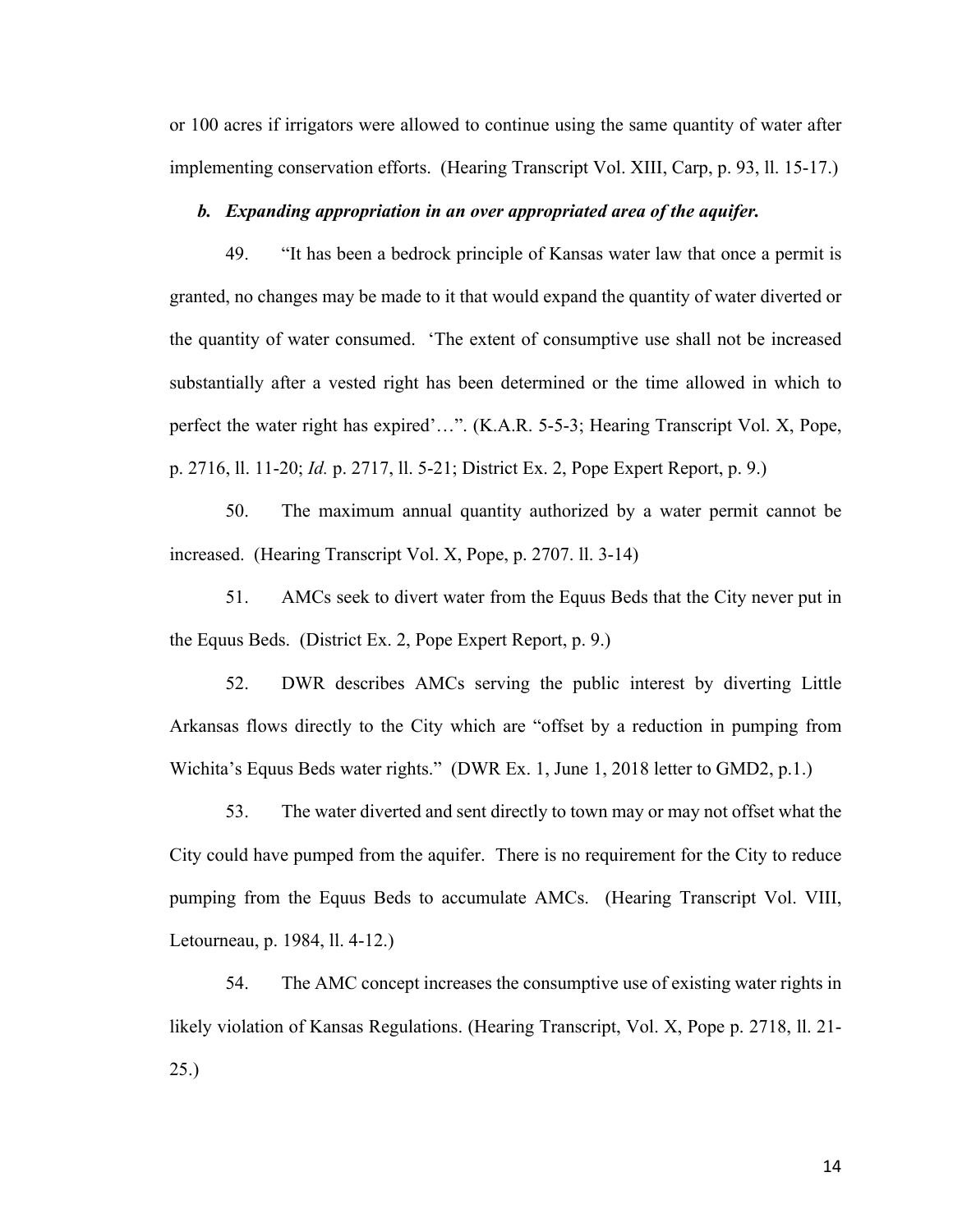or 100 acres if irrigators were allowed to continue using the same quantity of water after implementing conservation efforts. (Hearing Transcript Vol. XIII, Carp, p. 93, ll. 15-17.)

#### *b. Expanding appropriation in an over appropriated area of the aquifer.*

49. "It has been a bedrock principle of Kansas water law that once a permit is granted, no changes may be made to it that would expand the quantity of water diverted or the quantity of water consumed. 'The extent of consumptive use shall not be increased substantially after a vested right has been determined or the time allowed in which to perfect the water right has expired'…". (K.A.R. 5-5-3; Hearing Transcript Vol. X, Pope, p. 2716, ll. 11-20; *Id.* p. 2717, ll. 5-21; District Ex. 2, Pope Expert Report, p. 9.)

50. The maximum annual quantity authorized by a water permit cannot be increased. (Hearing Transcript Vol. X, Pope, p. 2707. ll. 3-14)

51. AMCs seek to divert water from the Equus Beds that the City never put in the Equus Beds. (District Ex. 2, Pope Expert Report, p. 9.)

52. DWR describes AMCs serving the public interest by diverting Little Arkansas flows directly to the City which are "offset by a reduction in pumping from Wichita's Equus Beds water rights." (DWR Ex. 1, June 1, 2018 letter to GMD2, p.1.)

53. The water diverted and sent directly to town may or may not offset what the City could have pumped from the aquifer. There is no requirement for the City to reduce pumping from the Equus Beds to accumulate AMCs. (Hearing Transcript Vol. VIII, Letourneau, p. 1984, ll. 4-12.)

54. The AMC concept increases the consumptive use of existing water rights in likely violation of Kansas Regulations. (Hearing Transcript, Vol. X, Pope p. 2718, ll. 21- 25.)

14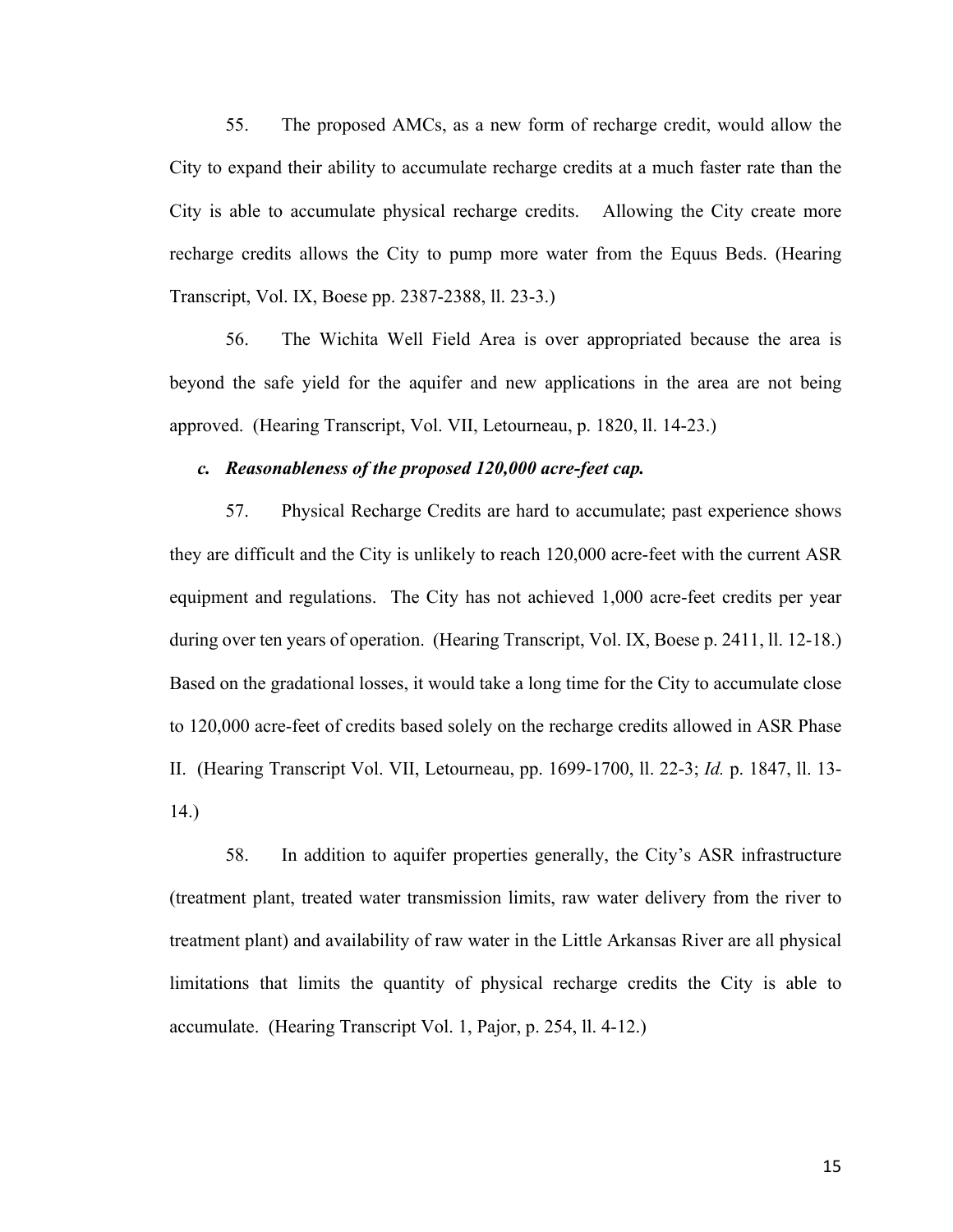55. The proposed AMCs, as a new form of recharge credit, would allow the City to expand their ability to accumulate recharge credits at a much faster rate than the City is able to accumulate physical recharge credits. Allowing the City create more recharge credits allows the City to pump more water from the Equus Beds. (Hearing Transcript, Vol. IX, Boese pp. 2387-2388, ll. 23-3.)

56. The Wichita Well Field Area is over appropriated because the area is beyond the safe yield for the aquifer and new applications in the area are not being approved. (Hearing Transcript, Vol. VII, Letourneau, p. 1820, ll. 14-23.)

#### *c. Reasonableness of the proposed 120,000 acre-feet cap.*

57. Physical Recharge Credits are hard to accumulate; past experience shows they are difficult and the City is unlikely to reach 120,000 acre-feet with the current ASR equipment and regulations. The City has not achieved 1,000 acre-feet credits per year during over ten years of operation. (Hearing Transcript, Vol. IX, Boese p. 2411, ll. 12-18.) Based on the gradational losses, it would take a long time for the City to accumulate close to 120,000 acre-feet of credits based solely on the recharge credits allowed in ASR Phase II. (Hearing Transcript Vol. VII, Letourneau, pp. 1699-1700, ll. 22-3; *Id.* p. 1847, ll. 13- 14.)

58. In addition to aquifer properties generally, the City's ASR infrastructure (treatment plant, treated water transmission limits, raw water delivery from the river to treatment plant) and availability of raw water in the Little Arkansas River are all physical limitations that limits the quantity of physical recharge credits the City is able to accumulate. (Hearing Transcript Vol. 1, Pajor, p. 254, ll. 4-12.)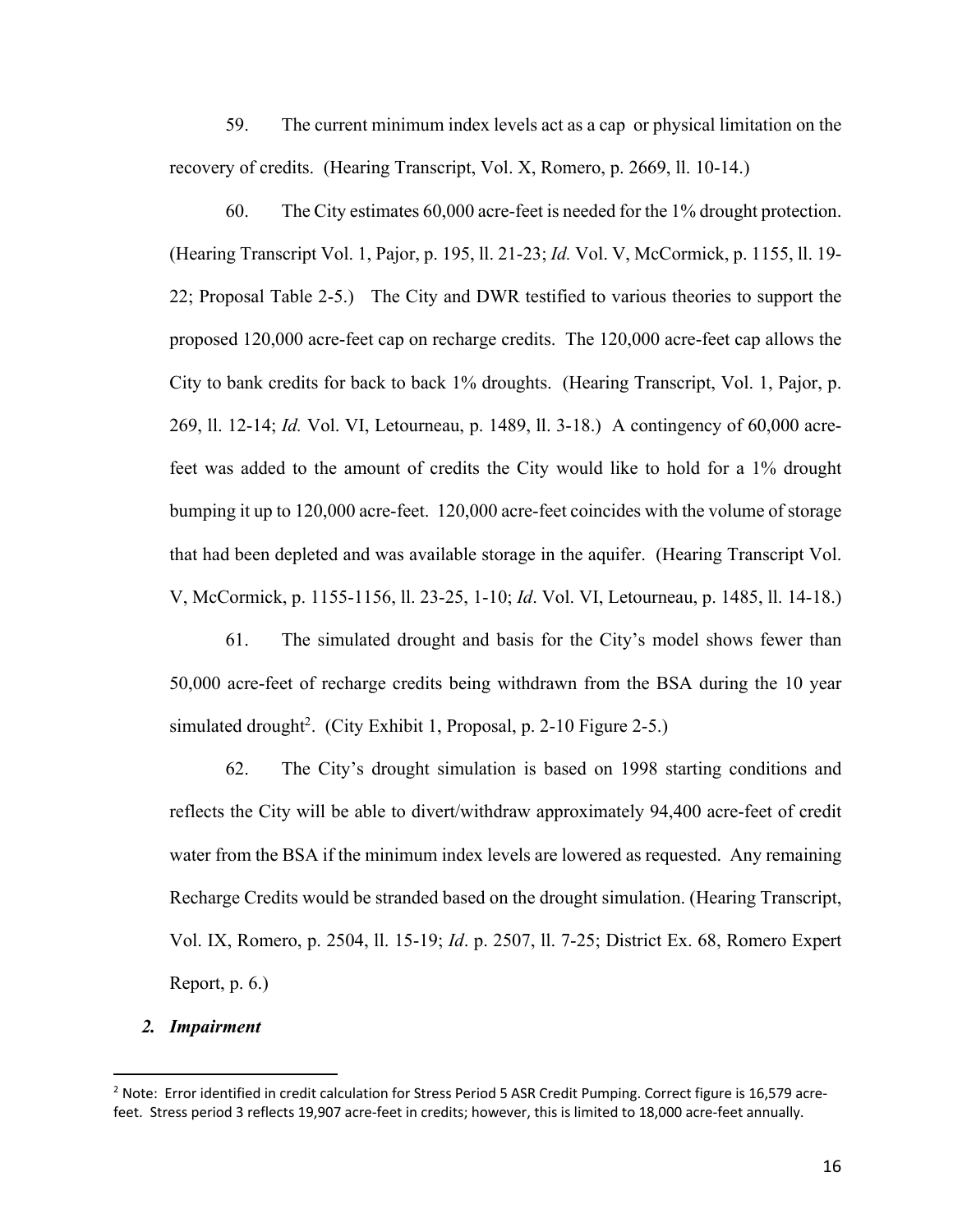59. The current minimum index levels act as a cap or physical limitation on the recovery of credits. (Hearing Transcript, Vol. X, Romero, p. 2669, ll. 10-14.)

60. The City estimates 60,000 acre-feet is needed for the 1% drought protection. (Hearing Transcript Vol. 1, Pajor, p. 195, ll. 21-23; *Id.* Vol. V, McCormick, p. 1155, ll. 19- 22; Proposal Table 2-5.) The City and DWR testified to various theories to support the proposed 120,000 acre-feet cap on recharge credits. The 120,000 acre-feet cap allows the City to bank credits for back to back 1% droughts. (Hearing Transcript, Vol. 1, Pajor, p. 269, ll. 12-14; *Id.* Vol. VI, Letourneau, p. 1489, ll. 3-18.) A contingency of 60,000 acrefeet was added to the amount of credits the City would like to hold for a 1% drought bumping it up to 120,000 acre-feet. 120,000 acre-feet coincides with the volume of storage that had been depleted and was available storage in the aquifer. (Hearing Transcript Vol. V, McCormick, p. 1155-1156, ll. 23-25, 1-10; *Id*. Vol. VI, Letourneau, p. 1485, ll. 14-18.)

61. The simulated drought and basis for the City's model shows fewer than 50,000 acre-feet of recharge credits being withdrawn from the BSA during the 10 year simulated drought<sup>2</sup>. (City Exhibit 1, Proposal, p. 2-10 Figure 2-5.)

62. The City's drought simulation is based on 1998 starting conditions and reflects the City will be able to divert/withdraw approximately 94,400 acre-feet of credit water from the BSA if the minimum index levels are lowered as requested. Any remaining Recharge Credits would be stranded based on the drought simulation. (Hearing Transcript, Vol. IX, Romero, p. 2504, ll. 15-19; *Id*. p. 2507, ll. 7-25; District Ex. 68, Romero Expert Report, p. 6.)

## *2. Impairment*

 $2$  Note: Error identified in credit calculation for Stress Period 5 ASR Credit Pumping. Correct figure is 16,579 acrefeet. Stress period 3 reflects 19,907 acre-feet in credits; however, this is limited to 18,000 acre-feet annually.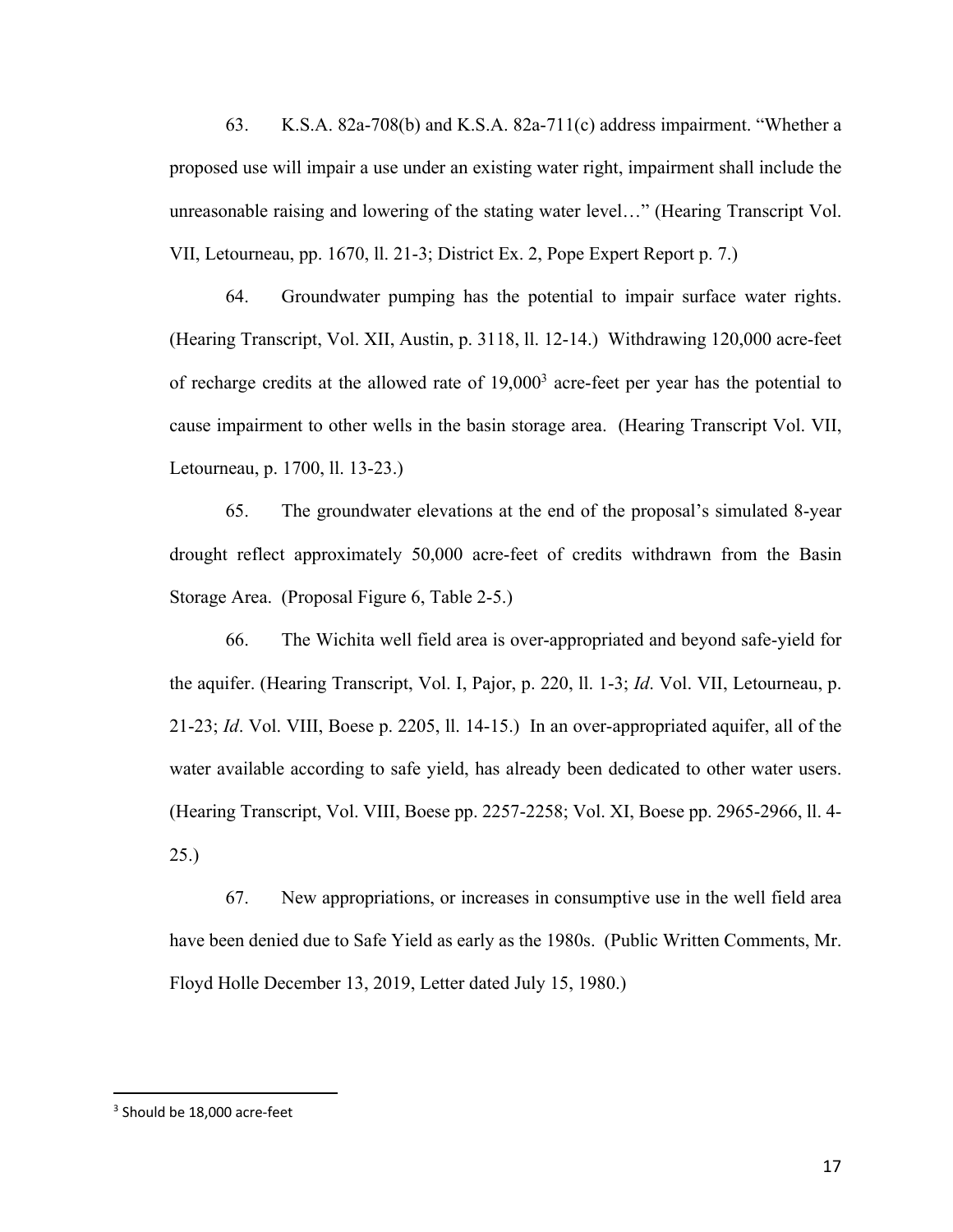63. K.S.A. 82a-708(b) and K.S.A. 82a-711(c) address impairment. "Whether a proposed use will impair a use under an existing water right, impairment shall include the unreasonable raising and lowering of the stating water level…" (Hearing Transcript Vol. VII, Letourneau, pp. 1670, ll. 21-3; District Ex. 2, Pope Expert Report p. 7.)

64. Groundwater pumping has the potential to impair surface water rights. (Hearing Transcript, Vol. XII, Austin, p. 3118, ll. 12-14.) Withdrawing 120,000 acre-feet of recharge credits at the allowed rate of  $19,000<sup>3</sup>$  acre-feet per year has the potential to cause impairment to other wells in the basin storage area. (Hearing Transcript Vol. VII, Letourneau, p. 1700, ll. 13-23.)

65. The groundwater elevations at the end of the proposal's simulated 8-year drought reflect approximately 50,000 acre-feet of credits withdrawn from the Basin Storage Area. (Proposal Figure 6, Table 2-5.)

66. The Wichita well field area is over-appropriated and beyond safe-yield for the aquifer. (Hearing Transcript, Vol. I, Pajor, p. 220, ll. 1-3; *Id*. Vol. VII, Letourneau, p. 21-23; *Id*. Vol. VIII, Boese p. 2205, ll. 14-15.) In an over-appropriated aquifer, all of the water available according to safe yield, has already been dedicated to other water users. (Hearing Transcript, Vol. VIII, Boese pp. 2257-2258; Vol. XI, Boese pp. 2965-2966, ll. 4- 25.)

67. New appropriations, or increases in consumptive use in the well field area have been denied due to Safe Yield as early as the 1980s. (Public Written Comments, Mr. Floyd Holle December 13, 2019, Letter dated July 15, 1980.)

<sup>3</sup> Should be 18,000 acre-feet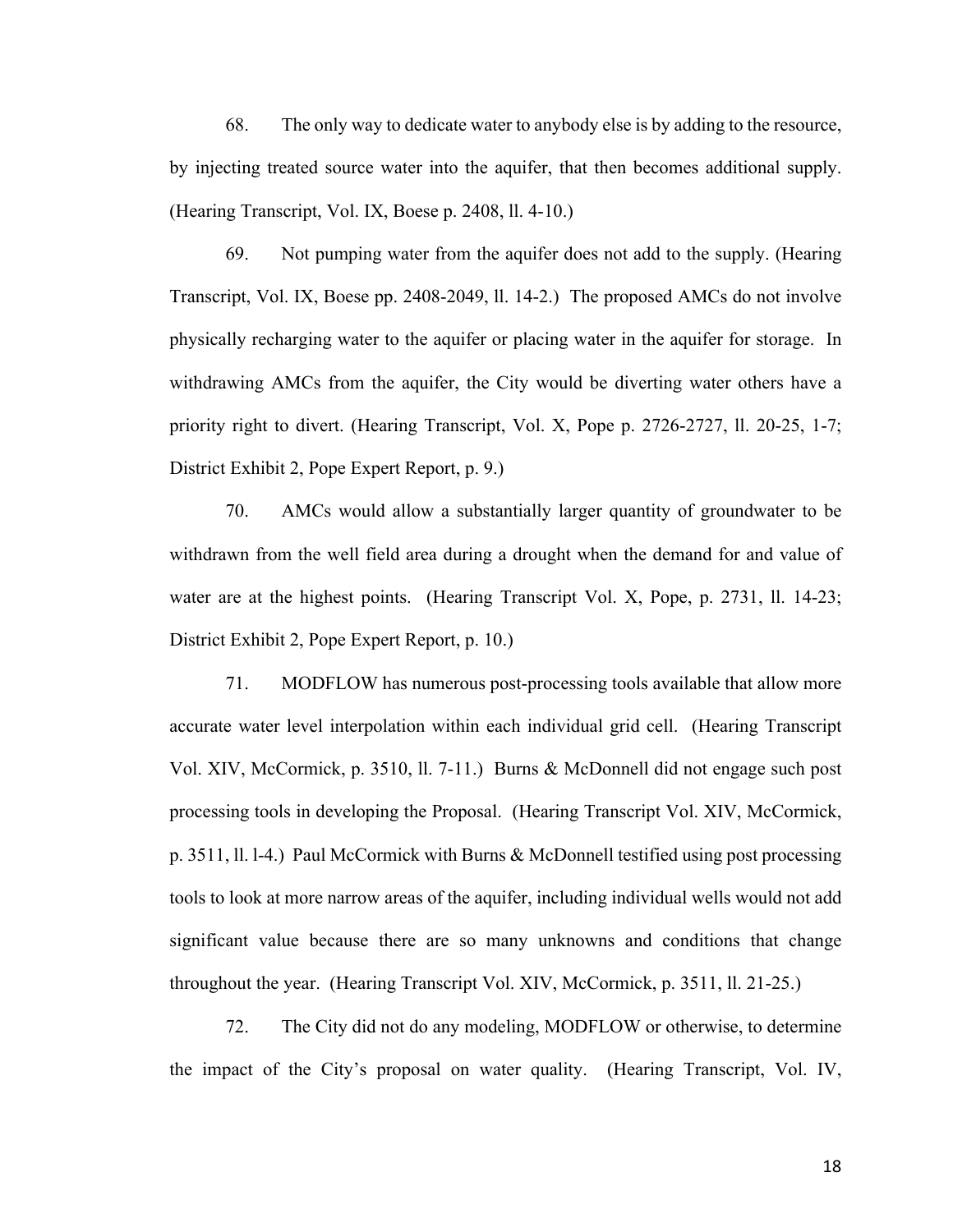68. The only way to dedicate water to anybody else is by adding to the resource, by injecting treated source water into the aquifer, that then becomes additional supply. (Hearing Transcript, Vol. IX, Boese p. 2408, ll. 4-10.)

69. Not pumping water from the aquifer does not add to the supply. (Hearing Transcript, Vol. IX, Boese pp. 2408-2049, ll. 14-2.) The proposed AMCs do not involve physically recharging water to the aquifer or placing water in the aquifer for storage. In withdrawing AMCs from the aquifer, the City would be diverting water others have a priority right to divert. (Hearing Transcript, Vol. X, Pope p. 2726-2727, ll. 20-25, 1-7; District Exhibit 2, Pope Expert Report, p. 9.)

70. AMCs would allow a substantially larger quantity of groundwater to be withdrawn from the well field area during a drought when the demand for and value of water are at the highest points. (Hearing Transcript Vol. X, Pope, p. 2731, ll. 14-23; District Exhibit 2, Pope Expert Report, p. 10.)

71. MODFLOW has numerous post-processing tools available that allow more accurate water level interpolation within each individual grid cell. (Hearing Transcript Vol. XIV, McCormick, p. 3510, ll. 7-11.) Burns & McDonnell did not engage such post processing tools in developing the Proposal. (Hearing Transcript Vol. XIV, McCormick, p. 3511, ll. l-4.) Paul McCormick with Burns & McDonnell testified using post processing tools to look at more narrow areas of the aquifer, including individual wells would not add significant value because there are so many unknowns and conditions that change throughout the year. (Hearing Transcript Vol. XIV, McCormick, p. 3511, ll. 21-25.)

72. The City did not do any modeling, MODFLOW or otherwise, to determine the impact of the City's proposal on water quality. (Hearing Transcript, Vol. IV,

18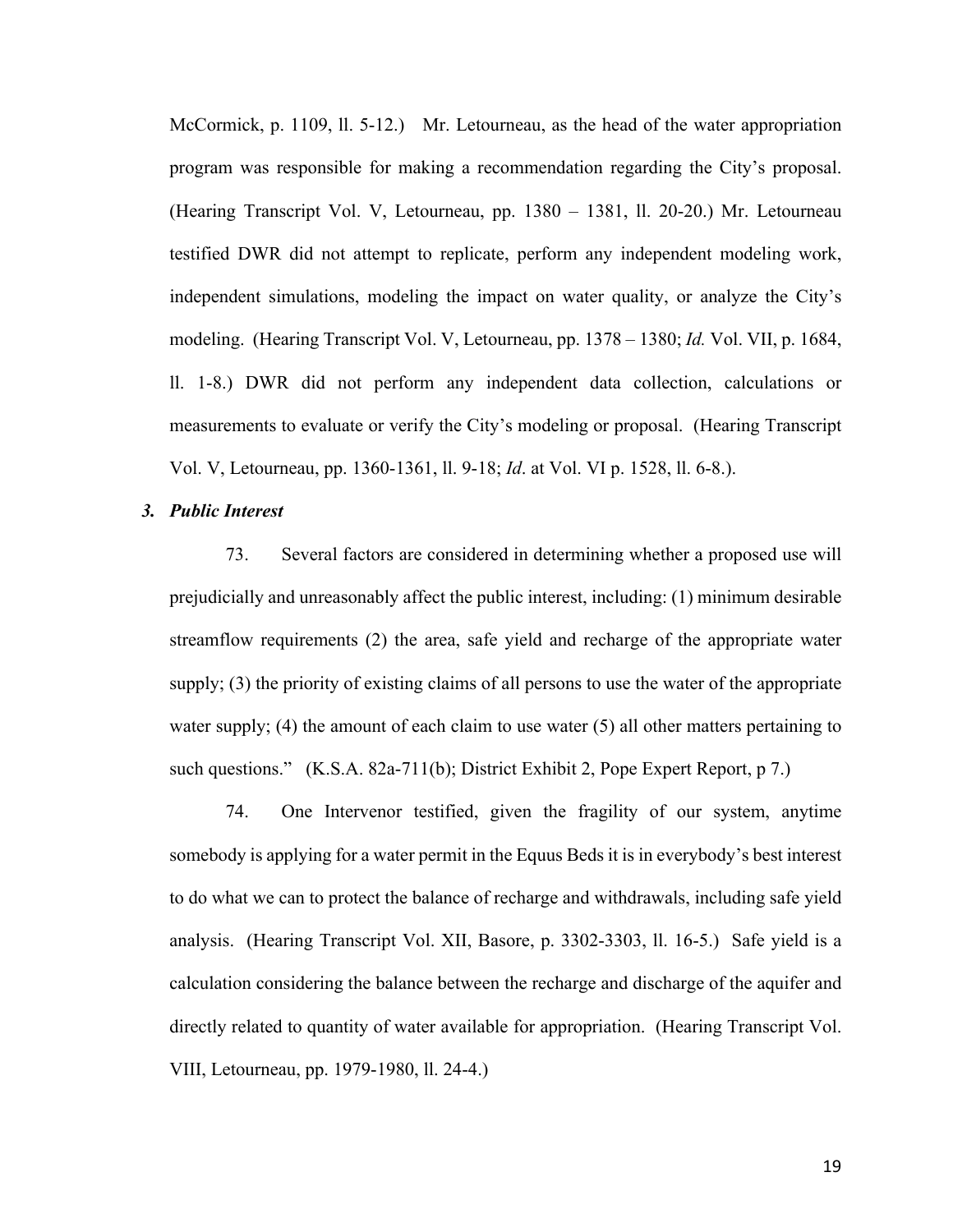McCormick, p. 1109, ll. 5-12.) Mr. Letourneau, as the head of the water appropriation program was responsible for making a recommendation regarding the City's proposal. (Hearing Transcript Vol. V, Letourneau, pp. 1380 – 1381, ll. 20-20.) Mr. Letourneau testified DWR did not attempt to replicate, perform any independent modeling work, independent simulations, modeling the impact on water quality, or analyze the City's modeling. (Hearing Transcript Vol. V, Letourneau, pp. 1378 – 1380; *Id.* Vol. VII, p. 1684, ll. 1-8.) DWR did not perform any independent data collection, calculations or measurements to evaluate or verify the City's modeling or proposal. (Hearing Transcript Vol. V, Letourneau, pp. 1360-1361, ll. 9-18; *Id*. at Vol. VI p. 1528, ll. 6-8.).

#### *3. Public Interest*

73. Several factors are considered in determining whether a proposed use will prejudicially and unreasonably affect the public interest, including: (1) minimum desirable streamflow requirements (2) the area, safe yield and recharge of the appropriate water supply; (3) the priority of existing claims of all persons to use the water of the appropriate water supply; (4) the amount of each claim to use water (5) all other matters pertaining to such questions." (K.S.A. 82a-711(b); District Exhibit 2, Pope Expert Report, p 7.)

74. One Intervenor testified, given the fragility of our system, anytime somebody is applying for a water permit in the Equus Beds it is in everybody's best interest to do what we can to protect the balance of recharge and withdrawals, including safe yield analysis. (Hearing Transcript Vol. XII, Basore, p. 3302-3303, ll. 16-5.) Safe yield is a calculation considering the balance between the recharge and discharge of the aquifer and directly related to quantity of water available for appropriation. (Hearing Transcript Vol. VIII, Letourneau, pp. 1979-1980, ll. 24-4.)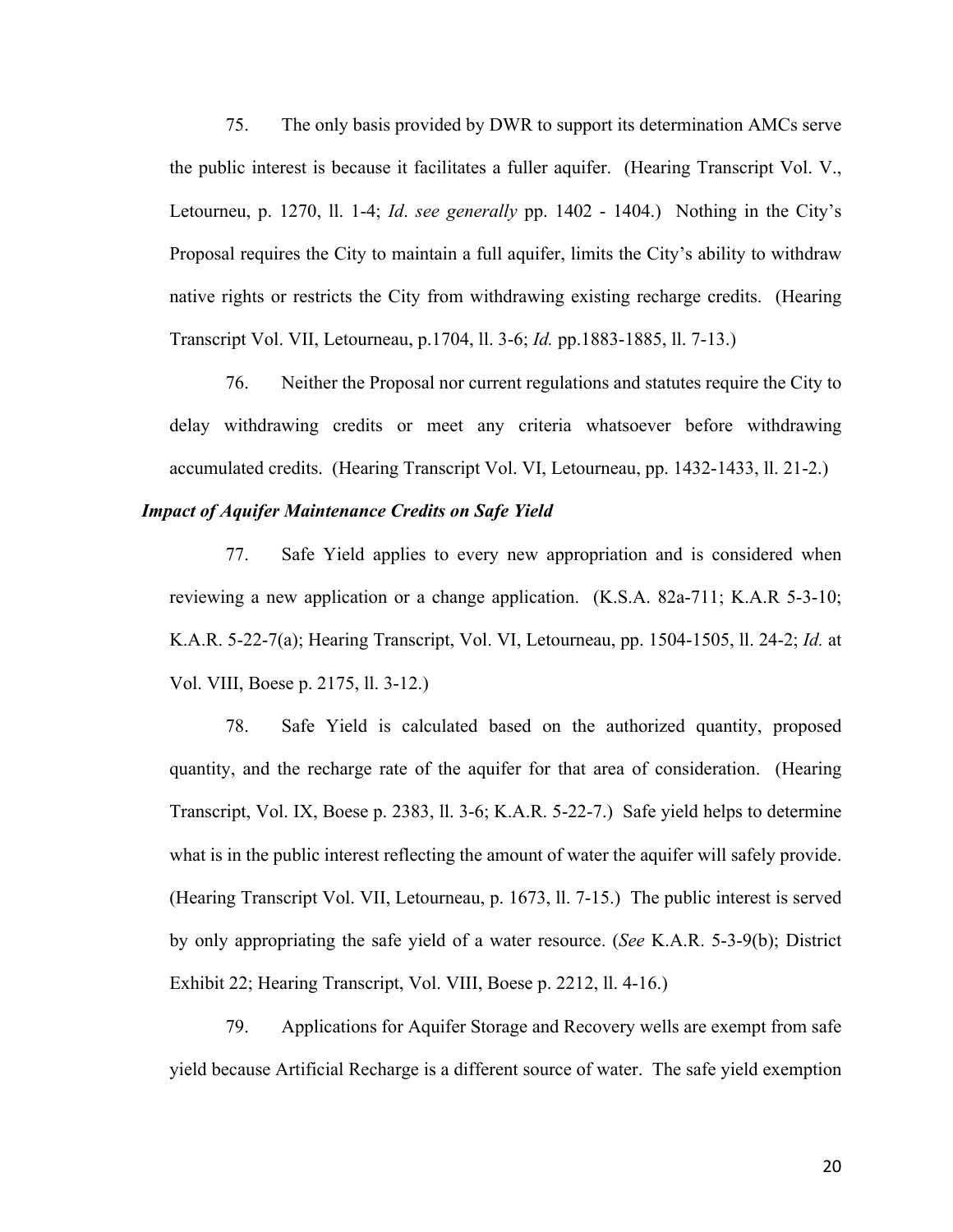75. The only basis provided by DWR to support its determination AMCs serve the public interest is because it facilitates a fuller aquifer. (Hearing Transcript Vol. V., Letourneu, p. 1270, ll. 1-4; *Id*. *see generally* pp. 1402 - 1404.) Nothing in the City's Proposal requires the City to maintain a full aquifer, limits the City's ability to withdraw native rights or restricts the City from withdrawing existing recharge credits. (Hearing Transcript Vol. VII, Letourneau, p.1704, ll. 3-6; *Id.* pp.1883-1885, ll. 7-13.)

76. Neither the Proposal nor current regulations and statutes require the City to delay withdrawing credits or meet any criteria whatsoever before withdrawing accumulated credits. (Hearing Transcript Vol. VI, Letourneau, pp. 1432-1433, ll. 21-2.)

#### *Impact of Aquifer Maintenance Credits on Safe Yield*

77. Safe Yield applies to every new appropriation and is considered when reviewing a new application or a change application. (K.S.A. 82a-711; K.A.R 5-3-10; K.A.R. 5-22-7(a); Hearing Transcript, Vol. VI, Letourneau, pp. 1504-1505, ll. 24-2; *Id.* at Vol. VIII, Boese p. 2175, ll. 3-12.)

78. Safe Yield is calculated based on the authorized quantity, proposed quantity, and the recharge rate of the aquifer for that area of consideration. (Hearing Transcript, Vol. IX, Boese p. 2383, ll. 3-6; K.A.R. 5-22-7.) Safe yield helps to determine what is in the public interest reflecting the amount of water the aquifer will safely provide. (Hearing Transcript Vol. VII, Letourneau, p. 1673, ll. 7-15.) The public interest is served by only appropriating the safe yield of a water resource. (*See* K.A.R. 5-3-9(b); District Exhibit 22; Hearing Transcript, Vol. VIII, Boese p. 2212, ll. 4-16.)

79. Applications for Aquifer Storage and Recovery wells are exempt from safe yield because Artificial Recharge is a different source of water. The safe yield exemption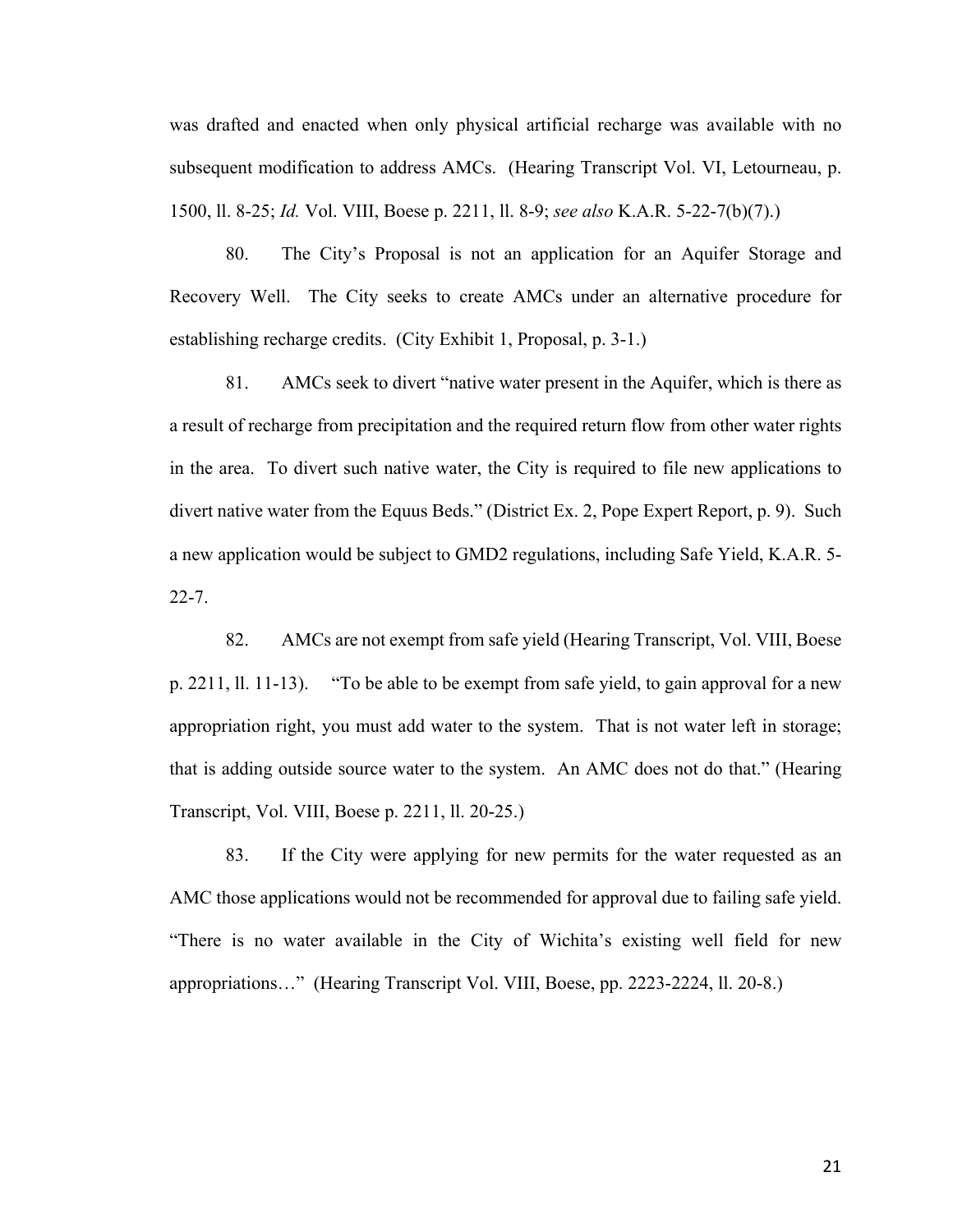was drafted and enacted when only physical artificial recharge was available with no subsequent modification to address AMCs. (Hearing Transcript Vol. VI, Letourneau, p. 1500, ll. 8-25; *Id.* Vol. VIII, Boese p. 2211, ll. 8-9; *see also* K.A.R. 5-22-7(b)(7).)

80. The City's Proposal is not an application for an Aquifer Storage and Recovery Well. The City seeks to create AMCs under an alternative procedure for establishing recharge credits. (City Exhibit 1, Proposal, p. 3-1.)

81. AMCs seek to divert "native water present in the Aquifer, which is there as a result of recharge from precipitation and the required return flow from other water rights in the area. To divert such native water, the City is required to file new applications to divert native water from the Equus Beds." (District Ex. 2, Pope Expert Report, p. 9). Such a new application would be subject to GMD2 regulations, including Safe Yield, K.A.R. 5- 22-7.

82. AMCs are not exempt from safe yield (Hearing Transcript, Vol. VIII, Boese p. 2211, ll. 11-13). "To be able to be exempt from safe yield, to gain approval for a new appropriation right, you must add water to the system. That is not water left in storage; that is adding outside source water to the system. An AMC does not do that." (Hearing Transcript, Vol. VIII, Boese p. 2211, ll. 20-25.)

83. If the City were applying for new permits for the water requested as an AMC those applications would not be recommended for approval due to failing safe yield. "There is no water available in the City of Wichita's existing well field for new appropriations…" (Hearing Transcript Vol. VIII, Boese, pp. 2223-2224, ll. 20-8.)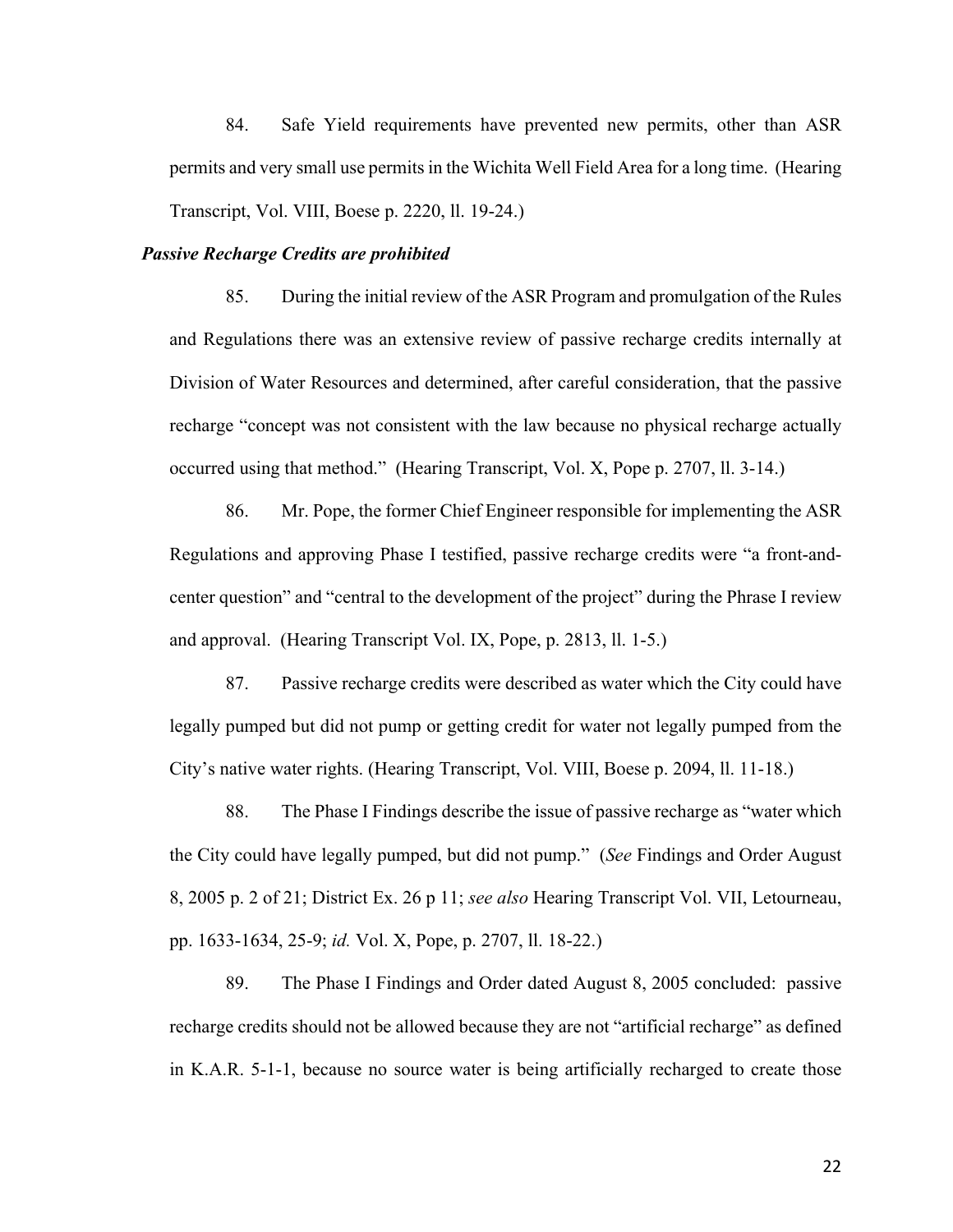84. Safe Yield requirements have prevented new permits, other than ASR permits and very small use permits in the Wichita Well Field Area for a long time. (Hearing Transcript, Vol. VIII, Boese p. 2220, ll. 19-24.)

## *Passive Recharge Credits are prohibited*

85. During the initial review of the ASR Program and promulgation of the Rules and Regulations there was an extensive review of passive recharge credits internally at Division of Water Resources and determined, after careful consideration, that the passive recharge "concept was not consistent with the law because no physical recharge actually occurred using that method." (Hearing Transcript, Vol. X, Pope p. 2707, ll. 3-14.)

86. Mr. Pope, the former Chief Engineer responsible for implementing the ASR Regulations and approving Phase I testified, passive recharge credits were "a front-andcenter question" and "central to the development of the project" during the Phrase I review and approval. (Hearing Transcript Vol. IX, Pope, p. 2813, ll. 1-5.)

87. Passive recharge credits were described as water which the City could have legally pumped but did not pump or getting credit for water not legally pumped from the City's native water rights. (Hearing Transcript, Vol. VIII, Boese p. 2094, ll. 11-18.)

88. The Phase I Findings describe the issue of passive recharge as "water which the City could have legally pumped, but did not pump." (*See* Findings and Order August 8, 2005 p. 2 of 21; District Ex. 26 p 11; *see also* Hearing Transcript Vol. VII, Letourneau, pp. 1633-1634, 25-9; *id.* Vol. X, Pope, p. 2707, ll. 18-22.)

89. The Phase I Findings and Order dated August 8, 2005 concluded: passive recharge credits should not be allowed because they are not "artificial recharge" as defined in K.A.R. 5-1-1, because no source water is being artificially recharged to create those

22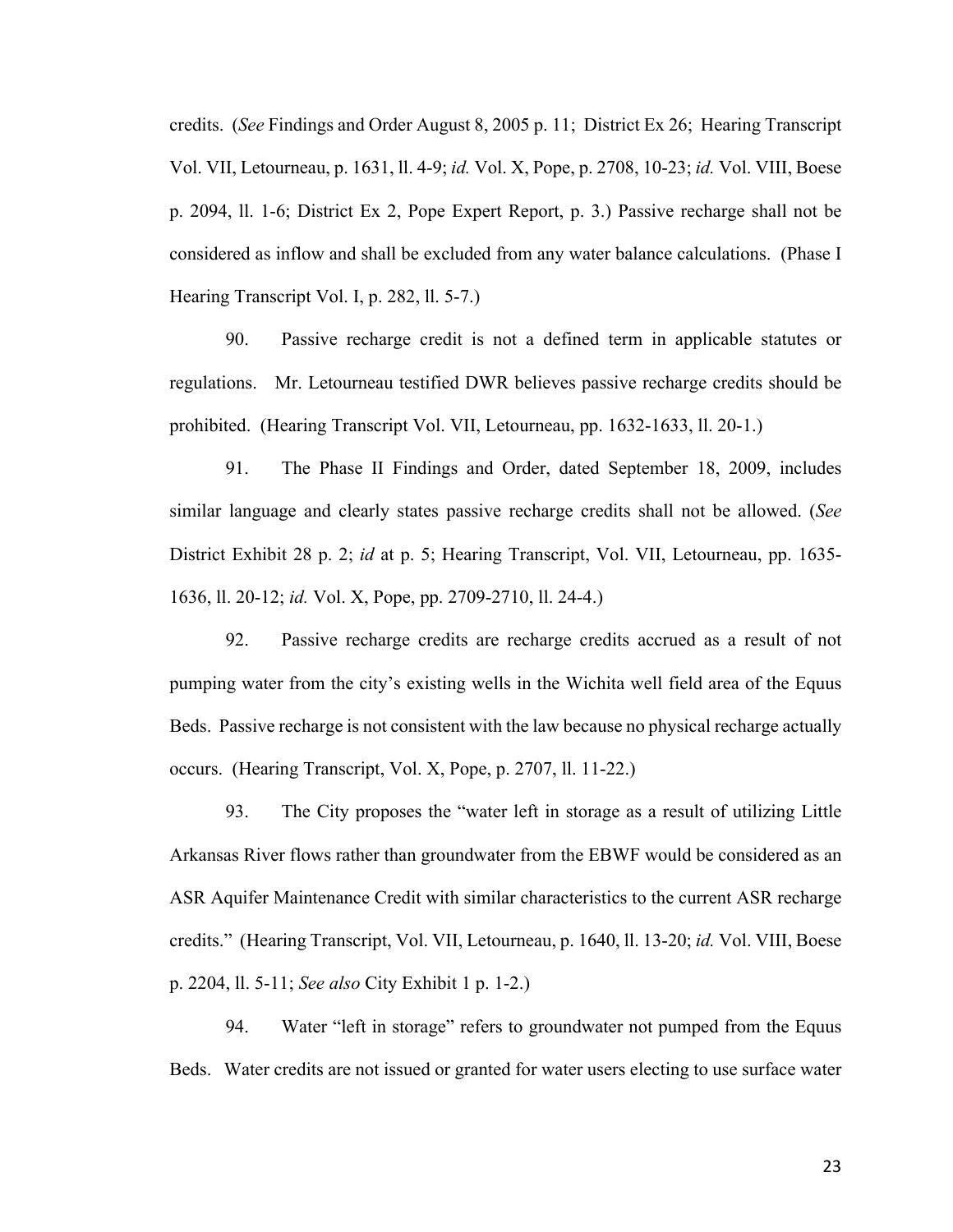credits. (*See* Findings and Order August 8, 2005 p. 11; District Ex 26; Hearing Transcript Vol. VII, Letourneau, p. 1631, ll. 4-9; *id.* Vol. X, Pope, p. 2708, 10-23; *id.* Vol. VIII, Boese p. 2094, ll. 1-6; District Ex 2, Pope Expert Report, p. 3.) Passive recharge shall not be considered as inflow and shall be excluded from any water balance calculations. (Phase I Hearing Transcript Vol. I, p. 282, ll. 5-7.)

90. Passive recharge credit is not a defined term in applicable statutes or regulations. Mr. Letourneau testified DWR believes passive recharge credits should be prohibited. (Hearing Transcript Vol. VII, Letourneau, pp. 1632-1633, ll. 20-1.)

91. The Phase II Findings and Order, dated September 18, 2009, includes similar language and clearly states passive recharge credits shall not be allowed. (*See* District Exhibit 28 p. 2; *id* at p. 5; Hearing Transcript, Vol. VII, Letourneau, pp. 1635- 1636, ll. 20-12; *id.* Vol. X, Pope, pp. 2709-2710, ll. 24-4.)

92. Passive recharge credits are recharge credits accrued as a result of not pumping water from the city's existing wells in the Wichita well field area of the Equus Beds. Passive recharge is not consistent with the law because no physical recharge actually occurs. (Hearing Transcript, Vol. X, Pope, p. 2707, ll. 11-22.)

93. The City proposes the "water left in storage as a result of utilizing Little Arkansas River flows rather than groundwater from the EBWF would be considered as an ASR Aquifer Maintenance Credit with similar characteristics to the current ASR recharge credits." (Hearing Transcript, Vol. VII, Letourneau, p. 1640, ll. 13-20; *id.* Vol. VIII, Boese p. 2204, ll. 5-11; *See also* City Exhibit 1 p. 1-2.)

94. Water "left in storage" refers to groundwater not pumped from the Equus Beds. Water credits are not issued or granted for water users electing to use surface water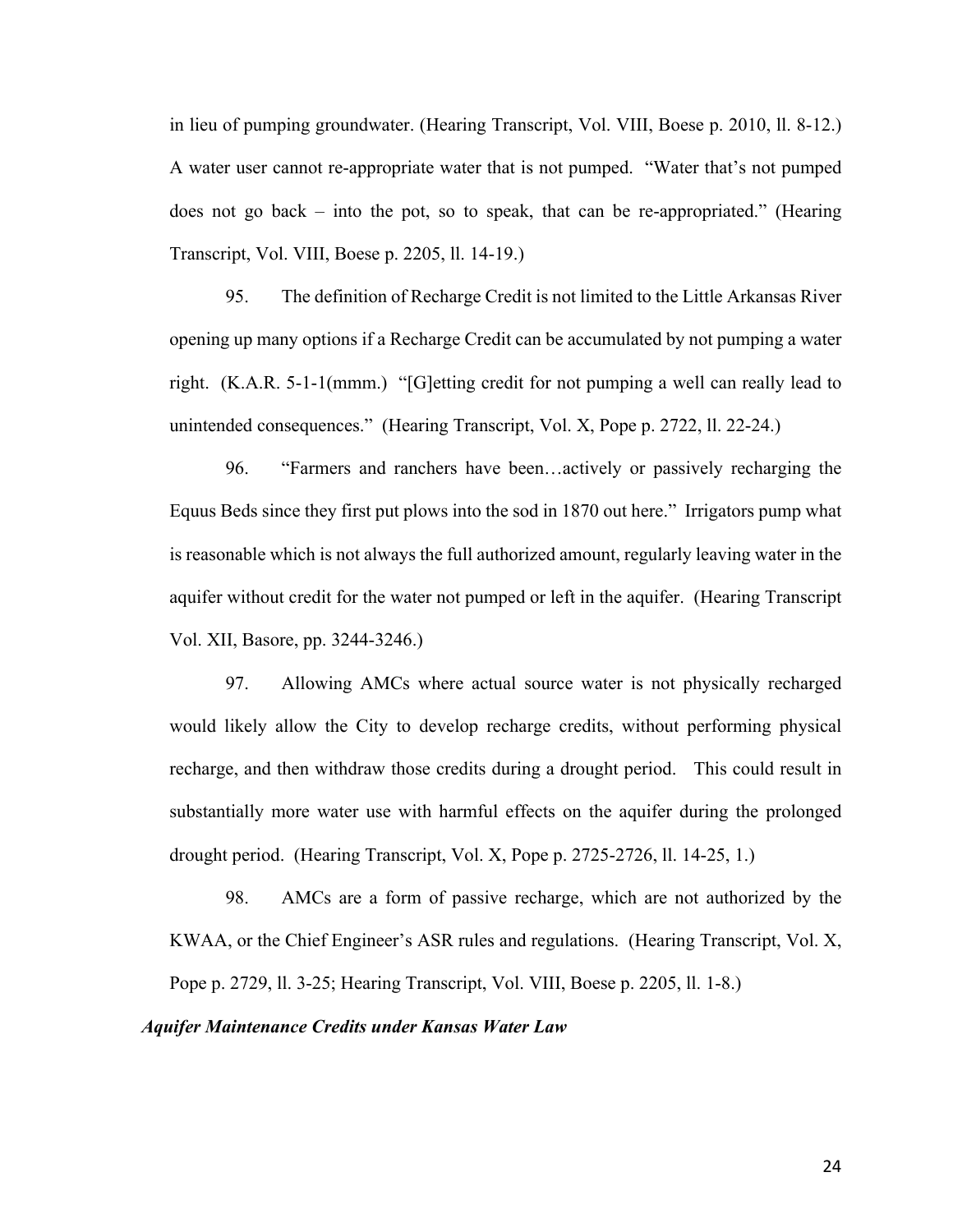in lieu of pumping groundwater. (Hearing Transcript, Vol. VIII, Boese p. 2010, ll. 8-12.) A water user cannot re-appropriate water that is not pumped. "Water that's not pumped does not go back – into the pot, so to speak, that can be re-appropriated." (Hearing Transcript, Vol. VIII, Boese p. 2205, ll. 14-19.)

95. The definition of Recharge Credit is not limited to the Little Arkansas River opening up many options if a Recharge Credit can be accumulated by not pumping a water right. (K.A.R. 5-1-1(mmm.) "[G]etting credit for not pumping a well can really lead to unintended consequences." (Hearing Transcript, Vol. X, Pope p. 2722, ll. 22-24.)

96. "Farmers and ranchers have been…actively or passively recharging the Equus Beds since they first put plows into the sod in 1870 out here." Irrigators pump what is reasonable which is not always the full authorized amount, regularly leaving water in the aquifer without credit for the water not pumped or left in the aquifer. (Hearing Transcript Vol. XII, Basore, pp. 3244-3246.)

97. Allowing AMCs where actual source water is not physically recharged would likely allow the City to develop recharge credits, without performing physical recharge, and then withdraw those credits during a drought period. This could result in substantially more water use with harmful effects on the aquifer during the prolonged drought period. (Hearing Transcript, Vol. X, Pope p. 2725-2726, ll. 14-25, 1.)

98. AMCs are a form of passive recharge, which are not authorized by the KWAA, or the Chief Engineer's ASR rules and regulations. (Hearing Transcript, Vol. X, Pope p. 2729, ll. 3-25; Hearing Transcript, Vol. VIII, Boese p. 2205, ll. 1-8.)

#### *Aquifer Maintenance Credits under Kansas Water Law*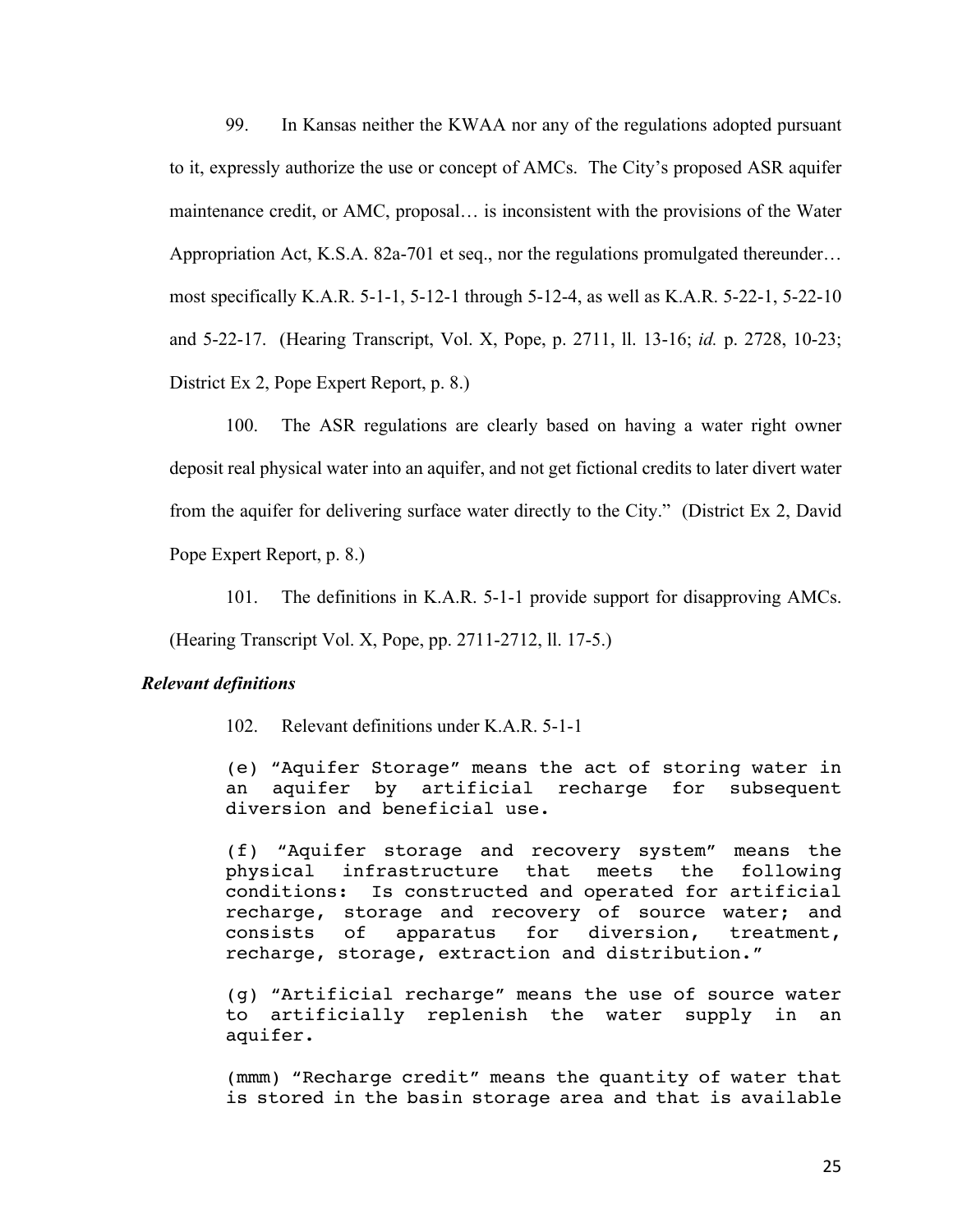99. In Kansas neither the KWAA nor any of the regulations adopted pursuant to it, expressly authorize the use or concept of AMCs. The City's proposed ASR aquifer maintenance credit, or AMC, proposal… is inconsistent with the provisions of the Water Appropriation Act, K.S.A. 82a-701 et seq., nor the regulations promulgated thereunder… most specifically K.A.R. 5-1-1, 5-12-1 through 5-12-4, as well as K.A.R. 5-22-1, 5-22-10 and 5-22-17. (Hearing Transcript, Vol. X, Pope, p. 2711, ll. 13-16; *id.* p. 2728, 10-23; District Ex 2, Pope Expert Report, p. 8.)

100. The ASR regulations are clearly based on having a water right owner deposit real physical water into an aquifer, and not get fictional credits to later divert water from the aquifer for delivering surface water directly to the City." (District Ex 2, David Pope Expert Report, p. 8.)

101. The definitions in K.A.R. 5-1-1 provide support for disapproving AMCs.

(Hearing Transcript Vol. X, Pope, pp. 2711-2712, ll. 17-5.)

#### *Relevant definitions*

102. Relevant definitions under K.A.R. 5-1-1

(e) "Aquifer Storage" means the act of storing water in an aquifer by artificial recharge for subsequent diversion and beneficial use.

(f) "Aquifer storage and recovery system" means the physical infrastructure that meets the following conditions: Is constructed and operated for artificial recharge, storage and recovery of source water; and consists of apparatus for diversion, treatment, recharge, storage, extraction and distribution."

(g) "Artificial recharge" means the use of source water to artificially replenish the water supply in an aquifer.

(mmm) "Recharge credit" means the quantity of water that is stored in the basin storage area and that is available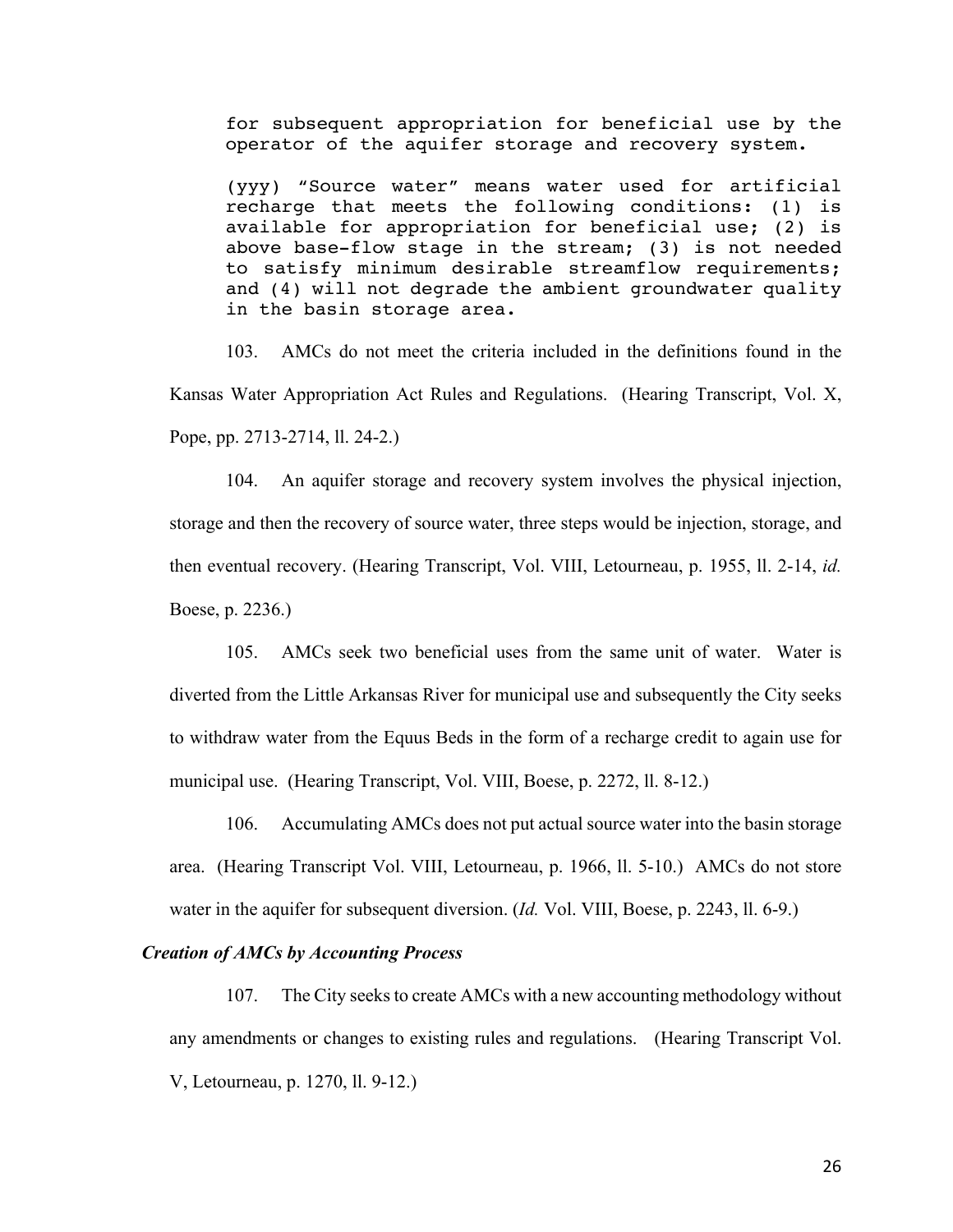for subsequent appropriation for beneficial use by the operator of the aquifer storage and recovery system.

(yyy) "Source water" means water used for artificial recharge that meets the following conditions: (1) is available for appropriation for beneficial use; (2) is above base-flow stage in the stream; (3) is not needed to satisfy minimum desirable streamflow requirements; and (4) will not degrade the ambient groundwater quality in the basin storage area.

103. AMCs do not meet the criteria included in the definitions found in the Kansas Water Appropriation Act Rules and Regulations. (Hearing Transcript, Vol. X, Pope, pp. 2713-2714, ll. 24-2.)

104. An aquifer storage and recovery system involves the physical injection, storage and then the recovery of source water, three steps would be injection, storage, and then eventual recovery. (Hearing Transcript, Vol. VIII, Letourneau, p. 1955, ll. 2-14, *id.* Boese, p. 2236.)

105. AMCs seek two beneficial uses from the same unit of water. Water is diverted from the Little Arkansas River for municipal use and subsequently the City seeks to withdraw water from the Equus Beds in the form of a recharge credit to again use for municipal use. (Hearing Transcript, Vol. VIII, Boese, p. 2272, ll. 8-12.)

106. Accumulating AMCs does not put actual source water into the basin storage area. (Hearing Transcript Vol. VIII, Letourneau, p. 1966, ll. 5-10.) AMCs do not store water in the aquifer for subsequent diversion. *(Id. Vol. VIII, Boese, p. 2243, ll. 6-9.)* 

#### *Creation of AMCs by Accounting Process*

107. The City seeks to create AMCs with a new accounting methodology without any amendments or changes to existing rules and regulations. (Hearing Transcript Vol. V, Letourneau, p. 1270, ll. 9-12.)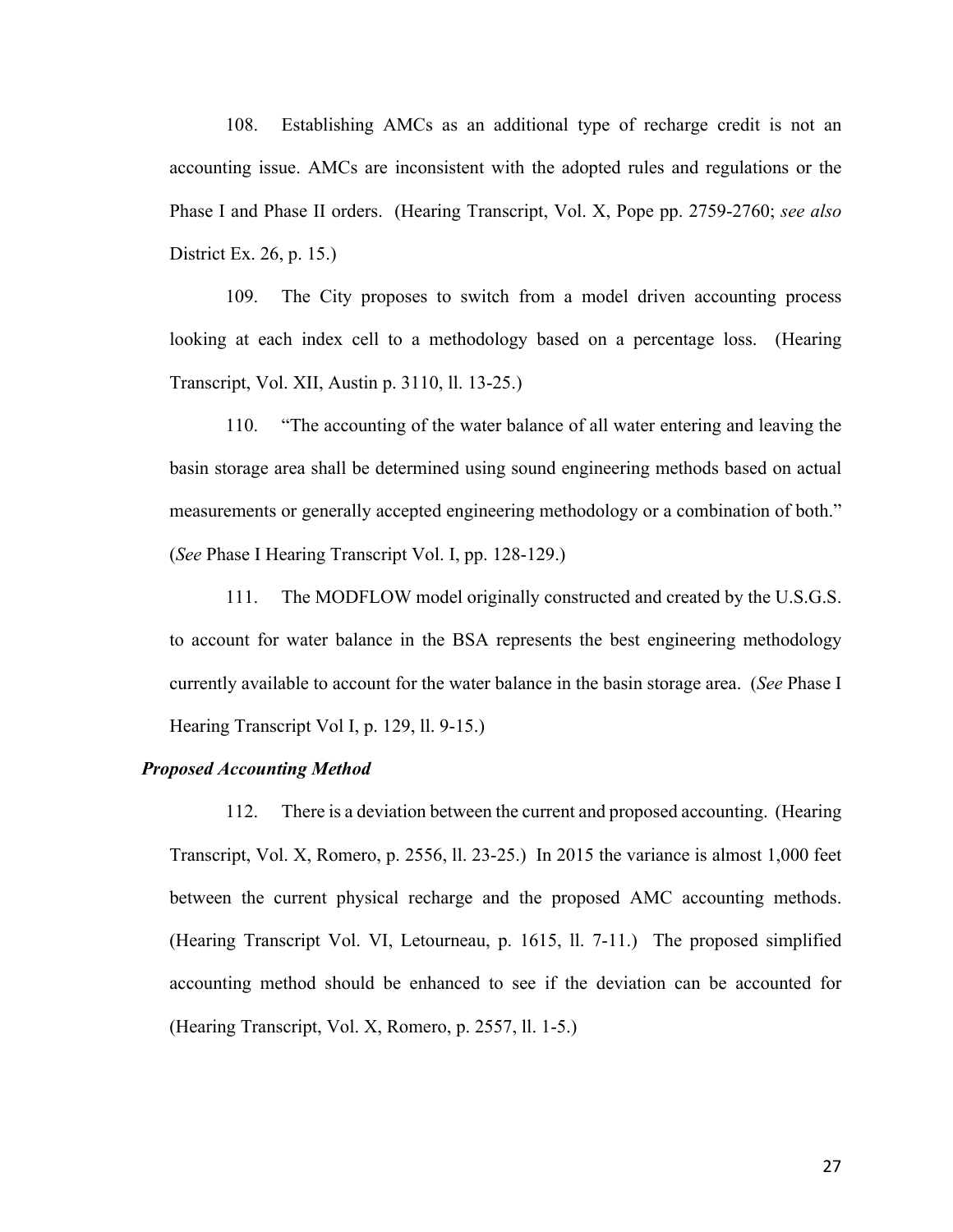108. Establishing AMCs as an additional type of recharge credit is not an accounting issue. AMCs are inconsistent with the adopted rules and regulations or the Phase I and Phase II orders. (Hearing Transcript, Vol. X, Pope pp. 2759-2760; *see also* District Ex. 26, p. 15.)

109. The City proposes to switch from a model driven accounting process looking at each index cell to a methodology based on a percentage loss. (Hearing Transcript, Vol. XII, Austin p. 3110, ll. 13-25.)

110. "The accounting of the water balance of all water entering and leaving the basin storage area shall be determined using sound engineering methods based on actual measurements or generally accepted engineering methodology or a combination of both." (*See* Phase I Hearing Transcript Vol. I, pp. 128-129.)

111. The MODFLOW model originally constructed and created by the U.S.G.S. to account for water balance in the BSA represents the best engineering methodology currently available to account for the water balance in the basin storage area. (*See* Phase I Hearing Transcript Vol I, p. 129, ll. 9-15.)

#### *Proposed Accounting Method*

112. There is a deviation between the current and proposed accounting. (Hearing Transcript, Vol. X, Romero, p. 2556, ll. 23-25.) In 2015 the variance is almost 1,000 feet between the current physical recharge and the proposed AMC accounting methods. (Hearing Transcript Vol. VI, Letourneau, p. 1615, ll. 7-11.) The proposed simplified accounting method should be enhanced to see if the deviation can be accounted for (Hearing Transcript, Vol. X, Romero, p. 2557, ll. 1-5.)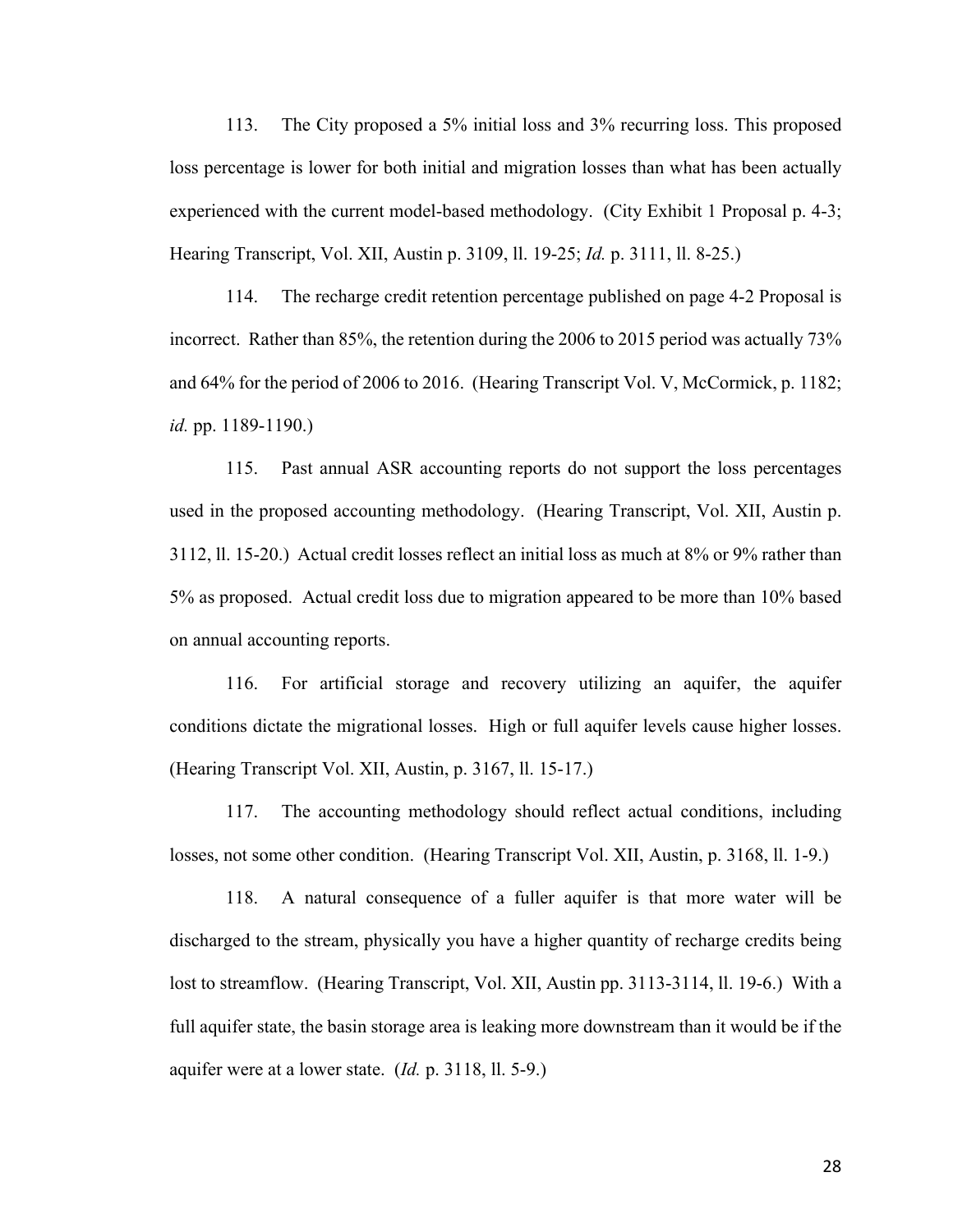113. The City proposed a 5% initial loss and 3% recurring loss. This proposed loss percentage is lower for both initial and migration losses than what has been actually experienced with the current model-based methodology. (City Exhibit 1 Proposal p. 4-3; Hearing Transcript, Vol. XII, Austin p. 3109, ll. 19-25; *Id.* p. 3111, ll. 8-25.)

114. The recharge credit retention percentage published on page 4-2 Proposal is incorrect. Rather than 85%, the retention during the 2006 to 2015 period was actually 73% and 64% for the period of 2006 to 2016. (Hearing Transcript Vol. V, McCormick, p. 1182; *id.* pp. 1189-1190.)

115. Past annual ASR accounting reports do not support the loss percentages used in the proposed accounting methodology. (Hearing Transcript, Vol. XII, Austin p. 3112, ll. 15-20.) Actual credit losses reflect an initial loss as much at 8% or 9% rather than 5% as proposed. Actual credit loss due to migration appeared to be more than 10% based on annual accounting reports.

116. For artificial storage and recovery utilizing an aquifer, the aquifer conditions dictate the migrational losses. High or full aquifer levels cause higher losses. (Hearing Transcript Vol. XII, Austin, p. 3167, ll. 15-17.)

117. The accounting methodology should reflect actual conditions, including losses, not some other condition. (Hearing Transcript Vol. XII, Austin, p. 3168, ll. 1-9.)

118. A natural consequence of a fuller aquifer is that more water will be discharged to the stream, physically you have a higher quantity of recharge credits being lost to streamflow. (Hearing Transcript, Vol. XII, Austin pp. 3113-3114, ll. 19-6.) With a full aquifer state, the basin storage area is leaking more downstream than it would be if the aquifer were at a lower state. (*Id.* p. 3118, ll. 5-9.)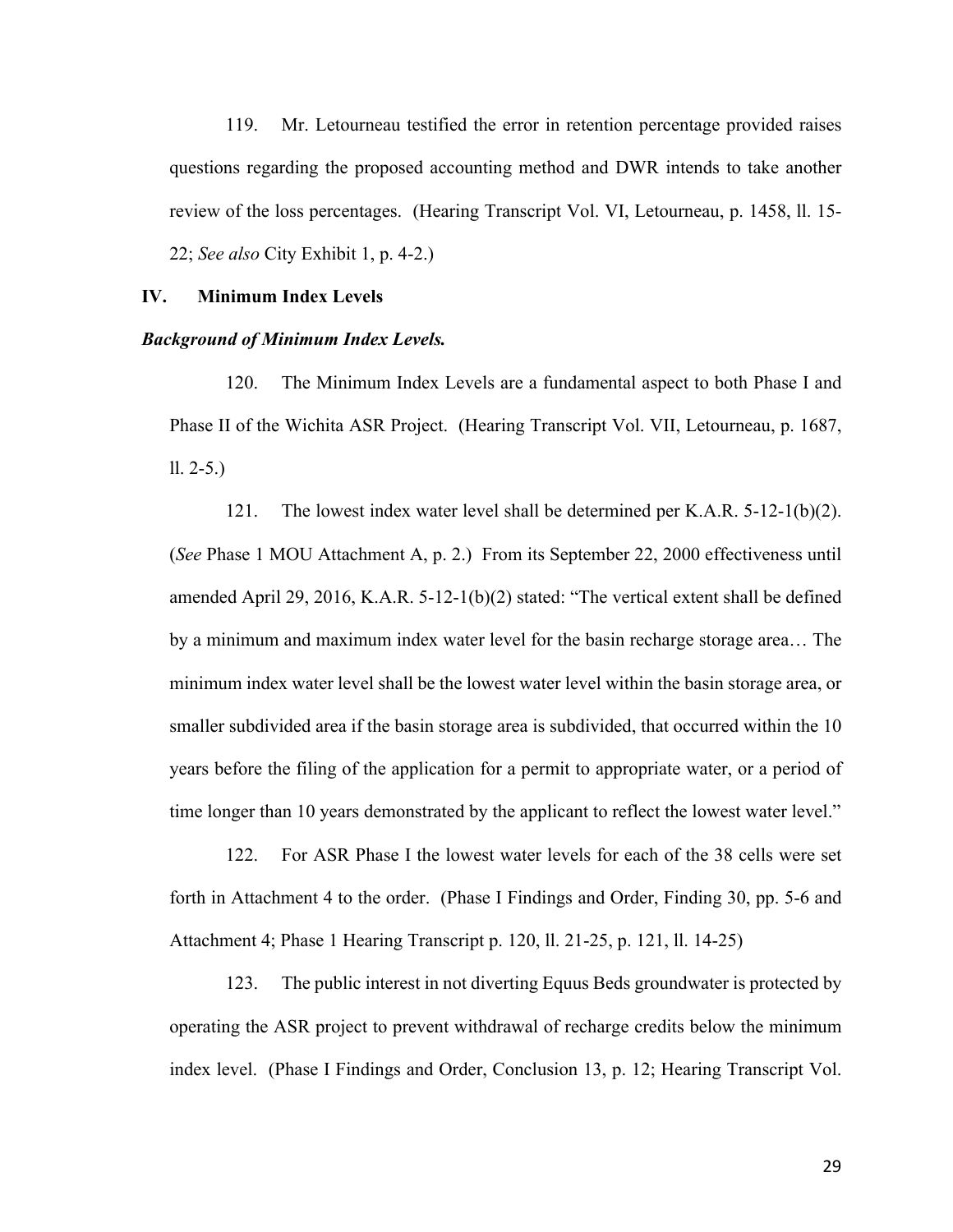119. Mr. Letourneau testified the error in retention percentage provided raises questions regarding the proposed accounting method and DWR intends to take another review of the loss percentages. (Hearing Transcript Vol. VI, Letourneau, p. 1458, ll. 15- 22; *See also* City Exhibit 1, p. 4-2.)

#### **IV. Minimum Index Levels**

#### *Background of Minimum Index Levels.*

120. The Minimum Index Levels are a fundamental aspect to both Phase I and Phase II of the Wichita ASR Project. (Hearing Transcript Vol. VII, Letourneau, p. 1687, ll. 2-5.)

121. The lowest index water level shall be determined per K.A.R. 5-12-1(b)(2). (*See* Phase 1 MOU Attachment A, p. 2.) From its September 22, 2000 effectiveness until amended April 29, 2016, K.A.R. 5-12-1(b)(2) stated: "The vertical extent shall be defined by a minimum and maximum index water level for the basin recharge storage area… The minimum index water level shall be the lowest water level within the basin storage area, or smaller subdivided area if the basin storage area is subdivided, that occurred within the 10 years before the filing of the application for a permit to appropriate water, or a period of time longer than 10 years demonstrated by the applicant to reflect the lowest water level."

122. For ASR Phase I the lowest water levels for each of the 38 cells were set forth in Attachment 4 to the order. (Phase I Findings and Order, Finding 30, pp. 5-6 and Attachment 4; Phase 1 Hearing Transcript p. 120, ll. 21-25, p. 121, ll. 14-25)

123. The public interest in not diverting Equus Beds groundwater is protected by operating the ASR project to prevent withdrawal of recharge credits below the minimum index level. (Phase I Findings and Order, Conclusion 13, p. 12; Hearing Transcript Vol.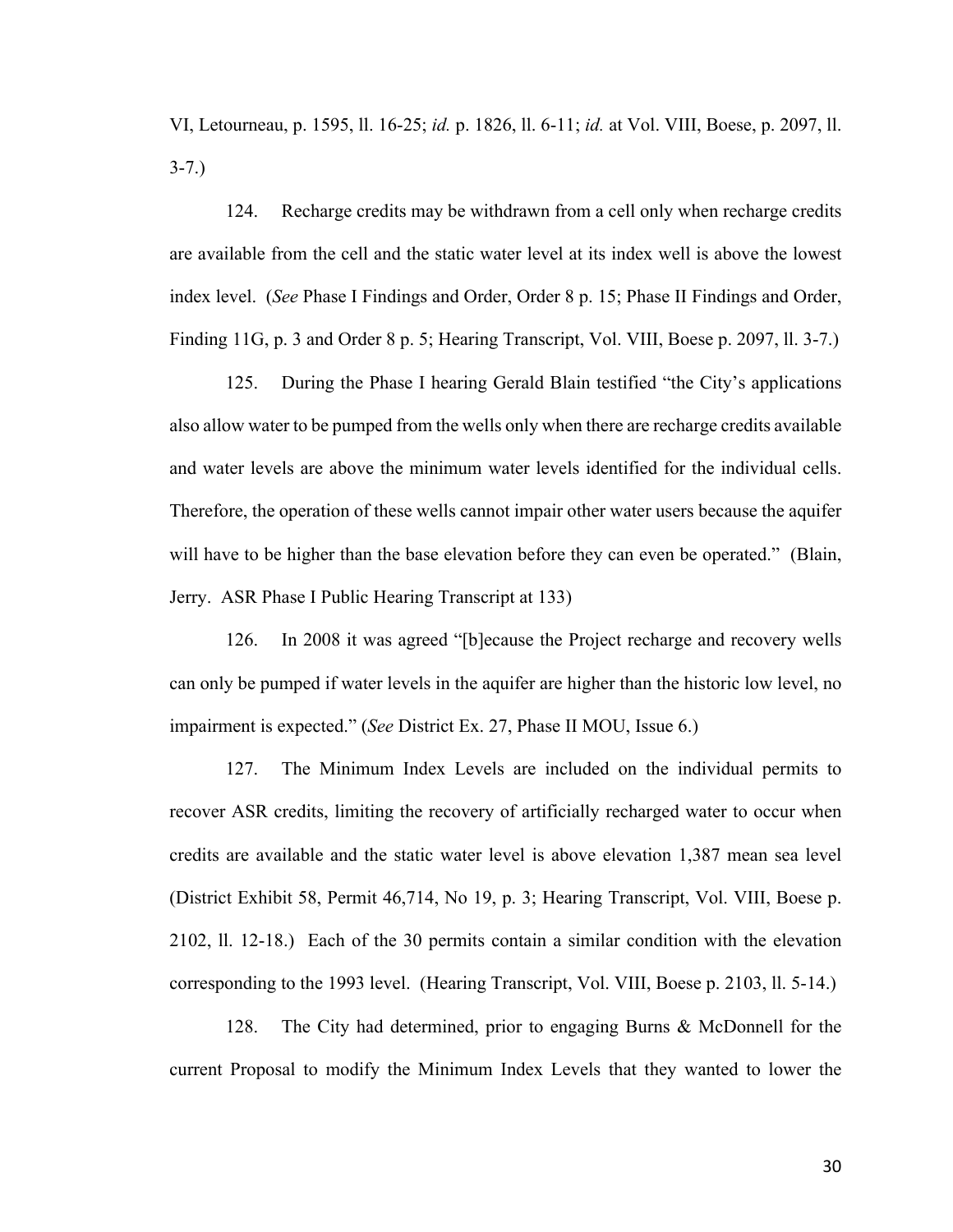VI, Letourneau, p. 1595, ll. 16-25; *id.* p. 1826, ll. 6-11; *id.* at Vol. VIII, Boese, p. 2097, ll. 3-7.)

124. Recharge credits may be withdrawn from a cell only when recharge credits are available from the cell and the static water level at its index well is above the lowest index level. (*See* Phase I Findings and Order, Order 8 p. 15; Phase II Findings and Order, Finding 11G, p. 3 and Order 8 p. 5; Hearing Transcript, Vol. VIII, Boese p. 2097, ll. 3-7.)

125. During the Phase I hearing Gerald Blain testified "the City's applications also allow water to be pumped from the wells only when there are recharge credits available and water levels are above the minimum water levels identified for the individual cells. Therefore, the operation of these wells cannot impair other water users because the aquifer will have to be higher than the base elevation before they can even be operated." (Blain, Jerry. ASR Phase I Public Hearing Transcript at 133)

126. In 2008 it was agreed "[b]ecause the Project recharge and recovery wells can only be pumped if water levels in the aquifer are higher than the historic low level, no impairment is expected." (*See* District Ex. 27, Phase II MOU, Issue 6.)

127. The Minimum Index Levels are included on the individual permits to recover ASR credits, limiting the recovery of artificially recharged water to occur when credits are available and the static water level is above elevation 1,387 mean sea level (District Exhibit 58, Permit 46,714, No 19, p. 3; Hearing Transcript, Vol. VIII, Boese p. 2102, ll. 12-18.) Each of the 30 permits contain a similar condition with the elevation corresponding to the 1993 level. (Hearing Transcript, Vol. VIII, Boese p. 2103, ll. 5-14.)

128. The City had determined, prior to engaging Burns & McDonnell for the current Proposal to modify the Minimum Index Levels that they wanted to lower the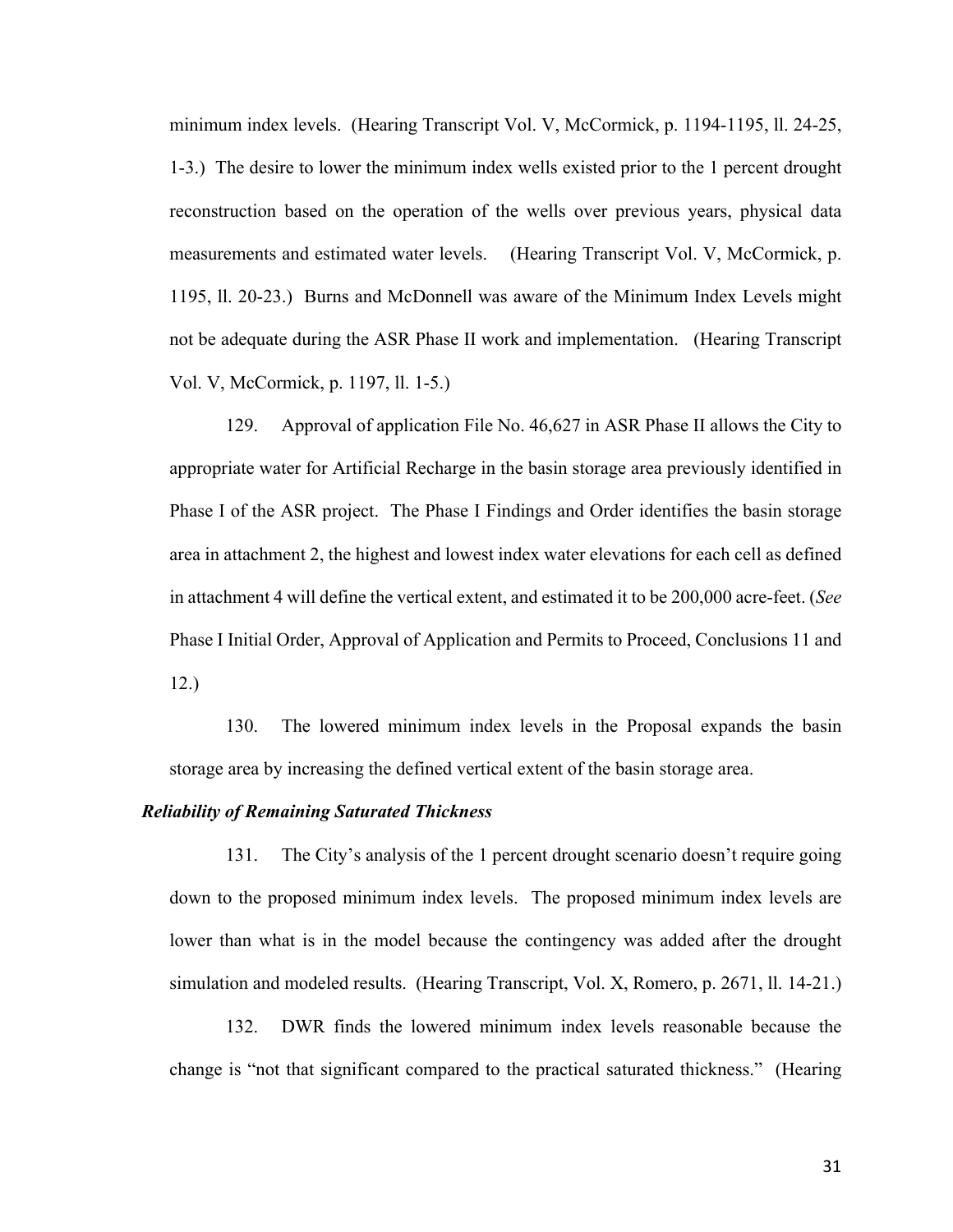minimum index levels. (Hearing Transcript Vol. V, McCormick, p. 1194-1195, ll. 24-25, 1-3.) The desire to lower the minimum index wells existed prior to the 1 percent drought reconstruction based on the operation of the wells over previous years, physical data measurements and estimated water levels. (Hearing Transcript Vol. V, McCormick, p. 1195, ll. 20-23.) Burns and McDonnell was aware of the Minimum Index Levels might not be adequate during the ASR Phase II work and implementation. (Hearing Transcript Vol. V, McCormick, p. 1197, ll. 1-5.)

129. Approval of application File No. 46,627 in ASR Phase II allows the City to appropriate water for Artificial Recharge in the basin storage area previously identified in Phase I of the ASR project. The Phase I Findings and Order identifies the basin storage area in attachment 2, the highest and lowest index water elevations for each cell as defined in attachment 4 will define the vertical extent, and estimated it to be 200,000 acre-feet. (*See*  Phase I Initial Order, Approval of Application and Permits to Proceed, Conclusions 11 and 12.)

130. The lowered minimum index levels in the Proposal expands the basin storage area by increasing the defined vertical extent of the basin storage area.

## *Reliability of Remaining Saturated Thickness*

131. The City's analysis of the 1 percent drought scenario doesn't require going down to the proposed minimum index levels. The proposed minimum index levels are lower than what is in the model because the contingency was added after the drought simulation and modeled results. (Hearing Transcript, Vol. X, Romero, p. 2671, ll. 14-21.)

132. DWR finds the lowered minimum index levels reasonable because the change is "not that significant compared to the practical saturated thickness." (Hearing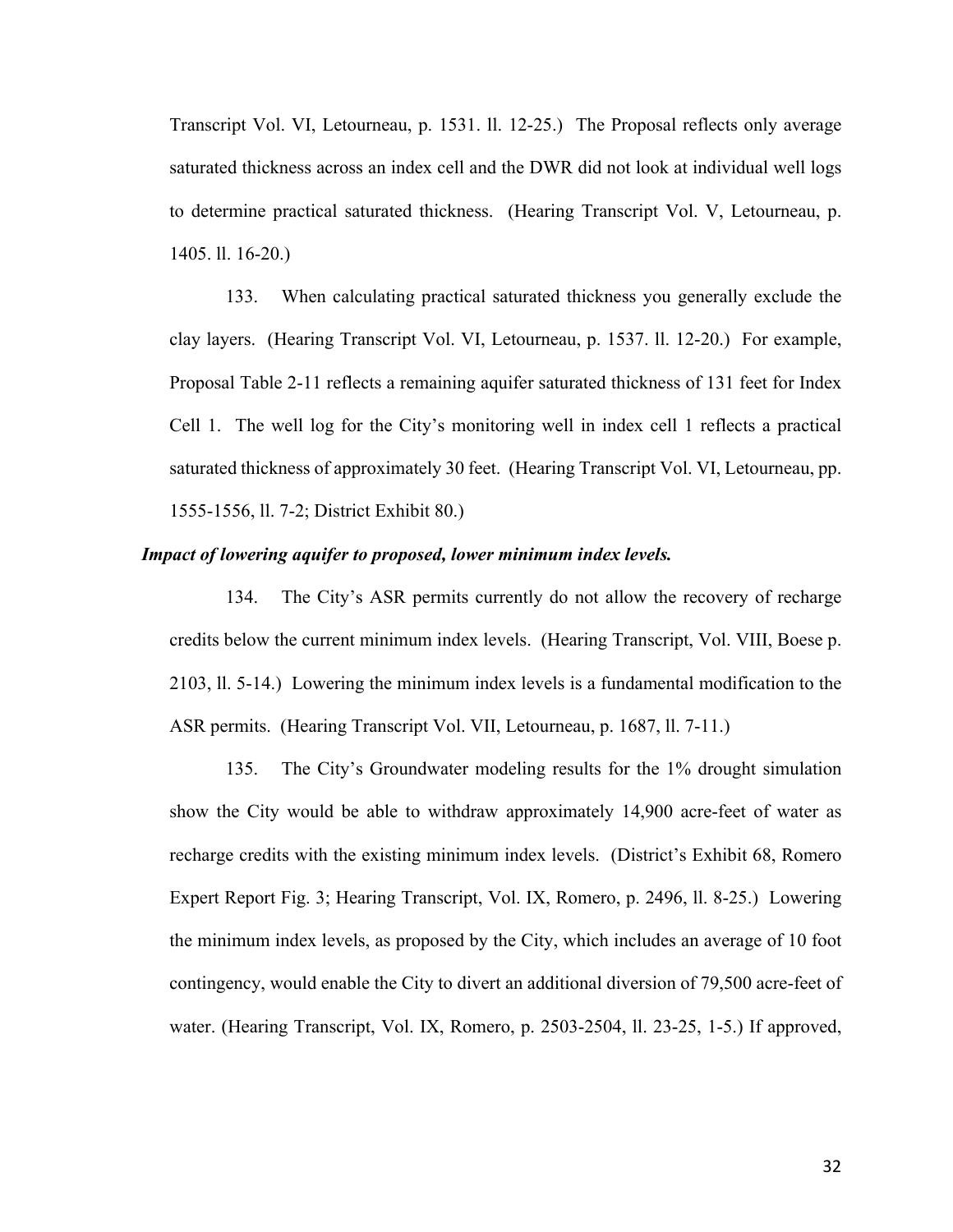Transcript Vol. VI, Letourneau, p. 1531. ll. 12-25.) The Proposal reflects only average saturated thickness across an index cell and the DWR did not look at individual well logs to determine practical saturated thickness. (Hearing Transcript Vol. V, Letourneau, p. 1405. ll. 16-20.)

133. When calculating practical saturated thickness you generally exclude the clay layers. (Hearing Transcript Vol. VI, Letourneau, p. 1537. ll. 12-20.) For example, Proposal Table 2-11 reflects a remaining aquifer saturated thickness of 131 feet for Index Cell 1. The well log for the City's monitoring well in index cell 1 reflects a practical saturated thickness of approximately 30 feet. (Hearing Transcript Vol. VI, Letourneau, pp. 1555-1556, ll. 7-2; District Exhibit 80.)

#### *Impact of lowering aquifer to proposed, lower minimum index levels.*

134. The City's ASR permits currently do not allow the recovery of recharge credits below the current minimum index levels. (Hearing Transcript, Vol. VIII, Boese p. 2103, ll. 5-14.) Lowering the minimum index levels is a fundamental modification to the ASR permits. (Hearing Transcript Vol. VII, Letourneau, p. 1687, ll. 7-11.)

135. The City's Groundwater modeling results for the 1% drought simulation show the City would be able to withdraw approximately 14,900 acre-feet of water as recharge credits with the existing minimum index levels. (District's Exhibit 68, Romero Expert Report Fig. 3; Hearing Transcript, Vol. IX, Romero, p. 2496, ll. 8-25.) Lowering the minimum index levels, as proposed by the City, which includes an average of 10 foot contingency, would enable the City to divert an additional diversion of 79,500 acre-feet of water. (Hearing Transcript, Vol. IX, Romero, p. 2503-2504, ll. 23-25, 1-5.) If approved,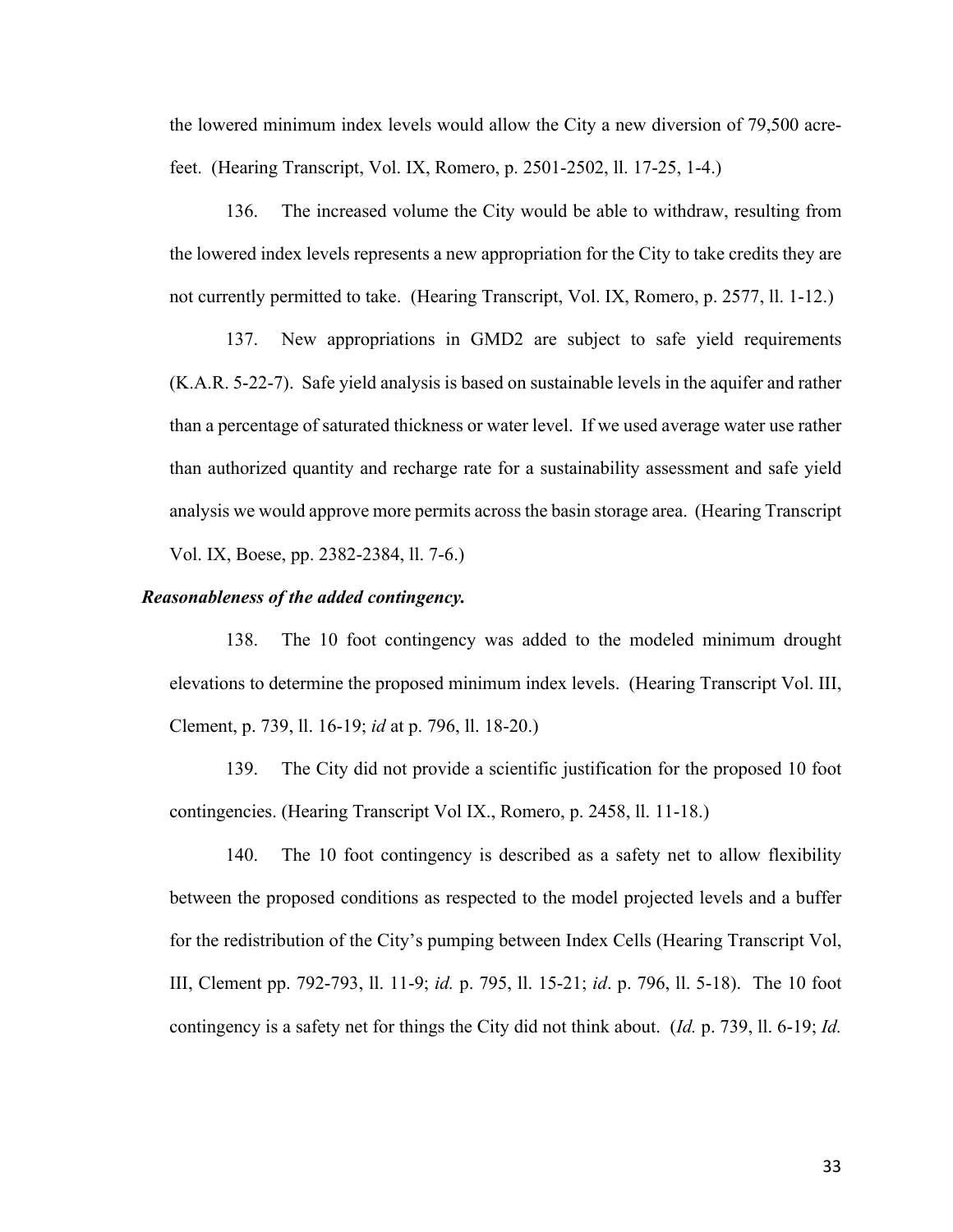the lowered minimum index levels would allow the City a new diversion of 79,500 acrefeet. (Hearing Transcript, Vol. IX, Romero, p. 2501-2502, ll. 17-25, 1-4.)

136. The increased volume the City would be able to withdraw, resulting from the lowered index levels represents a new appropriation for the City to take credits they are not currently permitted to take. (Hearing Transcript, Vol. IX, Romero, p. 2577, ll. 1-12.)

137. New appropriations in GMD2 are subject to safe yield requirements (K.A.R. 5-22-7). Safe yield analysis is based on sustainable levels in the aquifer and rather than a percentage of saturated thickness or water level. If we used average water use rather than authorized quantity and recharge rate for a sustainability assessment and safe yield analysis we would approve more permits across the basin storage area. (Hearing Transcript Vol. IX, Boese, pp. 2382-2384, ll. 7-6.)

#### *Reasonableness of the added contingency.*

138. The 10 foot contingency was added to the modeled minimum drought elevations to determine the proposed minimum index levels. (Hearing Transcript Vol. III, Clement, p. 739, ll. 16-19; *id* at p. 796, ll. 18-20.)

139. The City did not provide a scientific justification for the proposed 10 foot contingencies. (Hearing Transcript Vol IX., Romero, p. 2458, ll. 11-18.)

140. The 10 foot contingency is described as a safety net to allow flexibility between the proposed conditions as respected to the model projected levels and a buffer for the redistribution of the City's pumping between Index Cells (Hearing Transcript Vol, III, Clement pp. 792-793, ll. 11-9; *id.* p. 795, ll. 15-21; *id*. p. 796, ll. 5-18). The 10 foot contingency is a safety net for things the City did not think about. (*Id.* p. 739, ll. 6-19; *Id.*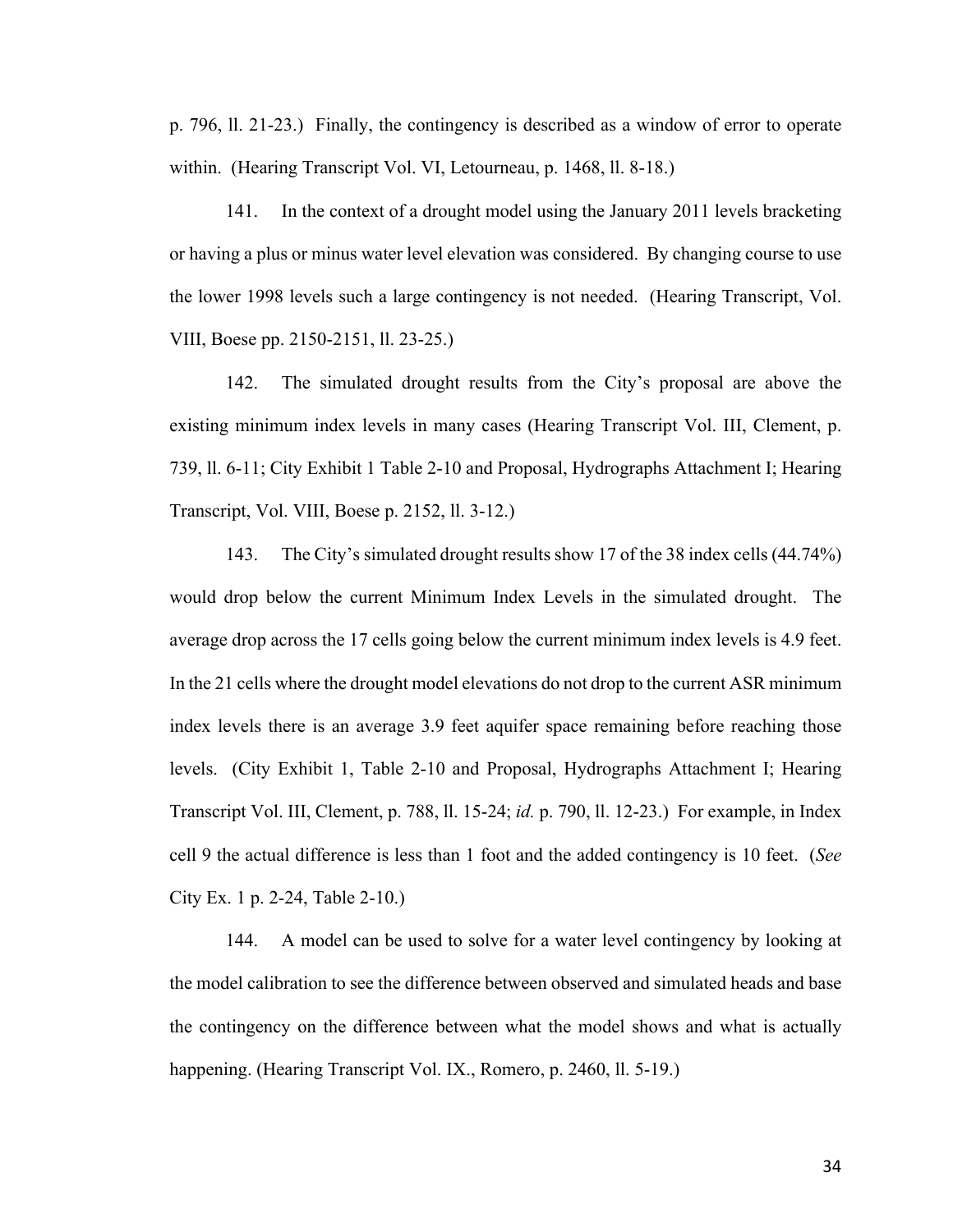p. 796, ll. 21-23.) Finally, the contingency is described as a window of error to operate within. (Hearing Transcript Vol. VI, Letourneau, p. 1468, ll. 8-18.)

141. In the context of a drought model using the January 2011 levels bracketing or having a plus or minus water level elevation was considered. By changing course to use the lower 1998 levels such a large contingency is not needed. (Hearing Transcript, Vol. VIII, Boese pp. 2150-2151, ll. 23-25.)

142. The simulated drought results from the City's proposal are above the existing minimum index levels in many cases (Hearing Transcript Vol. III, Clement, p. 739, ll. 6-11; City Exhibit 1 Table 2-10 and Proposal, Hydrographs Attachment I; Hearing Transcript, Vol. VIII, Boese p. 2152, ll. 3-12.)

143. The City's simulated drought results show 17 of the 38 index cells (44.74%) would drop below the current Minimum Index Levels in the simulated drought. The average drop across the 17 cells going below the current minimum index levels is 4.9 feet. In the 21 cells where the drought model elevations do not drop to the current ASR minimum index levels there is an average 3.9 feet aquifer space remaining before reaching those levels. (City Exhibit 1, Table 2-10 and Proposal, Hydrographs Attachment I; Hearing Transcript Vol. III, Clement, p. 788, ll. 15-24; *id.* p. 790, ll. 12-23.) For example, in Index cell 9 the actual difference is less than 1 foot and the added contingency is 10 feet. (*See* City Ex. 1 p. 2-24, Table 2-10.)

144. A model can be used to solve for a water level contingency by looking at the model calibration to see the difference between observed and simulated heads and base the contingency on the difference between what the model shows and what is actually happening. (Hearing Transcript Vol. IX., Romero, p. 2460, ll. 5-19.)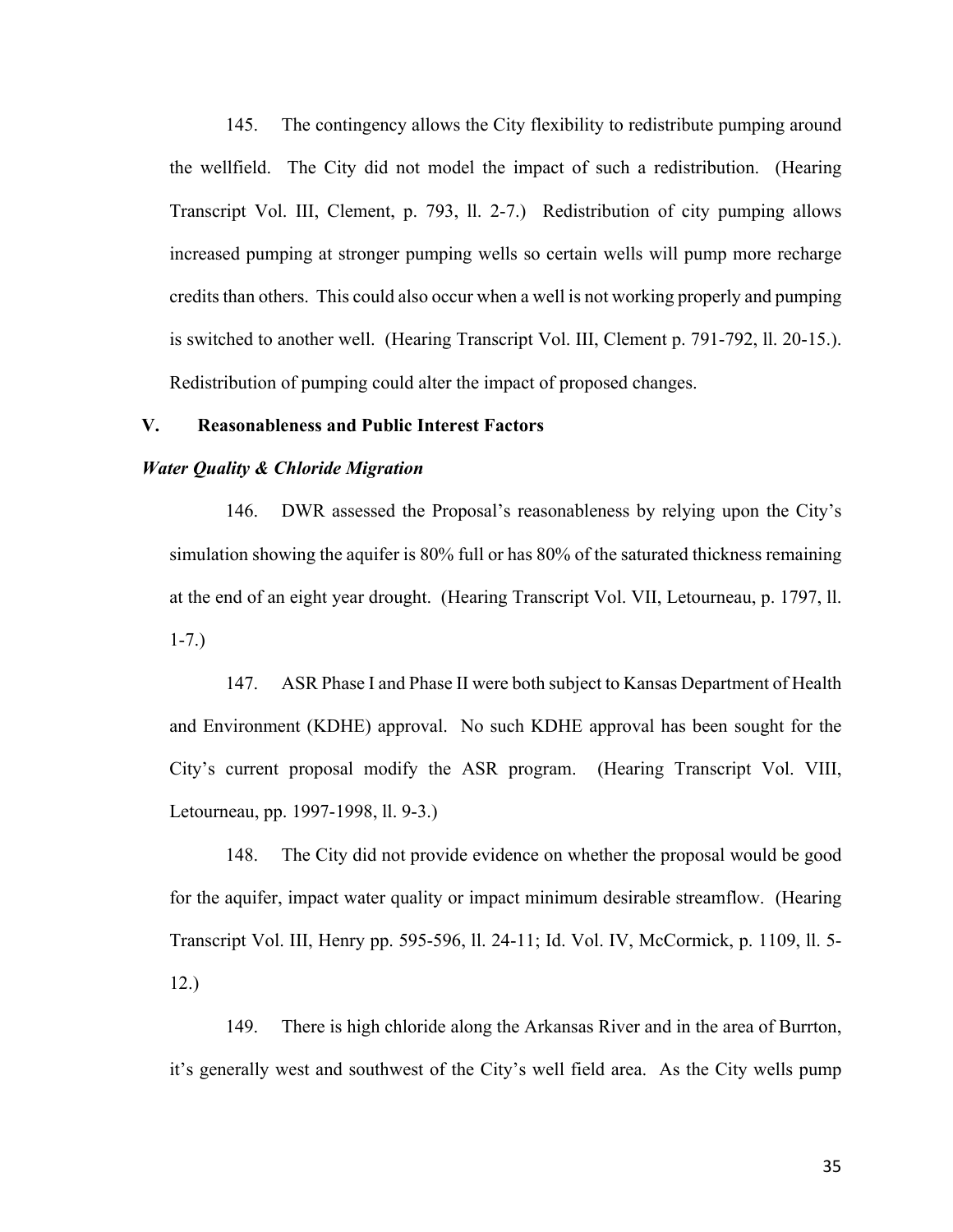145. The contingency allows the City flexibility to redistribute pumping around the wellfield. The City did not model the impact of such a redistribution. (Hearing Transcript Vol. III, Clement, p. 793, ll. 2-7.) Redistribution of city pumping allows increased pumping at stronger pumping wells so certain wells will pump more recharge credits than others. This could also occur when a well is not working properly and pumping is switched to another well. (Hearing Transcript Vol. III, Clement p. 791-792, ll. 20-15.). Redistribution of pumping could alter the impact of proposed changes.

### **V. Reasonableness and Public Interest Factors**

### *Water Quality & Chloride Migration*

146. DWR assessed the Proposal's reasonableness by relying upon the City's simulation showing the aquifer is 80% full or has 80% of the saturated thickness remaining at the end of an eight year drought. (Hearing Transcript Vol. VII, Letourneau, p. 1797, ll. 1-7.)

147. ASR Phase I and Phase II were both subject to Kansas Department of Health and Environment (KDHE) approval. No such KDHE approval has been sought for the City's current proposal modify the ASR program. (Hearing Transcript Vol. VIII, Letourneau, pp. 1997-1998, ll. 9-3.)

148. The City did not provide evidence on whether the proposal would be good for the aquifer, impact water quality or impact minimum desirable streamflow. (Hearing Transcript Vol. III, Henry pp. 595-596, ll. 24-11; Id. Vol. IV, McCormick, p. 1109, ll. 5- 12.)

149. There is high chloride along the Arkansas River and in the area of Burrton, it's generally west and southwest of the City's well field area. As the City wells pump

35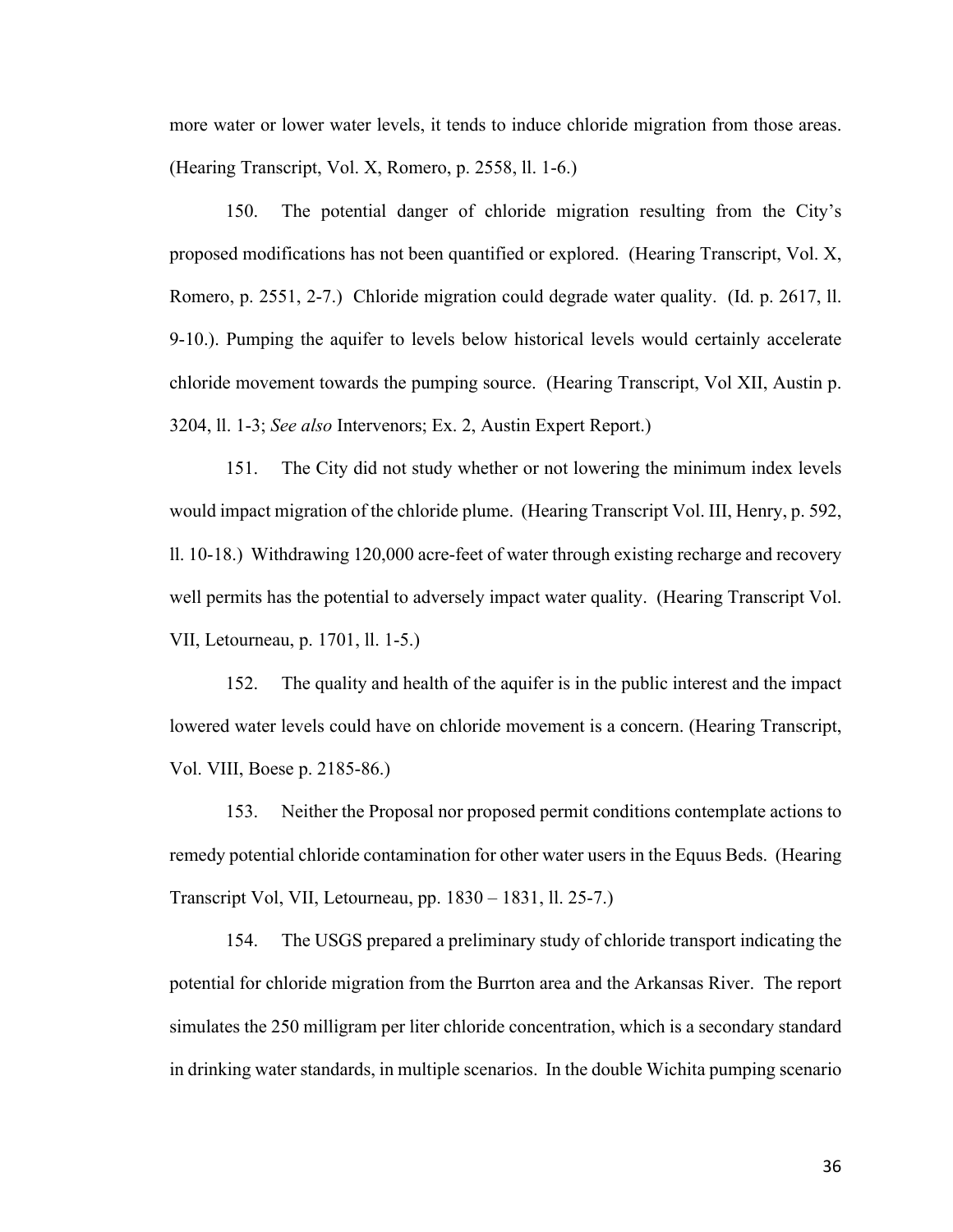more water or lower water levels, it tends to induce chloride migration from those areas. (Hearing Transcript, Vol. X, Romero, p. 2558, ll. 1-6.)

150. The potential danger of chloride migration resulting from the City's proposed modifications has not been quantified or explored. (Hearing Transcript, Vol. X, Romero, p. 2551, 2-7.) Chloride migration could degrade water quality. (Id. p. 2617, ll. 9-10.). Pumping the aquifer to levels below historical levels would certainly accelerate chloride movement towards the pumping source. (Hearing Transcript, Vol XII, Austin p. 3204, ll. 1-3; *See also* Intervenors; Ex. 2, Austin Expert Report.)

151. The City did not study whether or not lowering the minimum index levels would impact migration of the chloride plume. (Hearing Transcript Vol. III, Henry, p. 592, ll. 10-18.) Withdrawing 120,000 acre-feet of water through existing recharge and recovery well permits has the potential to adversely impact water quality. (Hearing Transcript Vol. VII, Letourneau, p. 1701, ll. 1-5.)

152. The quality and health of the aquifer is in the public interest and the impact lowered water levels could have on chloride movement is a concern. (Hearing Transcript, Vol. VIII, Boese p. 2185-86.)

153. Neither the Proposal nor proposed permit conditions contemplate actions to remedy potential chloride contamination for other water users in the Equus Beds. (Hearing Transcript Vol, VII, Letourneau, pp. 1830 – 1831, ll. 25-7.)

154. The USGS prepared a preliminary study of chloride transport indicating the potential for chloride migration from the Burrton area and the Arkansas River. The report simulates the 250 milligram per liter chloride concentration, which is a secondary standard in drinking water standards, in multiple scenarios. In the double Wichita pumping scenario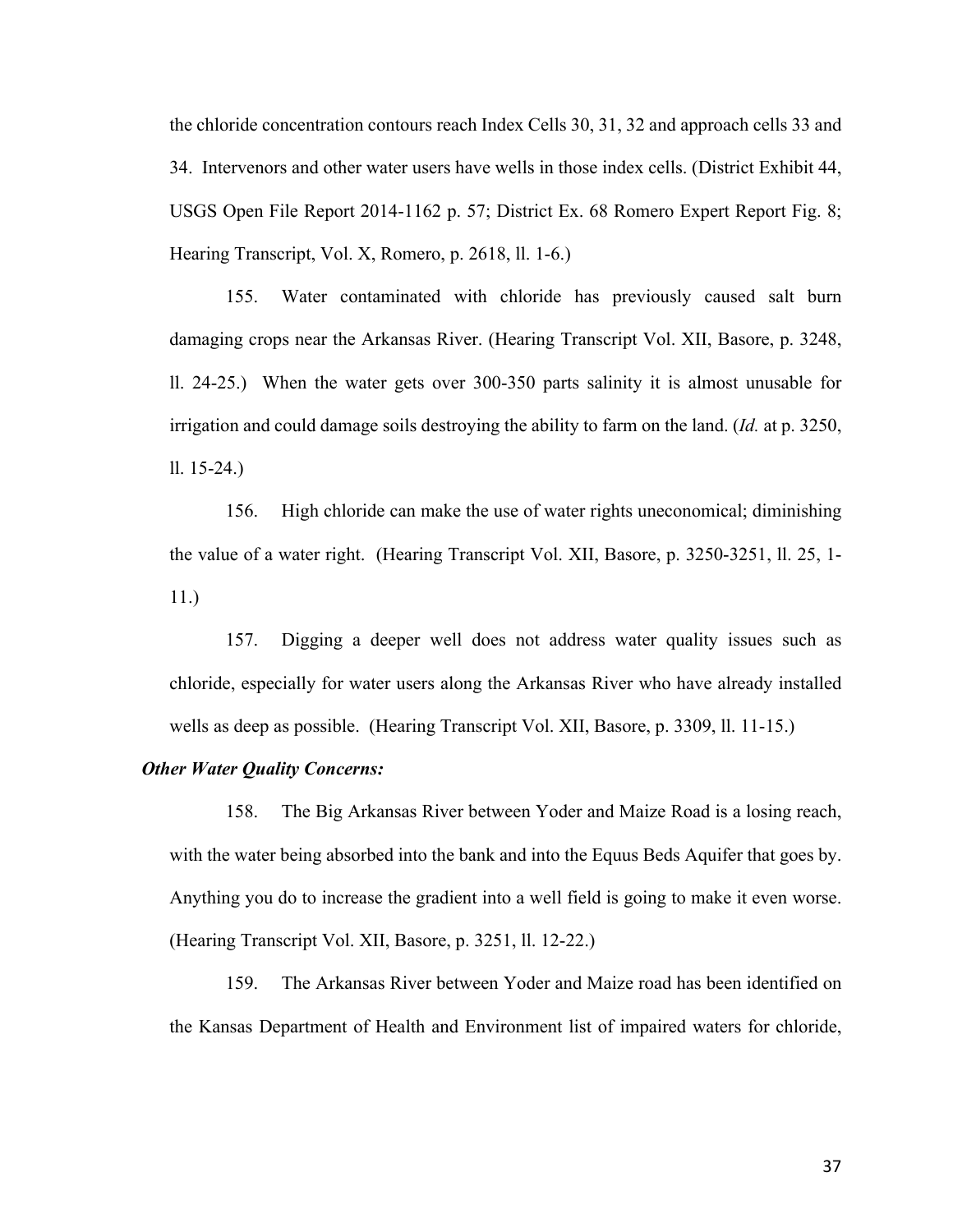the chloride concentration contours reach Index Cells 30, 31, 32 and approach cells 33 and 34. Intervenors and other water users have wells in those index cells. (District Exhibit 44, USGS Open File Report 2014-1162 p. 57; District Ex. 68 Romero Expert Report Fig. 8; Hearing Transcript, Vol. X, Romero, p. 2618, ll. 1-6.)

155. Water contaminated with chloride has previously caused salt burn damaging crops near the Arkansas River. (Hearing Transcript Vol. XII, Basore, p. 3248, ll. 24-25.) When the water gets over 300-350 parts salinity it is almost unusable for irrigation and could damage soils destroying the ability to farm on the land. (*Id.* at p. 3250, ll. 15-24.)

156. High chloride can make the use of water rights uneconomical; diminishing the value of a water right. (Hearing Transcript Vol. XII, Basore, p. 3250-3251, ll. 25, 1- 11.)

157. Digging a deeper well does not address water quality issues such as chloride, especially for water users along the Arkansas River who have already installed wells as deep as possible. (Hearing Transcript Vol. XII, Basore, p. 3309, ll. 11-15.)

### *Other Water Quality Concerns:*

158. The Big Arkansas River between Yoder and Maize Road is a losing reach, with the water being absorbed into the bank and into the Equus Beds Aquifer that goes by. Anything you do to increase the gradient into a well field is going to make it even worse. (Hearing Transcript Vol. XII, Basore, p. 3251, ll. 12-22.)

159. The Arkansas River between Yoder and Maize road has been identified on the Kansas Department of Health and Environment list of impaired waters for chloride,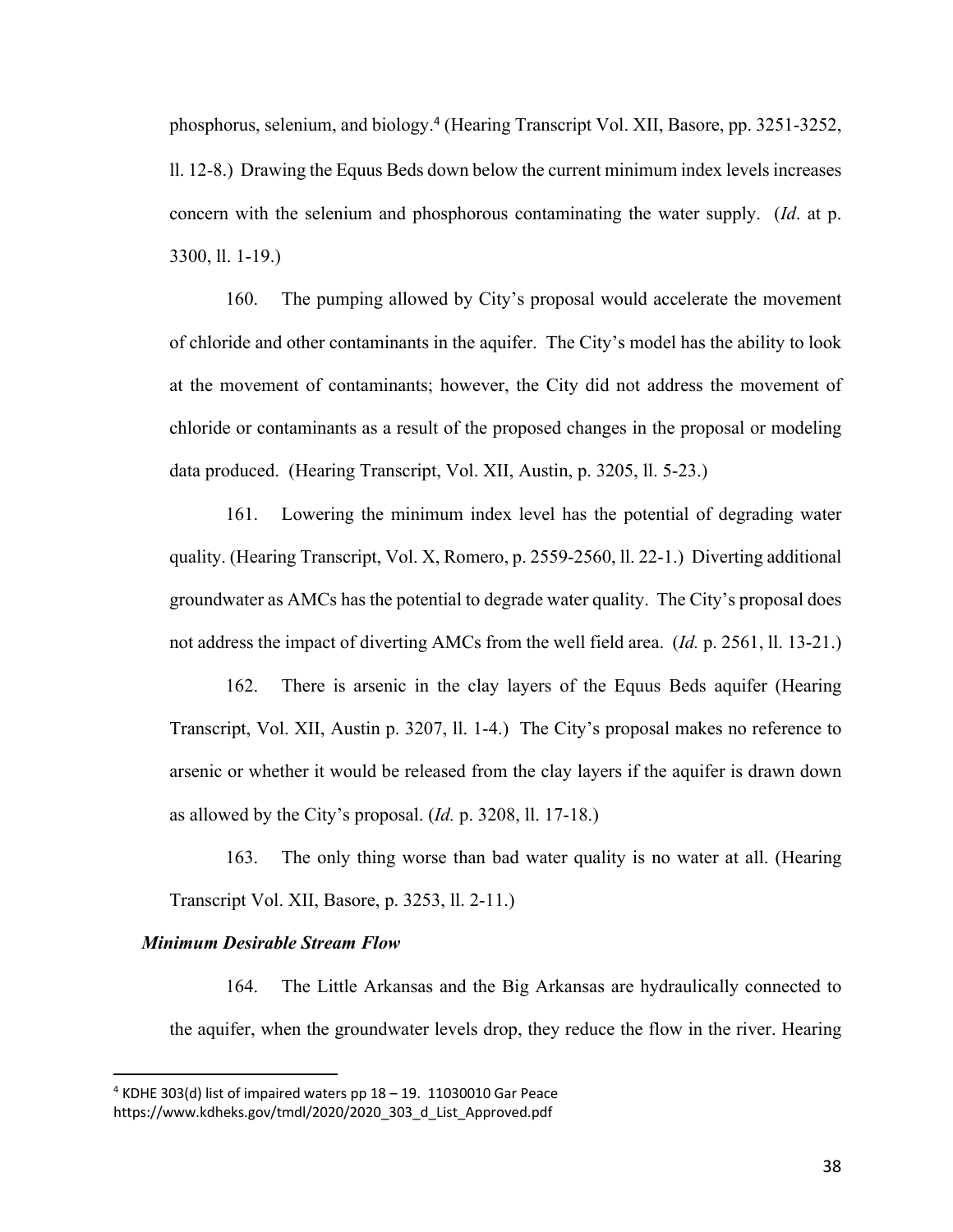phosphorus, selenium, and biology.<sup>4</sup> (Hearing Transcript Vol. XII, Basore, pp. 3251-3252, ll. 12-8.) Drawing the Equus Beds down below the current minimum index levels increases concern with the selenium and phosphorous contaminating the water supply. (*Id*. at p. 3300, ll. 1-19.)

160. The pumping allowed by City's proposal would accelerate the movement of chloride and other contaminants in the aquifer. The City's model has the ability to look at the movement of contaminants; however, the City did not address the movement of chloride or contaminants as a result of the proposed changes in the proposal or modeling data produced. (Hearing Transcript, Vol. XII, Austin, p. 3205, ll. 5-23.)

161. Lowering the minimum index level has the potential of degrading water quality. (Hearing Transcript, Vol. X, Romero, p. 2559-2560, ll. 22-1.) Diverting additional groundwater as AMCs has the potential to degrade water quality. The City's proposal does not address the impact of diverting AMCs from the well field area. (*Id.* p. 2561, ll. 13-21.)

162. There is arsenic in the clay layers of the Equus Beds aquifer (Hearing Transcript, Vol. XII, Austin p. 3207, ll. 1-4.) The City's proposal makes no reference to arsenic or whether it would be released from the clay layers if the aquifer is drawn down as allowed by the City's proposal. (*Id.* p. 3208, ll. 17-18.)

163. The only thing worse than bad water quality is no water at all. (Hearing Transcript Vol. XII, Basore, p. 3253, ll. 2-11.)

# *Minimum Desirable Stream Flow*

164. The Little Arkansas and the Big Arkansas are hydraulically connected to the aquifer, when the groundwater levels drop, they reduce the flow in the river. Hearing

 $4$  KDHE 303(d) list of impaired waters pp  $18 - 19$ . 11030010 Gar Peace https://www.kdheks.gov/tmdl/2020/2020\_303\_d\_List\_Approved.pdf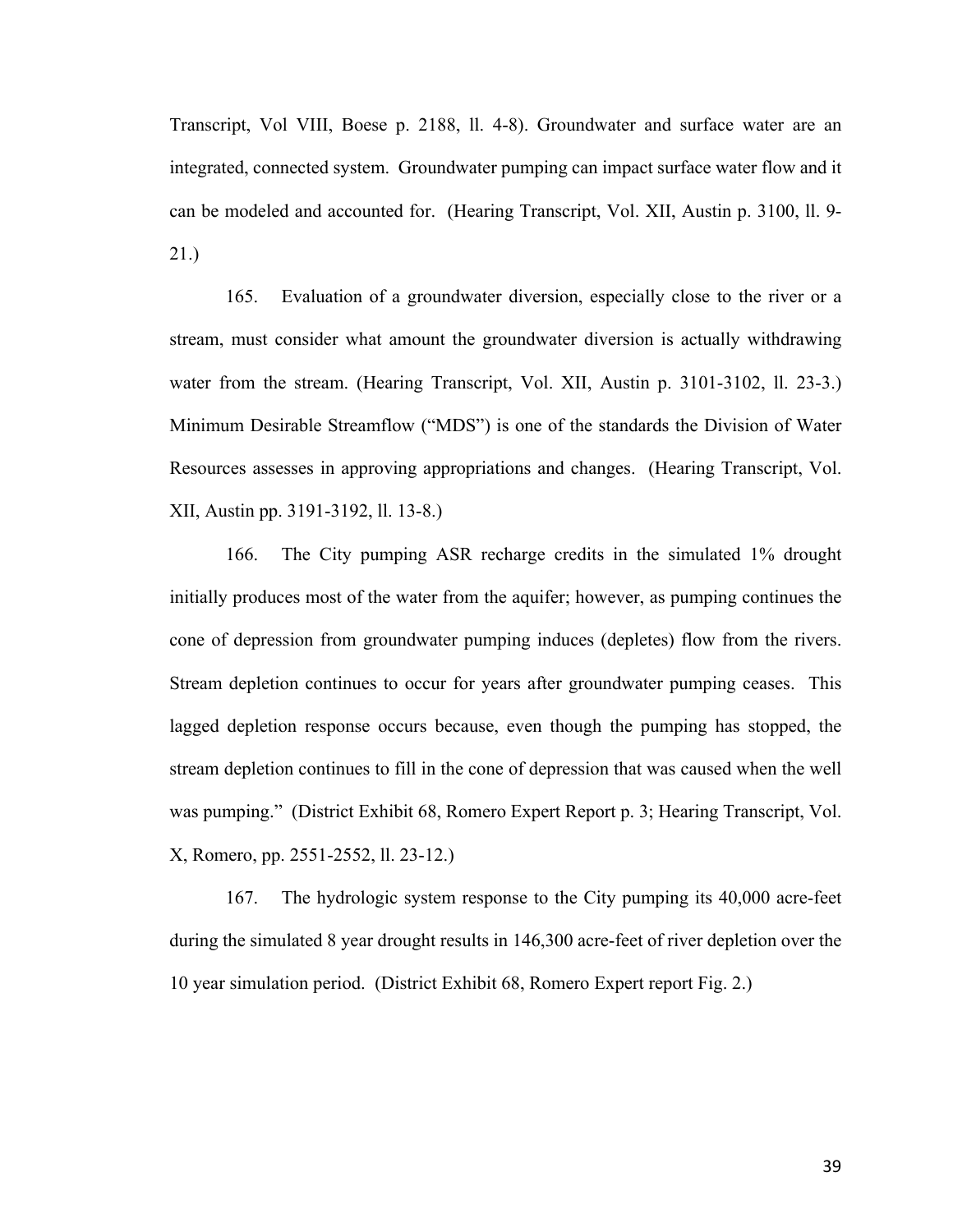Transcript, Vol VIII, Boese p. 2188, ll. 4-8). Groundwater and surface water are an integrated, connected system. Groundwater pumping can impact surface water flow and it can be modeled and accounted for. (Hearing Transcript, Vol. XII, Austin p. 3100, ll. 9- 21.)

165. Evaluation of a groundwater diversion, especially close to the river or a stream, must consider what amount the groundwater diversion is actually withdrawing water from the stream. (Hearing Transcript, Vol. XII, Austin p. 3101-3102, ll. 23-3.) Minimum Desirable Streamflow ("MDS") is one of the standards the Division of Water Resources assesses in approving appropriations and changes. (Hearing Transcript, Vol. XII, Austin pp. 3191-3192, ll. 13-8.)

166. The City pumping ASR recharge credits in the simulated 1% drought initially produces most of the water from the aquifer; however, as pumping continues the cone of depression from groundwater pumping induces (depletes) flow from the rivers. Stream depletion continues to occur for years after groundwater pumping ceases. This lagged depletion response occurs because, even though the pumping has stopped, the stream depletion continues to fill in the cone of depression that was caused when the well was pumping." (District Exhibit 68, Romero Expert Report p. 3; Hearing Transcript, Vol. X, Romero, pp. 2551-2552, ll. 23-12.)

167. The hydrologic system response to the City pumping its 40,000 acre-feet during the simulated 8 year drought results in 146,300 acre-feet of river depletion over the 10 year simulation period. (District Exhibit 68, Romero Expert report Fig. 2.)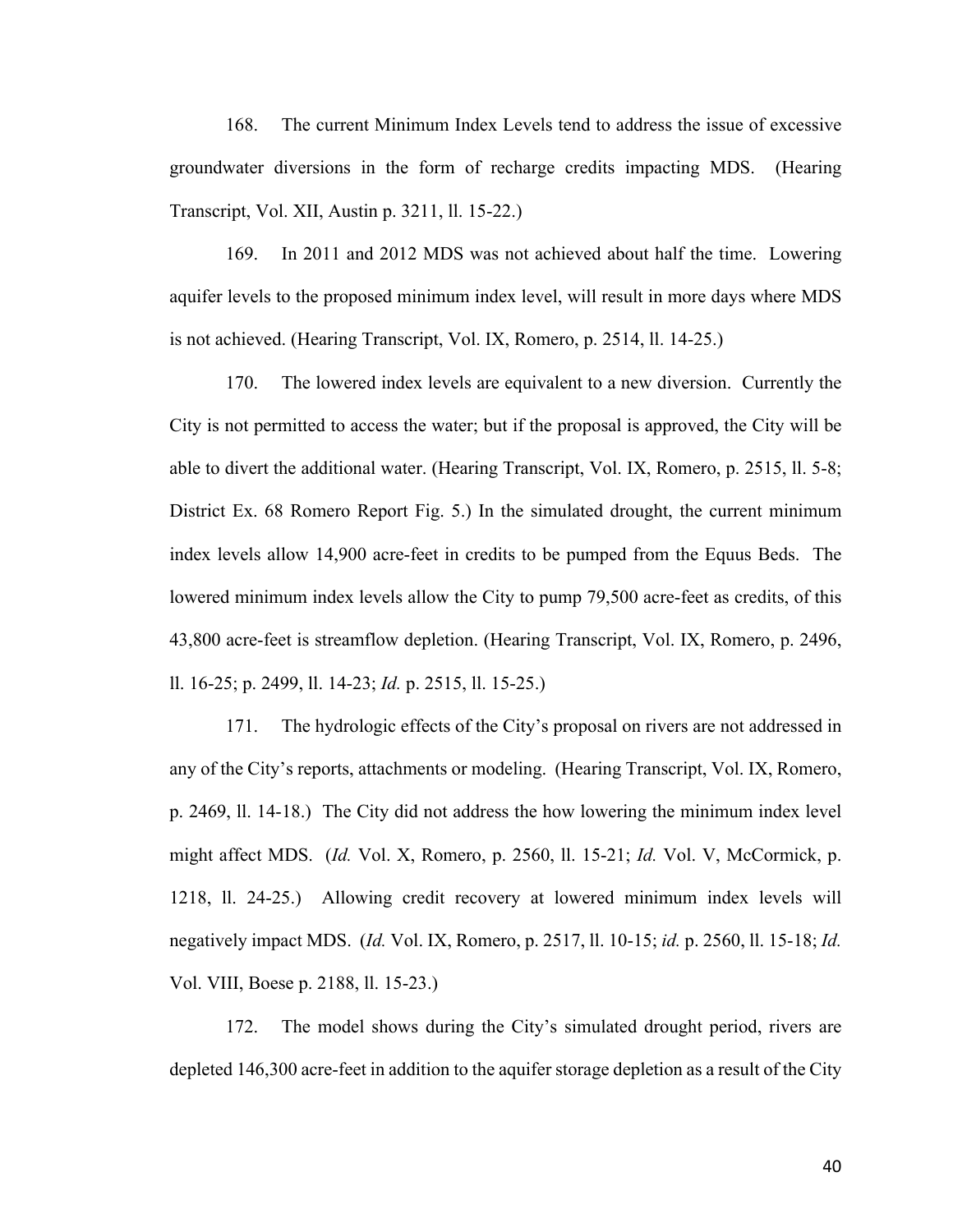168. The current Minimum Index Levels tend to address the issue of excessive groundwater diversions in the form of recharge credits impacting MDS. (Hearing Transcript, Vol. XII, Austin p. 3211, ll. 15-22.)

169. In 2011 and 2012 MDS was not achieved about half the time. Lowering aquifer levels to the proposed minimum index level, will result in more days where MDS is not achieved. (Hearing Transcript, Vol. IX, Romero, p. 2514, ll. 14-25.)

170. The lowered index levels are equivalent to a new diversion. Currently the City is not permitted to access the water; but if the proposal is approved, the City will be able to divert the additional water. (Hearing Transcript, Vol. IX, Romero, p. 2515, ll. 5-8; District Ex. 68 Romero Report Fig. 5.) In the simulated drought, the current minimum index levels allow 14,900 acre-feet in credits to be pumped from the Equus Beds. The lowered minimum index levels allow the City to pump 79,500 acre-feet as credits, of this 43,800 acre-feet is streamflow depletion. (Hearing Transcript, Vol. IX, Romero, p. 2496, ll. 16-25; p. 2499, ll. 14-23; *Id.* p. 2515, ll. 15-25.)

171. The hydrologic effects of the City's proposal on rivers are not addressed in any of the City's reports, attachments or modeling. (Hearing Transcript, Vol. IX, Romero, p. 2469, ll. 14-18.) The City did not address the how lowering the minimum index level might affect MDS. (*Id.* Vol. X, Romero, p. 2560, ll. 15-21; *Id.* Vol. V, McCormick, p. 1218, ll. 24-25.) Allowing credit recovery at lowered minimum index levels will negatively impact MDS. (*Id.* Vol. IX, Romero, p. 2517, ll. 10-15; *id.* p. 2560, ll. 15-18; *Id.* Vol. VIII, Boese p. 2188, ll. 15-23.)

172. The model shows during the City's simulated drought period, rivers are depleted 146,300 acre-feet in addition to the aquifer storage depletion as a result of the City

40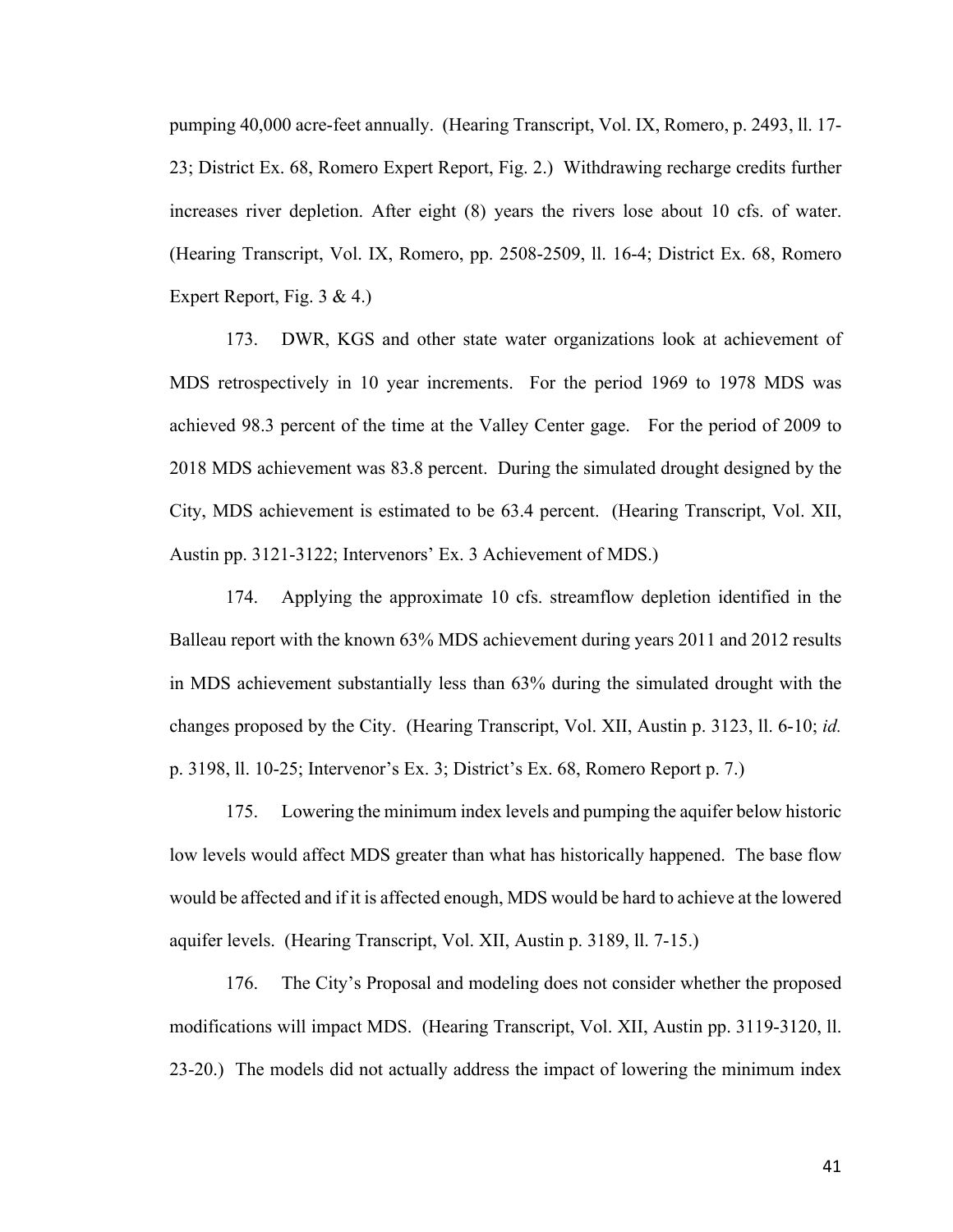pumping 40,000 acre-feet annually. (Hearing Transcript, Vol. IX, Romero, p. 2493, ll. 17- 23; District Ex. 68, Romero Expert Report, Fig. 2.) Withdrawing recharge credits further increases river depletion. After eight (8) years the rivers lose about 10 cfs. of water. (Hearing Transcript, Vol. IX, Romero, pp. 2508-2509, ll. 16-4; District Ex. 68, Romero Expert Report, Fig. 3 & 4.)

173. DWR, KGS and other state water organizations look at achievement of MDS retrospectively in 10 year increments. For the period 1969 to 1978 MDS was achieved 98.3 percent of the time at the Valley Center gage. For the period of 2009 to 2018 MDS achievement was 83.8 percent. During the simulated drought designed by the City, MDS achievement is estimated to be 63.4 percent. (Hearing Transcript, Vol. XII, Austin pp. 3121-3122; Intervenors' Ex. 3 Achievement of MDS.)

174. Applying the approximate 10 cfs. streamflow depletion identified in the Balleau report with the known 63% MDS achievement during years 2011 and 2012 results in MDS achievement substantially less than 63% during the simulated drought with the changes proposed by the City. (Hearing Transcript, Vol. XII, Austin p. 3123, ll. 6-10; *id.* p. 3198, ll. 10-25; Intervenor's Ex. 3; District's Ex. 68, Romero Report p. 7.)

175. Lowering the minimum index levels and pumping the aquifer below historic low levels would affect MDS greater than what has historically happened. The base flow would be affected and if it is affected enough, MDS would be hard to achieve at the lowered aquifer levels. (Hearing Transcript, Vol. XII, Austin p. 3189, ll. 7-15.)

176. The City's Proposal and modeling does not consider whether the proposed modifications will impact MDS. (Hearing Transcript, Vol. XII, Austin pp. 3119-3120, ll. 23-20.) The models did not actually address the impact of lowering the minimum index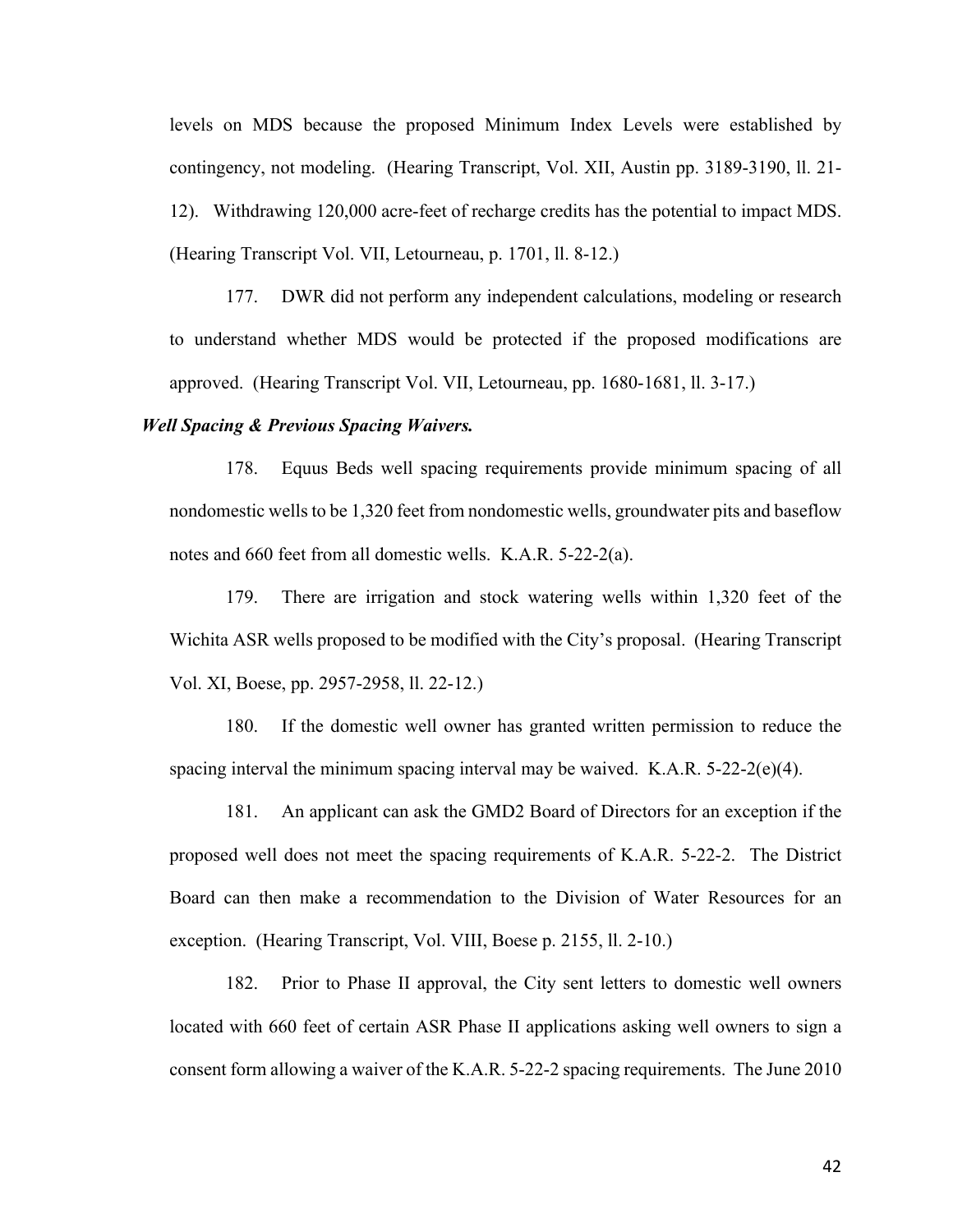levels on MDS because the proposed Minimum Index Levels were established by contingency, not modeling. (Hearing Transcript, Vol. XII, Austin pp. 3189-3190, ll. 21- 12). Withdrawing 120,000 acre-feet of recharge credits has the potential to impact MDS. (Hearing Transcript Vol. VII, Letourneau, p. 1701, ll. 8-12.)

177. DWR did not perform any independent calculations, modeling or research to understand whether MDS would be protected if the proposed modifications are approved. (Hearing Transcript Vol. VII, Letourneau, pp. 1680-1681, ll. 3-17.)

### *Well Spacing & Previous Spacing Waivers.*

178. Equus Beds well spacing requirements provide minimum spacing of all nondomestic wells to be 1,320 feet from nondomestic wells, groundwater pits and baseflow notes and 660 feet from all domestic wells. K.A.R. 5-22-2(a).

179. There are irrigation and stock watering wells within 1,320 feet of the Wichita ASR wells proposed to be modified with the City's proposal. (Hearing Transcript Vol. XI, Boese, pp. 2957-2958, ll. 22-12.)

180. If the domestic well owner has granted written permission to reduce the spacing interval the minimum spacing interval may be waived. K.A.R. 5-22-2(e)(4).

181. An applicant can ask the GMD2 Board of Directors for an exception if the proposed well does not meet the spacing requirements of K.A.R. 5-22-2. The District Board can then make a recommendation to the Division of Water Resources for an exception. (Hearing Transcript, Vol. VIII, Boese p. 2155, ll. 2-10.)

182. Prior to Phase II approval, the City sent letters to domestic well owners located with 660 feet of certain ASR Phase II applications asking well owners to sign a consent form allowing a waiver of the K.A.R. 5-22-2 spacing requirements. The June 2010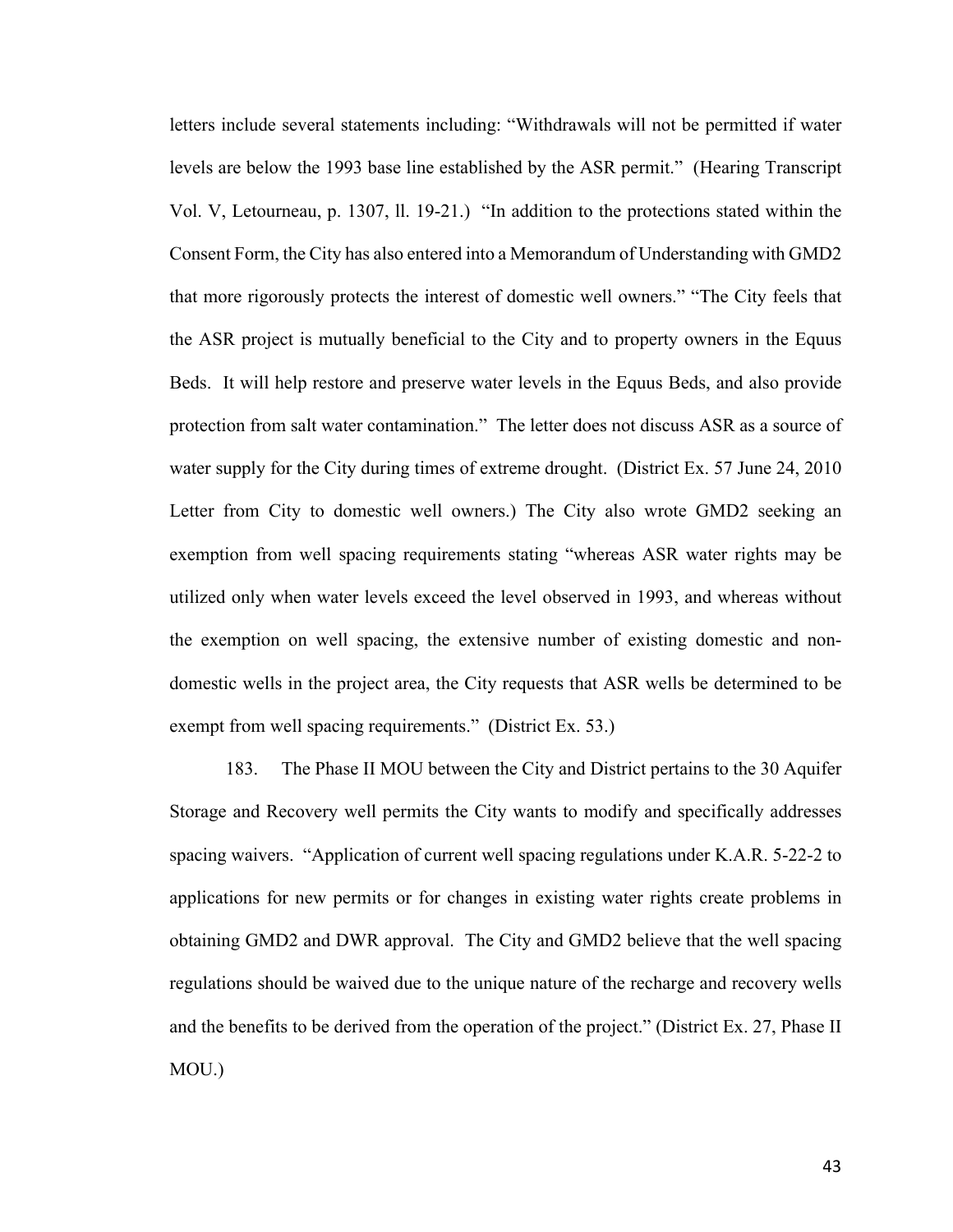letters include several statements including: "Withdrawals will not be permitted if water levels are below the 1993 base line established by the ASR permit." (Hearing Transcript Vol. V, Letourneau, p. 1307, ll. 19-21.) "In addition to the protections stated within the Consent Form, the City has also entered into a Memorandum of Understanding with GMD2 that more rigorously protects the interest of domestic well owners." "The City feels that the ASR project is mutually beneficial to the City and to property owners in the Equus Beds. It will help restore and preserve water levels in the Equus Beds, and also provide protection from salt water contamination." The letter does not discuss ASR as a source of water supply for the City during times of extreme drought. (District Ex. 57 June 24, 2010 Letter from City to domestic well owners.) The City also wrote GMD2 seeking an exemption from well spacing requirements stating "whereas ASR water rights may be utilized only when water levels exceed the level observed in 1993, and whereas without the exemption on well spacing, the extensive number of existing domestic and nondomestic wells in the project area, the City requests that ASR wells be determined to be exempt from well spacing requirements." (District Ex. 53.)

183. The Phase II MOU between the City and District pertains to the 30 Aquifer Storage and Recovery well permits the City wants to modify and specifically addresses spacing waivers. "Application of current well spacing regulations under K.A.R. 5-22-2 to applications for new permits or for changes in existing water rights create problems in obtaining GMD2 and DWR approval. The City and GMD2 believe that the well spacing regulations should be waived due to the unique nature of the recharge and recovery wells and the benefits to be derived from the operation of the project." (District Ex. 27, Phase II MOU.)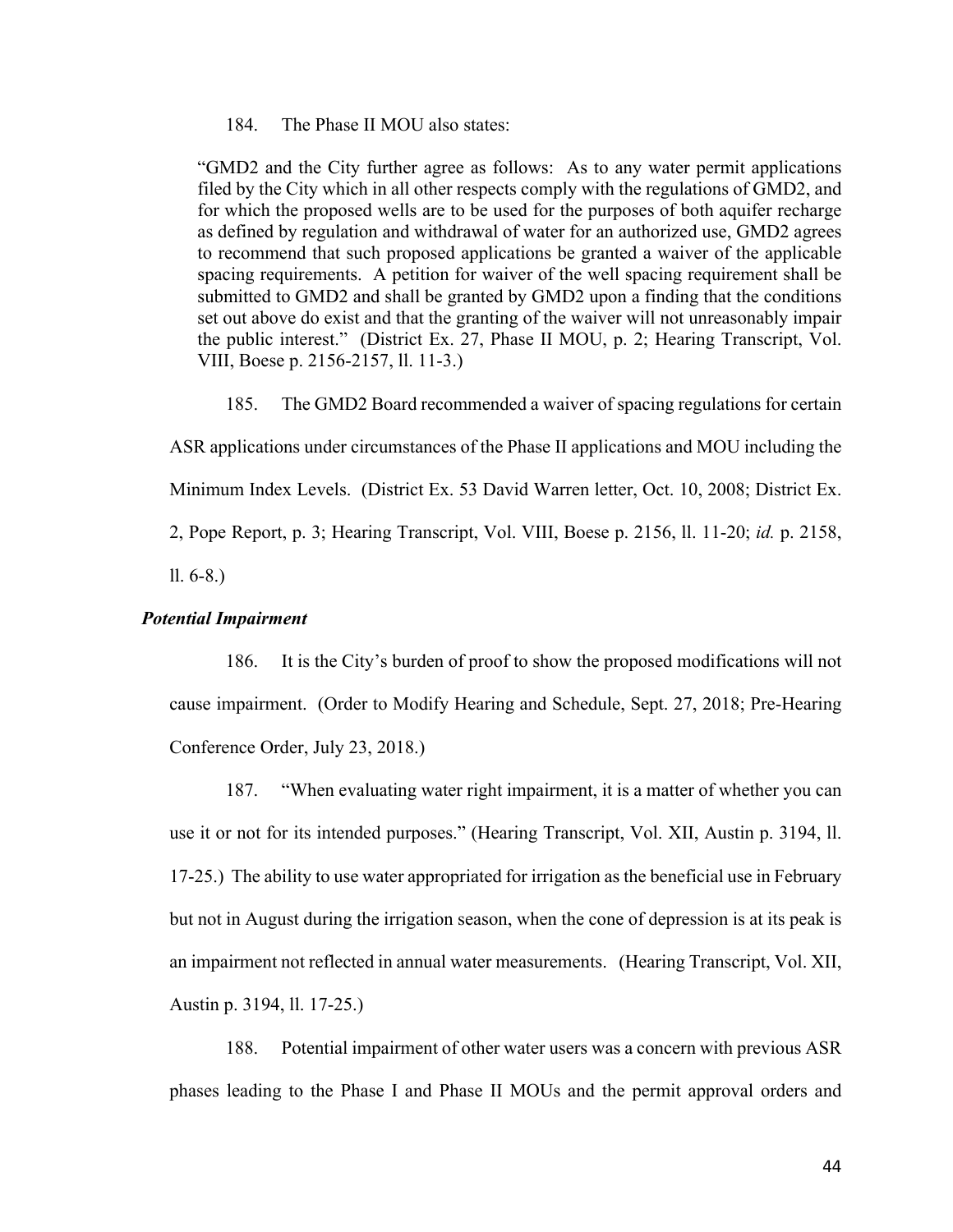184. The Phase II MOU also states:

"GMD2 and the City further agree as follows: As to any water permit applications filed by the City which in all other respects comply with the regulations of GMD2, and for which the proposed wells are to be used for the purposes of both aquifer recharge as defined by regulation and withdrawal of water for an authorized use, GMD2 agrees to recommend that such proposed applications be granted a waiver of the applicable spacing requirements. A petition for waiver of the well spacing requirement shall be submitted to GMD2 and shall be granted by GMD2 upon a finding that the conditions set out above do exist and that the granting of the waiver will not unreasonably impair the public interest." (District Ex. 27, Phase II MOU, p. 2; Hearing Transcript, Vol. VIII, Boese p. 2156-2157, ll. 11-3.)

185. The GMD2 Board recommended a waiver of spacing regulations for certain ASR applications under circumstances of the Phase II applications and MOU including the Minimum Index Levels. (District Ex. 53 David Warren letter, Oct. 10, 2008; District Ex. 2, Pope Report, p. 3; Hearing Transcript, Vol. VIII, Boese p. 2156, ll. 11-20; *id.* p. 2158,

ll. 6-8.)

# *Potential Impairment*

186. It is the City's burden of proof to show the proposed modifications will not cause impairment. (Order to Modify Hearing and Schedule, Sept. 27, 2018; Pre-Hearing Conference Order, July 23, 2018.)

187. "When evaluating water right impairment, it is a matter of whether you can use it or not for its intended purposes." (Hearing Transcript, Vol. XII, Austin p. 3194, ll. 17-25.) The ability to use water appropriated for irrigation as the beneficial use in February but not in August during the irrigation season, when the cone of depression is at its peak is an impairment not reflected in annual water measurements. (Hearing Transcript, Vol. XII, Austin p. 3194, ll. 17-25.)

188. Potential impairment of other water users was a concern with previous ASR phases leading to the Phase I and Phase II MOUs and the permit approval orders and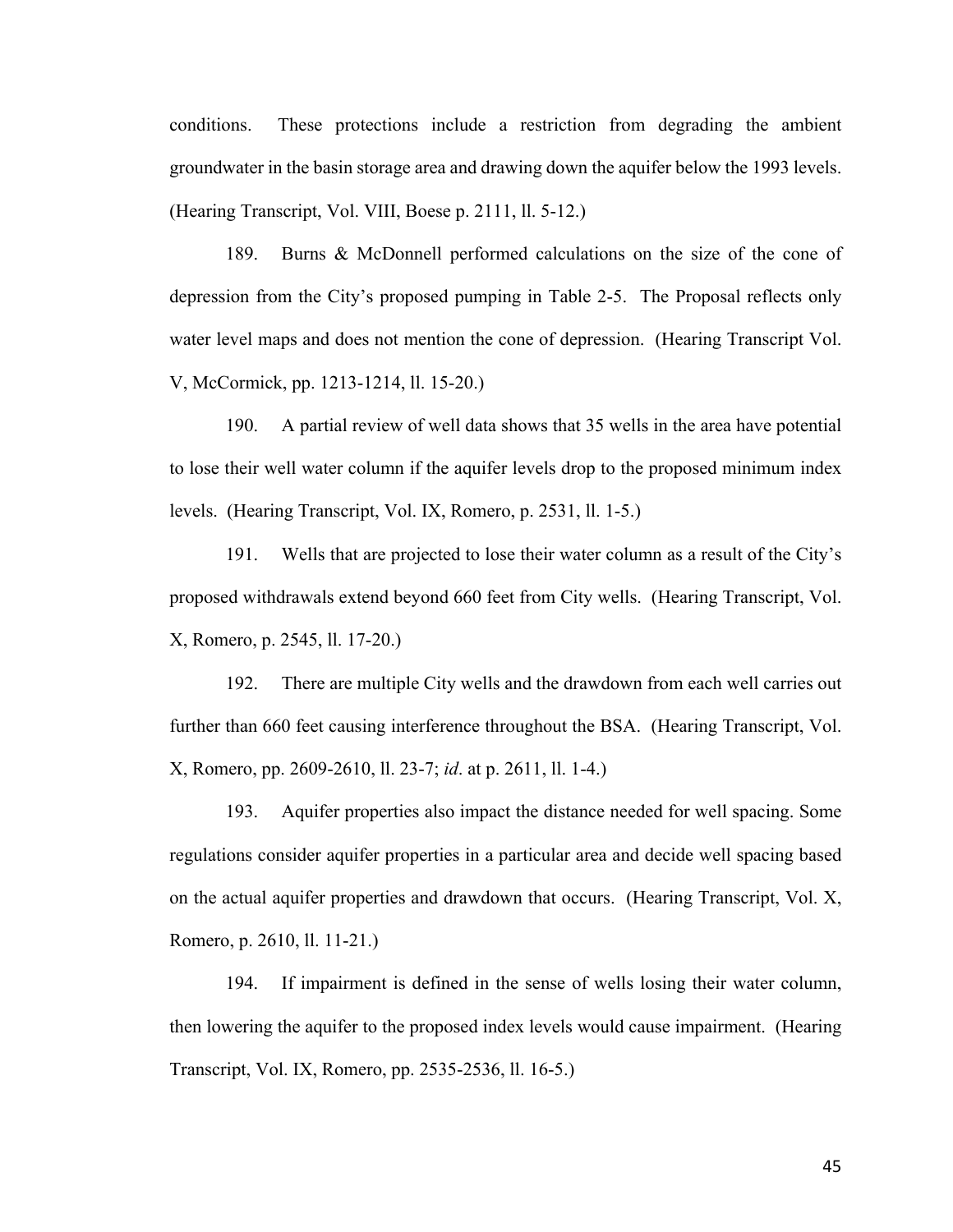conditions. These protections include a restriction from degrading the ambient groundwater in the basin storage area and drawing down the aquifer below the 1993 levels. (Hearing Transcript, Vol. VIII, Boese p. 2111, ll. 5-12.)

189. Burns & McDonnell performed calculations on the size of the cone of depression from the City's proposed pumping in Table 2-5. The Proposal reflects only water level maps and does not mention the cone of depression. (Hearing Transcript Vol. V, McCormick, pp. 1213-1214, ll. 15-20.)

190. A partial review of well data shows that 35 wells in the area have potential to lose their well water column if the aquifer levels drop to the proposed minimum index levels. (Hearing Transcript, Vol. IX, Romero, p. 2531, ll. 1-5.)

191. Wells that are projected to lose their water column as a result of the City's proposed withdrawals extend beyond 660 feet from City wells. (Hearing Transcript, Vol. X, Romero, p. 2545, ll. 17-20.)

192. There are multiple City wells and the drawdown from each well carries out further than 660 feet causing interference throughout the BSA. (Hearing Transcript, Vol. X, Romero, pp. 2609-2610, ll. 23-7; *id*. at p. 2611, ll. 1-4.)

193. Aquifer properties also impact the distance needed for well spacing. Some regulations consider aquifer properties in a particular area and decide well spacing based on the actual aquifer properties and drawdown that occurs. (Hearing Transcript, Vol. X, Romero, p. 2610, ll. 11-21.)

194. If impairment is defined in the sense of wells losing their water column, then lowering the aquifer to the proposed index levels would cause impairment. (Hearing Transcript, Vol. IX, Romero, pp. 2535-2536, ll. 16-5.)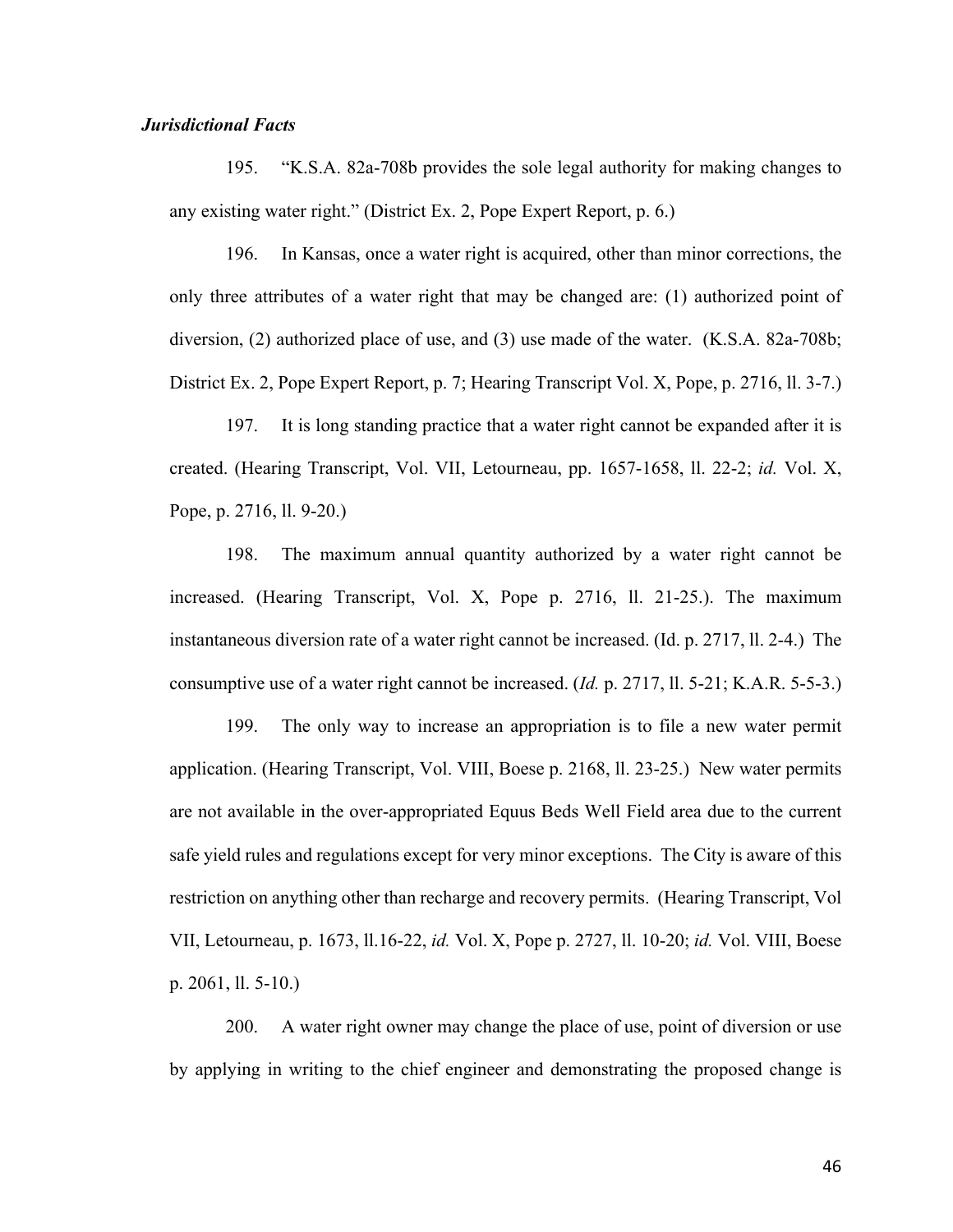# *Jurisdictional Facts*

195. "K.S.A. 82a-708b provides the sole legal authority for making changes to any existing water right." (District Ex. 2, Pope Expert Report, p. 6.)

196. In Kansas, once a water right is acquired, other than minor corrections, the only three attributes of a water right that may be changed are: (1) authorized point of diversion, (2) authorized place of use, and (3) use made of the water. (K.S.A. 82a-708b; District Ex. 2, Pope Expert Report, p. 7; Hearing Transcript Vol. X, Pope, p. 2716, ll. 3-7.)

197. It is long standing practice that a water right cannot be expanded after it is created. (Hearing Transcript, Vol. VII, Letourneau, pp. 1657-1658, ll. 22-2; *id.* Vol. X, Pope, p. 2716, ll. 9-20.)

198. The maximum annual quantity authorized by a water right cannot be increased. (Hearing Transcript, Vol. X, Pope p. 2716, ll. 21-25.). The maximum instantaneous diversion rate of a water right cannot be increased. (Id. p. 2717, ll. 2-4.) The consumptive use of a water right cannot be increased. (*Id.* p. 2717, ll. 5-21; K.A.R. 5-5-3.)

199. The only way to increase an appropriation is to file a new water permit application. (Hearing Transcript, Vol. VIII, Boese p. 2168, ll. 23-25.) New water permits are not available in the over-appropriated Equus Beds Well Field area due to the current safe yield rules and regulations except for very minor exceptions. The City is aware of this restriction on anything other than recharge and recovery permits. (Hearing Transcript, Vol VII, Letourneau, p. 1673, ll.16-22, *id.* Vol. X, Pope p. 2727, ll. 10-20; *id.* Vol. VIII, Boese p. 2061, ll. 5-10.)

200. A water right owner may change the place of use, point of diversion or use by applying in writing to the chief engineer and demonstrating the proposed change is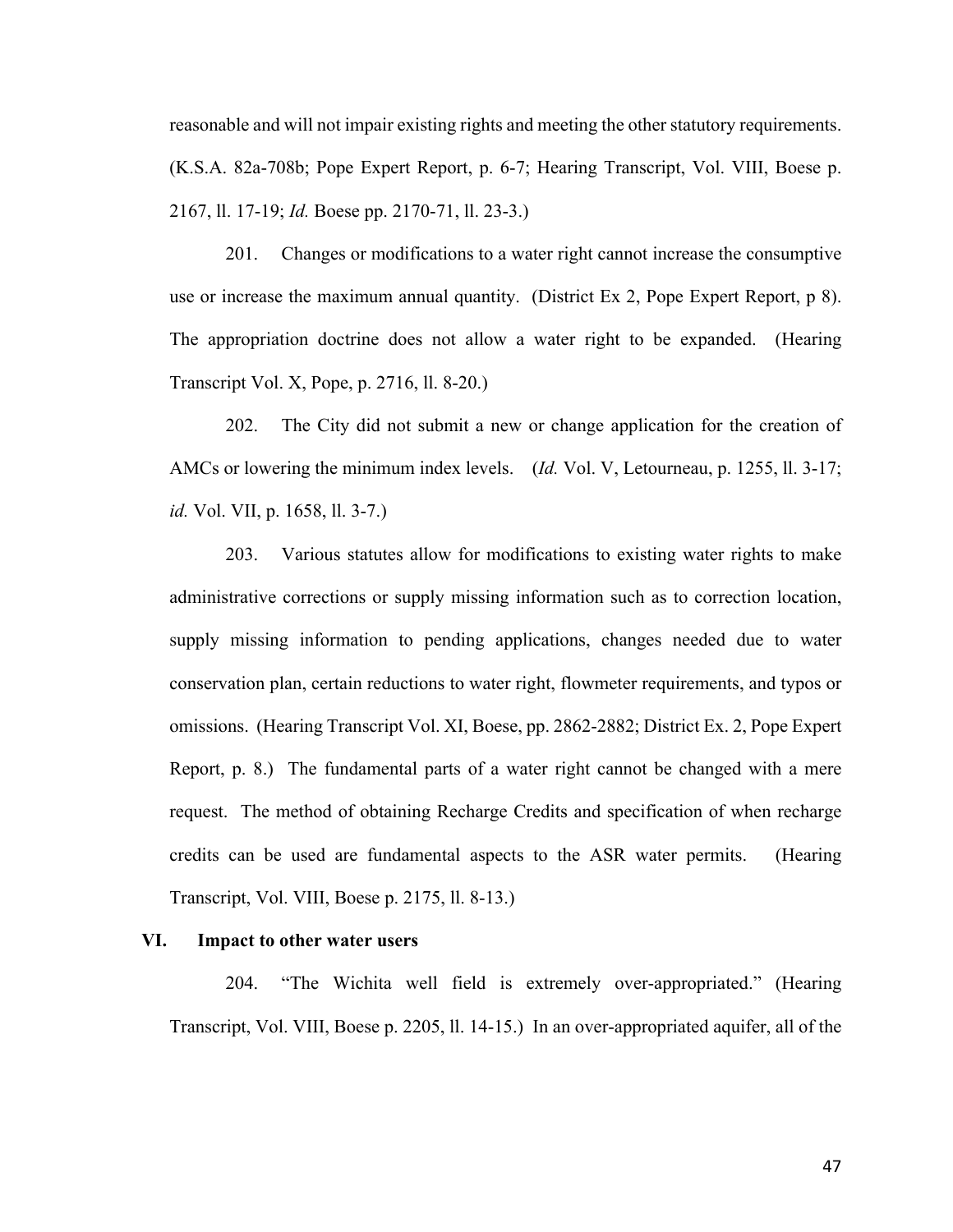reasonable and will not impair existing rights and meeting the other statutory requirements. (K.S.A. 82a-708b; Pope Expert Report, p. 6-7; Hearing Transcript, Vol. VIII, Boese p. 2167, ll. 17-19; *Id.* Boese pp. 2170-71, ll. 23-3.)

201. Changes or modifications to a water right cannot increase the consumptive use or increase the maximum annual quantity. (District Ex 2, Pope Expert Report, p 8). The appropriation doctrine does not allow a water right to be expanded. (Hearing Transcript Vol. X, Pope, p. 2716, ll. 8-20.)

202. The City did not submit a new or change application for the creation of AMCs or lowering the minimum index levels. (*Id.* Vol. V, Letourneau, p. 1255, ll. 3-17; *id.* Vol. VII, p. 1658, ll. 3-7.)

203. Various statutes allow for modifications to existing water rights to make administrative corrections or supply missing information such as to correction location, supply missing information to pending applications, changes needed due to water conservation plan, certain reductions to water right, flowmeter requirements, and typos or omissions. (Hearing Transcript Vol. XI, Boese, pp. 2862-2882; District Ex. 2, Pope Expert Report, p. 8.) The fundamental parts of a water right cannot be changed with a mere request. The method of obtaining Recharge Credits and specification of when recharge credits can be used are fundamental aspects to the ASR water permits. (Hearing Transcript, Vol. VIII, Boese p. 2175, ll. 8-13.)

# **VI. Impact to other water users**

204. "The Wichita well field is extremely over-appropriated." (Hearing Transcript, Vol. VIII, Boese p. 2205, ll. 14-15.) In an over-appropriated aquifer, all of the

47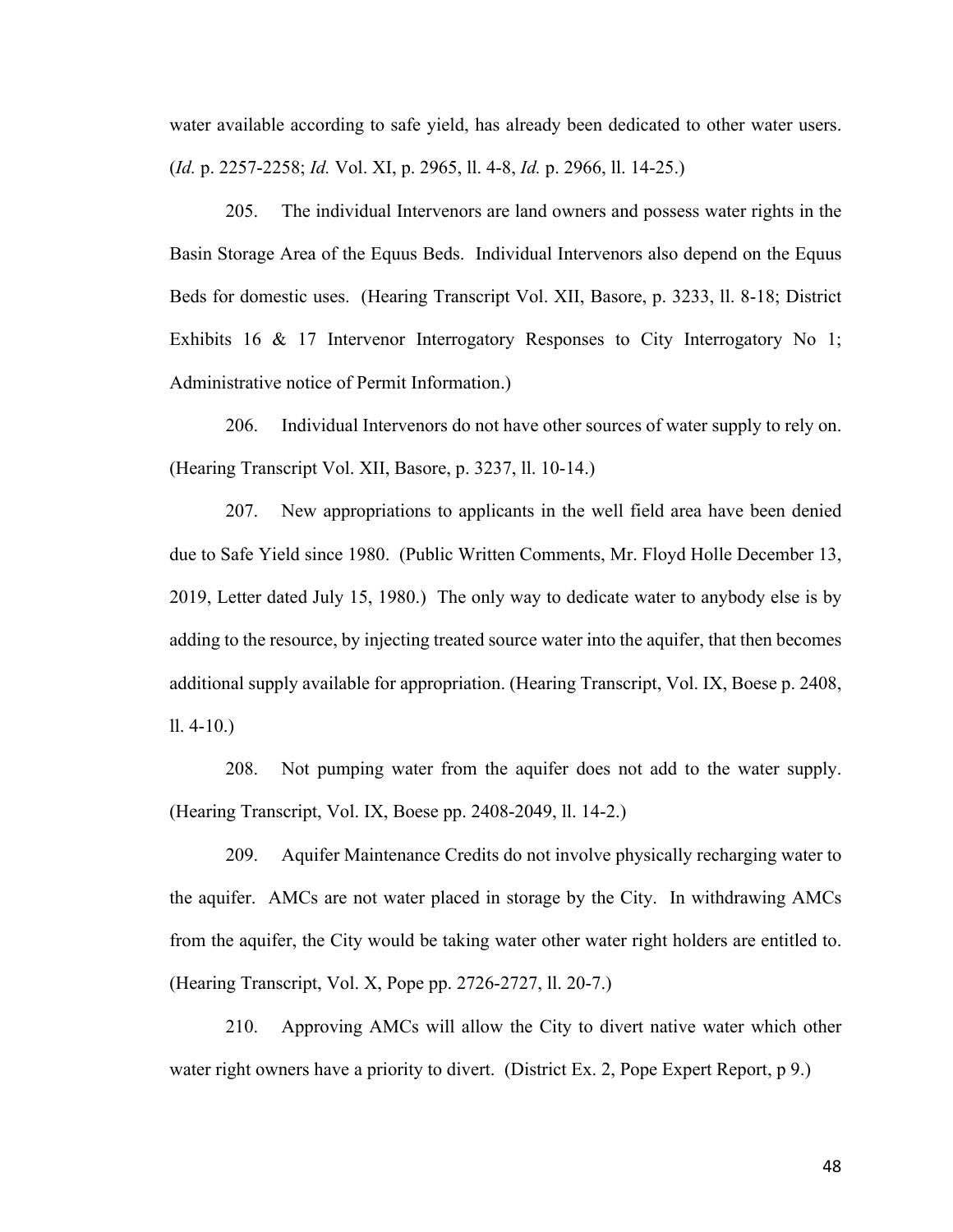water available according to safe yield, has already been dedicated to other water users. (*Id.* p. 2257-2258; *Id.* Vol. XI, p. 2965, ll. 4-8, *Id.* p. 2966, ll. 14-25.)

205. The individual Intervenors are land owners and possess water rights in the Basin Storage Area of the Equus Beds. Individual Intervenors also depend on the Equus Beds for domestic uses. (Hearing Transcript Vol. XII, Basore, p. 3233, ll. 8-18; District Exhibits 16 & 17 Intervenor Interrogatory Responses to City Interrogatory No 1; Administrative notice of Permit Information.)

206. Individual Intervenors do not have other sources of water supply to rely on. (Hearing Transcript Vol. XII, Basore, p. 3237, ll. 10-14.)

207. New appropriations to applicants in the well field area have been denied due to Safe Yield since 1980. (Public Written Comments, Mr. Floyd Holle December 13, 2019, Letter dated July 15, 1980.) The only way to dedicate water to anybody else is by adding to the resource, by injecting treated source water into the aquifer, that then becomes additional supply available for appropriation. (Hearing Transcript, Vol. IX, Boese p. 2408, ll. 4-10.)

208. Not pumping water from the aquifer does not add to the water supply. (Hearing Transcript, Vol. IX, Boese pp. 2408-2049, ll. 14-2.)

209. Aquifer Maintenance Credits do not involve physically recharging water to the aquifer. AMCs are not water placed in storage by the City. In withdrawing AMCs from the aquifer, the City would be taking water other water right holders are entitled to. (Hearing Transcript, Vol. X, Pope pp. 2726-2727, ll. 20-7.)

210. Approving AMCs will allow the City to divert native water which other water right owners have a priority to divert. (District Ex. 2, Pope Expert Report, p 9.)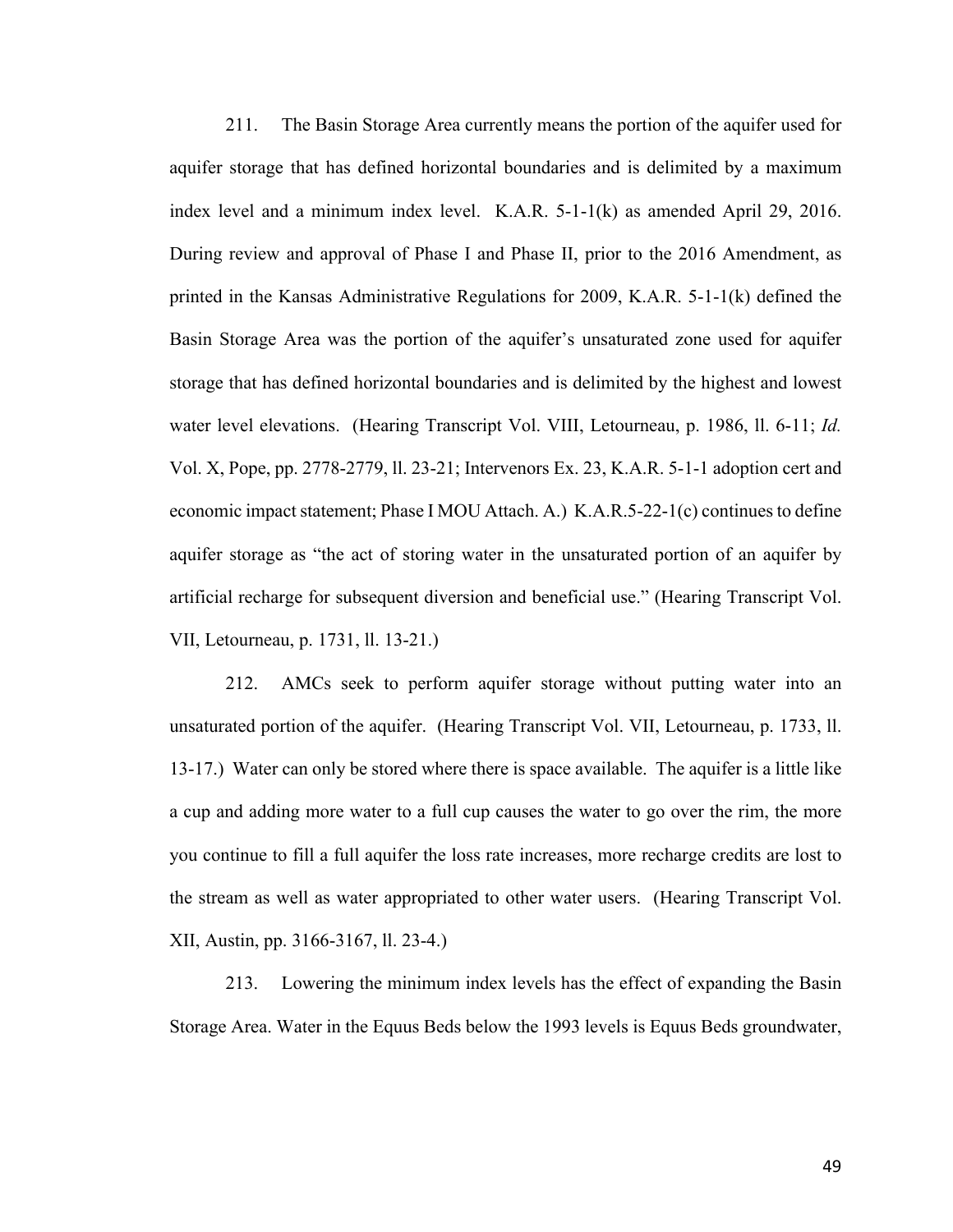211. The Basin Storage Area currently means the portion of the aquifer used for aquifer storage that has defined horizontal boundaries and is delimited by a maximum index level and a minimum index level. K.A.R. 5-1-1(k) as amended April 29, 2016. During review and approval of Phase I and Phase II, prior to the 2016 Amendment, as printed in the Kansas Administrative Regulations for 2009, K.A.R. 5-1-1(k) defined the Basin Storage Area was the portion of the aquifer's unsaturated zone used for aquifer storage that has defined horizontal boundaries and is delimited by the highest and lowest water level elevations. (Hearing Transcript Vol. VIII, Letourneau, p. 1986, ll. 6-11; *Id.* Vol. X, Pope, pp. 2778-2779, ll. 23-21; Intervenors Ex. 23, K.A.R. 5-1-1 adoption cert and economic impact statement; Phase I MOU Attach. A.) K.A.R.5-22-1(c) continues to define aquifer storage as "the act of storing water in the unsaturated portion of an aquifer by artificial recharge for subsequent diversion and beneficial use." (Hearing Transcript Vol. VII, Letourneau, p. 1731, ll. 13-21.)

212. AMCs seek to perform aquifer storage without putting water into an unsaturated portion of the aquifer. (Hearing Transcript Vol. VII, Letourneau, p. 1733, ll. 13-17.) Water can only be stored where there is space available. The aquifer is a little like a cup and adding more water to a full cup causes the water to go over the rim, the more you continue to fill a full aquifer the loss rate increases, more recharge credits are lost to the stream as well as water appropriated to other water users. (Hearing Transcript Vol. XII, Austin, pp. 3166-3167, ll. 23-4.)

213. Lowering the minimum index levels has the effect of expanding the Basin Storage Area. Water in the Equus Beds below the 1993 levels is Equus Beds groundwater,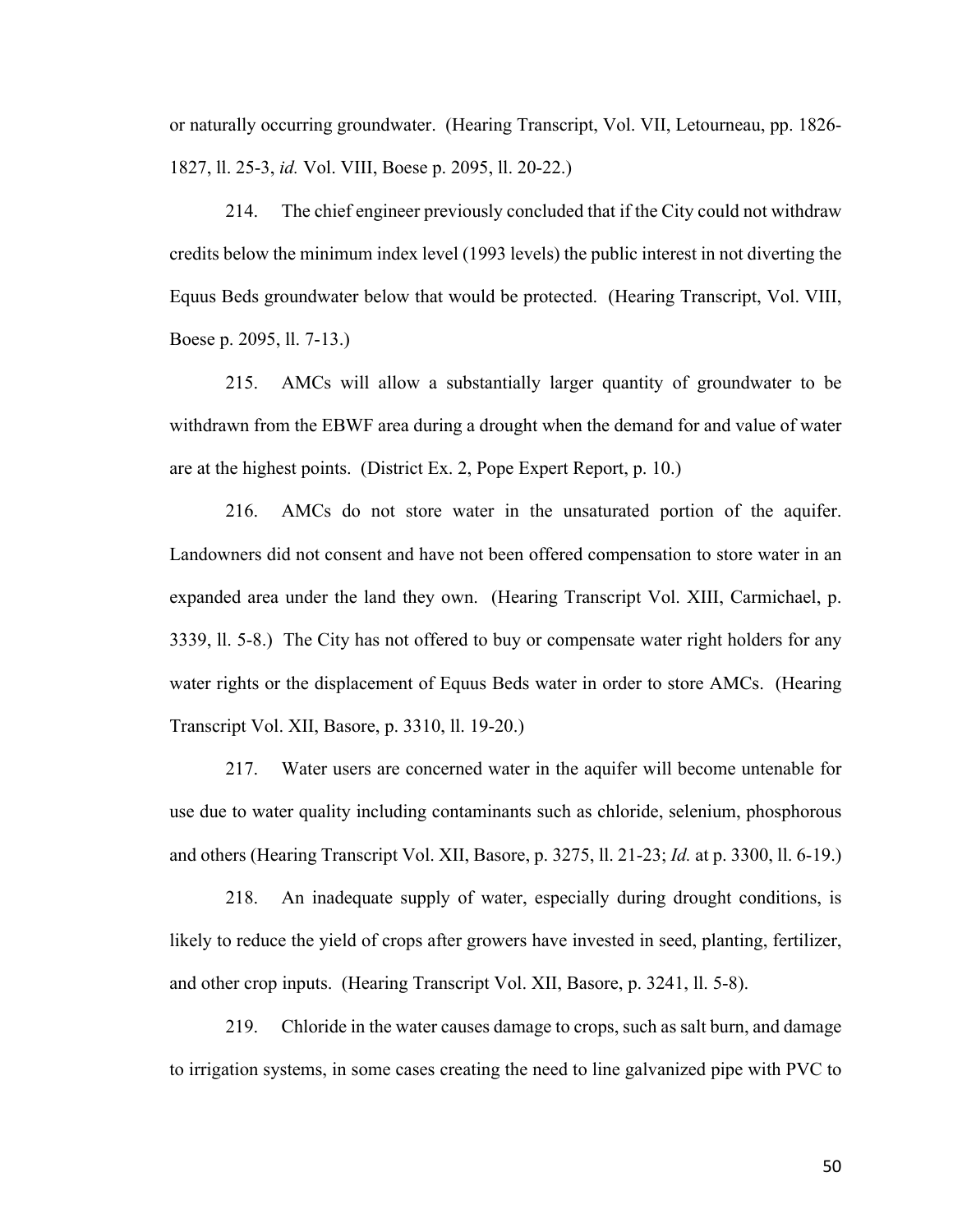or naturally occurring groundwater. (Hearing Transcript, Vol. VII, Letourneau, pp. 1826- 1827, ll. 25-3, *id.* Vol. VIII, Boese p. 2095, ll. 20-22.)

214. The chief engineer previously concluded that if the City could not withdraw credits below the minimum index level (1993 levels) the public interest in not diverting the Equus Beds groundwater below that would be protected. (Hearing Transcript, Vol. VIII, Boese p. 2095, ll. 7-13.)

215. AMCs will allow a substantially larger quantity of groundwater to be withdrawn from the EBWF area during a drought when the demand for and value of water are at the highest points. (District Ex. 2, Pope Expert Report, p. 10.)

216. AMCs do not store water in the unsaturated portion of the aquifer. Landowners did not consent and have not been offered compensation to store water in an expanded area under the land they own. (Hearing Transcript Vol. XIII, Carmichael, p. 3339, ll. 5-8.) The City has not offered to buy or compensate water right holders for any water rights or the displacement of Equus Beds water in order to store AMCs. (Hearing Transcript Vol. XII, Basore, p. 3310, ll. 19-20.)

217. Water users are concerned water in the aquifer will become untenable for use due to water quality including contaminants such as chloride, selenium, phosphorous and others (Hearing Transcript Vol. XII, Basore, p. 3275, ll. 21-23; *Id.* at p. 3300, ll. 6-19.)

218. An inadequate supply of water, especially during drought conditions, is likely to reduce the yield of crops after growers have invested in seed, planting, fertilizer, and other crop inputs. (Hearing Transcript Vol. XII, Basore, p. 3241, ll. 5-8).

219. Chloride in the water causes damage to crops, such as salt burn, and damage to irrigation systems, in some cases creating the need to line galvanized pipe with PVC to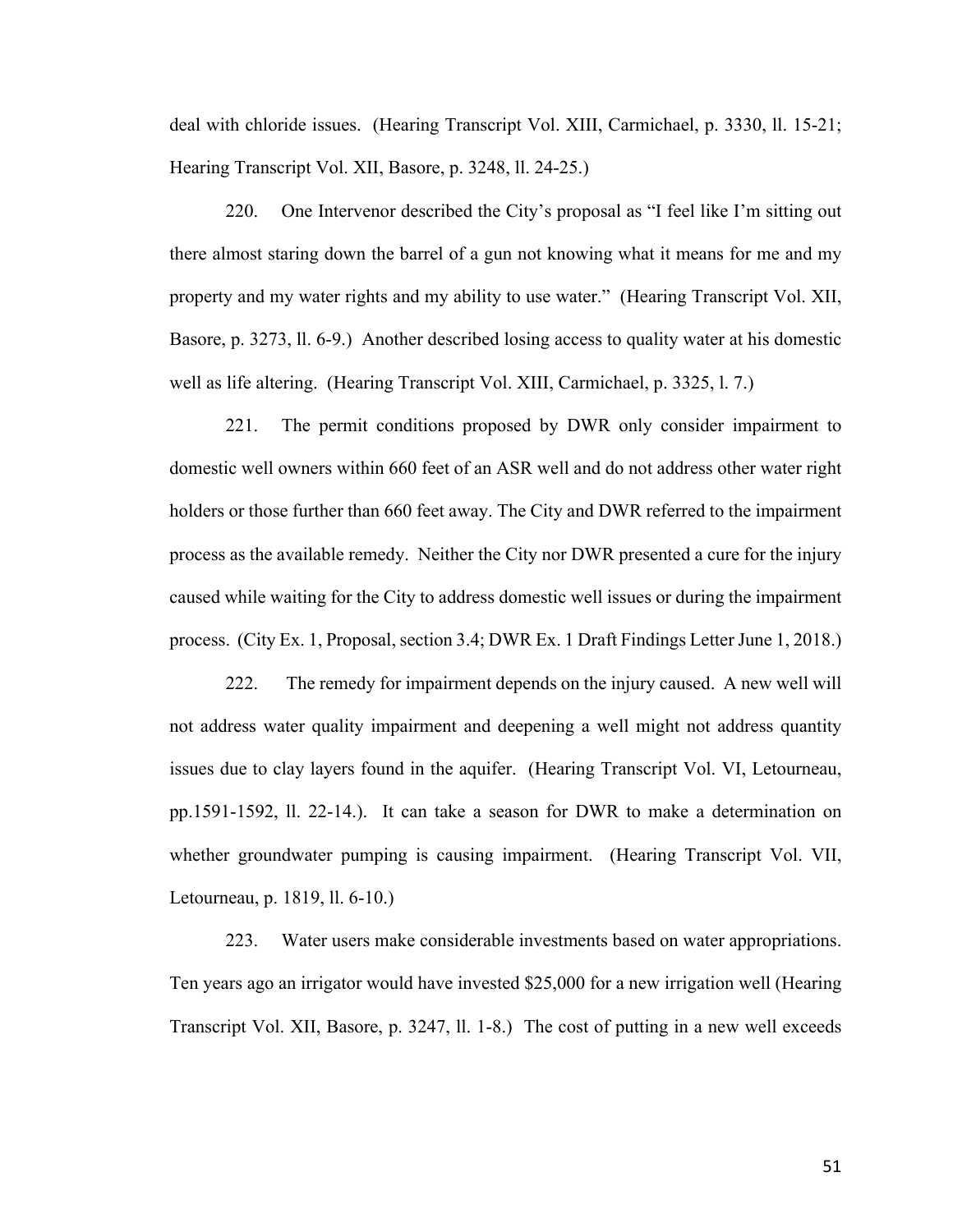deal with chloride issues. (Hearing Transcript Vol. XIII, Carmichael, p. 3330, ll. 15-21; Hearing Transcript Vol. XII, Basore, p. 3248, ll. 24-25.)

220. One Intervenor described the City's proposal as "I feel like I'm sitting out there almost staring down the barrel of a gun not knowing what it means for me and my property and my water rights and my ability to use water." (Hearing Transcript Vol. XII, Basore, p. 3273, ll. 6-9.) Another described losing access to quality water at his domestic well as life altering. (Hearing Transcript Vol. XIII, Carmichael, p. 3325, l. 7.)

221. The permit conditions proposed by DWR only consider impairment to domestic well owners within 660 feet of an ASR well and do not address other water right holders or those further than 660 feet away. The City and DWR referred to the impairment process as the available remedy. Neither the City nor DWR presented a cure for the injury caused while waiting for the City to address domestic well issues or during the impairment process. (City Ex. 1, Proposal, section 3.4; DWR Ex. 1 Draft Findings Letter June 1, 2018.)

222. The remedy for impairment depends on the injury caused. A new well will not address water quality impairment and deepening a well might not address quantity issues due to clay layers found in the aquifer. (Hearing Transcript Vol. VI, Letourneau, pp.1591-1592, ll. 22-14.). It can take a season for DWR to make a determination on whether groundwater pumping is causing impairment. (Hearing Transcript Vol. VII, Letourneau, p. 1819, ll. 6-10.)

223. Water users make considerable investments based on water appropriations. Ten years ago an irrigator would have invested \$25,000 for a new irrigation well (Hearing Transcript Vol. XII, Basore, p. 3247, ll. 1-8.) The cost of putting in a new well exceeds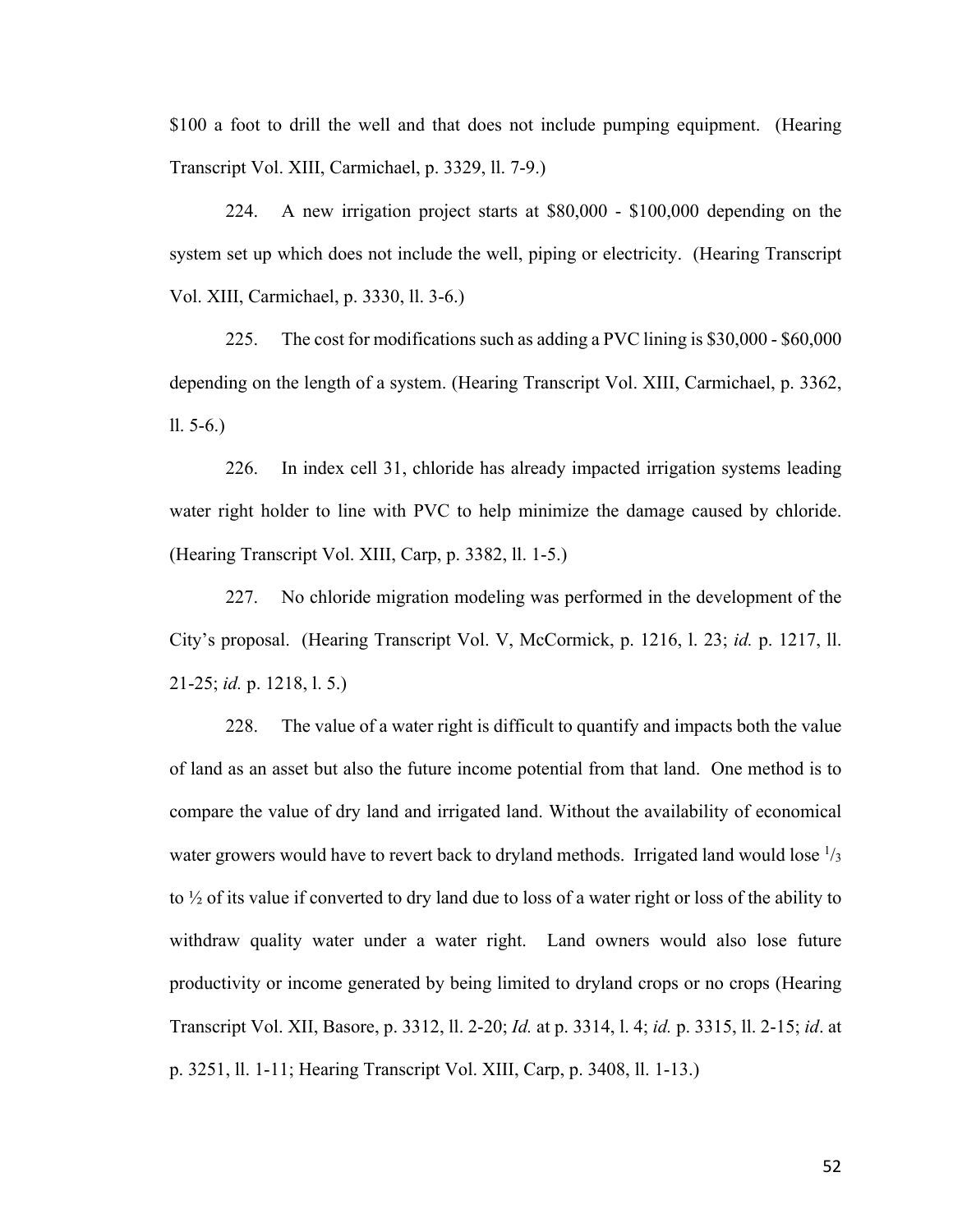\$100 a foot to drill the well and that does not include pumping equipment. (Hearing Transcript Vol. XIII, Carmichael, p. 3329, ll. 7-9.)

224. A new irrigation project starts at \$80,000 - \$100,000 depending on the system set up which does not include the well, piping or electricity. (Hearing Transcript Vol. XIII, Carmichael, p. 3330, ll. 3-6.)

225. The cost for modifications such as adding a PVC lining is \$30,000 - \$60,000 depending on the length of a system. (Hearing Transcript Vol. XIII, Carmichael, p. 3362, ll. 5-6.)

226. In index cell 31, chloride has already impacted irrigation systems leading water right holder to line with PVC to help minimize the damage caused by chloride. (Hearing Transcript Vol. XIII, Carp, p. 3382, ll. 1-5.)

227. No chloride migration modeling was performed in the development of the City's proposal. (Hearing Transcript Vol. V, McCormick, p. 1216, l. 23; *id.* p. 1217, ll. 21-25; *id.* p. 1218, l. 5.)

228. The value of a water right is difficult to quantify and impacts both the value of land as an asset but also the future income potential from that land. One method is to compare the value of dry land and irrigated land. Without the availability of economical water growers would have to revert back to dryland methods. Irrigated land would lose  $\frac{1}{3}$ to ½ of its value if converted to dry land due to loss of a water right or loss of the ability to withdraw quality water under a water right. Land owners would also lose future productivity or income generated by being limited to dryland crops or no crops (Hearing Transcript Vol. XII, Basore, p. 3312, ll. 2-20; *Id.* at p. 3314, l. 4; *id.* p. 3315, ll. 2-15; *id*. at p. 3251, ll. 1-11; Hearing Transcript Vol. XIII, Carp, p. 3408, ll. 1-13.)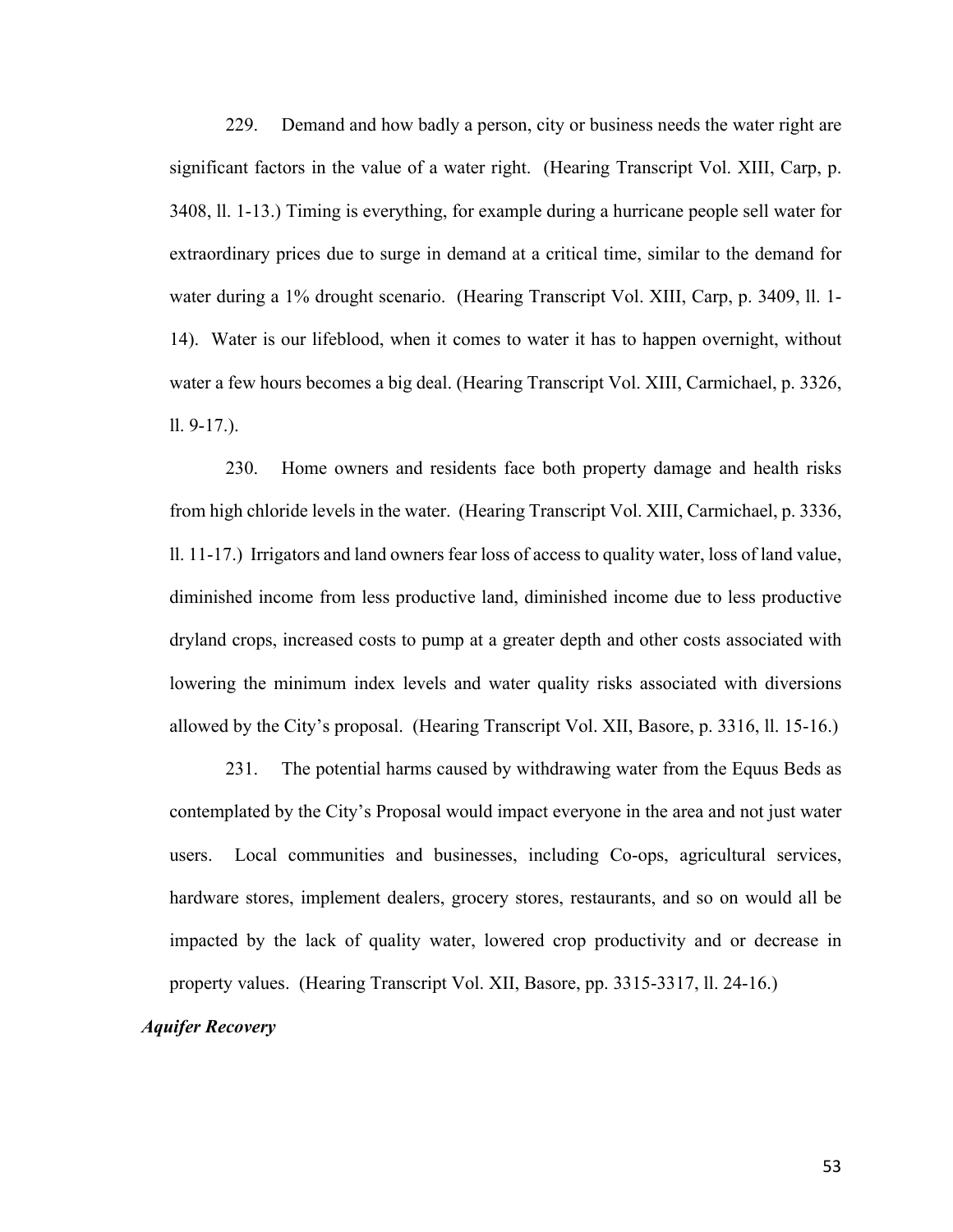229. Demand and how badly a person, city or business needs the water right are significant factors in the value of a water right. (Hearing Transcript Vol. XIII, Carp, p. 3408, ll. 1-13.) Timing is everything, for example during a hurricane people sell water for extraordinary prices due to surge in demand at a critical time, similar to the demand for water during a 1% drought scenario. (Hearing Transcript Vol. XIII, Carp, p. 3409, ll. 1- 14). Water is our lifeblood, when it comes to water it has to happen overnight, without water a few hours becomes a big deal. (Hearing Transcript Vol. XIII, Carmichael, p. 3326, ll. 9-17.).

230. Home owners and residents face both property damage and health risks from high chloride levels in the water. (Hearing Transcript Vol. XIII, Carmichael, p. 3336, ll. 11-17.) Irrigators and land owners fear loss of access to quality water, loss of land value, diminished income from less productive land, diminished income due to less productive dryland crops, increased costs to pump at a greater depth and other costs associated with lowering the minimum index levels and water quality risks associated with diversions allowed by the City's proposal. (Hearing Transcript Vol. XII, Basore, p. 3316, ll. 15-16.)

231. The potential harms caused by withdrawing water from the Equus Beds as contemplated by the City's Proposal would impact everyone in the area and not just water users. Local communities and businesses, including Co-ops, agricultural services, hardware stores, implement dealers, grocery stores, restaurants, and so on would all be impacted by the lack of quality water, lowered crop productivity and or decrease in property values. (Hearing Transcript Vol. XII, Basore, pp. 3315-3317, ll. 24-16.)

# *Aquifer Recovery*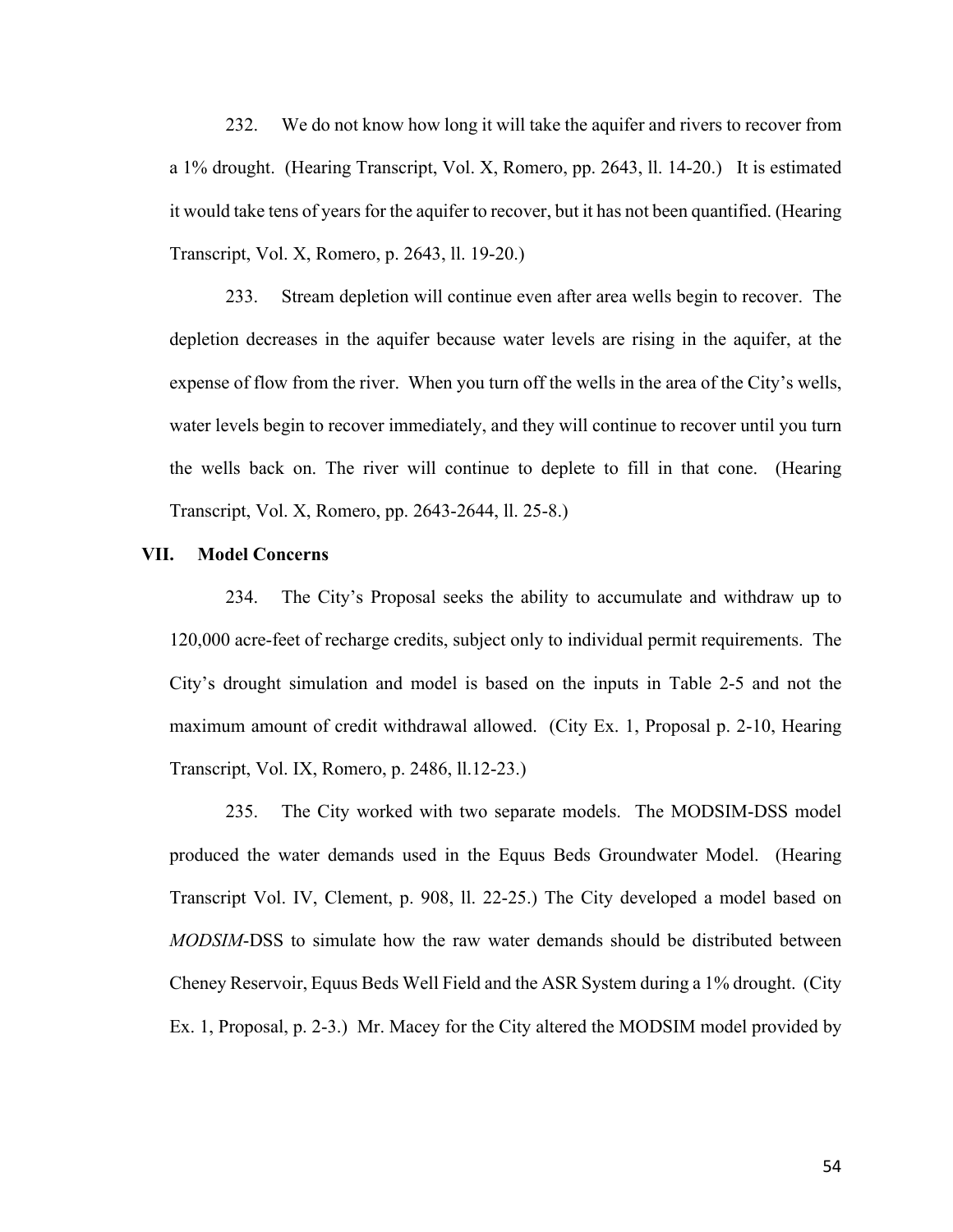232. We do not know how long it will take the aquifer and rivers to recover from a 1% drought. (Hearing Transcript, Vol. X, Romero, pp. 2643, ll. 14-20.) It is estimated it would take tens of years for the aquifer to recover, but it has not been quantified. (Hearing Transcript, Vol. X, Romero, p. 2643, ll. 19-20.)

233. Stream depletion will continue even after area wells begin to recover. The depletion decreases in the aquifer because water levels are rising in the aquifer, at the expense of flow from the river. When you turn off the wells in the area of the City's wells, water levels begin to recover immediately, and they will continue to recover until you turn the wells back on. The river will continue to deplete to fill in that cone. (Hearing Transcript, Vol. X, Romero, pp. 2643-2644, ll. 25-8.)

#### **VII. Model Concerns**

234. The City's Proposal seeks the ability to accumulate and withdraw up to 120,000 acre-feet of recharge credits, subject only to individual permit requirements. The City's drought simulation and model is based on the inputs in Table 2-5 and not the maximum amount of credit withdrawal allowed. (City Ex. 1, Proposal p. 2-10, Hearing Transcript, Vol. IX, Romero, p. 2486, ll.12-23.)

235. The City worked with two separate models. The MODSIM-DSS model produced the water demands used in the Equus Beds Groundwater Model. (Hearing Transcript Vol. IV, Clement, p. 908, ll. 22-25.) The City developed a model based on *MODSIM*-DSS to simulate how the raw water demands should be distributed between Cheney Reservoir, Equus Beds Well Field and the ASR System during a 1% drought. (City Ex. 1, Proposal, p. 2-3.) Mr. Macey for the City altered the MODSIM model provided by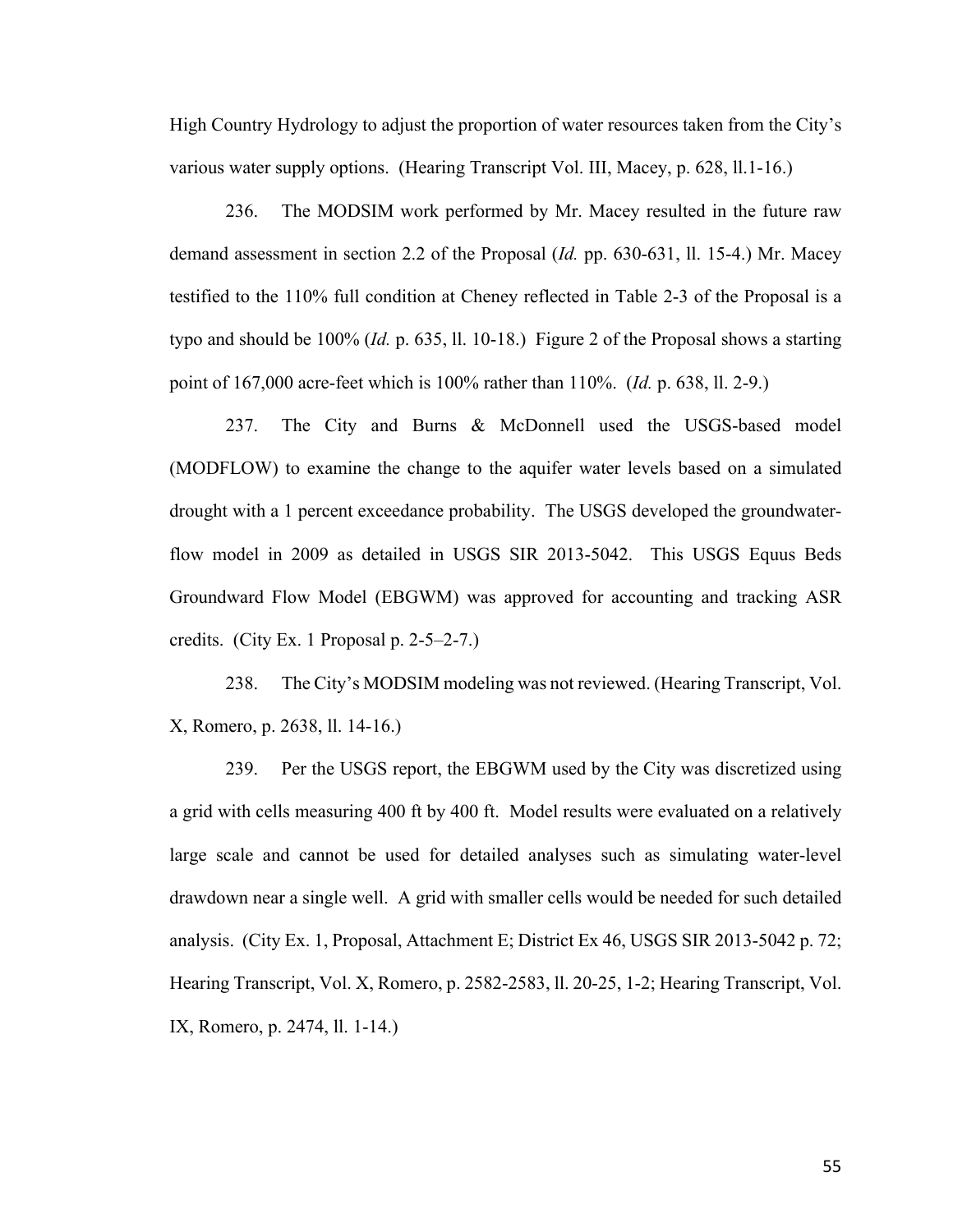High Country Hydrology to adjust the proportion of water resources taken from the City's various water supply options. (Hearing Transcript Vol. III, Macey, p. 628, ll.1-16.)

236. The MODSIM work performed by Mr. Macey resulted in the future raw demand assessment in section 2.2 of the Proposal (*Id.* pp. 630-631, ll. 15-4.) Mr. Macey testified to the 110% full condition at Cheney reflected in Table 2-3 of the Proposal is a typo and should be 100% (*Id.* p. 635, ll. 10-18.) Figure 2 of the Proposal shows a starting point of 167,000 acre-feet which is 100% rather than 110%. (*Id.* p. 638, ll. 2-9.)

237. The City and Burns & McDonnell used the USGS-based model (MODFLOW) to examine the change to the aquifer water levels based on a simulated drought with a 1 percent exceedance probability. The USGS developed the groundwaterflow model in 2009 as detailed in USGS SIR 2013-5042. This USGS Equus Beds Groundward Flow Model (EBGWM) was approved for accounting and tracking ASR credits. (City Ex. 1 Proposal p. 2-5–2-7.)

238. The City's MODSIM modeling was not reviewed. (Hearing Transcript, Vol. X, Romero, p. 2638, ll. 14-16.)

239. Per the USGS report, the EBGWM used by the City was discretized using a grid with cells measuring 400 ft by 400 ft. Model results were evaluated on a relatively large scale and cannot be used for detailed analyses such as simulating water-level drawdown near a single well. A grid with smaller cells would be needed for such detailed analysis. (City Ex. 1, Proposal, Attachment E; District Ex 46, USGS SIR 2013-5042 p. 72; Hearing Transcript, Vol. X, Romero, p. 2582-2583, ll. 20-25, 1-2; Hearing Transcript, Vol. IX, Romero, p. 2474, ll. 1-14.)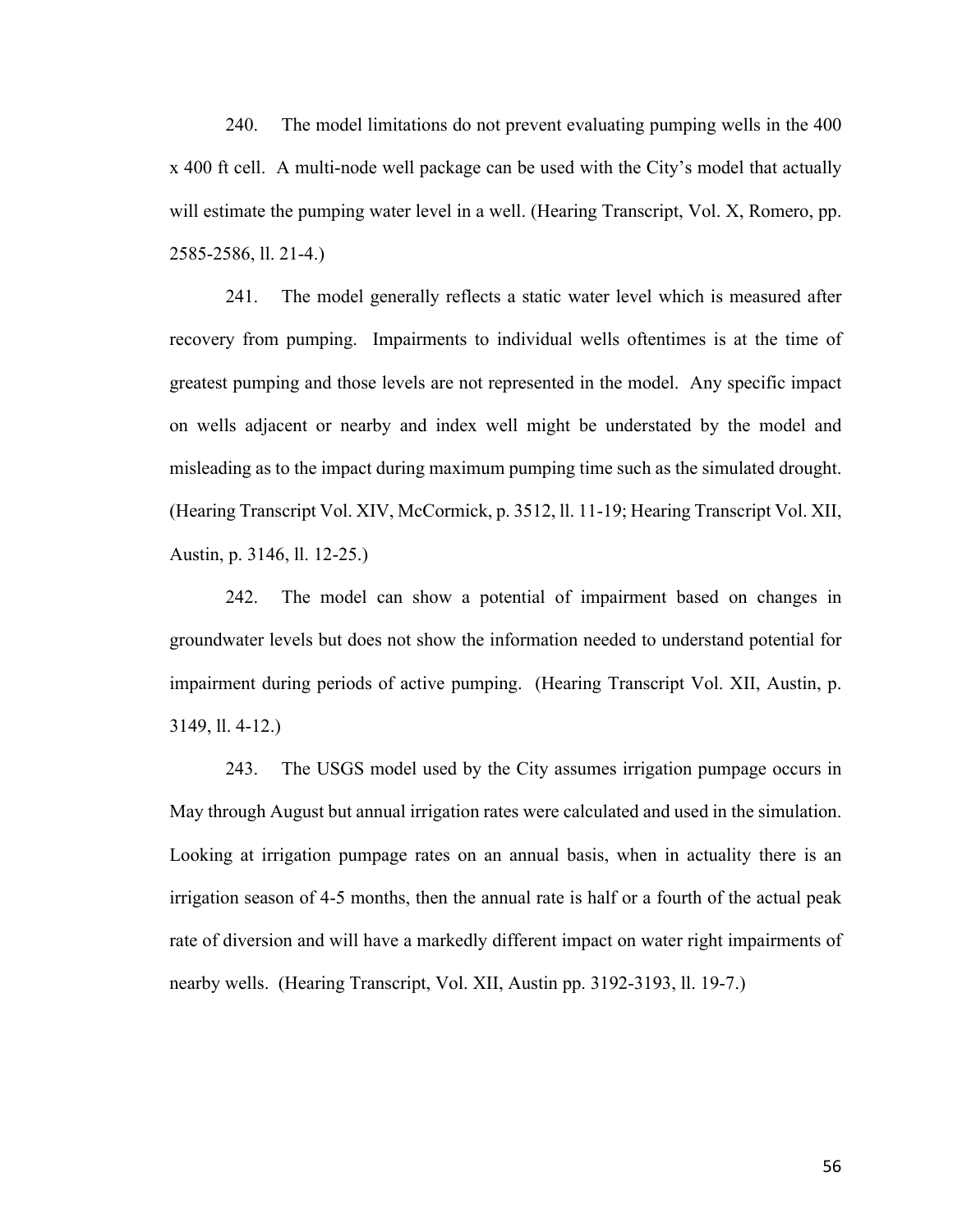240. The model limitations do not prevent evaluating pumping wells in the 400 x 400 ft cell. A multi-node well package can be used with the City's model that actually will estimate the pumping water level in a well. (Hearing Transcript, Vol. X, Romero, pp. 2585-2586, ll. 21-4.)

241. The model generally reflects a static water level which is measured after recovery from pumping. Impairments to individual wells oftentimes is at the time of greatest pumping and those levels are not represented in the model. Any specific impact on wells adjacent or nearby and index well might be understated by the model and misleading as to the impact during maximum pumping time such as the simulated drought. (Hearing Transcript Vol. XIV, McCormick, p. 3512, ll. 11-19; Hearing Transcript Vol. XII, Austin, p. 3146, ll. 12-25.)

242. The model can show a potential of impairment based on changes in groundwater levels but does not show the information needed to understand potential for impairment during periods of active pumping. (Hearing Transcript Vol. XII, Austin, p. 3149, ll. 4-12.)

243. The USGS model used by the City assumes irrigation pumpage occurs in May through August but annual irrigation rates were calculated and used in the simulation. Looking at irrigation pumpage rates on an annual basis, when in actuality there is an irrigation season of 4-5 months, then the annual rate is half or a fourth of the actual peak rate of diversion and will have a markedly different impact on water right impairments of nearby wells. (Hearing Transcript, Vol. XII, Austin pp. 3192-3193, ll. 19-7.)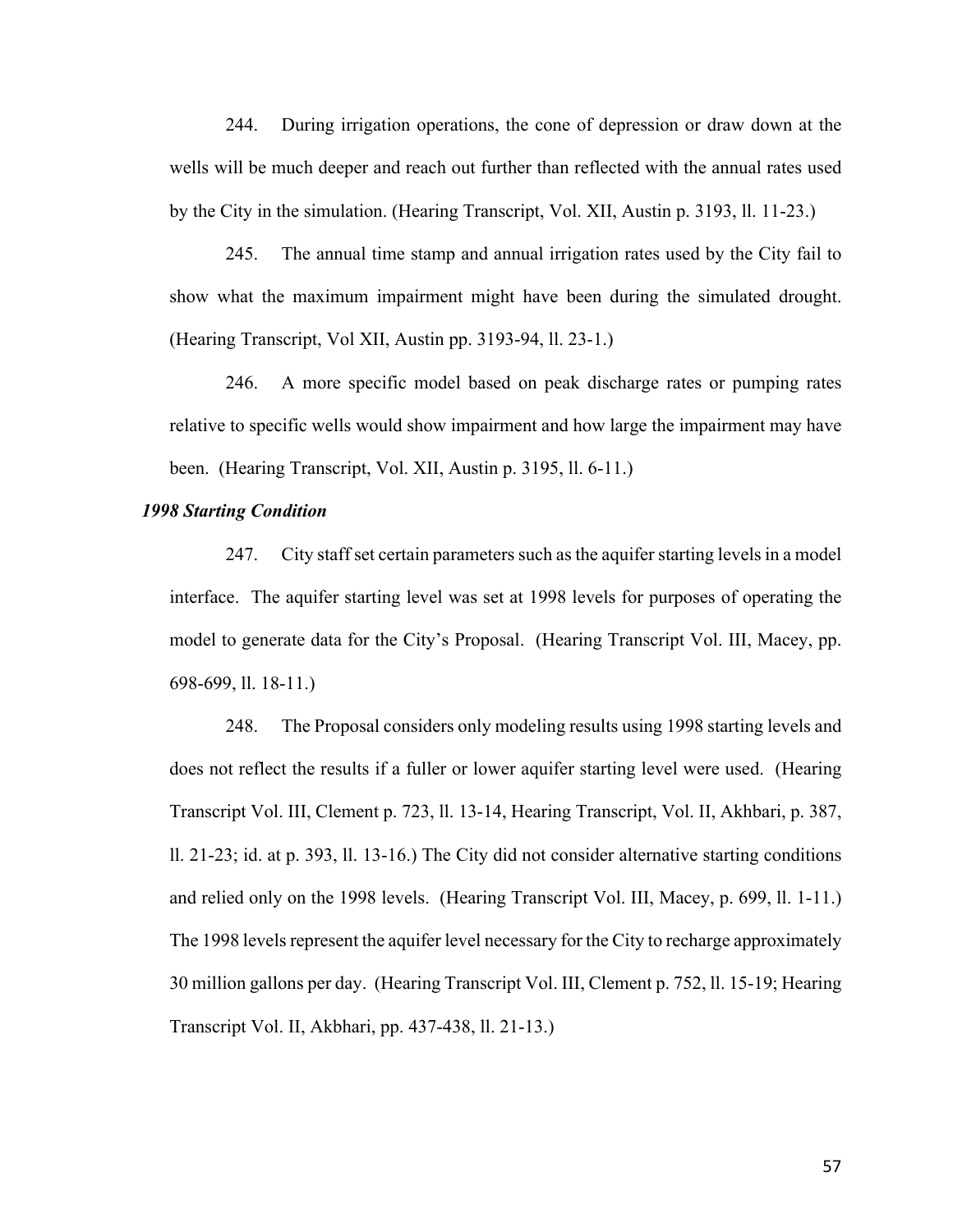244. During irrigation operations, the cone of depression or draw down at the wells will be much deeper and reach out further than reflected with the annual rates used by the City in the simulation. (Hearing Transcript, Vol. XII, Austin p. 3193, ll. 11-23.)

245. The annual time stamp and annual irrigation rates used by the City fail to show what the maximum impairment might have been during the simulated drought. (Hearing Transcript, Vol XII, Austin pp. 3193-94, ll. 23-1.)

246. A more specific model based on peak discharge rates or pumping rates relative to specific wells would show impairment and how large the impairment may have been. (Hearing Transcript, Vol. XII, Austin p. 3195, ll. 6-11.)

## *1998 Starting Condition*

247. City staff set certain parameters such as the aquifer starting levels in a model interface. The aquifer starting level was set at 1998 levels for purposes of operating the model to generate data for the City's Proposal. (Hearing Transcript Vol. III, Macey, pp. 698-699, ll. 18-11.)

248. The Proposal considers only modeling results using 1998 starting levels and does not reflect the results if a fuller or lower aquifer starting level were used. (Hearing Transcript Vol. III, Clement p. 723, ll. 13-14, Hearing Transcript, Vol. II, Akhbari, p. 387, ll. 21-23; id. at p. 393, ll. 13-16.) The City did not consider alternative starting conditions and relied only on the 1998 levels. (Hearing Transcript Vol. III, Macey, p. 699, ll. 1-11.) The 1998 levels represent the aquifer level necessary for the City to recharge approximately 30 million gallons per day. (Hearing Transcript Vol. III, Clement p. 752, ll. 15-19; Hearing Transcript Vol. II, Akbhari, pp. 437-438, ll. 21-13.)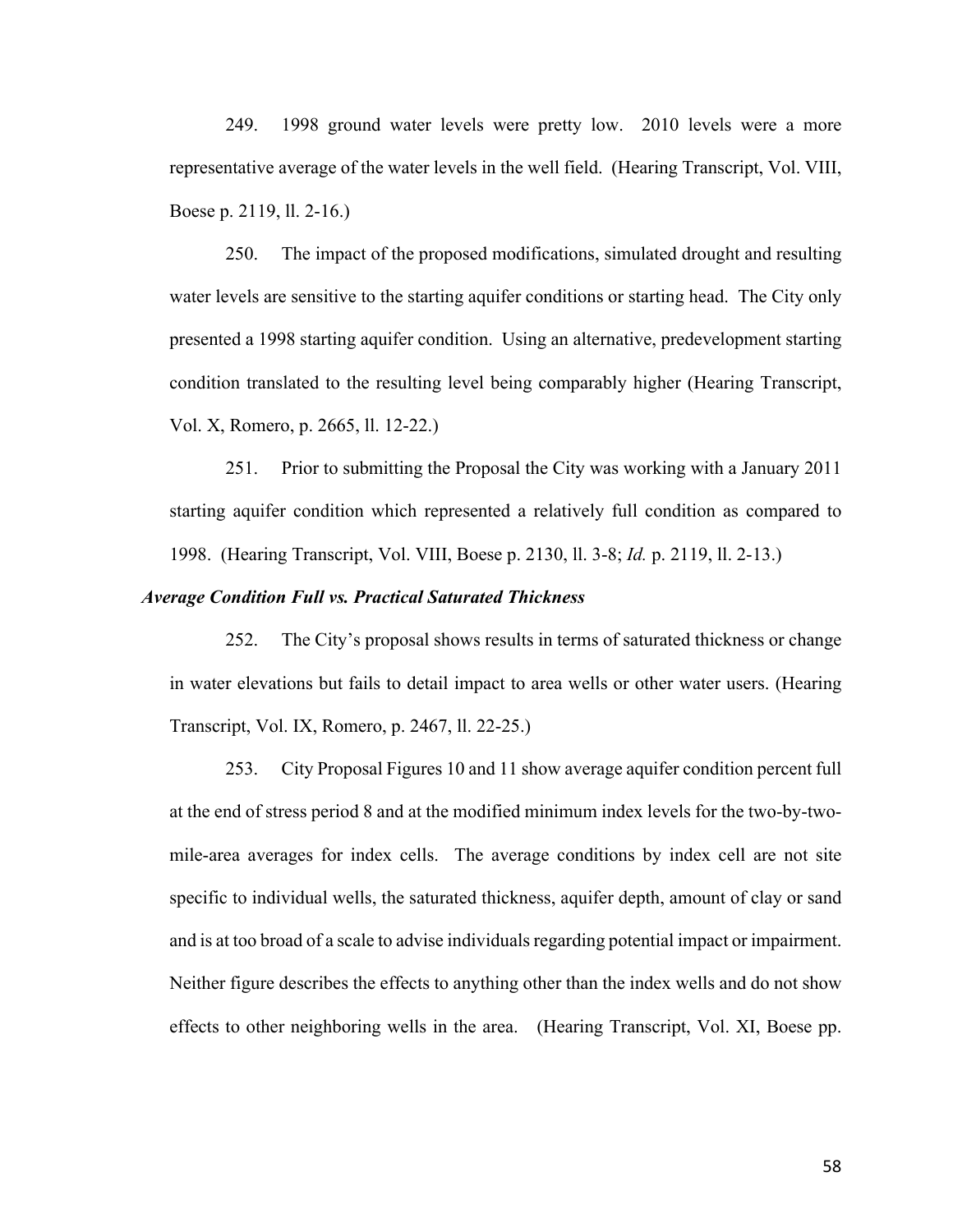249. 1998 ground water levels were pretty low. 2010 levels were a more representative average of the water levels in the well field. (Hearing Transcript, Vol. VIII, Boese p. 2119, ll. 2-16.)

250. The impact of the proposed modifications, simulated drought and resulting water levels are sensitive to the starting aquifer conditions or starting head. The City only presented a 1998 starting aquifer condition. Using an alternative, predevelopment starting condition translated to the resulting level being comparably higher (Hearing Transcript, Vol. X, Romero, p. 2665, ll. 12-22.)

251. Prior to submitting the Proposal the City was working with a January 2011 starting aquifer condition which represented a relatively full condition as compared to 1998. (Hearing Transcript, Vol. VIII, Boese p. 2130, ll. 3-8; *Id.* p. 2119, ll. 2-13.)

#### *Average Condition Full vs. Practical Saturated Thickness*

252. The City's proposal shows results in terms of saturated thickness or change in water elevations but fails to detail impact to area wells or other water users. (Hearing Transcript, Vol. IX, Romero, p. 2467, ll. 22-25.)

253. City Proposal Figures 10 and 11 show average aquifer condition percent full at the end of stress period 8 and at the modified minimum index levels for the two-by-twomile-area averages for index cells. The average conditions by index cell are not site specific to individual wells, the saturated thickness, aquifer depth, amount of clay or sand and is at too broad of a scale to advise individuals regarding potential impact or impairment. Neither figure describes the effects to anything other than the index wells and do not show effects to other neighboring wells in the area. (Hearing Transcript, Vol. XI, Boese pp.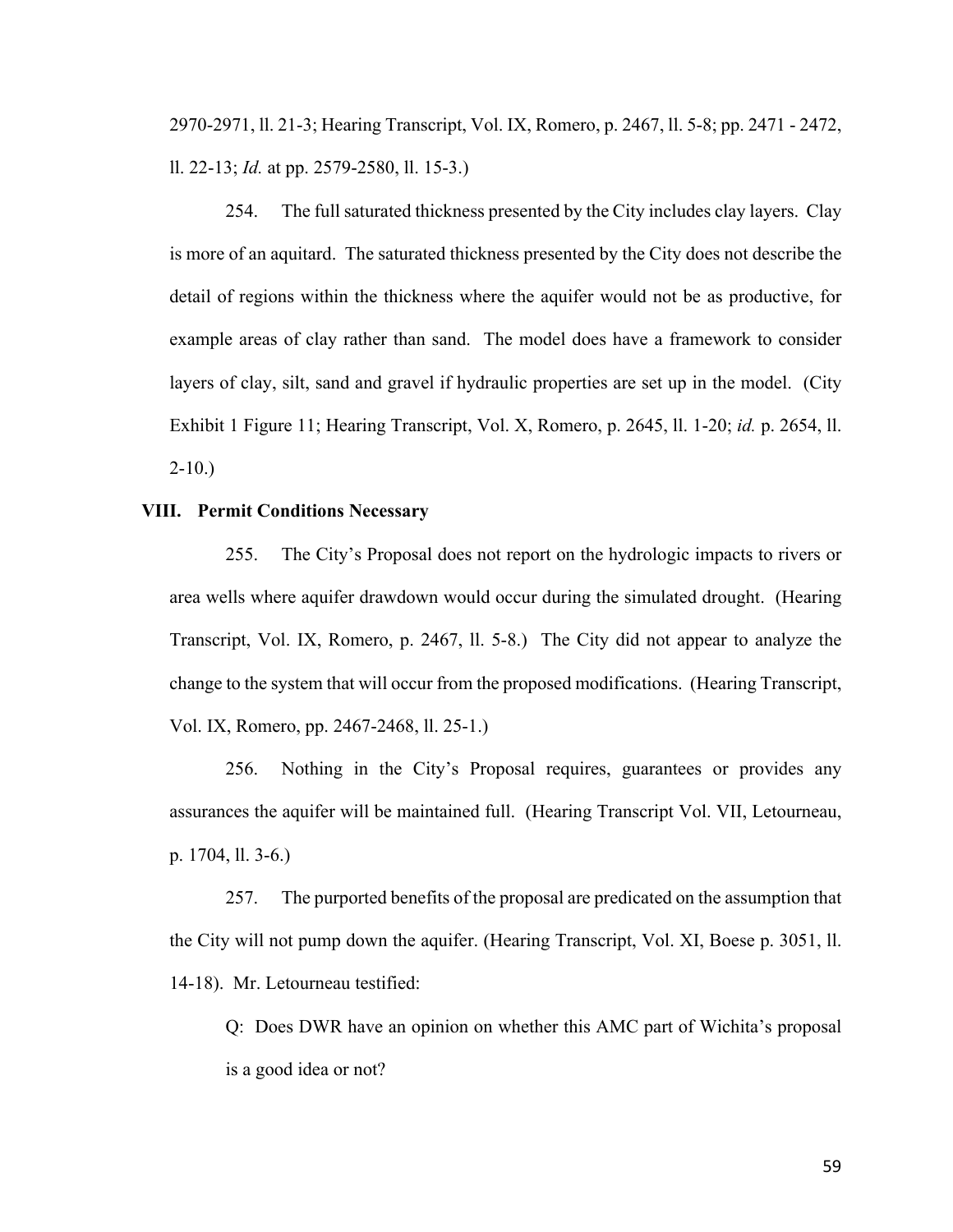2970-2971, ll. 21-3; Hearing Transcript, Vol. IX, Romero, p. 2467, ll. 5-8; pp. 2471 - 2472, ll. 22-13; *Id.* at pp. 2579-2580, ll. 15-3.)

254. The full saturated thickness presented by the City includes clay layers. Clay is more of an aquitard. The saturated thickness presented by the City does not describe the detail of regions within the thickness where the aquifer would not be as productive, for example areas of clay rather than sand. The model does have a framework to consider layers of clay, silt, sand and gravel if hydraulic properties are set up in the model. (City Exhibit 1 Figure 11; Hearing Transcript, Vol. X, Romero, p. 2645, ll. 1-20; *id.* p. 2654, ll.  $2-10.$ )

## **VIII. Permit Conditions Necessary**

255. The City's Proposal does not report on the hydrologic impacts to rivers or area wells where aquifer drawdown would occur during the simulated drought. (Hearing Transcript, Vol. IX, Romero, p. 2467, ll. 5-8.) The City did not appear to analyze the change to the system that will occur from the proposed modifications. (Hearing Transcript, Vol. IX, Romero, pp. 2467-2468, ll. 25-1.)

256. Nothing in the City's Proposal requires, guarantees or provides any assurances the aquifer will be maintained full. (Hearing Transcript Vol. VII, Letourneau, p. 1704, ll. 3-6.)

257. The purported benefits of the proposal are predicated on the assumption that the City will not pump down the aquifer. (Hearing Transcript, Vol. XI, Boese p. 3051, ll. 14-18). Mr. Letourneau testified:

Q: Does DWR have an opinion on whether this AMC part of Wichita's proposal is a good idea or not?

59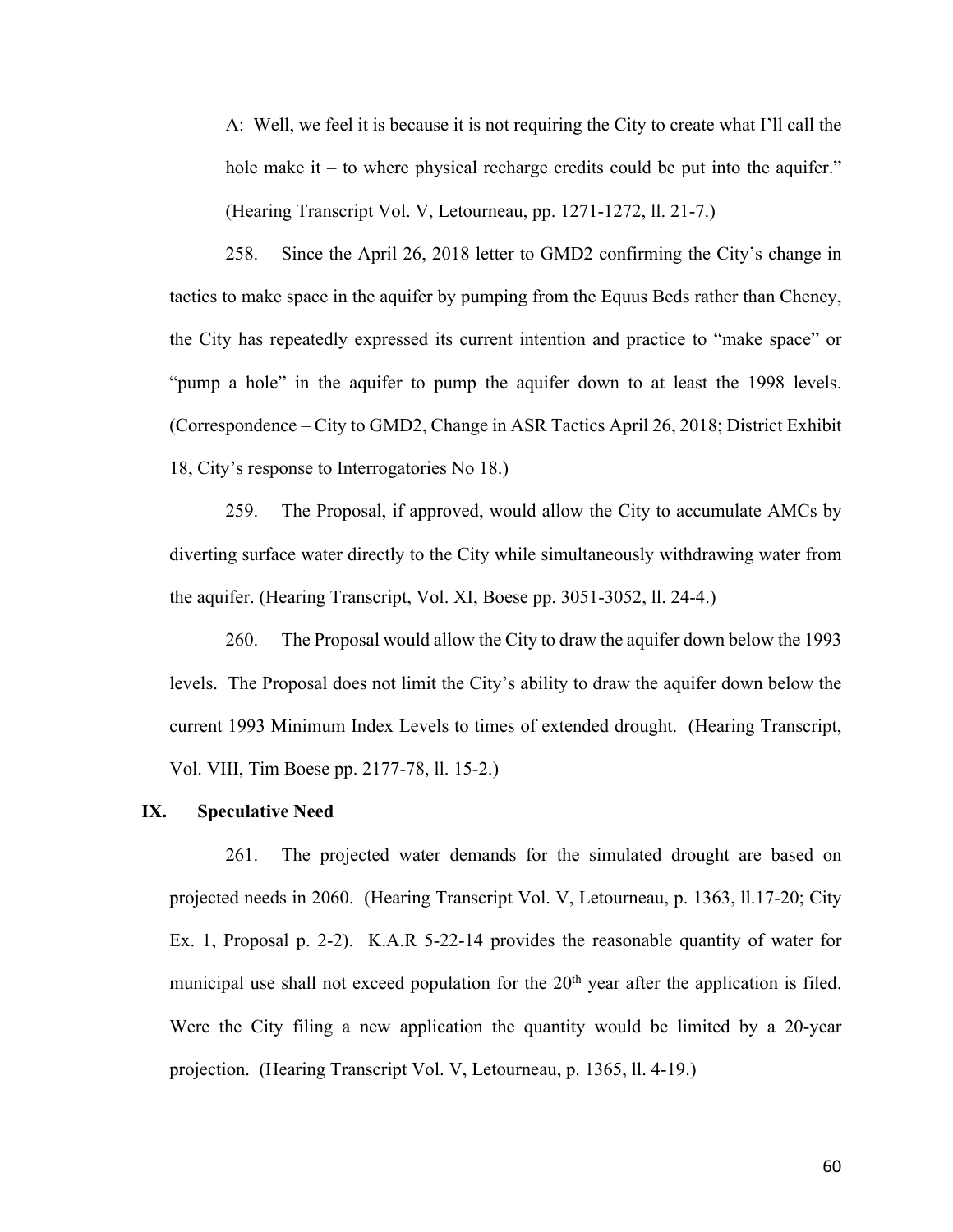A: Well, we feel it is because it is not requiring the City to create what I'll call the hole make it – to where physical recharge credits could be put into the aquifer." (Hearing Transcript Vol. V, Letourneau, pp. 1271-1272, ll. 21-7.)

258. Since the April 26, 2018 letter to GMD2 confirming the City's change in tactics to make space in the aquifer by pumping from the Equus Beds rather than Cheney, the City has repeatedly expressed its current intention and practice to "make space" or "pump a hole" in the aquifer to pump the aquifer down to at least the 1998 levels. (Correspondence – City to GMD2, Change in ASR Tactics April 26, 2018; District Exhibit 18, City's response to Interrogatories No 18.)

259. The Proposal, if approved, would allow the City to accumulate AMCs by diverting surface water directly to the City while simultaneously withdrawing water from the aquifer. (Hearing Transcript, Vol. XI, Boese pp. 3051-3052, ll. 24-4.)

260. The Proposal would allow the City to draw the aquifer down below the 1993 levels. The Proposal does not limit the City's ability to draw the aquifer down below the current 1993 Minimum Index Levels to times of extended drought. (Hearing Transcript, Vol. VIII, Tim Boese pp. 2177-78, ll. 15-2.)

#### **IX. Speculative Need**

261. The projected water demands for the simulated drought are based on projected needs in 2060. (Hearing Transcript Vol. V, Letourneau, p. 1363, ll.17-20; City Ex. 1, Proposal p. 2-2). K.A.R 5-22-14 provides the reasonable quantity of water for municipal use shall not exceed population for the  $20<sup>th</sup>$  year after the application is filed. Were the City filing a new application the quantity would be limited by a 20-year projection. (Hearing Transcript Vol. V, Letourneau, p. 1365, ll. 4-19.)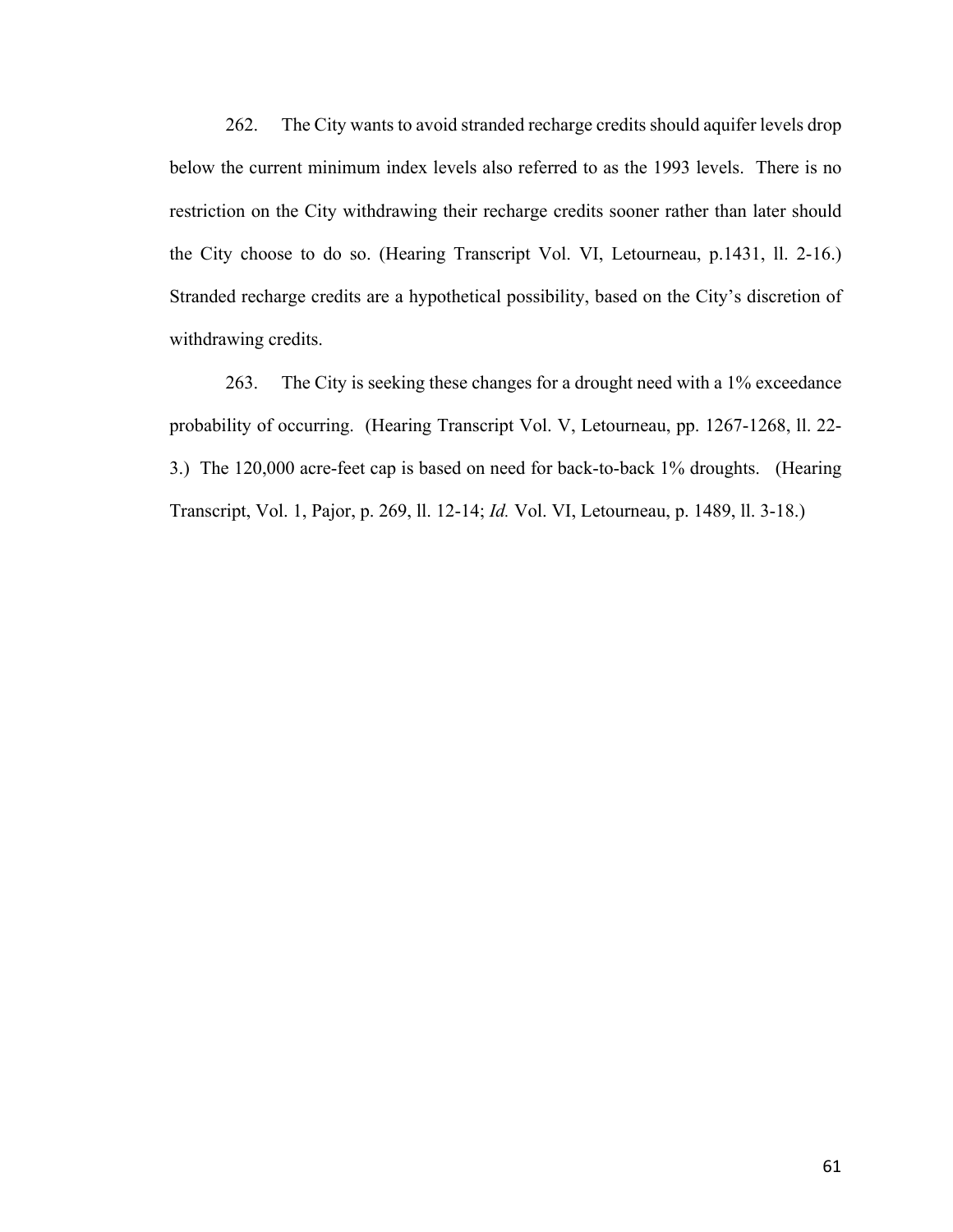262. The City wants to avoid stranded recharge credits should aquifer levels drop below the current minimum index levels also referred to as the 1993 levels. There is no restriction on the City withdrawing their recharge credits sooner rather than later should the City choose to do so. (Hearing Transcript Vol. VI, Letourneau, p.1431, ll. 2-16.) Stranded recharge credits are a hypothetical possibility, based on the City's discretion of withdrawing credits.

263. The City is seeking these changes for a drought need with a 1% exceedance probability of occurring. (Hearing Transcript Vol. V, Letourneau, pp. 1267-1268, ll. 22- 3.) The 120,000 acre-feet cap is based on need for back-to-back 1% droughts. (Hearing Transcript, Vol. 1, Pajor, p. 269, ll. 12-14; *Id.* Vol. VI, Letourneau, p. 1489, ll. 3-18.)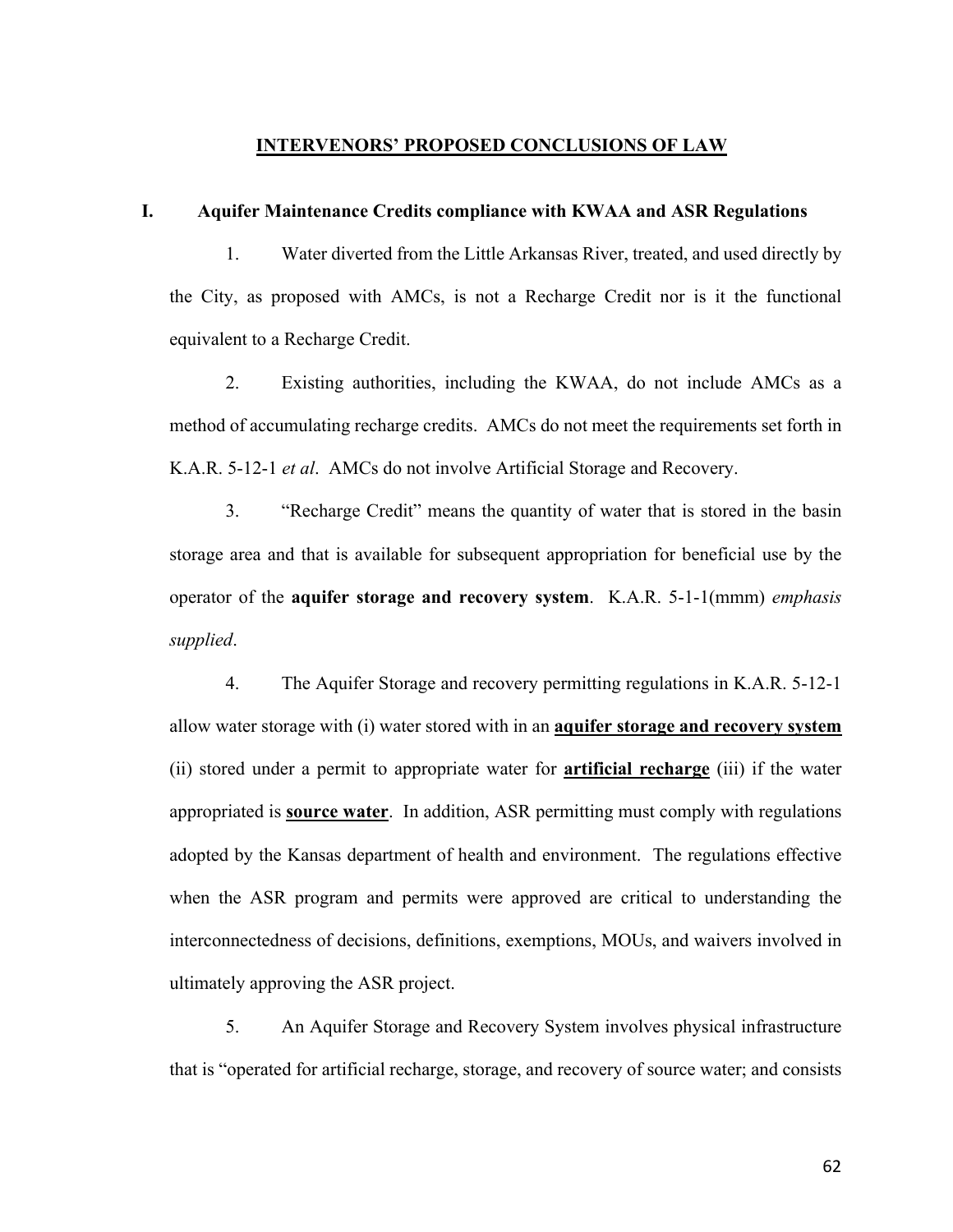# **INTERVENORS' PROPOSED CONCLUSIONS OF LAW**

#### **I. Aquifer Maintenance Credits compliance with KWAA and ASR Regulations**

1. Water diverted from the Little Arkansas River, treated, and used directly by the City, as proposed with AMCs, is not a Recharge Credit nor is it the functional equivalent to a Recharge Credit.

2. Existing authorities, including the KWAA, do not include AMCs as a method of accumulating recharge credits. AMCs do not meet the requirements set forth in K.A.R. 5-12-1 *et al*. AMCs do not involve Artificial Storage and Recovery.

3. "Recharge Credit" means the quantity of water that is stored in the basin storage area and that is available for subsequent appropriation for beneficial use by the operator of the **aquifer storage and recovery system**. K.A.R. 5-1-1(mmm) *emphasis supplied*.

4. The Aquifer Storage and recovery permitting regulations in K.A.R. 5-12-1 allow water storage with (i) water stored with in an **aquifer storage and recovery system** (ii) stored under a permit to appropriate water for **artificial recharge** (iii) if the water appropriated is **source water**. In addition, ASR permitting must comply with regulations adopted by the Kansas department of health and environment. The regulations effective when the ASR program and permits were approved are critical to understanding the interconnectedness of decisions, definitions, exemptions, MOUs, and waivers involved in ultimately approving the ASR project.

5. An Aquifer Storage and Recovery System involves physical infrastructure that is "operated for artificial recharge, storage, and recovery of source water; and consists

62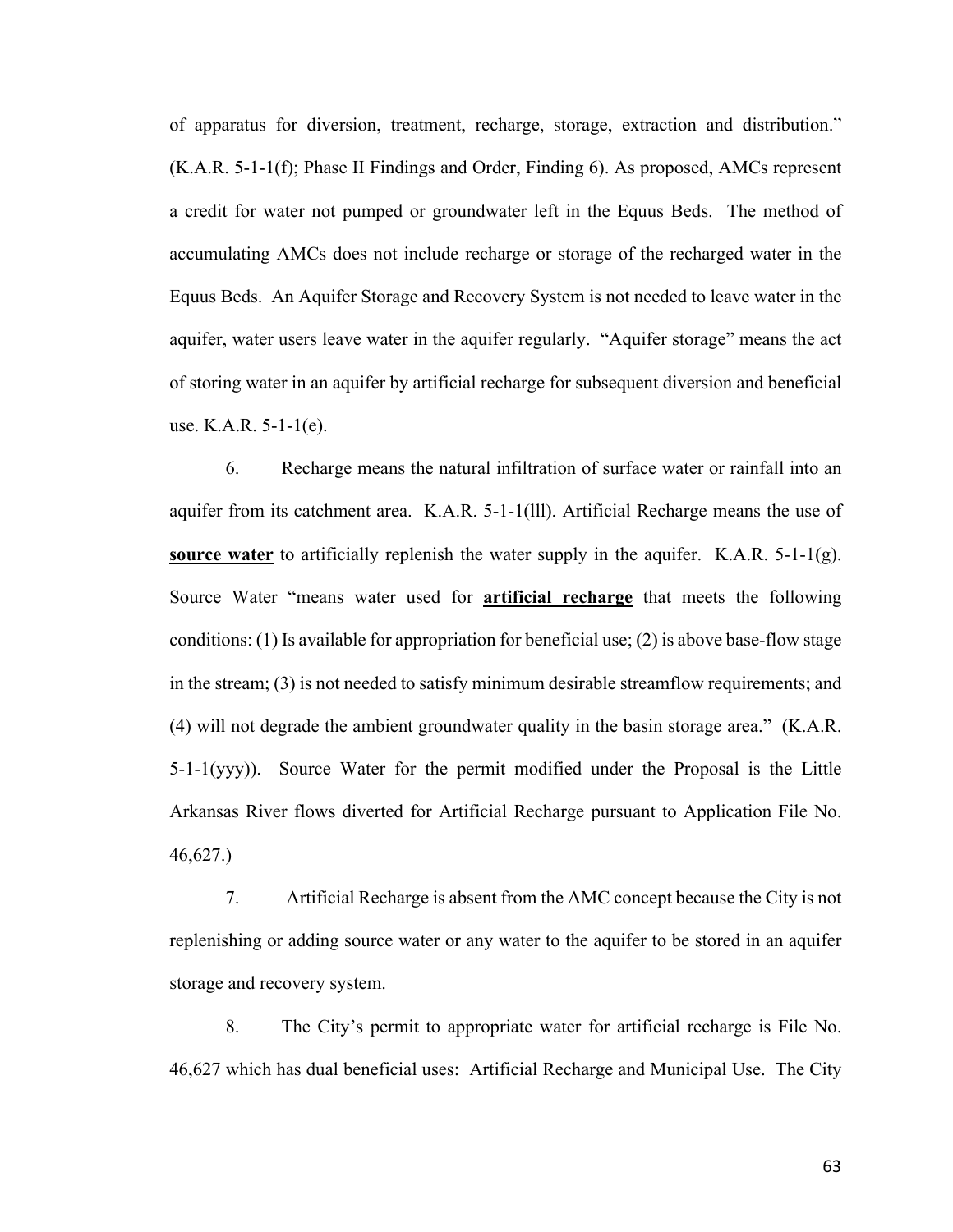of apparatus for diversion, treatment, recharge, storage, extraction and distribution." (K.A.R. 5-1-1(f); Phase II Findings and Order, Finding 6). As proposed, AMCs represent a credit for water not pumped or groundwater left in the Equus Beds. The method of accumulating AMCs does not include recharge or storage of the recharged water in the Equus Beds. An Aquifer Storage and Recovery System is not needed to leave water in the aquifer, water users leave water in the aquifer regularly. "Aquifer storage" means the act of storing water in an aquifer by artificial recharge for subsequent diversion and beneficial use. K.A.R. 5-1-1(e).

6. Recharge means the natural infiltration of surface water or rainfall into an aquifer from its catchment area. K.A.R. 5-1-1(lll). Artificial Recharge means the use of **source water** to artificially replenish the water supply in the aquifer. K.A.R. 5-1-1(g). Source Water "means water used for **artificial recharge** that meets the following conditions: (1) Is available for appropriation for beneficial use; (2) is above base-flow stage in the stream; (3) is not needed to satisfy minimum desirable streamflow requirements; and (4) will not degrade the ambient groundwater quality in the basin storage area." (K.A.R. 5-1-1(yyy)). Source Water for the permit modified under the Proposal is the Little Arkansas River flows diverted for Artificial Recharge pursuant to Application File No. 46,627.)

7. Artificial Recharge is absent from the AMC concept because the City is not replenishing or adding source water or any water to the aquifer to be stored in an aquifer storage and recovery system.

8. The City's permit to appropriate water for artificial recharge is File No. 46,627 which has dual beneficial uses: Artificial Recharge and Municipal Use. The City

63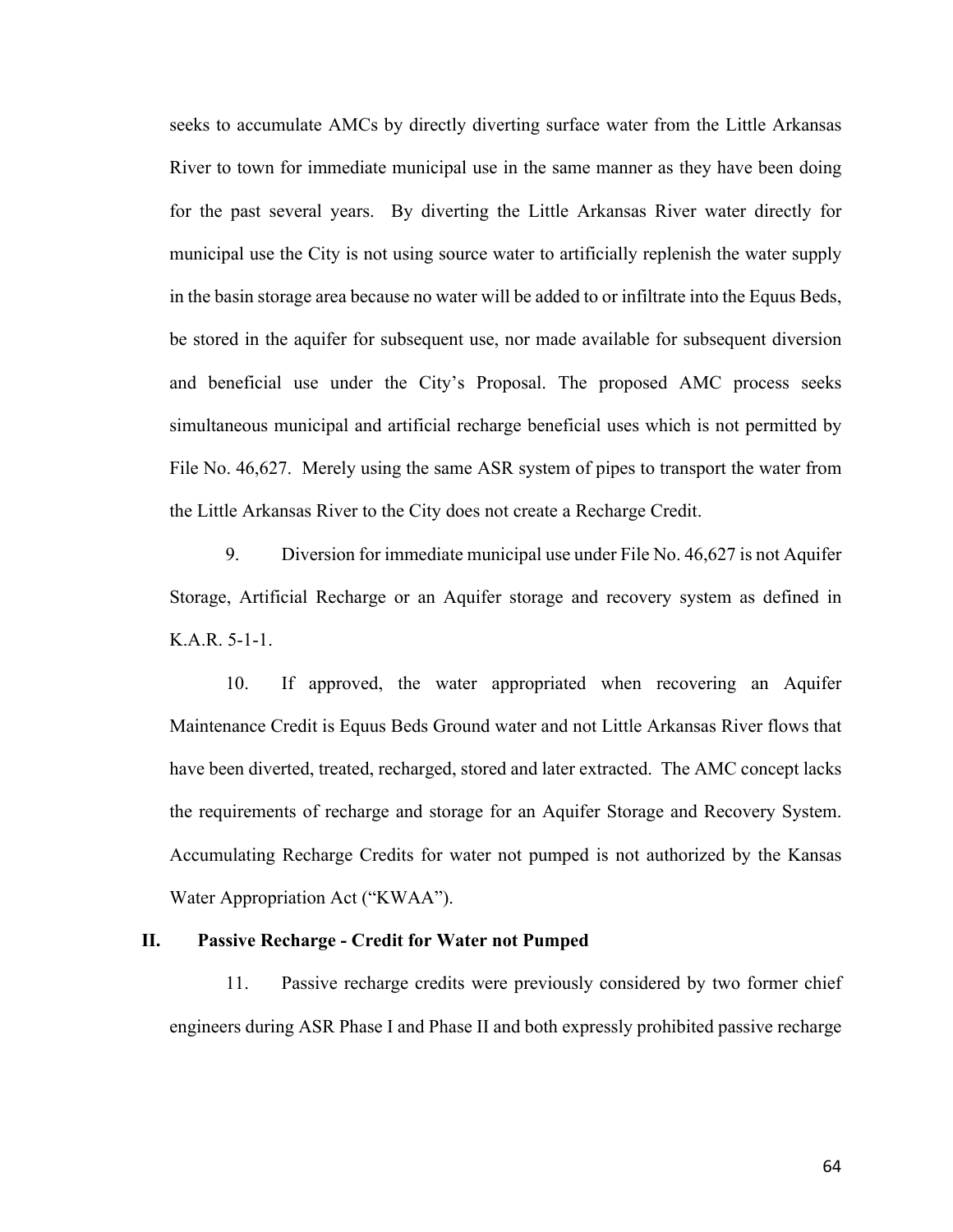seeks to accumulate AMCs by directly diverting surface water from the Little Arkansas River to town for immediate municipal use in the same manner as they have been doing for the past several years. By diverting the Little Arkansas River water directly for municipal use the City is not using source water to artificially replenish the water supply in the basin storage area because no water will be added to or infiltrate into the Equus Beds, be stored in the aquifer for subsequent use, nor made available for subsequent diversion and beneficial use under the City's Proposal. The proposed AMC process seeks simultaneous municipal and artificial recharge beneficial uses which is not permitted by File No. 46,627. Merely using the same ASR system of pipes to transport the water from the Little Arkansas River to the City does not create a Recharge Credit.

9. Diversion for immediate municipal use under File No. 46,627 is not Aquifer Storage, Artificial Recharge or an Aquifer storage and recovery system as defined in K.A.R. 5-1-1.

10. If approved, the water appropriated when recovering an Aquifer Maintenance Credit is Equus Beds Ground water and not Little Arkansas River flows that have been diverted, treated, recharged, stored and later extracted. The AMC concept lacks the requirements of recharge and storage for an Aquifer Storage and Recovery System. Accumulating Recharge Credits for water not pumped is not authorized by the Kansas Water Appropriation Act ("KWAA").

# **II. Passive Recharge - Credit for Water not Pumped**

11. Passive recharge credits were previously considered by two former chief engineers during ASR Phase I and Phase II and both expressly prohibited passive recharge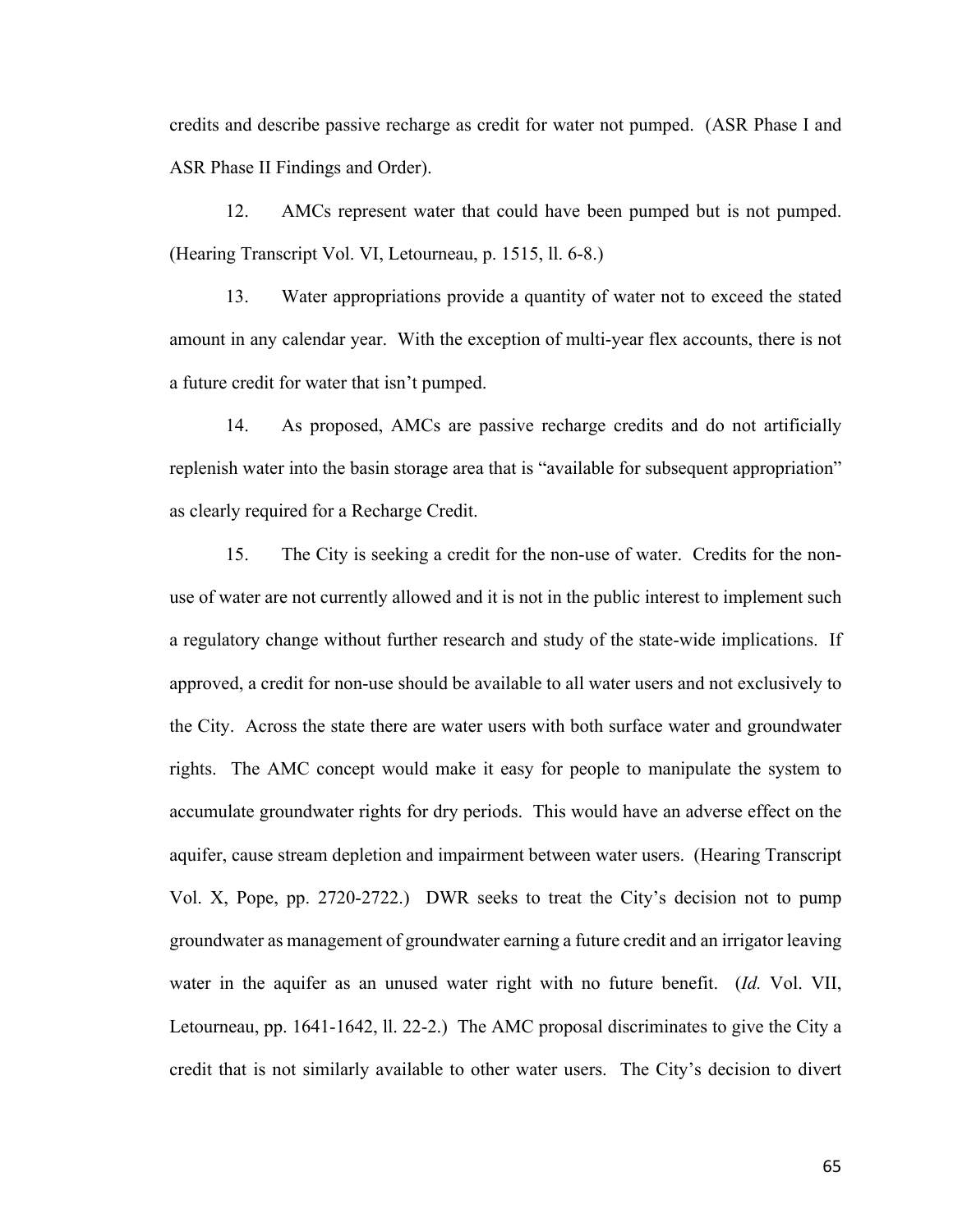credits and describe passive recharge as credit for water not pumped. (ASR Phase I and ASR Phase II Findings and Order).

12. AMCs represent water that could have been pumped but is not pumped. (Hearing Transcript Vol. VI, Letourneau, p. 1515, ll. 6-8.)

13. Water appropriations provide a quantity of water not to exceed the stated amount in any calendar year. With the exception of multi-year flex accounts, there is not a future credit for water that isn't pumped.

14. As proposed, AMCs are passive recharge credits and do not artificially replenish water into the basin storage area that is "available for subsequent appropriation" as clearly required for a Recharge Credit.

15. The City is seeking a credit for the non-use of water. Credits for the nonuse of water are not currently allowed and it is not in the public interest to implement such a regulatory change without further research and study of the state-wide implications. If approved, a credit for non-use should be available to all water users and not exclusively to the City. Across the state there are water users with both surface water and groundwater rights. The AMC concept would make it easy for people to manipulate the system to accumulate groundwater rights for dry periods. This would have an adverse effect on the aquifer, cause stream depletion and impairment between water users. (Hearing Transcript Vol. X, Pope, pp. 2720-2722.) DWR seeks to treat the City's decision not to pump groundwater as management of groundwater earning a future credit and an irrigator leaving water in the aquifer as an unused water right with no future benefit. (*Id.* Vol. VII, Letourneau, pp. 1641-1642, ll. 22-2.) The AMC proposal discriminates to give the City a credit that is not similarly available to other water users. The City's decision to divert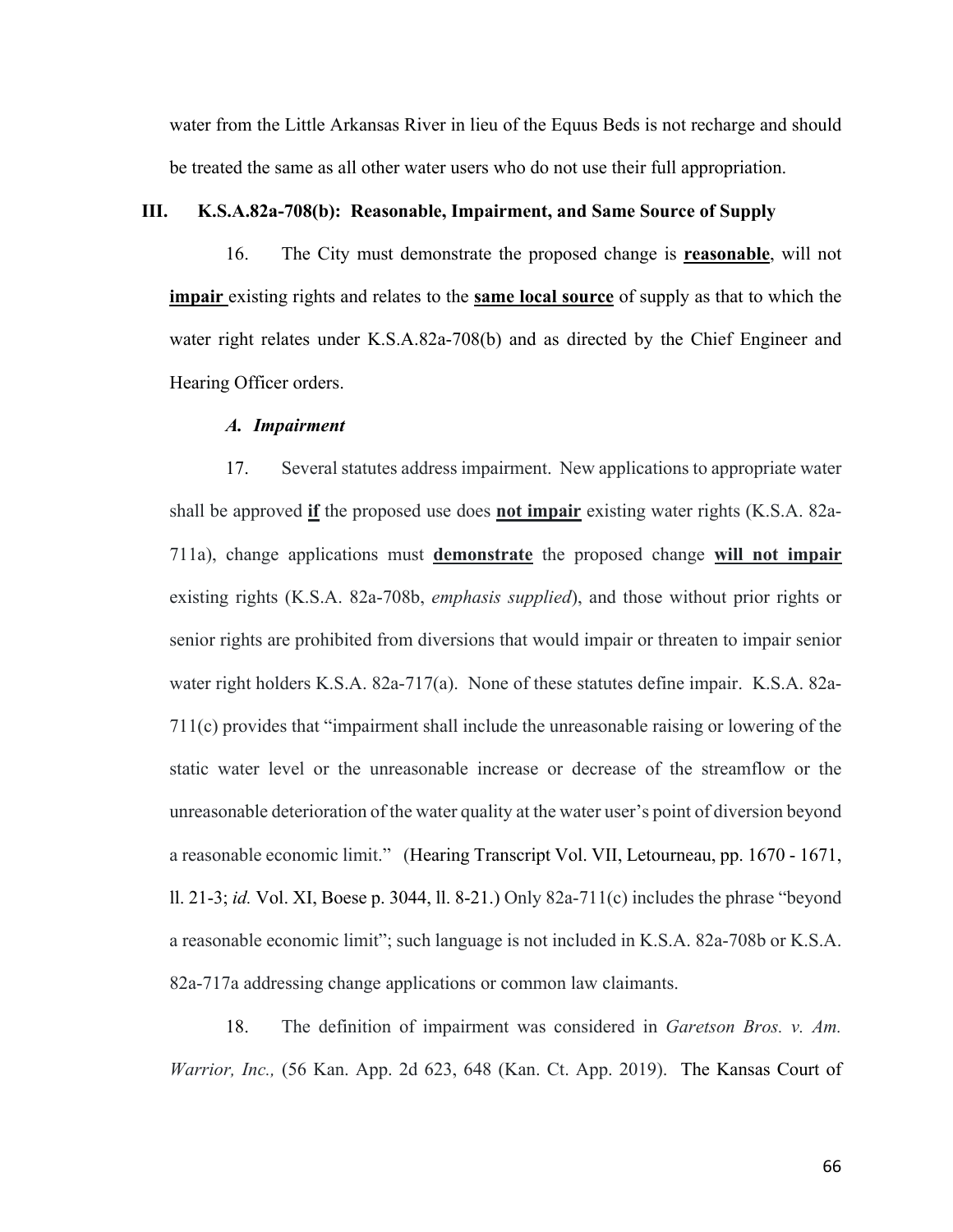water from the Little Arkansas River in lieu of the Equus Beds is not recharge and should be treated the same as all other water users who do not use their full appropriation.

## **III. K.S.A.82a-708(b): Reasonable, Impairment, and Same Source of Supply**

16. The City must demonstrate the proposed change is **reasonable**, will not **impair** existing rights and relates to the **same local source** of supply as that to which the water right relates under K.S.A.82a-708(b) and as directed by the Chief Engineer and Hearing Officer orders.

### *A. Impairment*

17. Several statutes address impairment. New applications to appropriate water shall be approved **if** the proposed use does **not impair** existing water rights (K.S.A. 82a-711a), change applications must **demonstrate** the proposed change **will not impair** existing rights (K.S.A. 82a-708b, *emphasis supplied*), and those without prior rights or senior rights are prohibited from diversions that would impair or threaten to impair senior water right holders K.S.A. 82a-717(a). None of these statutes define impair. K.S.A. 82a-711(c) provides that "impairment shall include the unreasonable raising or lowering of the static water level or the unreasonable increase or decrease of the streamflow or the unreasonable deterioration of the water quality at the water user's point of diversion beyond a reasonable economic limit." (Hearing Transcript Vol. VII, Letourneau, pp. 1670 - 1671, ll. 21-3; *id.* Vol. XI, Boese p. 3044, ll. 8-21.) Only 82a-711(c) includes the phrase "beyond a reasonable economic limit"; such language is not included in K.S.A. 82a-708b or K.S.A. 82a-717a addressing change applications or common law claimants.

18. The definition of impairment was considered in *Garetson Bros. v. Am. Warrior, Inc.,* (56 Kan. App. 2d 623, 648 (Kan. Ct. App. 2019). The Kansas Court of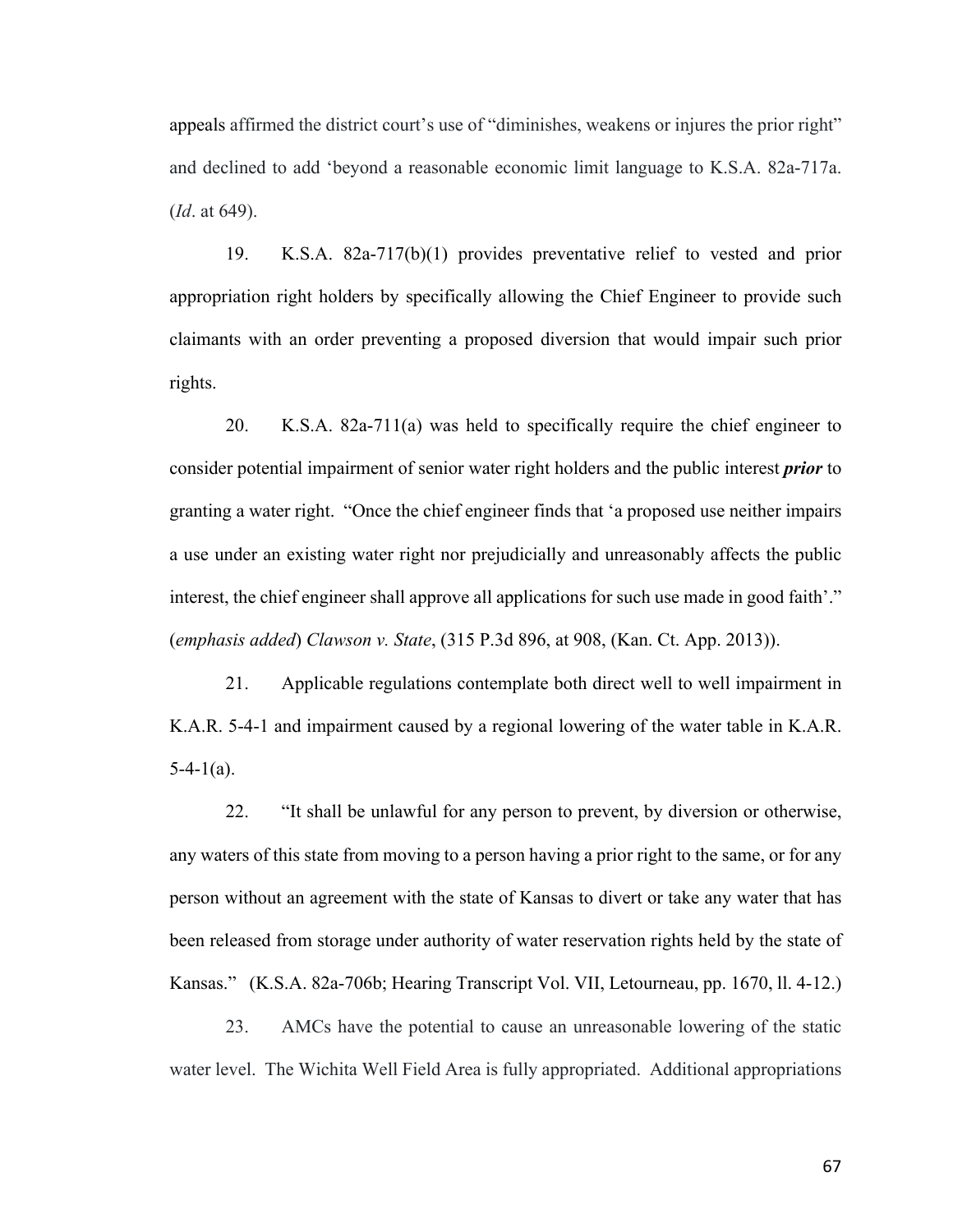appeals affirmed the district court's use of "diminishes, weakens or injures the prior right" and declined to add 'beyond a reasonable economic limit language to K.S.A. 82a-717a. (*Id*. at 649).

19. K.S.A. 82a-717(b)(1) provides preventative relief to vested and prior appropriation right holders by specifically allowing the Chief Engineer to provide such claimants with an order preventing a proposed diversion that would impair such prior rights.

20. K.S.A. 82a-711(a) was held to specifically require the chief engineer to consider potential impairment of senior water right holders and the public interest *prior* to granting a water right. "Once the chief engineer finds that 'a proposed use neither impairs a use under an existing water right nor prejudicially and unreasonably affects the public interest, the chief engineer shall approve all applications for such use made in good faith'." (*emphasis added*) *Clawson v. State*, (315 P.3d 896, at 908, (Kan. Ct. App. 2013)).

21. Applicable regulations contemplate both direct well to well impairment in K.A.R. 5-4-1 and impairment caused by a regional lowering of the water table in K.A.R.  $5-4-1(a)$ .

22. "It shall be unlawful for any person to prevent, by diversion or otherwise, any waters of this state from moving to a person having a prior right to the same, or for any person without an agreement with the state of Kansas to divert or take any water that has been released from storage under authority of water reservation rights held by the state of Kansas." (K.S.A. 82a-706b; Hearing Transcript Vol. VII, Letourneau, pp. 1670, ll. 4-12.)

23. AMCs have the potential to cause an unreasonable lowering of the static water level. The Wichita Well Field Area is fully appropriated. Additional appropriations

67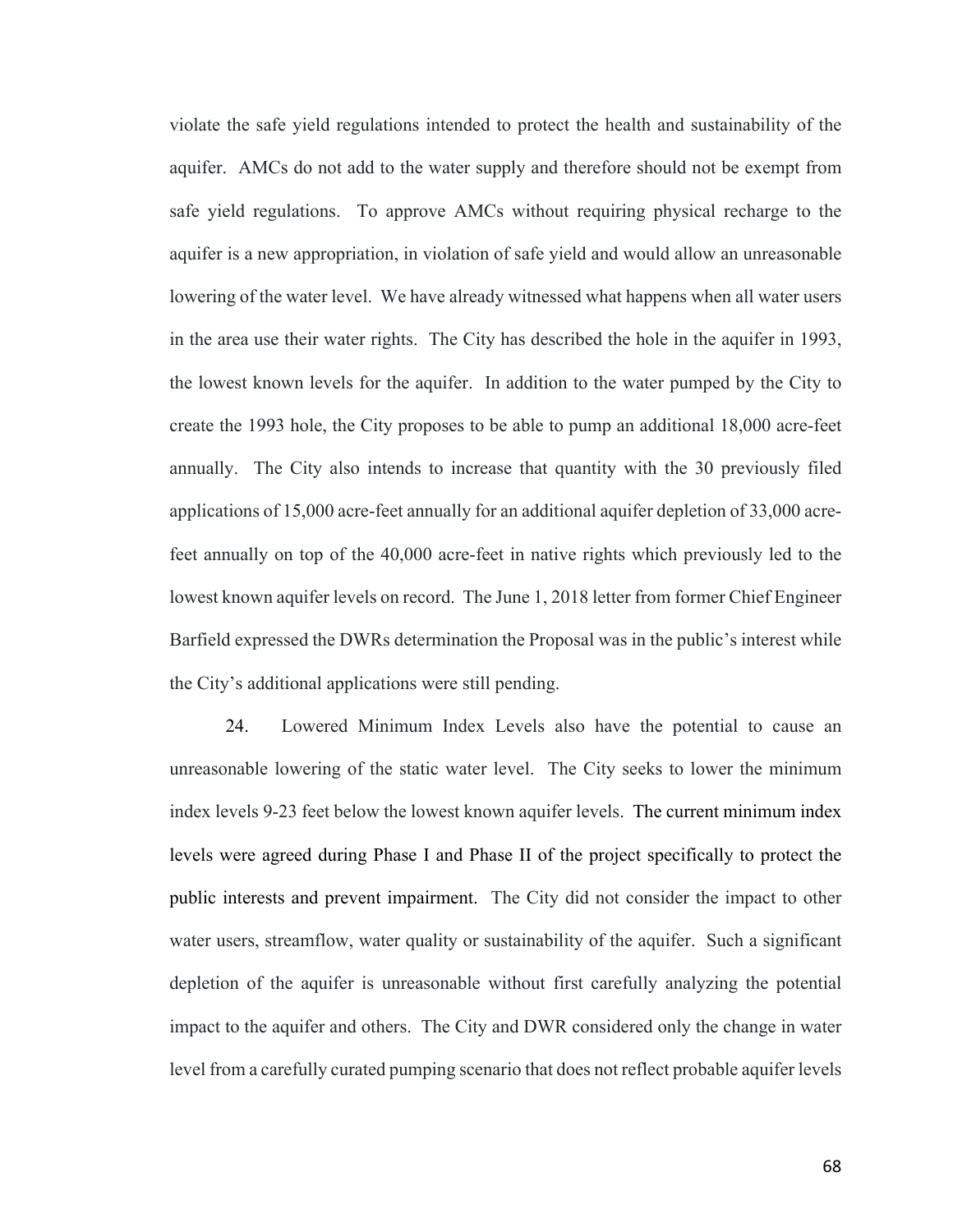violate the safe yield regulations intended to protect the health and sustainability of the aquifer. AMCs do not add to the water supply and therefore should not be exempt from safe yield regulations. To approve AMCs without requiring physical recharge to the aquifer is a new appropriation, in violation of safe yield and would allow an unreasonable lowering of the water level. We have already witnessed what happens when all water users in the area use their water rights. The City has described the hole in the aquifer in 1993, the lowest known levels for the aquifer. In addition to the water pumped by the City to create the 1993 hole, the City proposes to be able to pump an additional 18,000 acre-feet annually. The City also intends to increase that quantity with the 30 previously filed applications of 15,000 acre-feet annually for an additional aquifer depletion of 33,000 acrefeet annually on top of the 40,000 acre-feet in native rights which previously led to the lowest known aquifer levels on record. The June 1, 2018 letter from former Chief Engineer Barfield expressed the DWRs determination the Proposal was in the public's interest while the City's additional applications were still pending.

24. Lowered Minimum Index Levels also have the potential to cause an unreasonable lowering of the static water level. The City seeks to lower the minimum index levels 9-23 feet below the lowest known aquifer levels. The current minimum index levels were agreed during Phase I and Phase II of the project specifically to protect the public interests and prevent impairment. The City did not consider the impact to other water users, streamflow, water quality or sustainability of the aquifer. Such a significant depletion of the aquifer is unreasonable without first carefully analyzing the potential impact to the aquifer and others. The City and DWR considered only the change in water level from a carefully curated pumping scenario that does not reflect probable aquifer levels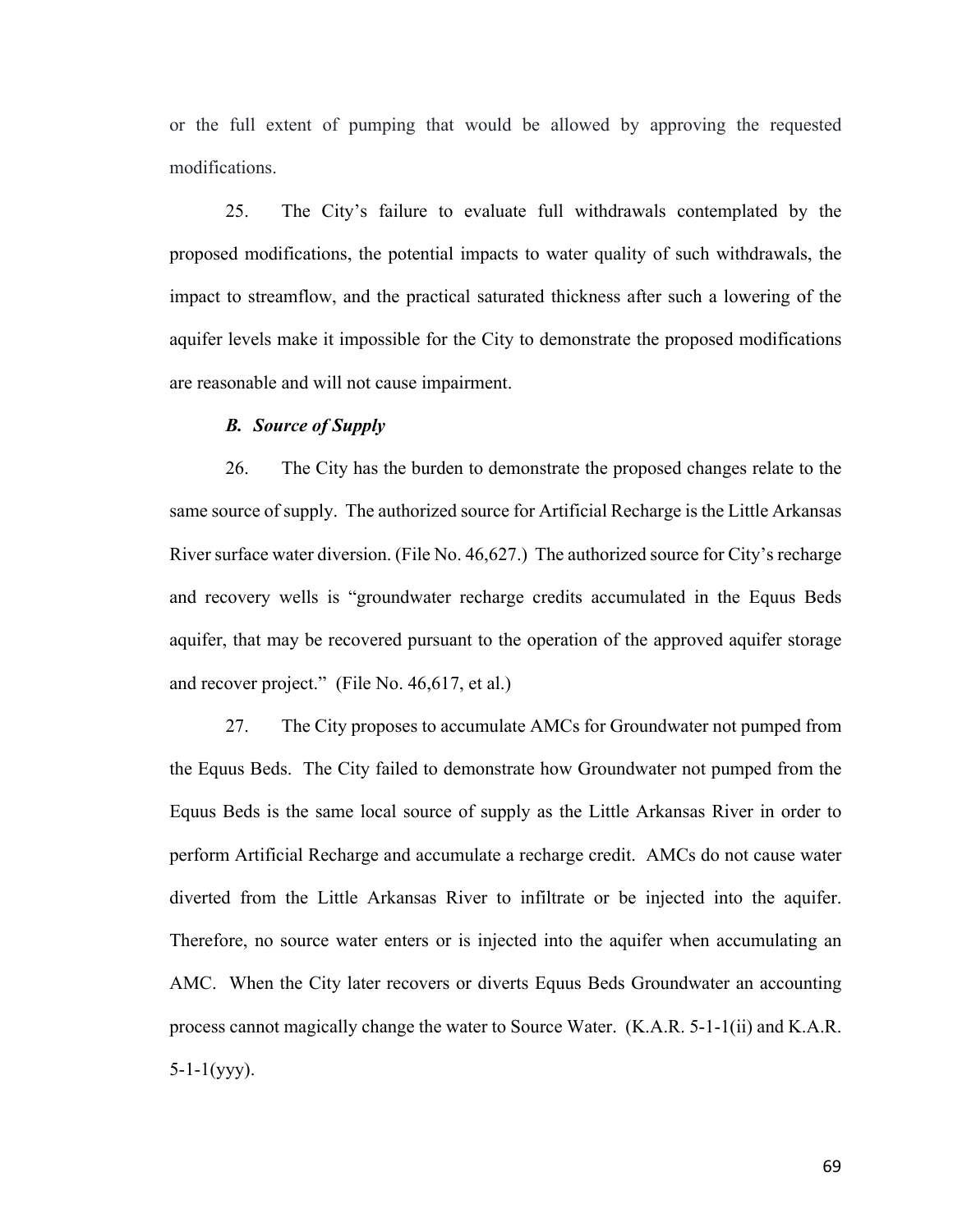or the full extent of pumping that would be allowed by approving the requested modifications.

25. The City's failure to evaluate full withdrawals contemplated by the proposed modifications, the potential impacts to water quality of such withdrawals, the impact to streamflow, and the practical saturated thickness after such a lowering of the aquifer levels make it impossible for the City to demonstrate the proposed modifications are reasonable and will not cause impairment.

#### *B. Source of Supply*

26. The City has the burden to demonstrate the proposed changes relate to the same source of supply. The authorized source for Artificial Recharge is the Little Arkansas River surface water diversion. (File No. 46,627.) The authorized source for City's recharge and recovery wells is "groundwater recharge credits accumulated in the Equus Beds aquifer, that may be recovered pursuant to the operation of the approved aquifer storage and recover project." (File No. 46,617, et al.)

27. The City proposes to accumulate AMCs for Groundwater not pumped from the Equus Beds. The City failed to demonstrate how Groundwater not pumped from the Equus Beds is the same local source of supply as the Little Arkansas River in order to perform Artificial Recharge and accumulate a recharge credit. AMCs do not cause water diverted from the Little Arkansas River to infiltrate or be injected into the aquifer. Therefore, no source water enters or is injected into the aquifer when accumulating an AMC. When the City later recovers or diverts Equus Beds Groundwater an accounting process cannot magically change the water to Source Water. (K.A.R. 5-1-1(ii) and K.A.R.  $5-1-1(yyy)$ .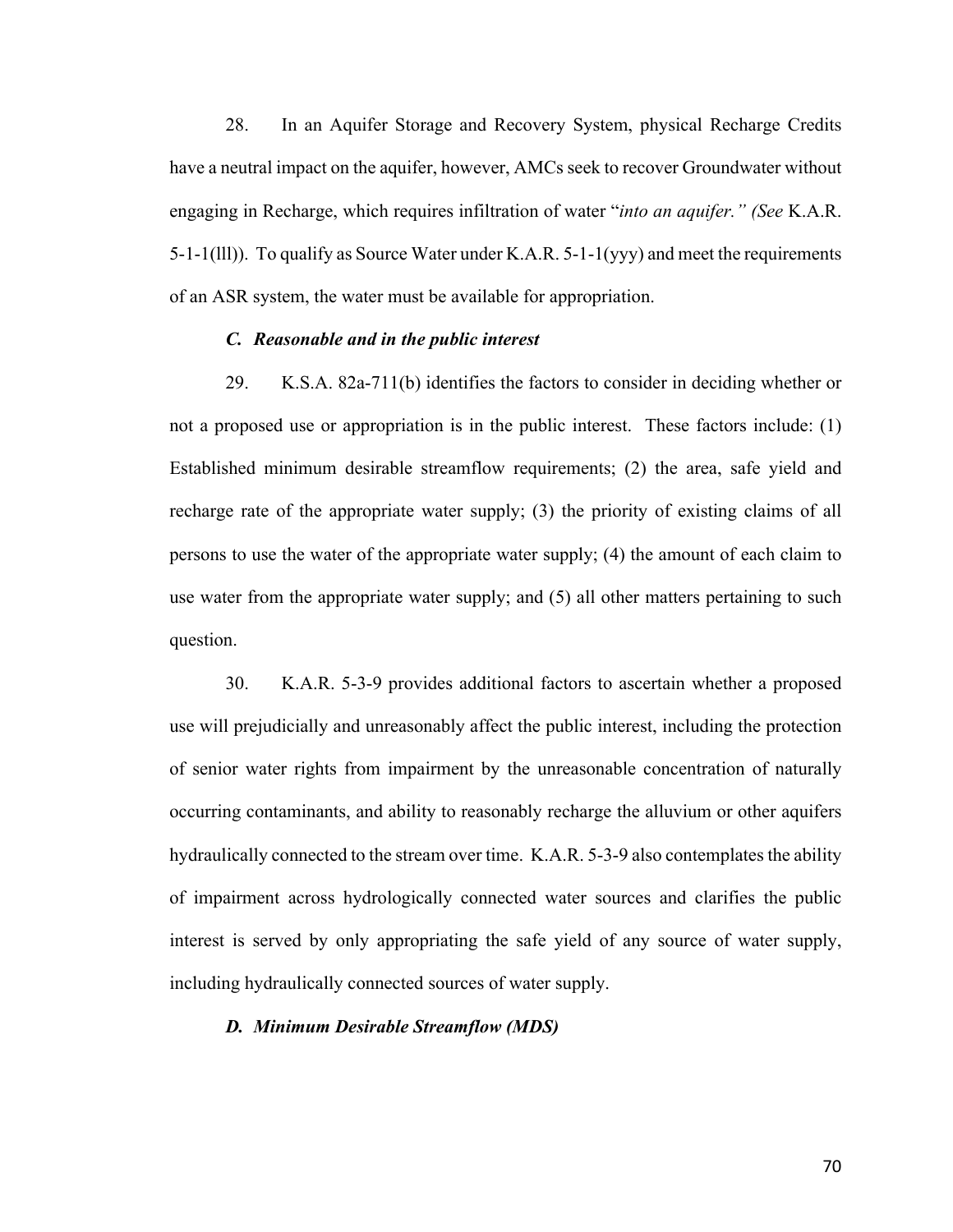28. In an Aquifer Storage and Recovery System, physical Recharge Credits have a neutral impact on the aquifer, however, AMCs seek to recover Groundwater without engaging in Recharge, which requires infiltration of water "*into an aquifer." (See* K.A.R. 5-1-1(lll)). To qualify as Source Water under K.A.R. 5-1-1(yyy) and meet the requirements of an ASR system, the water must be available for appropriation.

#### *C. Reasonable and in the public interest*

29. K.S.A. 82a-711(b) identifies the factors to consider in deciding whether or not a proposed use or appropriation is in the public interest. These factors include: (1) Established minimum desirable streamflow requirements; (2) the area, safe yield and recharge rate of the appropriate water supply; (3) the priority of existing claims of all persons to use the water of the appropriate water supply; (4) the amount of each claim to use water from the appropriate water supply; and (5) all other matters pertaining to such question.

30. K.A.R. 5-3-9 provides additional factors to ascertain whether a proposed use will prejudicially and unreasonably affect the public interest, including the protection of senior water rights from impairment by the unreasonable concentration of naturally occurring contaminants, and ability to reasonably recharge the alluvium or other aquifers hydraulically connected to the stream over time. K.A.R. 5-3-9 also contemplates the ability of impairment across hydrologically connected water sources and clarifies the public interest is served by only appropriating the safe yield of any source of water supply, including hydraulically connected sources of water supply.

### *D. Minimum Desirable Streamflow (MDS)*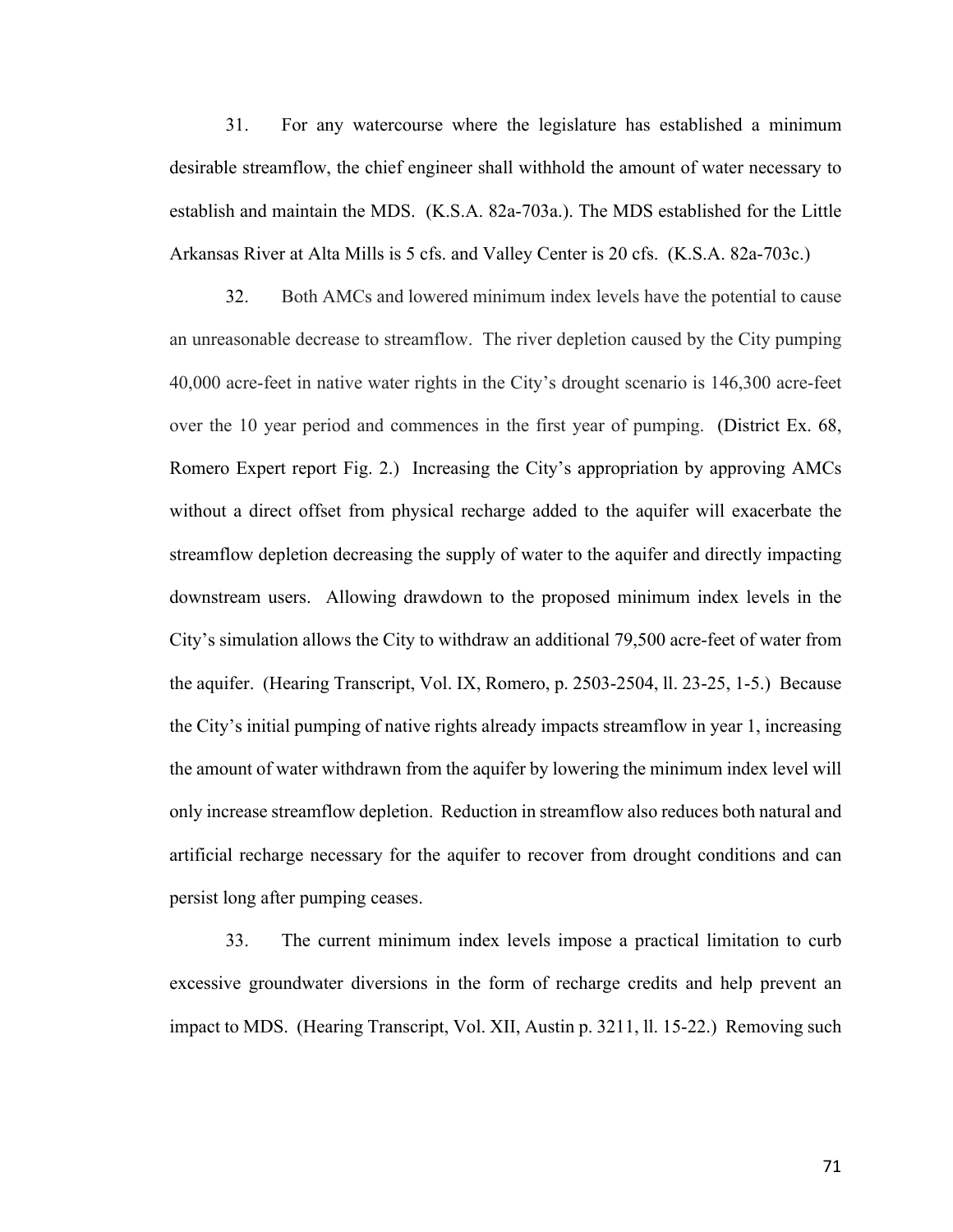31. For any watercourse where the legislature has established a minimum desirable streamflow, the chief engineer shall withhold the amount of water necessary to establish and maintain the MDS. (K.S.A. 82a-703a.). The MDS established for the Little Arkansas River at Alta Mills is 5 cfs. and Valley Center is 20 cfs. (K.S.A. 82a-703c.)

32. Both AMCs and lowered minimum index levels have the potential to cause an unreasonable decrease to streamflow. The river depletion caused by the City pumping 40,000 acre-feet in native water rights in the City's drought scenario is 146,300 acre-feet over the 10 year period and commences in the first year of pumping. (District Ex. 68, Romero Expert report Fig. 2.) Increasing the City's appropriation by approving AMCs without a direct offset from physical recharge added to the aquifer will exacerbate the streamflow depletion decreasing the supply of water to the aquifer and directly impacting downstream users. Allowing drawdown to the proposed minimum index levels in the City's simulation allows the City to withdraw an additional 79,500 acre-feet of water from the aquifer. (Hearing Transcript, Vol. IX, Romero, p. 2503-2504, ll. 23-25, 1-5.) Because the City's initial pumping of native rights already impacts streamflow in year 1, increasing the amount of water withdrawn from the aquifer by lowering the minimum index level will only increase streamflow depletion. Reduction in streamflow also reduces both natural and artificial recharge necessary for the aquifer to recover from drought conditions and can persist long after pumping ceases.

33. The current minimum index levels impose a practical limitation to curb excessive groundwater diversions in the form of recharge credits and help prevent an impact to MDS. (Hearing Transcript, Vol. XII, Austin p. 3211, ll. 15-22.) Removing such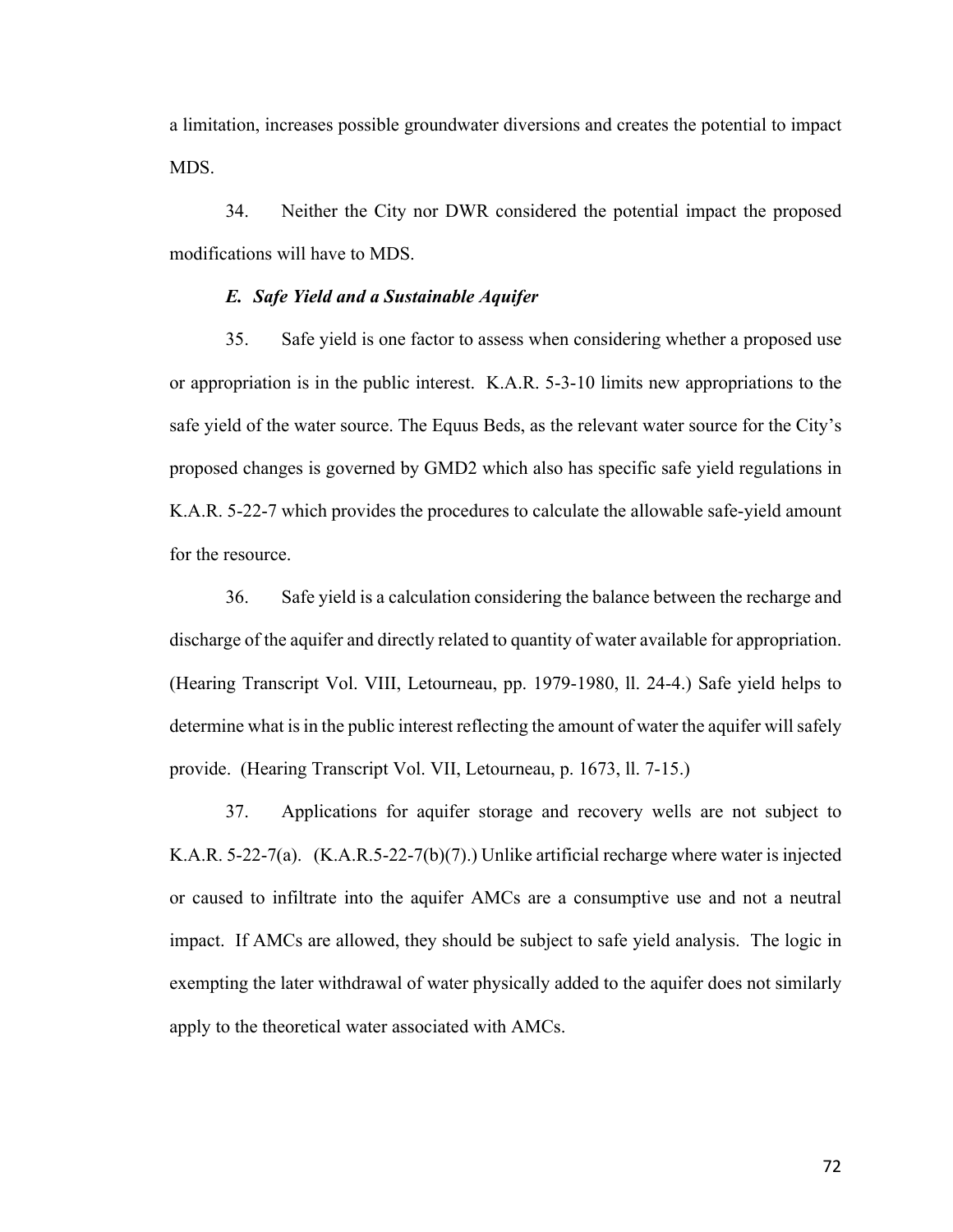a limitation, increases possible groundwater diversions and creates the potential to impact MDS.

34. Neither the City nor DWR considered the potential impact the proposed modifications will have to MDS.

#### *E. Safe Yield and a Sustainable Aquifer*

35. Safe yield is one factor to assess when considering whether a proposed use or appropriation is in the public interest. K.A.R. 5-3-10 limits new appropriations to the safe yield of the water source. The Equus Beds, as the relevant water source for the City's proposed changes is governed by GMD2 which also has specific safe yield regulations in K.A.R. 5-22-7 which provides the procedures to calculate the allowable safe-yield amount for the resource.

36. Safe yield is a calculation considering the balance between the recharge and discharge of the aquifer and directly related to quantity of water available for appropriation. (Hearing Transcript Vol. VIII, Letourneau, pp. 1979-1980, ll. 24-4.) Safe yield helps to determine what is in the public interest reflecting the amount of water the aquifer will safely provide. (Hearing Transcript Vol. VII, Letourneau, p. 1673, ll. 7-15.)

37. Applications for aquifer storage and recovery wells are not subject to K.A.R. 5-22-7(a). (K.A.R.5-22-7(b)(7).) Unlike artificial recharge where water is injected or caused to infiltrate into the aquifer AMCs are a consumptive use and not a neutral impact. If AMCs are allowed, they should be subject to safe yield analysis. The logic in exempting the later withdrawal of water physically added to the aquifer does not similarly apply to the theoretical water associated with AMCs.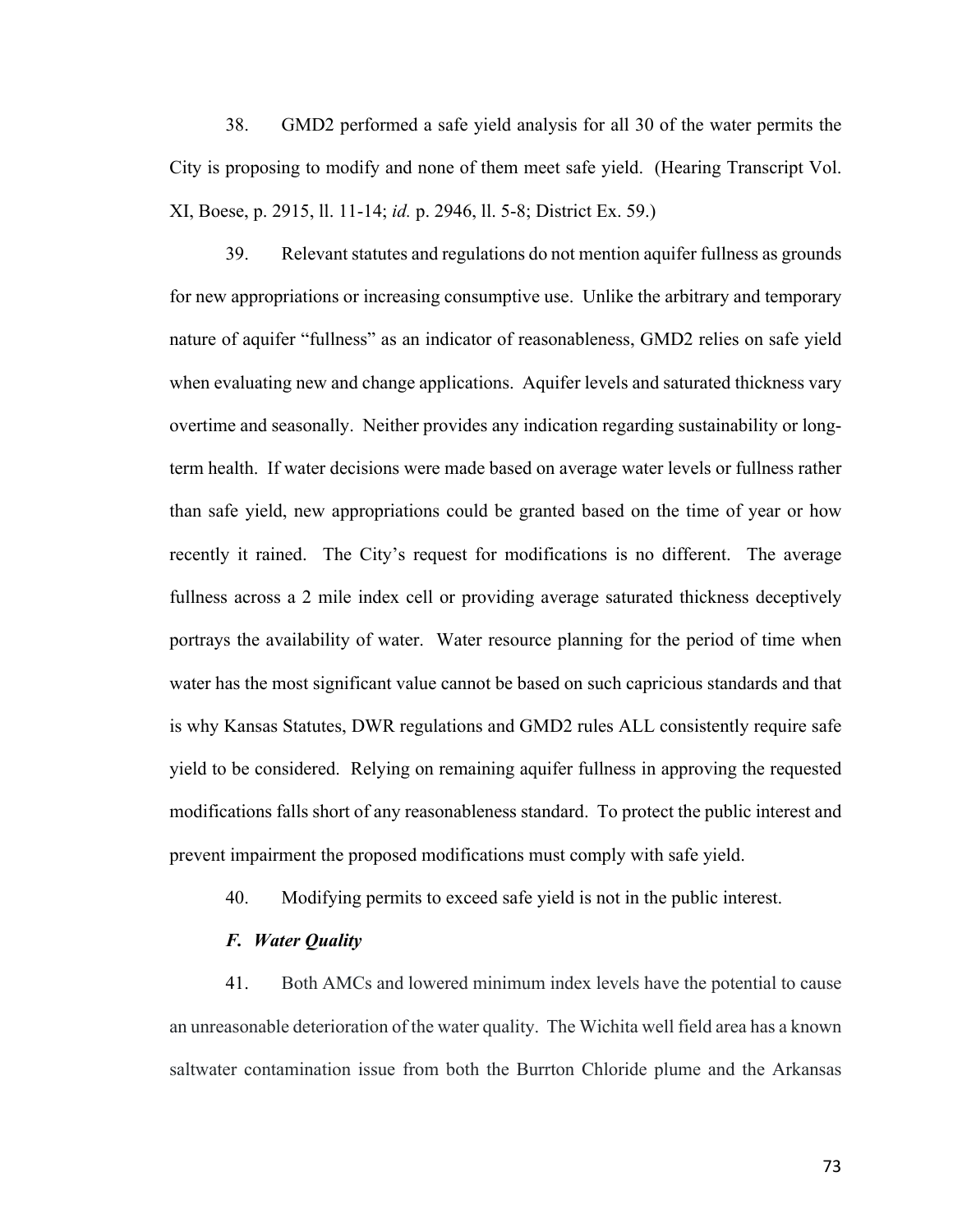38. GMD2 performed a safe yield analysis for all 30 of the water permits the City is proposing to modify and none of them meet safe yield. (Hearing Transcript Vol. XI, Boese, p. 2915, ll. 11-14; *id.* p. 2946, ll. 5-8; District Ex. 59.)

39. Relevant statutes and regulations do not mention aquifer fullness as grounds for new appropriations or increasing consumptive use. Unlike the arbitrary and temporary nature of aquifer "fullness" as an indicator of reasonableness, GMD2 relies on safe yield when evaluating new and change applications. Aquifer levels and saturated thickness vary overtime and seasonally. Neither provides any indication regarding sustainability or longterm health. If water decisions were made based on average water levels or fullness rather than safe yield, new appropriations could be granted based on the time of year or how recently it rained. The City's request for modifications is no different. The average fullness across a 2 mile index cell or providing average saturated thickness deceptively portrays the availability of water. Water resource planning for the period of time when water has the most significant value cannot be based on such capricious standards and that is why Kansas Statutes, DWR regulations and GMD2 rules ALL consistently require safe yield to be considered. Relying on remaining aquifer fullness in approving the requested modifications falls short of any reasonableness standard. To protect the public interest and prevent impairment the proposed modifications must comply with safe yield.

40. Modifying permits to exceed safe yield is not in the public interest.

### *F. Water Quality*

41. Both AMCs and lowered minimum index levels have the potential to cause an unreasonable deterioration of the water quality. The Wichita well field area has a known saltwater contamination issue from both the Burrton Chloride plume and the Arkansas

73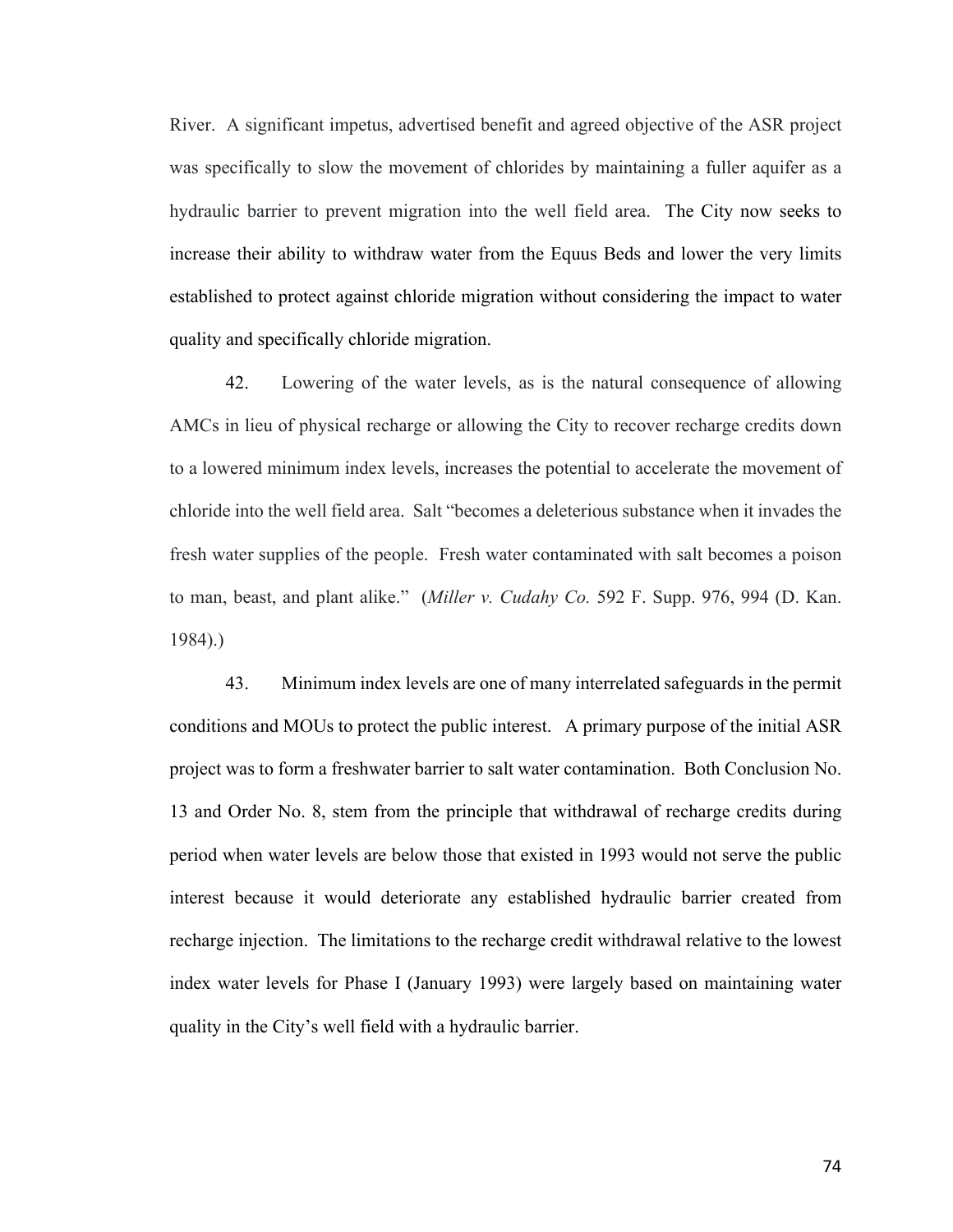River. A significant impetus, advertised benefit and agreed objective of the ASR project was specifically to slow the movement of chlorides by maintaining a fuller aquifer as a hydraulic barrier to prevent migration into the well field area. The City now seeks to increase their ability to withdraw water from the Equus Beds and lower the very limits established to protect against chloride migration without considering the impact to water quality and specifically chloride migration.

42. Lowering of the water levels, as is the natural consequence of allowing AMCs in lieu of physical recharge or allowing the City to recover recharge credits down to a lowered minimum index levels, increases the potential to accelerate the movement of chloride into the well field area. Salt "becomes a deleterious substance when it invades the fresh water supplies of the people. Fresh water contaminated with salt becomes a poison to man, beast, and plant alike." (*Miller v. Cudahy Co.* 592 F. Supp. 976, 994 (D. Kan. 1984).)

43. Minimum index levels are one of many interrelated safeguards in the permit conditions and MOUs to protect the public interest. A primary purpose of the initial ASR project was to form a freshwater barrier to salt water contamination. Both Conclusion No. 13 and Order No. 8, stem from the principle that withdrawal of recharge credits during period when water levels are below those that existed in 1993 would not serve the public interest because it would deteriorate any established hydraulic barrier created from recharge injection. The limitations to the recharge credit withdrawal relative to the lowest index water levels for Phase I (January 1993) were largely based on maintaining water quality in the City's well field with a hydraulic barrier.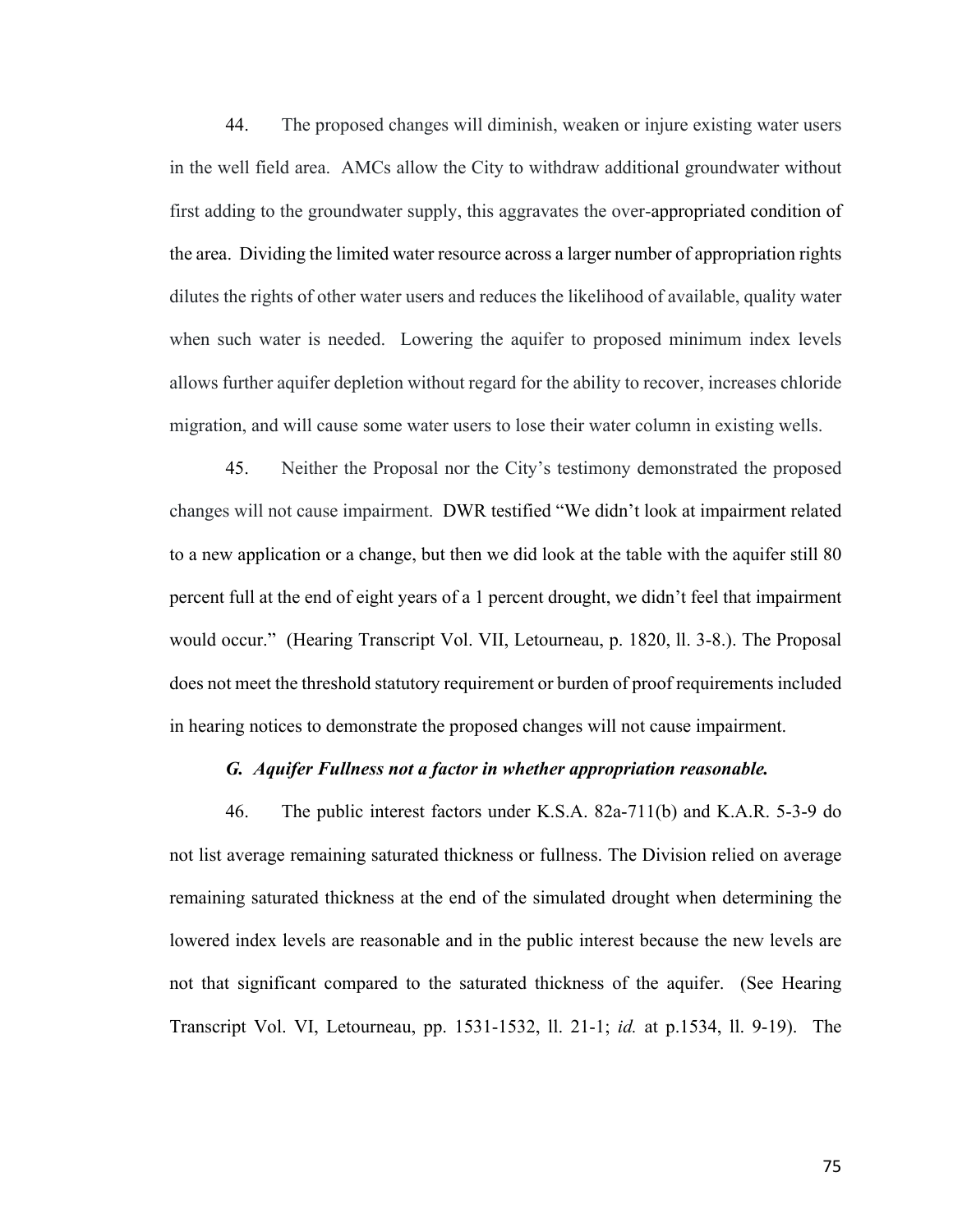44. The proposed changes will diminish, weaken or injure existing water users in the well field area. AMCs allow the City to withdraw additional groundwater without first adding to the groundwater supply, this aggravates the over-appropriated condition of the area. Dividing the limited water resource across a larger number of appropriation rights dilutes the rights of other water users and reduces the likelihood of available, quality water when such water is needed. Lowering the aquifer to proposed minimum index levels allows further aquifer depletion without regard for the ability to recover, increases chloride migration, and will cause some water users to lose their water column in existing wells.

45. Neither the Proposal nor the City's testimony demonstrated the proposed changes will not cause impairment. DWR testified "We didn't look at impairment related to a new application or a change, but then we did look at the table with the aquifer still 80 percent full at the end of eight years of a 1 percent drought, we didn't feel that impairment would occur." (Hearing Transcript Vol. VII, Letourneau, p. 1820, ll. 3-8.). The Proposal does not meet the threshold statutory requirement or burden of proof requirements included in hearing notices to demonstrate the proposed changes will not cause impairment.

#### *G. Aquifer Fullness not a factor in whether appropriation reasonable.*

46. The public interest factors under K.S.A. 82a-711(b) and K.A.R. 5-3-9 do not list average remaining saturated thickness or fullness. The Division relied on average remaining saturated thickness at the end of the simulated drought when determining the lowered index levels are reasonable and in the public interest because the new levels are not that significant compared to the saturated thickness of the aquifer. (See Hearing Transcript Vol. VI, Letourneau, pp. 1531-1532, ll. 21-1; *id.* at p.1534, ll. 9-19). The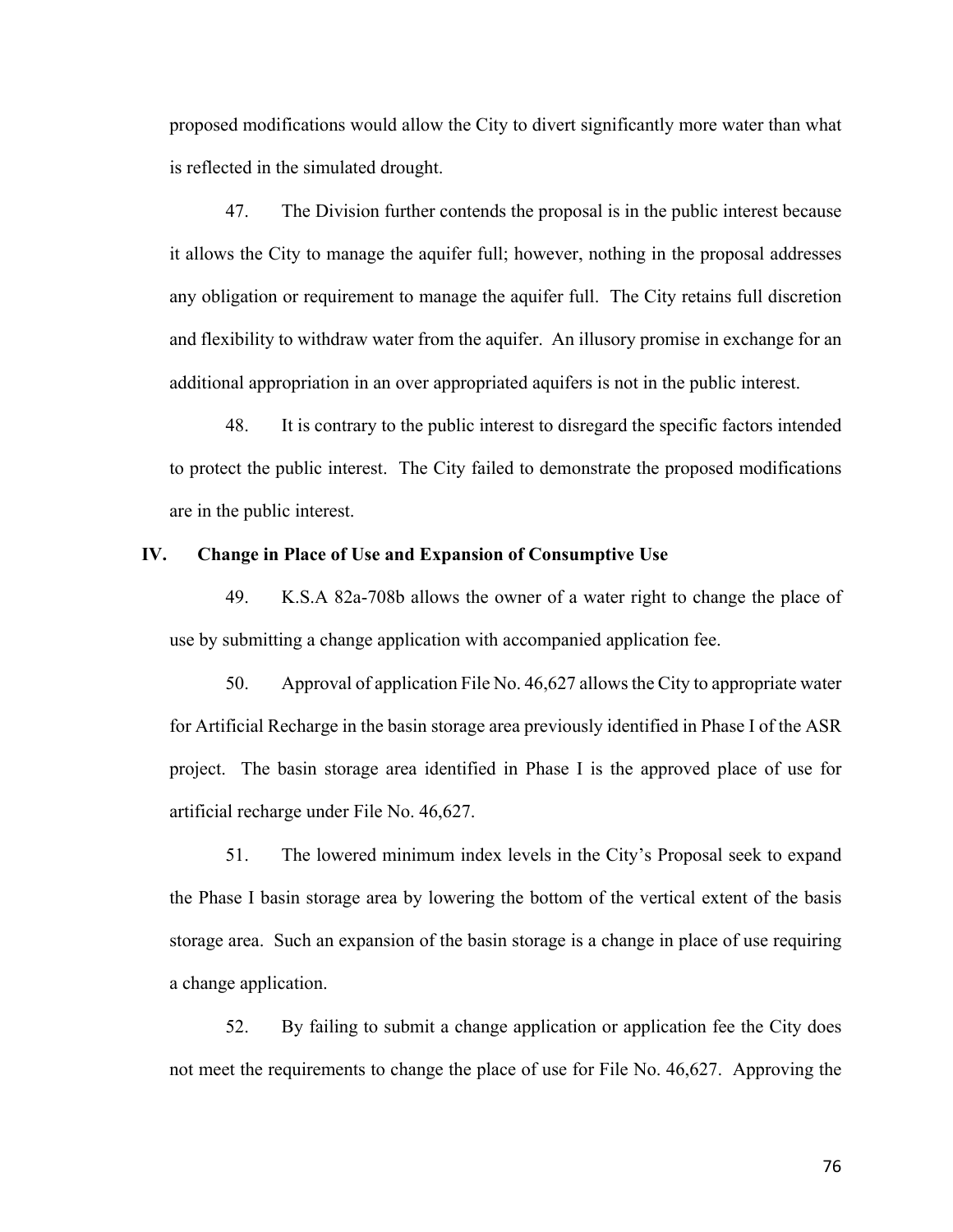proposed modifications would allow the City to divert significantly more water than what is reflected in the simulated drought.

47. The Division further contends the proposal is in the public interest because it allows the City to manage the aquifer full; however, nothing in the proposal addresses any obligation or requirement to manage the aquifer full. The City retains full discretion and flexibility to withdraw water from the aquifer. An illusory promise in exchange for an additional appropriation in an over appropriated aquifers is not in the public interest.

48. It is contrary to the public interest to disregard the specific factors intended to protect the public interest. The City failed to demonstrate the proposed modifications are in the public interest.

### **IV. Change in Place of Use and Expansion of Consumptive Use**

49. K.S.A 82a-708b allows the owner of a water right to change the place of use by submitting a change application with accompanied application fee.

50. Approval of application File No. 46,627 allows the City to appropriate water for Artificial Recharge in the basin storage area previously identified in Phase I of the ASR project. The basin storage area identified in Phase I is the approved place of use for artificial recharge under File No. 46,627.

51. The lowered minimum index levels in the City's Proposal seek to expand the Phase I basin storage area by lowering the bottom of the vertical extent of the basis storage area. Such an expansion of the basin storage is a change in place of use requiring a change application.

52. By failing to submit a change application or application fee the City does not meet the requirements to change the place of use for File No. 46,627. Approving the

76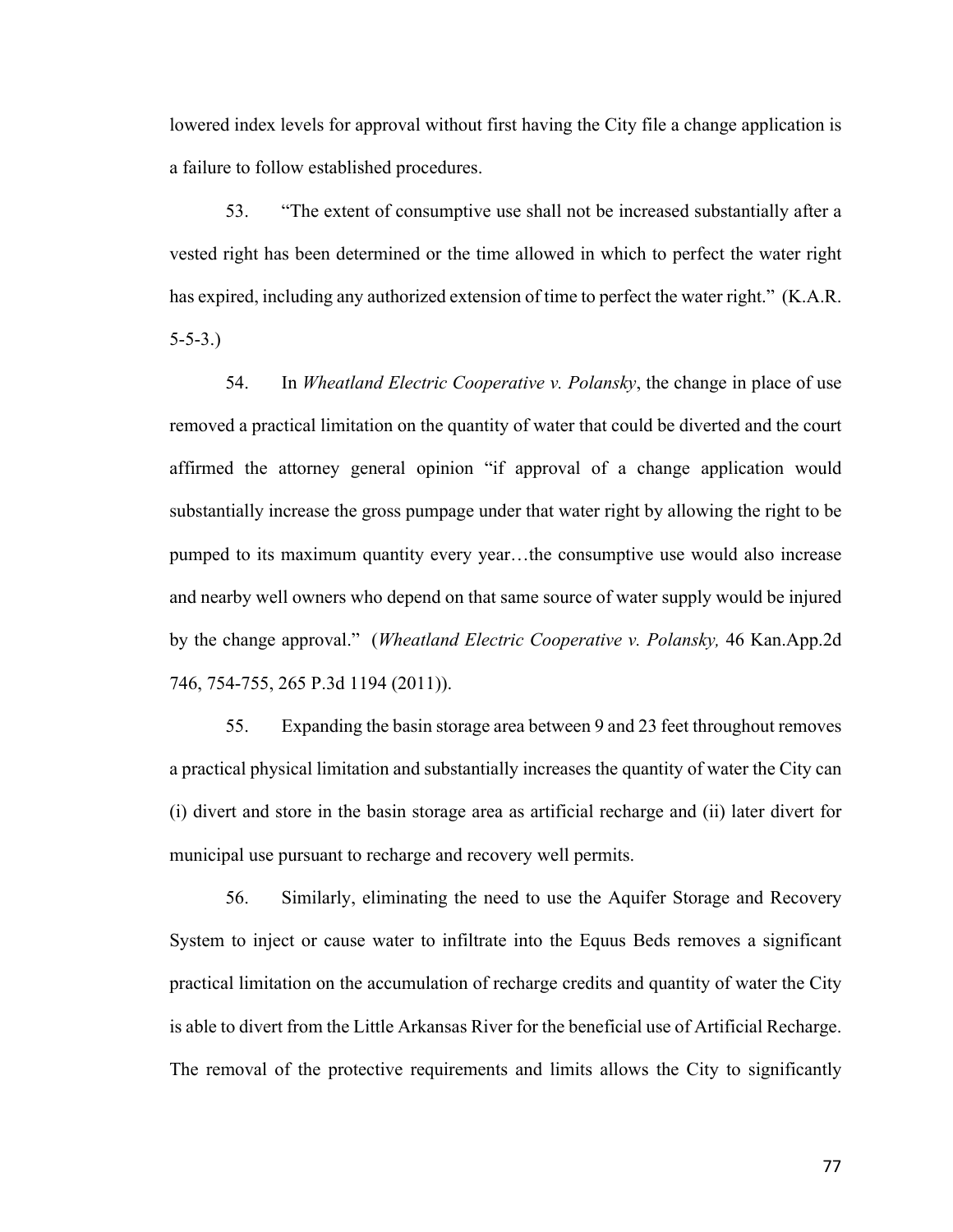lowered index levels for approval without first having the City file a change application is a failure to follow established procedures.

53. "The extent of consumptive use shall not be increased substantially after a vested right has been determined or the time allowed in which to perfect the water right has expired, including any authorized extension of time to perfect the water right." (K.A.R. 5-5-3.)

54. In *Wheatland Electric Cooperative v. Polansky*, the change in place of use removed a practical limitation on the quantity of water that could be diverted and the court affirmed the attorney general opinion "if approval of a change application would substantially increase the gross pumpage under that water right by allowing the right to be pumped to its maximum quantity every year…the consumptive use would also increase and nearby well owners who depend on that same source of water supply would be injured by the change approval." (*Wheatland Electric Cooperative v. Polansky,* 46 Kan.App.2d 746, 754-755, 265 P.3d 1194 (2011)).

55. Expanding the basin storage area between 9 and 23 feet throughout removes a practical physical limitation and substantially increases the quantity of water the City can (i) divert and store in the basin storage area as artificial recharge and (ii) later divert for municipal use pursuant to recharge and recovery well permits.

56. Similarly, eliminating the need to use the Aquifer Storage and Recovery System to inject or cause water to infiltrate into the Equus Beds removes a significant practical limitation on the accumulation of recharge credits and quantity of water the City is able to divert from the Little Arkansas River for the beneficial use of Artificial Recharge. The removal of the protective requirements and limits allows the City to significantly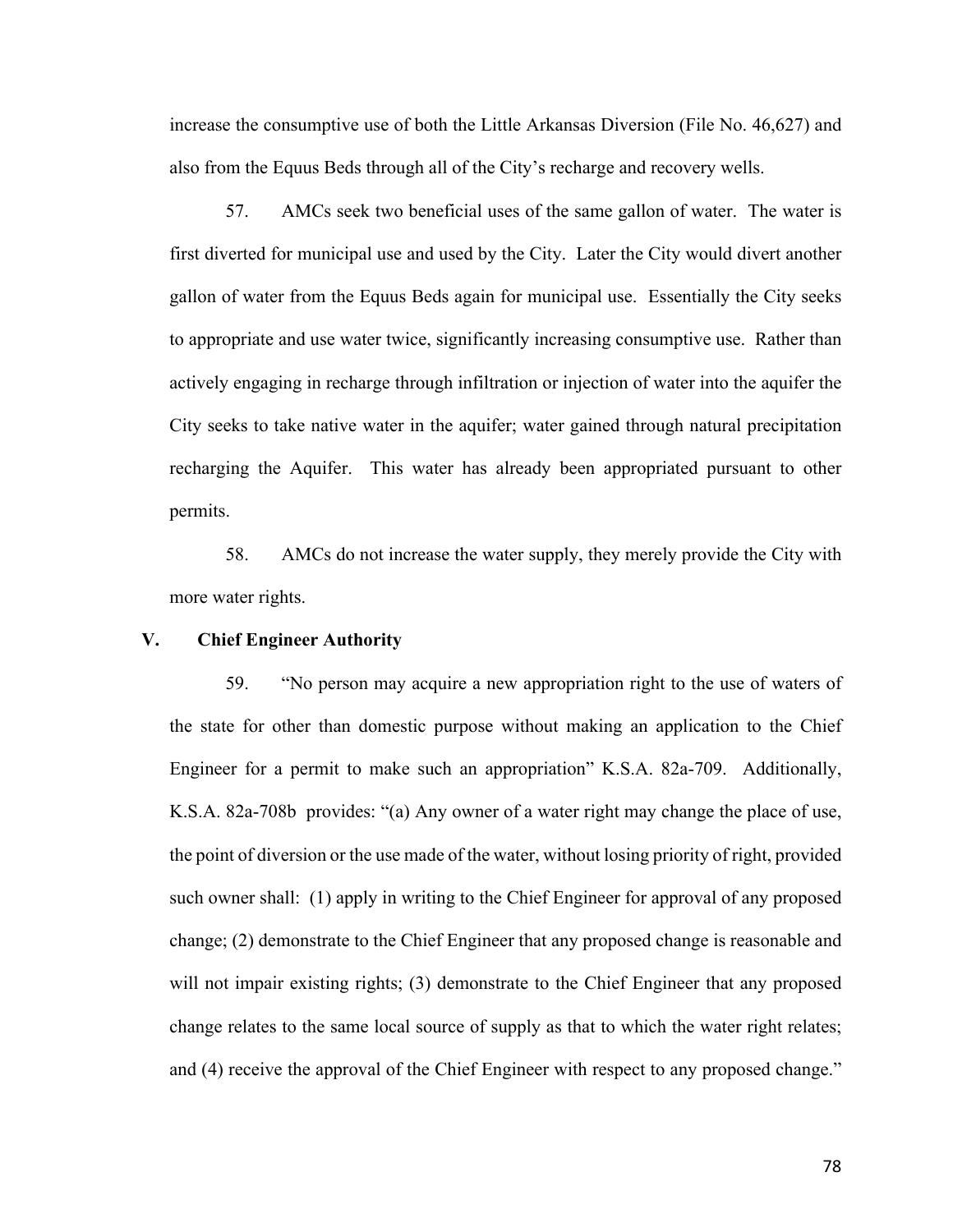increase the consumptive use of both the Little Arkansas Diversion (File No. 46,627) and also from the Equus Beds through all of the City's recharge and recovery wells.

57. AMCs seek two beneficial uses of the same gallon of water. The water is first diverted for municipal use and used by the City. Later the City would divert another gallon of water from the Equus Beds again for municipal use. Essentially the City seeks to appropriate and use water twice, significantly increasing consumptive use. Rather than actively engaging in recharge through infiltration or injection of water into the aquifer the City seeks to take native water in the aquifer; water gained through natural precipitation recharging the Aquifer. This water has already been appropriated pursuant to other permits.

58. AMCs do not increase the water supply, they merely provide the City with more water rights.

# **V. Chief Engineer Authority**

59. "No person may acquire a new appropriation right to the use of waters of the state for other than domestic purpose without making an application to the Chief Engineer for a permit to make such an appropriation" K.S.A. 82a-709. Additionally, K.S.A. 82a-708b provides: "(a) Any owner of a water right may change the place of use, the point of diversion or the use made of the water, without losing priority of right, provided such owner shall: (1) apply in writing to the Chief Engineer for approval of any proposed change; (2) demonstrate to the Chief Engineer that any proposed change is reasonable and will not impair existing rights; (3) demonstrate to the Chief Engineer that any proposed change relates to the same local source of supply as that to which the water right relates; and (4) receive the approval of the Chief Engineer with respect to any proposed change."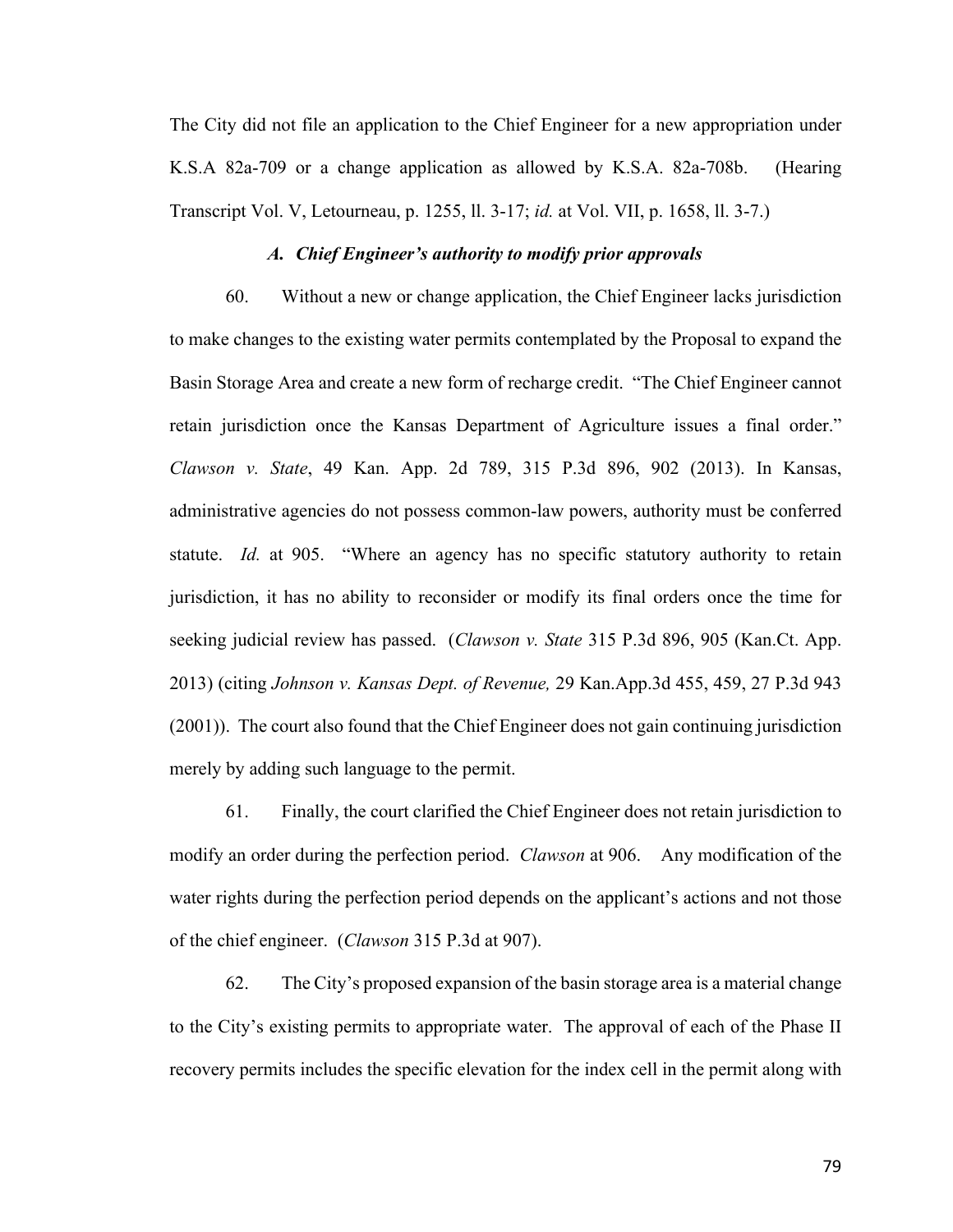The City did not file an application to the Chief Engineer for a new appropriation under K.S.A 82a-709 or a change application as allowed by K.S.A. 82a-708b. (Hearing Transcript Vol. V, Letourneau, p. 1255, ll. 3-17; *id.* at Vol. VII, p. 1658, ll. 3-7.)

#### *A. Chief Engineer's authority to modify prior approvals*

60. Without a new or change application, the Chief Engineer lacks jurisdiction to make changes to the existing water permits contemplated by the Proposal to expand the Basin Storage Area and create a new form of recharge credit. "The Chief Engineer cannot retain jurisdiction once the Kansas Department of Agriculture issues a final order." *Clawson v. State*, 49 Kan. App. 2d 789, 315 P.3d 896, 902 (2013). In Kansas, administrative agencies do not possess common-law powers, authority must be conferred statute. *Id.* at 905. "Where an agency has no specific statutory authority to retain jurisdiction, it has no ability to reconsider or modify its final orders once the time for seeking judicial review has passed. (*Clawson v. State* 315 P.3d 896, 905 (Kan.Ct. App. 2013) (citing *Johnson v. Kansas Dept. of Revenue,* 29 Kan.App.3d 455, 459, 27 P.3d 943 (2001)). The court also found that the Chief Engineer does not gain continuing jurisdiction merely by adding such language to the permit.

61. Finally, the court clarified the Chief Engineer does not retain jurisdiction to modify an order during the perfection period. *Clawson* at 906. Any modification of the water rights during the perfection period depends on the applicant's actions and not those of the chief engineer. (*Clawson* 315 P.3d at 907).

62. The City's proposed expansion of the basin storage area is a material change to the City's existing permits to appropriate water. The approval of each of the Phase II recovery permits includes the specific elevation for the index cell in the permit along with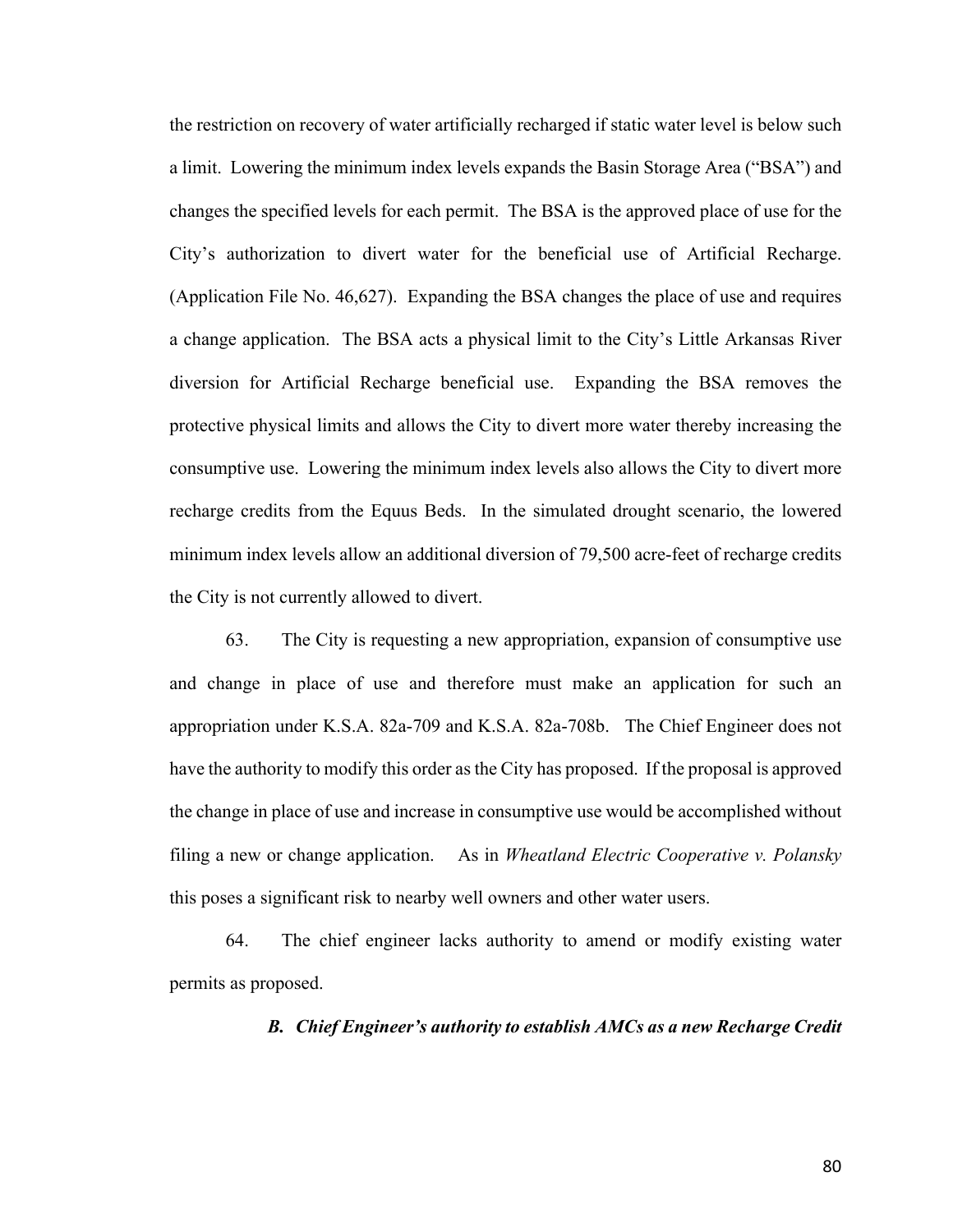the restriction on recovery of water artificially recharged if static water level is below such a limit. Lowering the minimum index levels expands the Basin Storage Area ("BSA") and changes the specified levels for each permit. The BSA is the approved place of use for the City's authorization to divert water for the beneficial use of Artificial Recharge. (Application File No. 46,627). Expanding the BSA changes the place of use and requires a change application. The BSA acts a physical limit to the City's Little Arkansas River diversion for Artificial Recharge beneficial use. Expanding the BSA removes the protective physical limits and allows the City to divert more water thereby increasing the consumptive use. Lowering the minimum index levels also allows the City to divert more recharge credits from the Equus Beds. In the simulated drought scenario, the lowered minimum index levels allow an additional diversion of 79,500 acre-feet of recharge credits the City is not currently allowed to divert.

63. The City is requesting a new appropriation, expansion of consumptive use and change in place of use and therefore must make an application for such an appropriation under K.S.A. 82a-709 and K.S.A. 82a-708b. The Chief Engineer does not have the authority to modify this order as the City has proposed. If the proposal is approved the change in place of use and increase in consumptive use would be accomplished without filing a new or change application. As in *Wheatland Electric Cooperative v. Polansky* this poses a significant risk to nearby well owners and other water users.

64. The chief engineer lacks authority to amend or modify existing water permits as proposed.

## *B. Chief Engineer's authority to establish AMCs as a new Recharge Credit*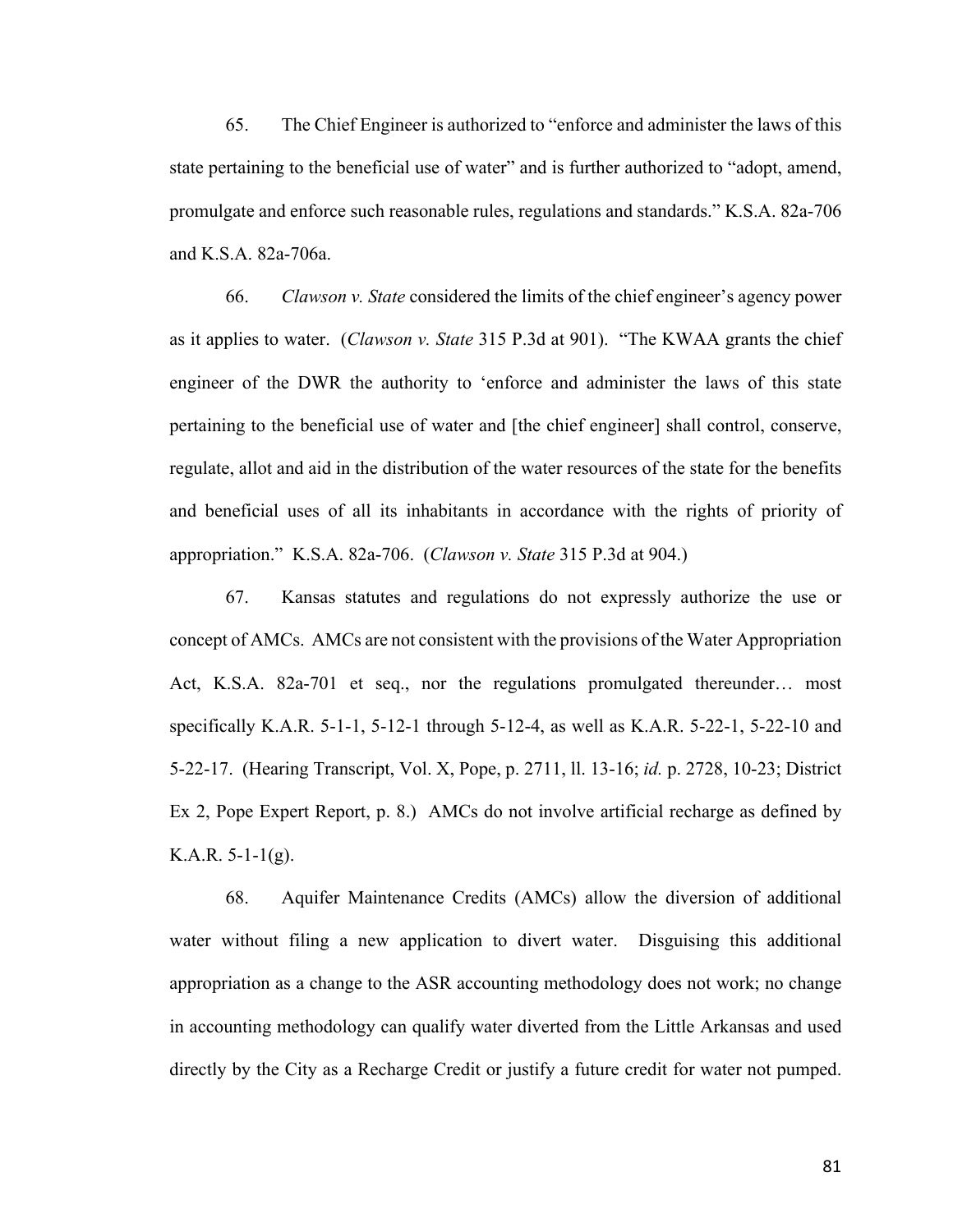65. The Chief Engineer is authorized to "enforce and administer the laws of this state pertaining to the beneficial use of water" and is further authorized to "adopt, amend, promulgate and enforce such reasonable rules, regulations and standards." K.S.A. 82a-706 and K.S.A. 82a-706a.

66. *Clawson v. State* considered the limits of the chief engineer's agency power as it applies to water. (*Clawson v. State* 315 P.3d at 901). "The KWAA grants the chief engineer of the DWR the authority to 'enforce and administer the laws of this state pertaining to the beneficial use of water and [the chief engineer] shall control, conserve, regulate, allot and aid in the distribution of the water resources of the state for the benefits and beneficial uses of all its inhabitants in accordance with the rights of priority of appropriation." K.S.A. 82a-706. (*Clawson v. State* 315 P.3d at 904.)

67. Kansas statutes and regulations do not expressly authorize the use or concept of AMCs. AMCs are not consistent with the provisions of the Water Appropriation Act, K.S.A. 82a-701 et seq., nor the regulations promulgated thereunder… most specifically K.A.R. 5-1-1, 5-12-1 through 5-12-4, as well as K.A.R. 5-22-1, 5-22-10 and 5-22-17. (Hearing Transcript, Vol. X, Pope, p. 2711, ll. 13-16; *id.* p. 2728, 10-23; District Ex 2, Pope Expert Report, p. 8.) AMCs do not involve artificial recharge as defined by K.A.R.  $5-1-1(g)$ .

68. Aquifer Maintenance Credits (AMCs) allow the diversion of additional water without filing a new application to divert water. Disguising this additional appropriation as a change to the ASR accounting methodology does not work; no change in accounting methodology can qualify water diverted from the Little Arkansas and used directly by the City as a Recharge Credit or justify a future credit for water not pumped.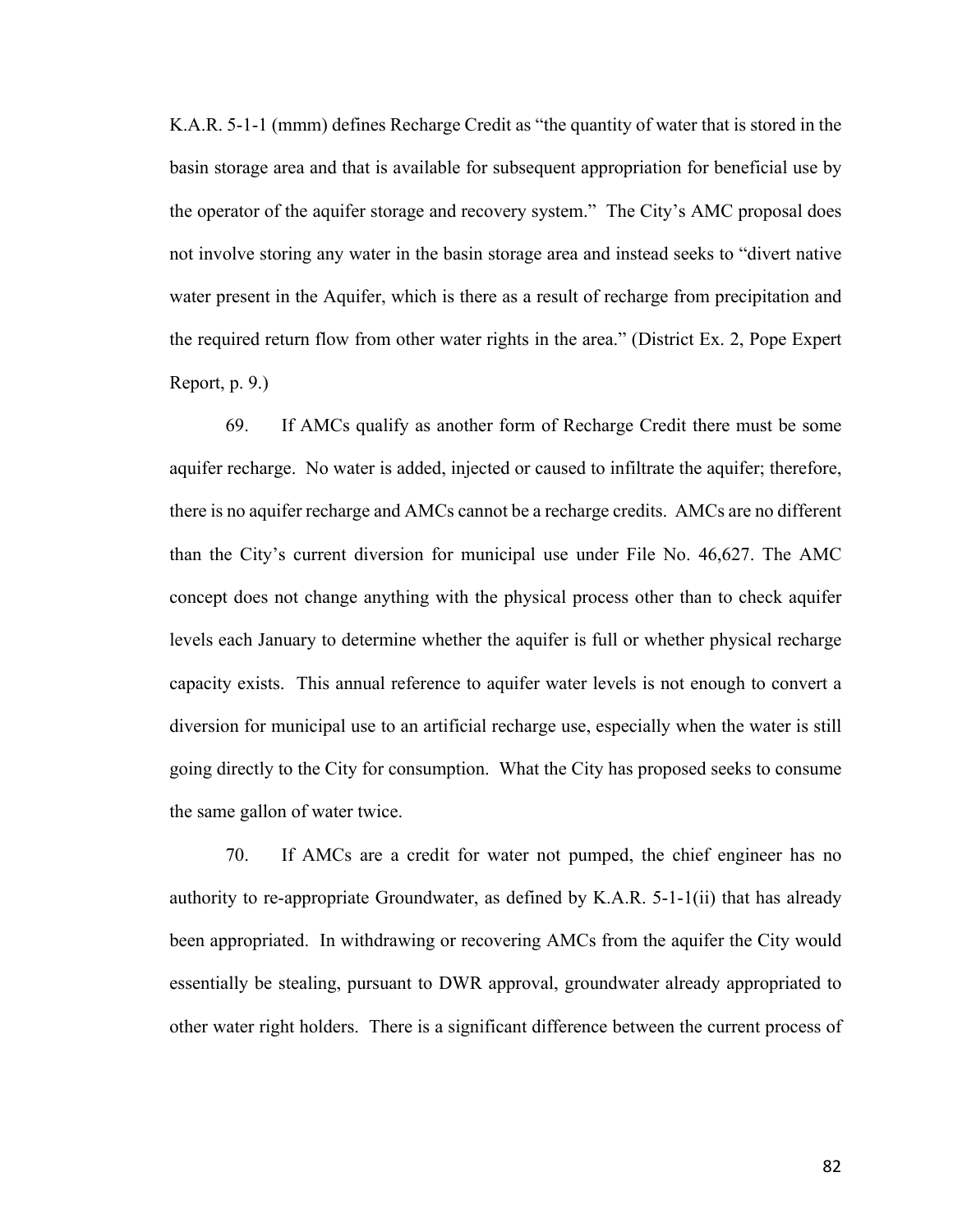K.A.R. 5-1-1 (mmm) defines Recharge Credit as "the quantity of water that is stored in the basin storage area and that is available for subsequent appropriation for beneficial use by the operator of the aquifer storage and recovery system." The City's AMC proposal does not involve storing any water in the basin storage area and instead seeks to "divert native water present in the Aquifer, which is there as a result of recharge from precipitation and the required return flow from other water rights in the area." (District Ex. 2, Pope Expert Report, p. 9.)

69. If AMCs qualify as another form of Recharge Credit there must be some aquifer recharge. No water is added, injected or caused to infiltrate the aquifer; therefore, there is no aquifer recharge and AMCs cannot be a recharge credits. AMCs are no different than the City's current diversion for municipal use under File No. 46,627. The AMC concept does not change anything with the physical process other than to check aquifer levels each January to determine whether the aquifer is full or whether physical recharge capacity exists. This annual reference to aquifer water levels is not enough to convert a diversion for municipal use to an artificial recharge use, especially when the water is still going directly to the City for consumption. What the City has proposed seeks to consume the same gallon of water twice.

70. If AMCs are a credit for water not pumped, the chief engineer has no authority to re-appropriate Groundwater, as defined by K.A.R. 5-1-1(ii) that has already been appropriated. In withdrawing or recovering AMCs from the aquifer the City would essentially be stealing, pursuant to DWR approval, groundwater already appropriated to other water right holders. There is a significant difference between the current process of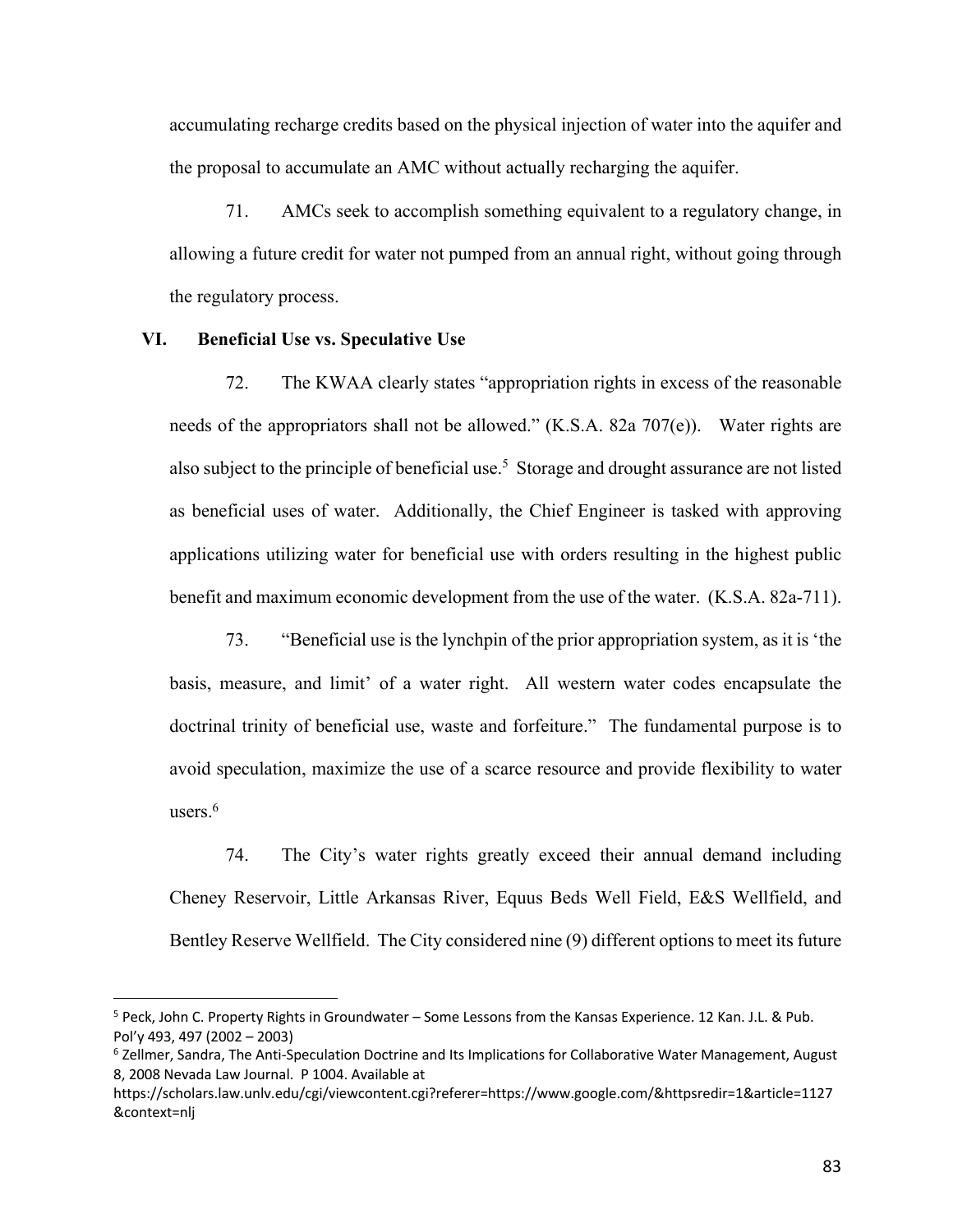accumulating recharge credits based on the physical injection of water into the aquifer and the proposal to accumulate an AMC without actually recharging the aquifer.

71. AMCs seek to accomplish something equivalent to a regulatory change, in allowing a future credit for water not pumped from an annual right, without going through the regulatory process.

### **VI. Beneficial Use vs. Speculative Use**

72. The KWAA clearly states "appropriation rights in excess of the reasonable needs of the appropriators shall not be allowed." (K.S.A. 82a 707(e)). Water rights are also subject to the principle of beneficial use.<sup>5</sup> Storage and drought assurance are not listed as beneficial uses of water. Additionally, the Chief Engineer is tasked with approving applications utilizing water for beneficial use with orders resulting in the highest public benefit and maximum economic development from the use of the water. (K.S.A. 82a-711).

73. "Beneficial use is the lynchpin of the prior appropriation system, as it is 'the basis, measure, and limit' of a water right. All western water codes encapsulate the doctrinal trinity of beneficial use, waste and forfeiture." The fundamental purpose is to avoid speculation, maximize the use of a scarce resource and provide flexibility to water users.<sup>6</sup>

74. The City's water rights greatly exceed their annual demand including Cheney Reservoir, Little Arkansas River, Equus Beds Well Field, E&S Wellfield, and Bentley Reserve Wellfield. The City considered nine (9) different options to meet its future

<sup>5</sup> Peck, John C. Property Rights in Groundwater – Some Lessons from the Kansas Experience. 12 Kan. J.L. & Pub. Pol'y 493, 497 (2002 – 2003)

<sup>&</sup>lt;sup>6</sup> Zellmer, Sandra, The Anti-Speculation Doctrine and Its Implications for Collaborative Water Management, August 8, 2008 Nevada Law Journal. P 1004. Available at

https://scholars.law.unlv.edu/cgi/viewcontent.cgi?referer=https://www.google.com/&httpsredir=1&article=1127 &context=nlj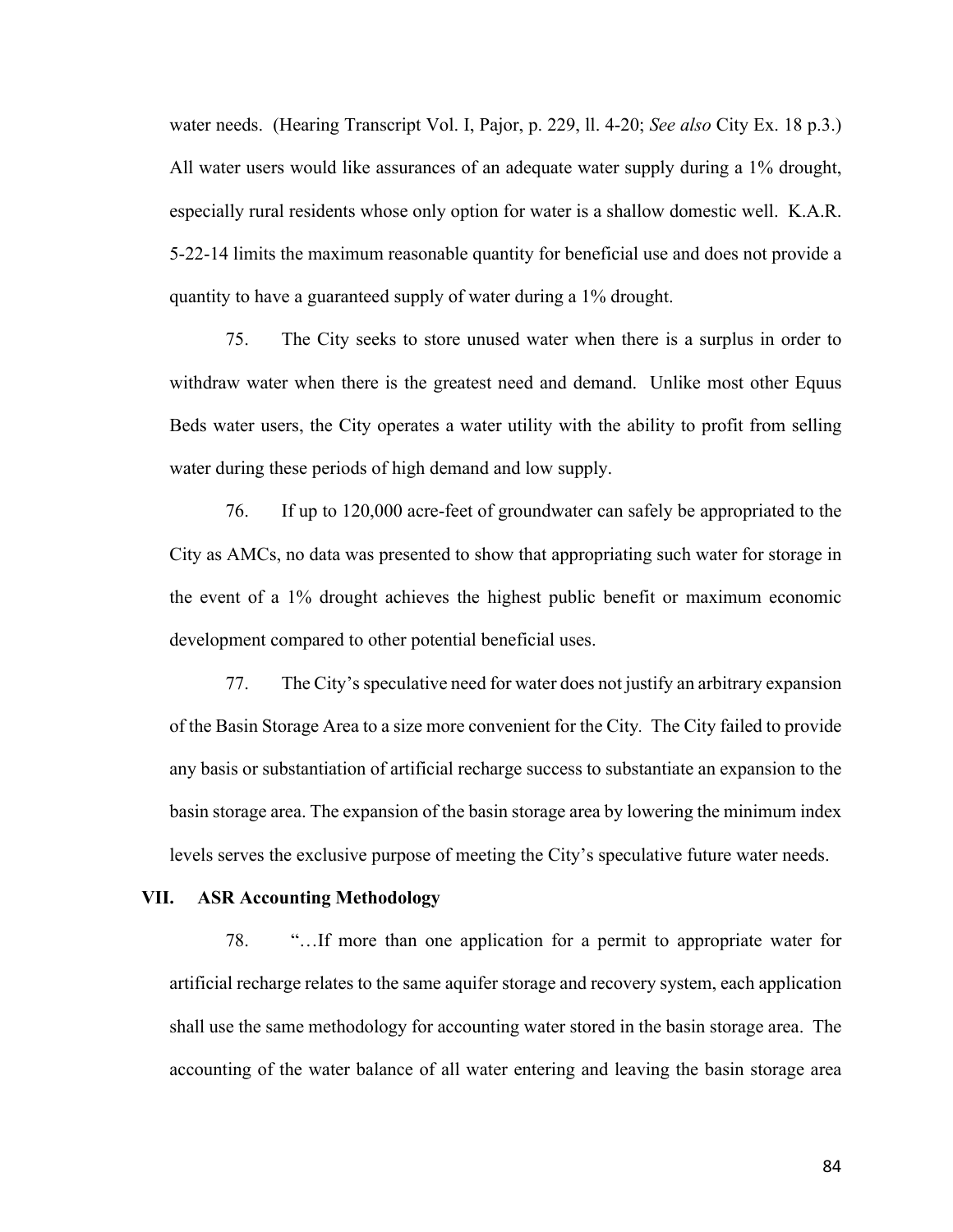water needs. (Hearing Transcript Vol. I, Pajor, p. 229, ll. 4-20; *See also* City Ex. 18 p.3.) All water users would like assurances of an adequate water supply during a 1% drought, especially rural residents whose only option for water is a shallow domestic well. K.A.R. 5-22-14 limits the maximum reasonable quantity for beneficial use and does not provide a quantity to have a guaranteed supply of water during a 1% drought.

75. The City seeks to store unused water when there is a surplus in order to withdraw water when there is the greatest need and demand. Unlike most other Equus Beds water users, the City operates a water utility with the ability to profit from selling water during these periods of high demand and low supply.

76. If up to 120,000 acre-feet of groundwater can safely be appropriated to the City as AMCs, no data was presented to show that appropriating such water for storage in the event of a 1% drought achieves the highest public benefit or maximum economic development compared to other potential beneficial uses.

77. The City's speculative need for water does not justify an arbitrary expansion of the Basin Storage Area to a size more convenient for the City*.* The City failed to provide any basis or substantiation of artificial recharge success to substantiate an expansion to the basin storage area. The expansion of the basin storage area by lowering the minimum index levels serves the exclusive purpose of meeting the City's speculative future water needs.

#### **VII. ASR Accounting Methodology**

78. "…If more than one application for a permit to appropriate water for artificial recharge relates to the same aquifer storage and recovery system, each application shall use the same methodology for accounting water stored in the basin storage area. The accounting of the water balance of all water entering and leaving the basin storage area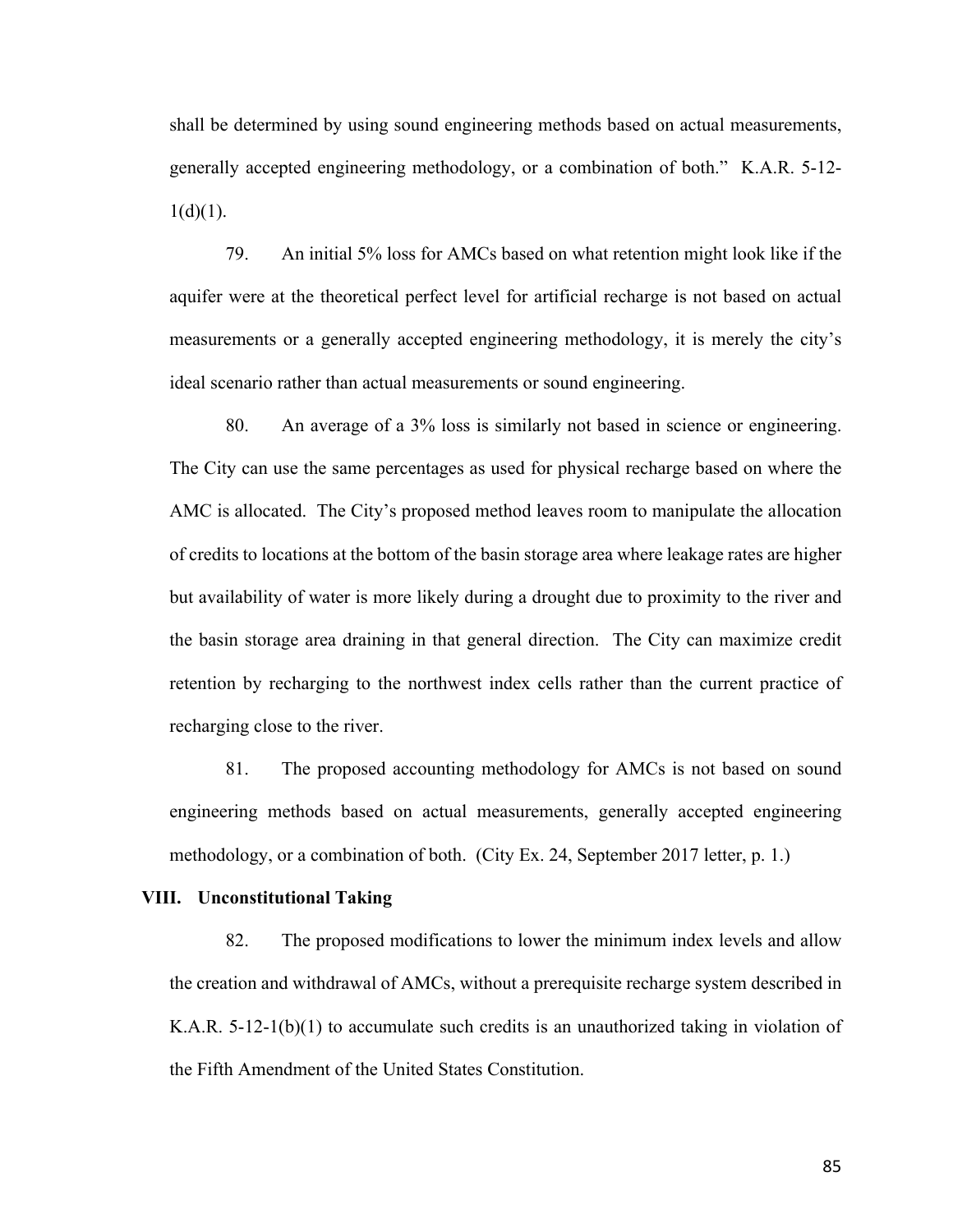shall be determined by using sound engineering methods based on actual measurements, generally accepted engineering methodology, or a combination of both." K.A.R. 5-12-  $1(d)(1)$ .

79. An initial 5% loss for AMCs based on what retention might look like if the aquifer were at the theoretical perfect level for artificial recharge is not based on actual measurements or a generally accepted engineering methodology, it is merely the city's ideal scenario rather than actual measurements or sound engineering.

80. An average of a 3% loss is similarly not based in science or engineering. The City can use the same percentages as used for physical recharge based on where the AMC is allocated. The City's proposed method leaves room to manipulate the allocation of credits to locations at the bottom of the basin storage area where leakage rates are higher but availability of water is more likely during a drought due to proximity to the river and the basin storage area draining in that general direction. The City can maximize credit retention by recharging to the northwest index cells rather than the current practice of recharging close to the river.

81. The proposed accounting methodology for AMCs is not based on sound engineering methods based on actual measurements, generally accepted engineering methodology, or a combination of both. (City Ex. 24, September 2017 letter, p. 1.)

## **VIII. Unconstitutional Taking**

82. The proposed modifications to lower the minimum index levels and allow the creation and withdrawal of AMCs, without a prerequisite recharge system described in K.A.R.  $5-12-1(b)(1)$  to accumulate such credits is an unauthorized taking in violation of the Fifth Amendment of the United States Constitution.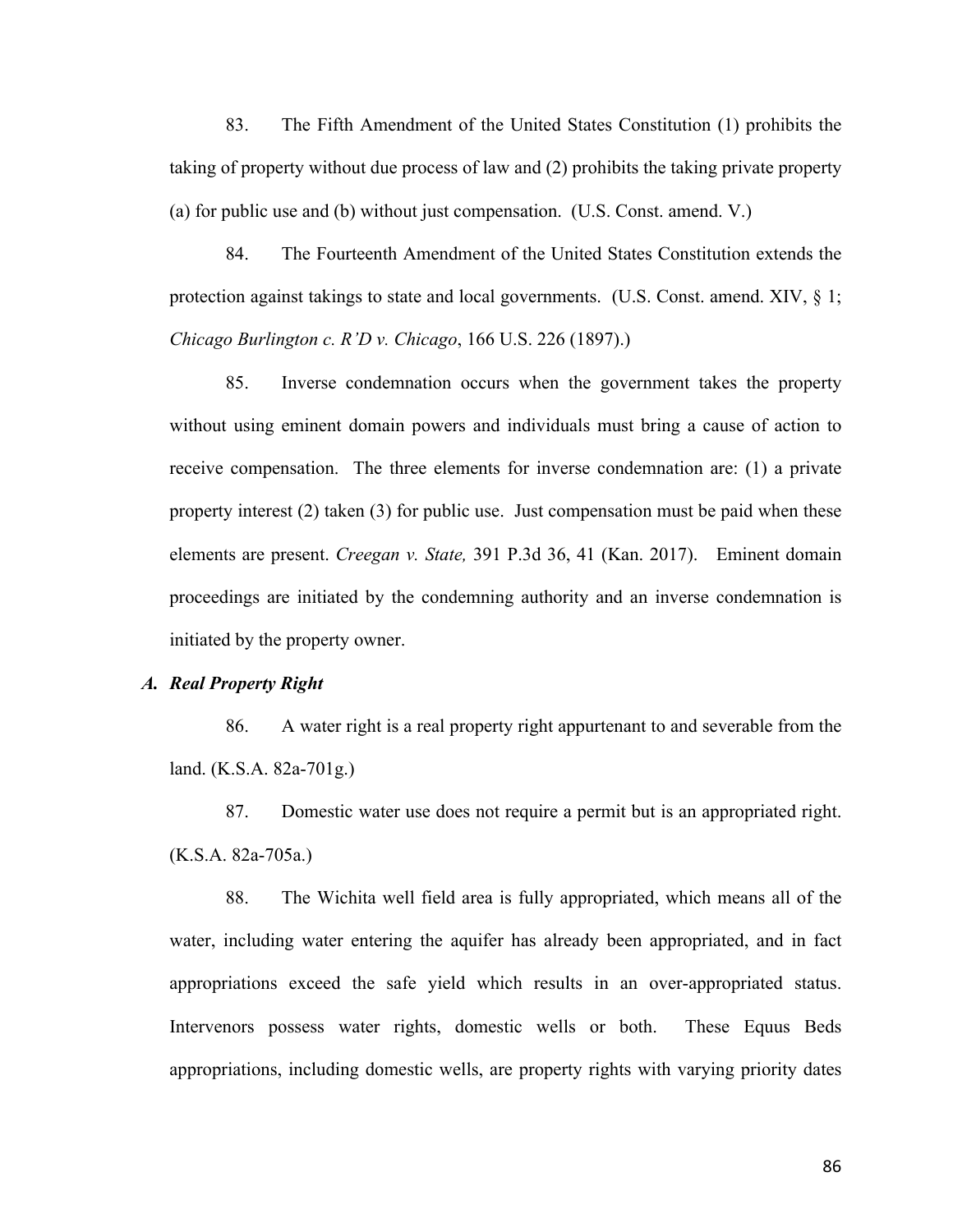83. The Fifth Amendment of the United States Constitution (1) prohibits the taking of property without due process of law and (2) prohibits the taking private property (a) for public use and (b) without just compensation. (U.S. Const. amend. V.)

84. The Fourteenth Amendment of the United States Constitution extends the protection against takings to state and local governments. (U.S. Const. amend. XIV, § 1; *Chicago Burlington c. R'D v. Chicago*, 166 U.S. 226 (1897).)

85. Inverse condemnation occurs when the government takes the property without using eminent domain powers and individuals must bring a cause of action to receive compensation. The three elements for inverse condemnation are: (1) a private property interest (2) taken (3) for public use. Just compensation must be paid when these elements are present. *Creegan v. State,* 391 P.3d 36, 41 (Kan. 2017). Eminent domain proceedings are initiated by the condemning authority and an inverse condemnation is initiated by the property owner.

### *A. Real Property Right*

86. A water right is a real property right appurtenant to and severable from the land. (K.S.A. 82a-701g.)

87. Domestic water use does not require a permit but is an appropriated right. (K.S.A. 82a-705a.)

88. The Wichita well field area is fully appropriated, which means all of the water, including water entering the aquifer has already been appropriated, and in fact appropriations exceed the safe yield which results in an over-appropriated status. Intervenors possess water rights, domestic wells or both. These Equus Beds appropriations, including domestic wells, are property rights with varying priority dates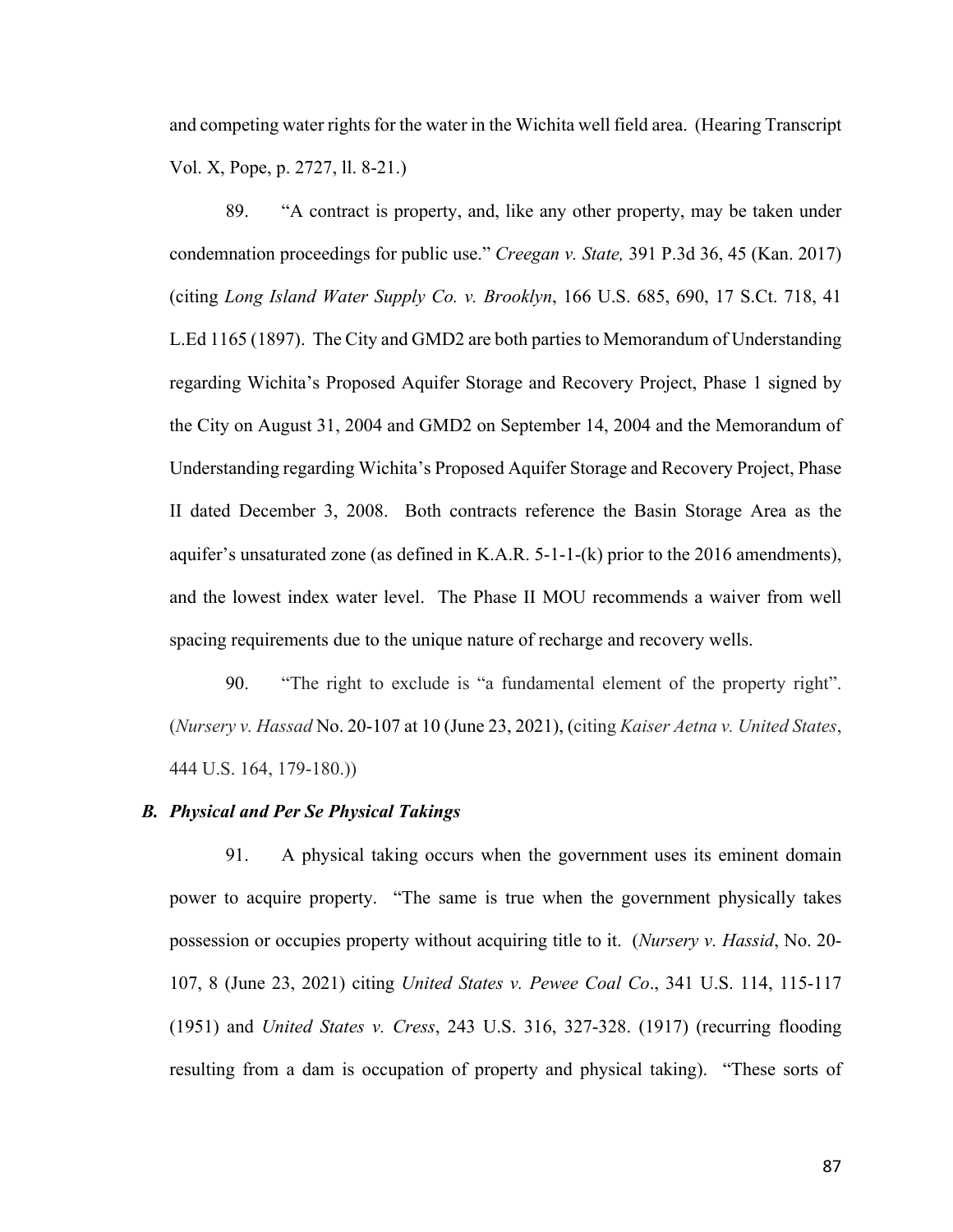and competing water rights for the water in the Wichita well field area. (Hearing Transcript Vol. X, Pope, p. 2727, ll. 8-21.)

89. "A contract is property, and, like any other property, may be taken under condemnation proceedings for public use." *Creegan v. State,* 391 P.3d 36, 45 (Kan. 2017) (citing *Long Island Water Supply Co. v. Brooklyn*, 166 U.S. 685, 690, 17 S.Ct. 718, 41 L.Ed 1165 (1897). The City and GMD2 are both parties to Memorandum of Understanding regarding Wichita's Proposed Aquifer Storage and Recovery Project, Phase 1 signed by the City on August 31, 2004 and GMD2 on September 14, 2004 and the Memorandum of Understanding regarding Wichita's Proposed Aquifer Storage and Recovery Project, Phase II dated December 3, 2008. Both contracts reference the Basin Storage Area as the aquifer's unsaturated zone (as defined in K.A.R. 5-1-1-(k) prior to the 2016 amendments), and the lowest index water level. The Phase II MOU recommends a waiver from well spacing requirements due to the unique nature of recharge and recovery wells.

90. "The right to exclude is "a fundamental element of the property right". (*Nursery v. Hassad* No. 20-107 at 10 (June 23, 2021), (citing *Kaiser Aetna v. United States*, 444 U.S. 164, 179-180.))

### *B. Physical and Per Se Physical Takings*

91. A physical taking occurs when the government uses its eminent domain power to acquire property. "The same is true when the government physically takes possession or occupies property without acquiring title to it. (*Nursery v. Hassid*, No. 20- 107, 8 (June 23, 2021) citing *United States v. Pewee Coal Co*., 341 U.S. 114, 115-117 (1951) and *United States v. Cress*, 243 U.S. 316, 327-328. (1917) (recurring flooding resulting from a dam is occupation of property and physical taking). "These sorts of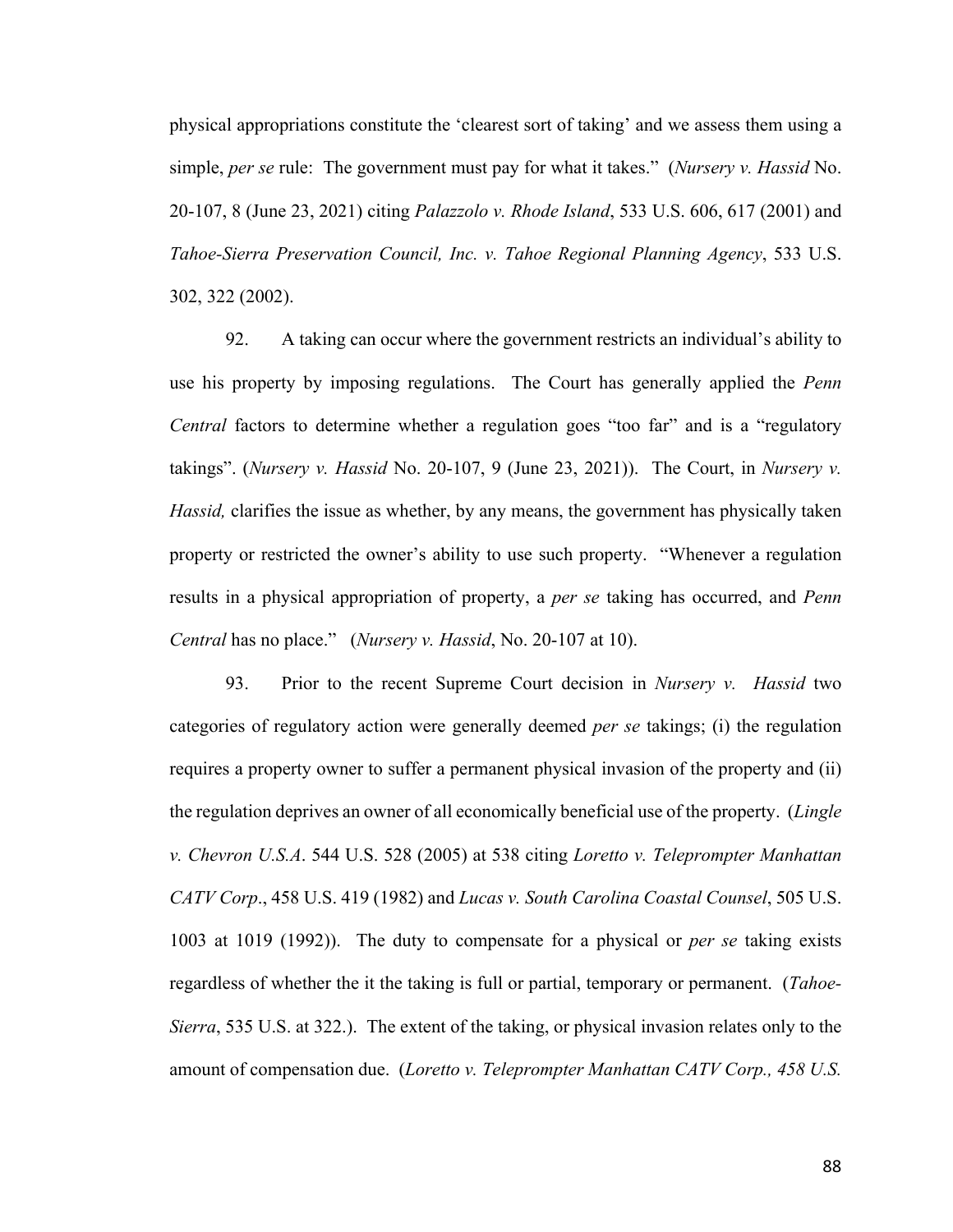physical appropriations constitute the 'clearest sort of taking' and we assess them using a simple, *per se* rule: The government must pay for what it takes." (*Nursery v. Hassid* No. 20-107, 8 (June 23, 2021) citing *Palazzolo v. Rhode Island*, 533 U.S. 606, 617 (2001) and *Tahoe-Sierra Preservation Council, Inc. v. Tahoe Regional Planning Agency*, 533 U.S. 302, 322 (2002).

92. A taking can occur where the government restricts an individual's ability to use his property by imposing regulations. The Court has generally applied the *Penn Central* factors to determine whether a regulation goes "too far" and is a "regulatory takings". (*Nursery v. Hassid* No. 20-107, 9 (June 23, 2021)). The Court, in *Nursery v. Hassid,* clarifies the issue as whether, by any means, the government has physically taken property or restricted the owner's ability to use such property. "Whenever a regulation results in a physical appropriation of property, a *per se* taking has occurred, and *Penn Central* has no place." (*Nursery v. Hassid*, No. 20-107 at 10).

93. Prior to the recent Supreme Court decision in *Nursery v. Hassid* two categories of regulatory action were generally deemed *per se* takings; (i) the regulation requires a property owner to suffer a permanent physical invasion of the property and (ii) the regulation deprives an owner of all economically beneficial use of the property. (*Lingle v. Chevron U.S.A*. 544 U.S. 528 (2005) at 538 citing *Loretto v. Teleprompter Manhattan CATV Corp*., 458 U.S. 419 (1982) and *Lucas v. South Carolina Coastal Counsel*, 505 U.S. 1003 at 1019 (1992)). The duty to compensate for a physical or *per se* taking exists regardless of whether the it the taking is full or partial, temporary or permanent. (*Tahoe-Sierra*, 535 U.S. at 322.). The extent of the taking, or physical invasion relates only to the amount of compensation due. (*Loretto v. Teleprompter Manhattan CATV Corp., 458 U.S.*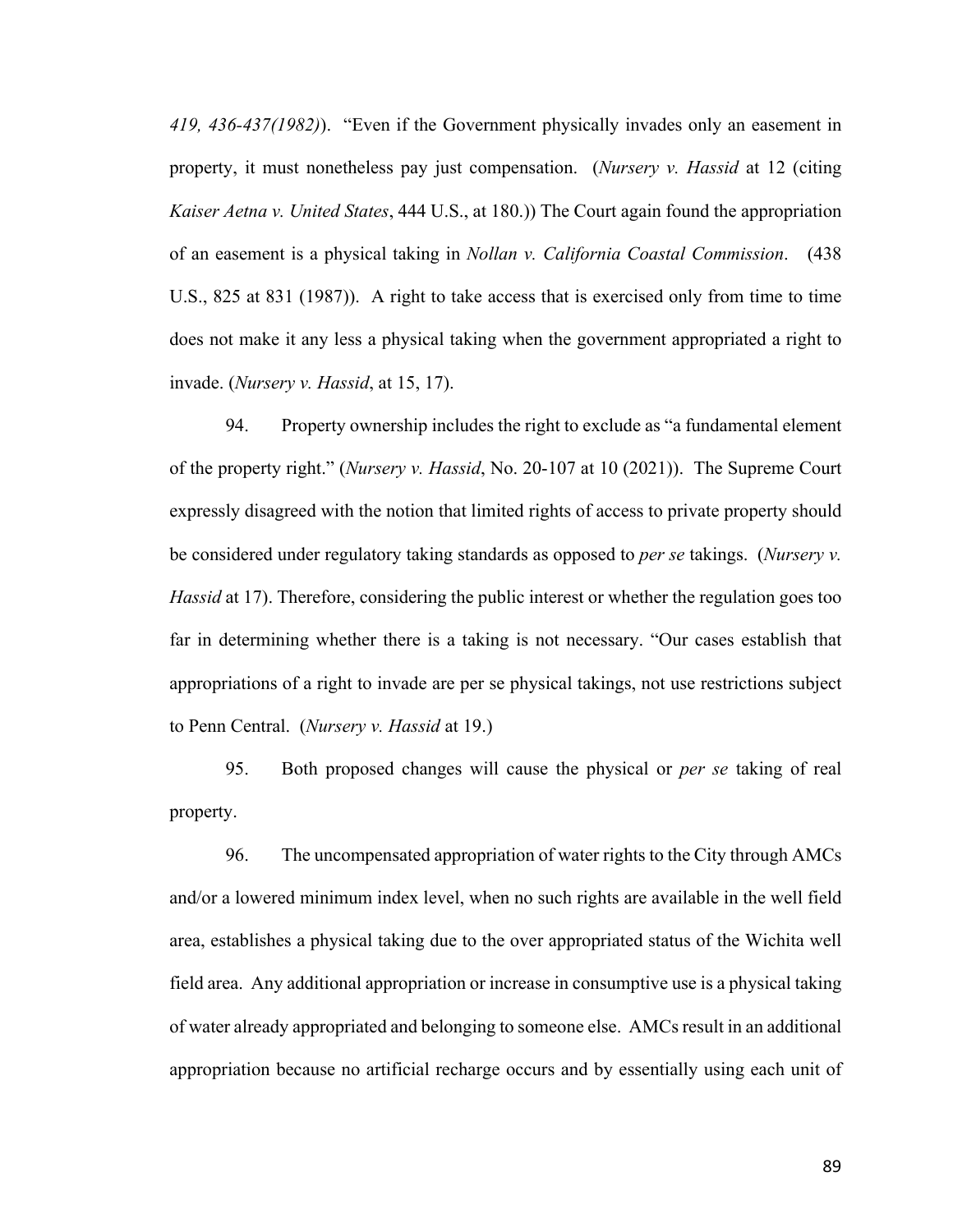*419, 436-437(1982)*). "Even if the Government physically invades only an easement in property, it must nonetheless pay just compensation. (*Nursery v. Hassid* at 12 (citing *Kaiser Aetna v. United States*, 444 U.S., at 180.)) The Court again found the appropriation of an easement is a physical taking in *Nollan v. California Coastal Commission*. (438 U.S., 825 at 831 (1987)). A right to take access that is exercised only from time to time does not make it any less a physical taking when the government appropriated a right to invade. (*Nursery v. Hassid*, at 15, 17).

94. Property ownership includes the right to exclude as "a fundamental element of the property right." (*Nursery v. Hassid*, No. 20-107 at 10 (2021)). The Supreme Court expressly disagreed with the notion that limited rights of access to private property should be considered under regulatory taking standards as opposed to *per se* takings. (*Nursery v. Hassid* at 17). Therefore, considering the public interest or whether the regulation goes too far in determining whether there is a taking is not necessary. "Our cases establish that appropriations of a right to invade are per se physical takings, not use restrictions subject to Penn Central. (*Nursery v. Hassid* at 19.)

95. Both proposed changes will cause the physical or *per se* taking of real property.

96. The uncompensated appropriation of water rights to the City through AMCs and/or a lowered minimum index level, when no such rights are available in the well field area, establishes a physical taking due to the over appropriated status of the Wichita well field area. Any additional appropriation or increase in consumptive use is a physical taking of water already appropriated and belonging to someone else. AMCs result in an additional appropriation because no artificial recharge occurs and by essentially using each unit of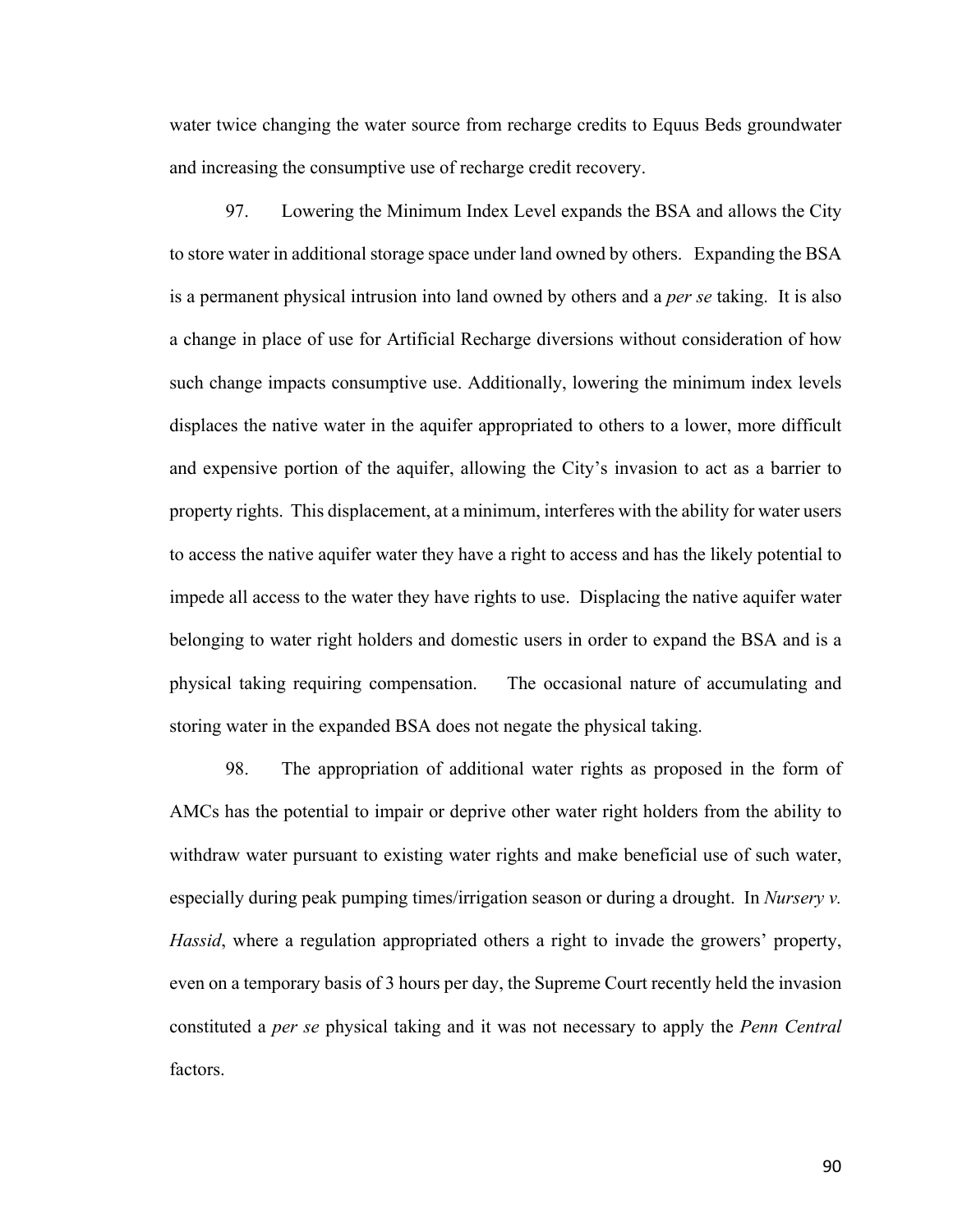water twice changing the water source from recharge credits to Equus Beds groundwater and increasing the consumptive use of recharge credit recovery.

97. Lowering the Minimum Index Level expands the BSA and allows the City to store water in additional storage space under land owned by others. Expanding the BSA is a permanent physical intrusion into land owned by others and a *per se* taking. It is also a change in place of use for Artificial Recharge diversions without consideration of how such change impacts consumptive use. Additionally, lowering the minimum index levels displaces the native water in the aquifer appropriated to others to a lower, more difficult and expensive portion of the aquifer, allowing the City's invasion to act as a barrier to property rights. This displacement, at a minimum, interferes with the ability for water users to access the native aquifer water they have a right to access and has the likely potential to impede all access to the water they have rights to use. Displacing the native aquifer water belonging to water right holders and domestic users in order to expand the BSA and is a physical taking requiring compensation. The occasional nature of accumulating and storing water in the expanded BSA does not negate the physical taking.

98. The appropriation of additional water rights as proposed in the form of AMCs has the potential to impair or deprive other water right holders from the ability to withdraw water pursuant to existing water rights and make beneficial use of such water, especially during peak pumping times/irrigation season or during a drought. In *Nursery v. Hassid*, where a regulation appropriated others a right to invade the growers' property, even on a temporary basis of 3 hours per day, the Supreme Court recently held the invasion constituted a *per se* physical taking and it was not necessary to apply the *Penn Central* factors.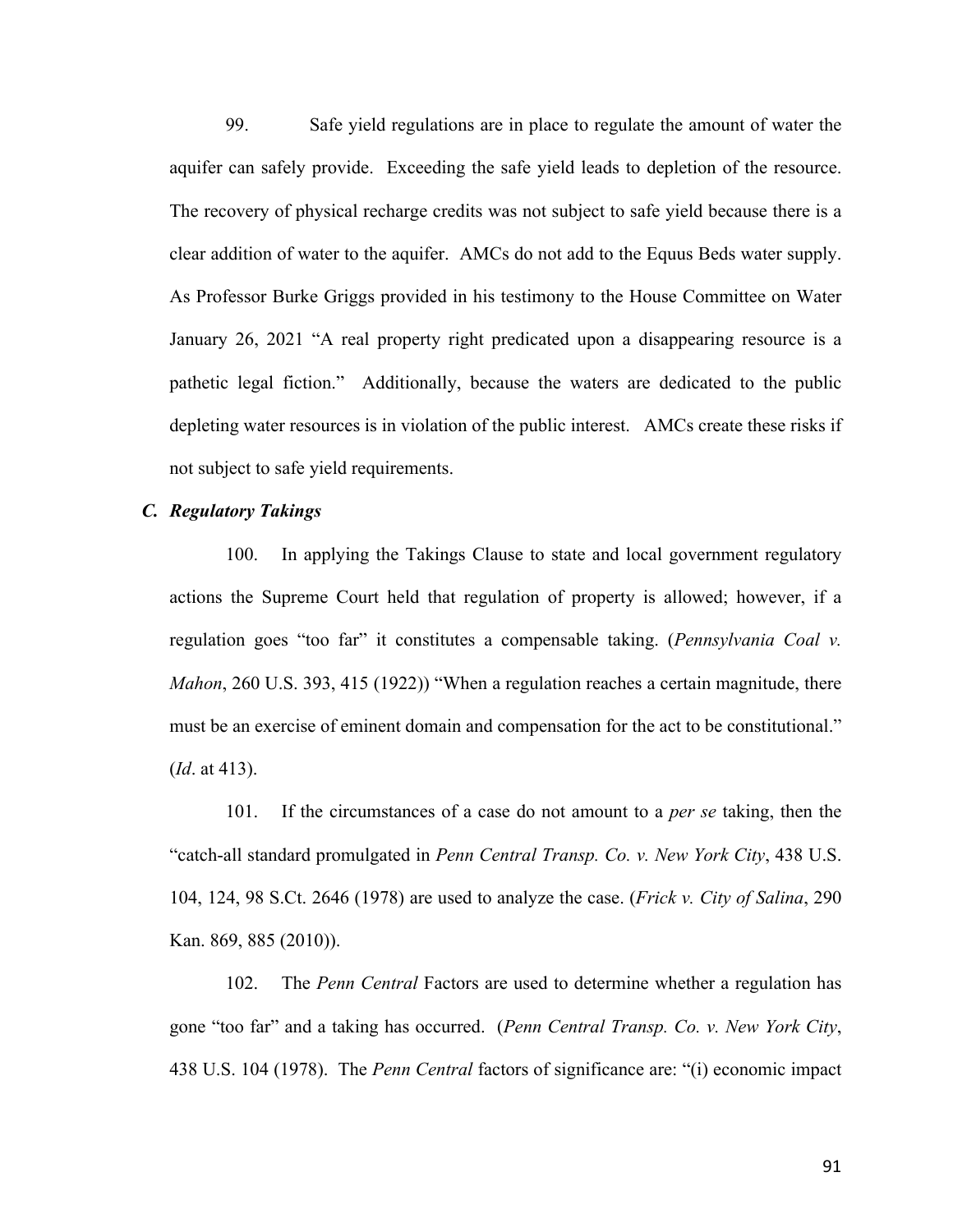99. Safe yield regulations are in place to regulate the amount of water the aquifer can safely provide. Exceeding the safe yield leads to depletion of the resource. The recovery of physical recharge credits was not subject to safe yield because there is a clear addition of water to the aquifer. AMCs do not add to the Equus Beds water supply. As Professor Burke Griggs provided in his testimony to the House Committee on Water January 26, 2021 "A real property right predicated upon a disappearing resource is a pathetic legal fiction." Additionally, because the waters are dedicated to the public depleting water resources is in violation of the public interest. AMCs create these risks if not subject to safe yield requirements.

### *C. Regulatory Takings*

100. In applying the Takings Clause to state and local government regulatory actions the Supreme Court held that regulation of property is allowed; however, if a regulation goes "too far" it constitutes a compensable taking. (*Pennsylvania Coal v. Mahon*, 260 U.S. 393, 415 (1922)) "When a regulation reaches a certain magnitude, there must be an exercise of eminent domain and compensation for the act to be constitutional." (*Id*. at 413).

101. If the circumstances of a case do not amount to a *per se* taking, then the "catch-all standard promulgated in *Penn Central Transp. Co. v. New York City*, 438 U.S. 104, 124, 98 S.Ct. 2646 (1978) are used to analyze the case. (*Frick v. City of Salina*, 290 Kan. 869, 885 (2010)).

102. The *Penn Central* Factors are used to determine whether a regulation has gone "too far" and a taking has occurred. (*Penn Central Transp. Co. v. New York City*, 438 U.S. 104 (1978). The *Penn Central* factors of significance are: "(i) economic impact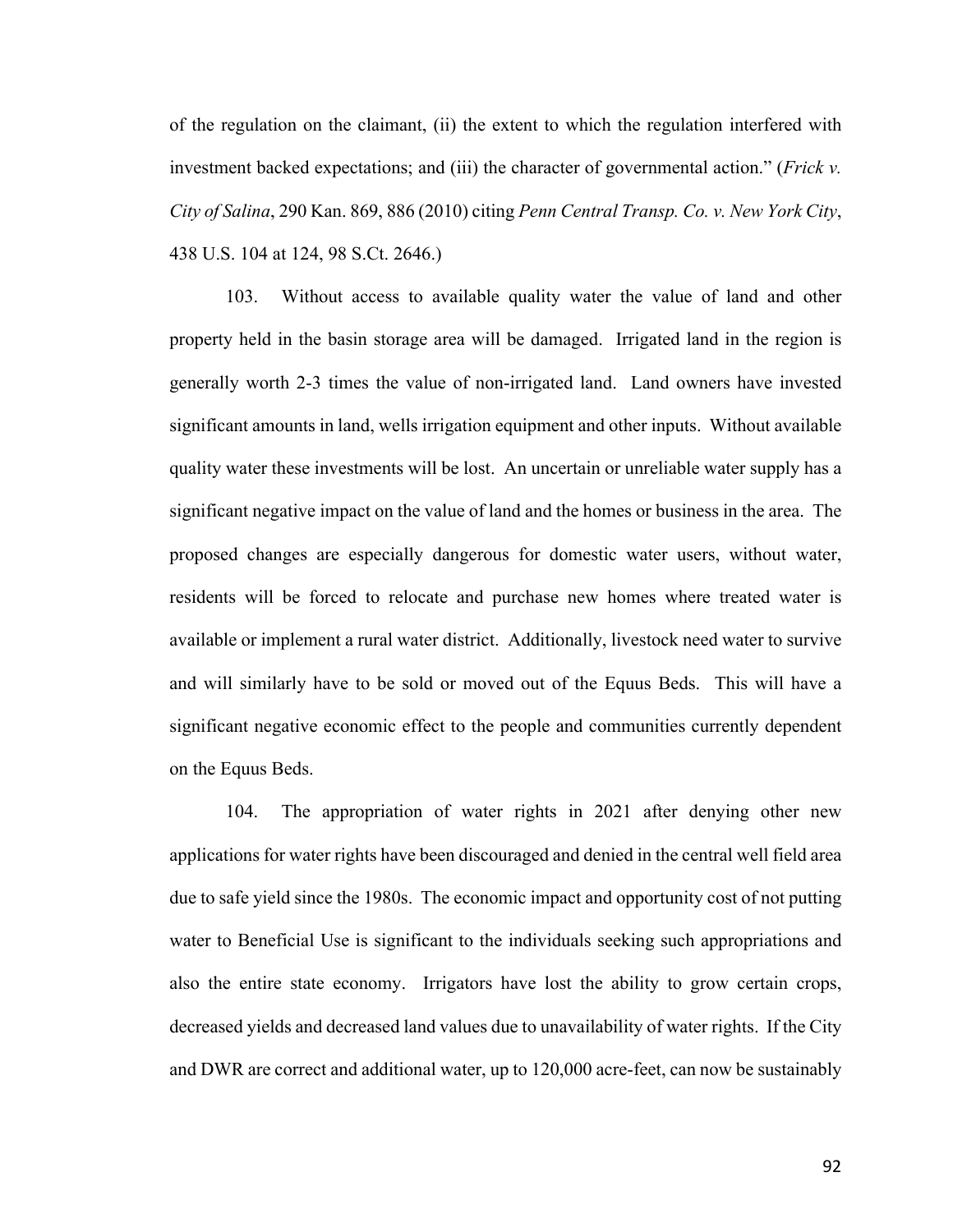of the regulation on the claimant, (ii) the extent to which the regulation interfered with investment backed expectations; and (iii) the character of governmental action." (*Frick v. City of Salina*, 290 Kan. 869, 886 (2010) citing *Penn Central Transp. Co. v. New York City*, 438 U.S. 104 at 124, 98 S.Ct. 2646.)

103. Without access to available quality water the value of land and other property held in the basin storage area will be damaged. Irrigated land in the region is generally worth 2-3 times the value of non-irrigated land. Land owners have invested significant amounts in land, wells irrigation equipment and other inputs. Without available quality water these investments will be lost. An uncertain or unreliable water supply has a significant negative impact on the value of land and the homes or business in the area. The proposed changes are especially dangerous for domestic water users, without water, residents will be forced to relocate and purchase new homes where treated water is available or implement a rural water district. Additionally, livestock need water to survive and will similarly have to be sold or moved out of the Equus Beds. This will have a significant negative economic effect to the people and communities currently dependent on the Equus Beds.

104. The appropriation of water rights in 2021 after denying other new applications for water rights have been discouraged and denied in the central well field area due to safe yield since the 1980s. The economic impact and opportunity cost of not putting water to Beneficial Use is significant to the individuals seeking such appropriations and also the entire state economy. Irrigators have lost the ability to grow certain crops, decreased yields and decreased land values due to unavailability of water rights. If the City and DWR are correct and additional water, up to 120,000 acre-feet, can now be sustainably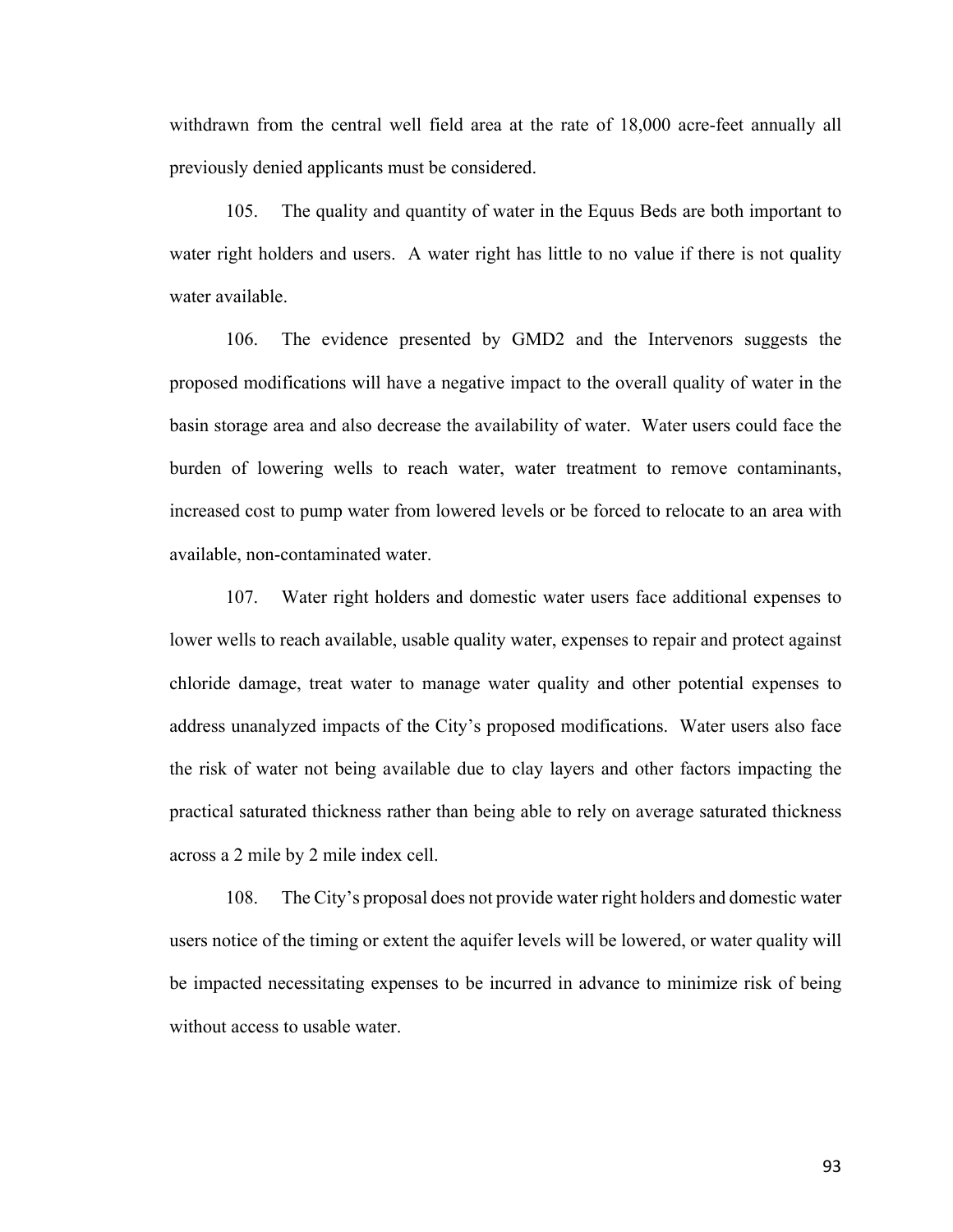withdrawn from the central well field area at the rate of 18,000 acre-feet annually all previously denied applicants must be considered.

105. The quality and quantity of water in the Equus Beds are both important to water right holders and users. A water right has little to no value if there is not quality water available.

106. The evidence presented by GMD2 and the Intervenors suggests the proposed modifications will have a negative impact to the overall quality of water in the basin storage area and also decrease the availability of water. Water users could face the burden of lowering wells to reach water, water treatment to remove contaminants, increased cost to pump water from lowered levels or be forced to relocate to an area with available, non-contaminated water.

107. Water right holders and domestic water users face additional expenses to lower wells to reach available, usable quality water, expenses to repair and protect against chloride damage, treat water to manage water quality and other potential expenses to address unanalyzed impacts of the City's proposed modifications. Water users also face the risk of water not being available due to clay layers and other factors impacting the practical saturated thickness rather than being able to rely on average saturated thickness across a 2 mile by 2 mile index cell.

108. The City's proposal does not provide water right holders and domestic water users notice of the timing or extent the aquifer levels will be lowered, or water quality will be impacted necessitating expenses to be incurred in advance to minimize risk of being without access to usable water.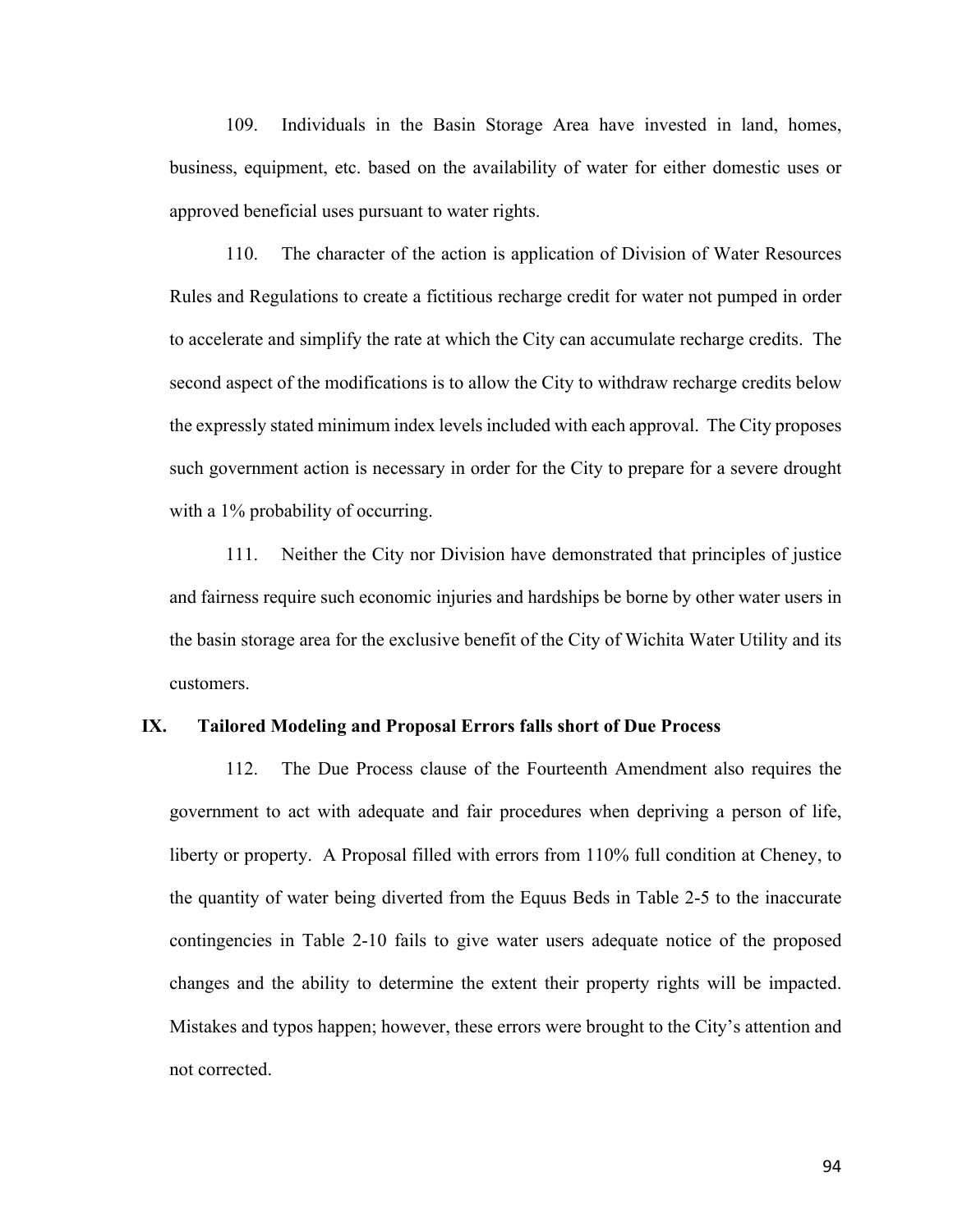109. Individuals in the Basin Storage Area have invested in land, homes, business, equipment, etc. based on the availability of water for either domestic uses or approved beneficial uses pursuant to water rights.

110. The character of the action is application of Division of Water Resources Rules and Regulations to create a fictitious recharge credit for water not pumped in order to accelerate and simplify the rate at which the City can accumulate recharge credits. The second aspect of the modifications is to allow the City to withdraw recharge credits below the expressly stated minimum index levels included with each approval. The City proposes such government action is necessary in order for the City to prepare for a severe drought with a 1% probability of occurring.

111. Neither the City nor Division have demonstrated that principles of justice and fairness require such economic injuries and hardships be borne by other water users in the basin storage area for the exclusive benefit of the City of Wichita Water Utility and its customers.

#### **IX. Tailored Modeling and Proposal Errors falls short of Due Process**

112. The Due Process clause of the Fourteenth Amendment also requires the government to act with adequate and fair procedures when depriving a person of life, liberty or property. A Proposal filled with errors from 110% full condition at Cheney, to the quantity of water being diverted from the Equus Beds in Table 2-5 to the inaccurate contingencies in Table 2-10 fails to give water users adequate notice of the proposed changes and the ability to determine the extent their property rights will be impacted. Mistakes and typos happen; however, these errors were brought to the City's attention and not corrected.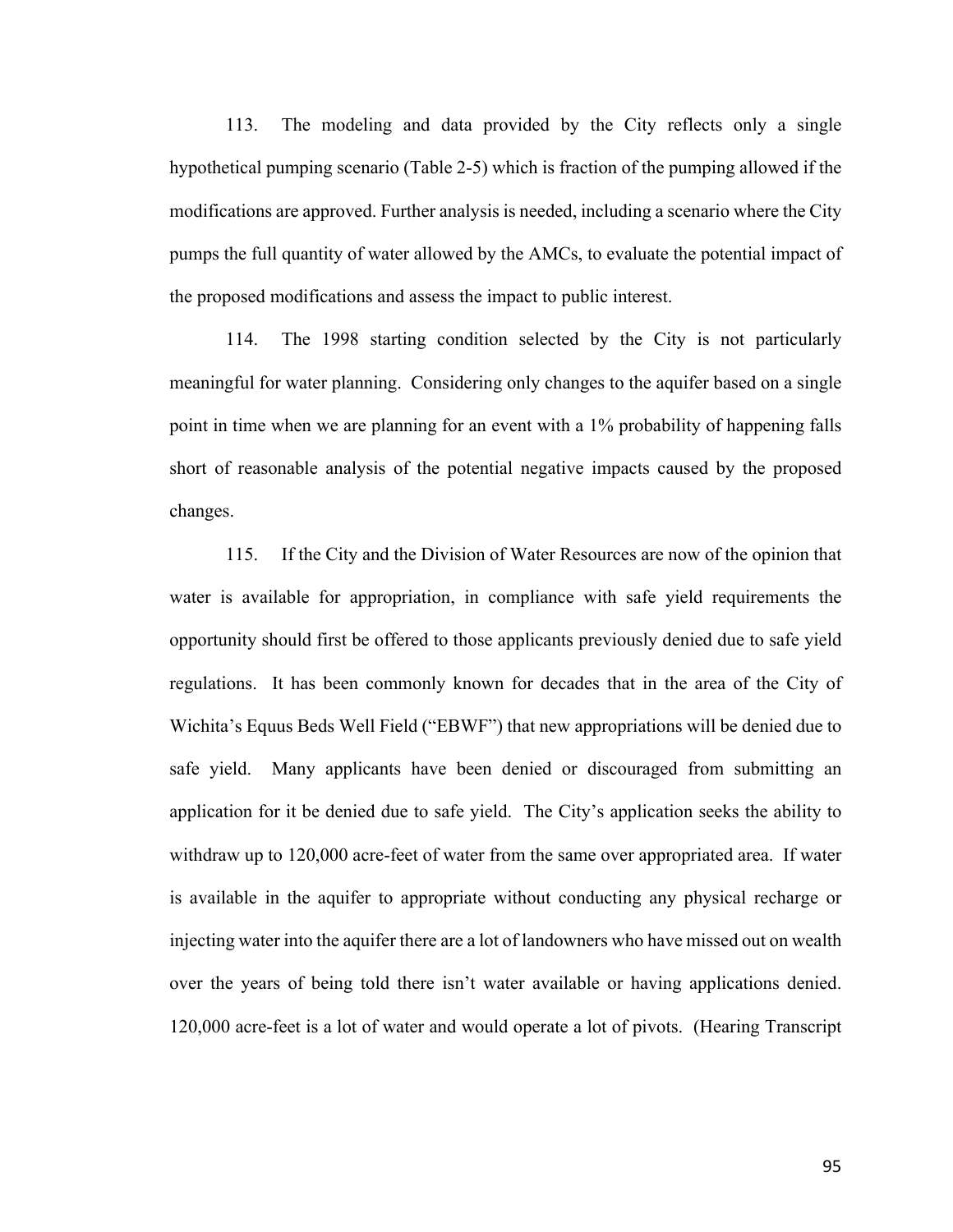113. The modeling and data provided by the City reflects only a single hypothetical pumping scenario (Table 2-5) which is fraction of the pumping allowed if the modifications are approved. Further analysis is needed, including a scenario where the City pumps the full quantity of water allowed by the AMCs, to evaluate the potential impact of the proposed modifications and assess the impact to public interest.

114. The 1998 starting condition selected by the City is not particularly meaningful for water planning. Considering only changes to the aquifer based on a single point in time when we are planning for an event with a 1% probability of happening falls short of reasonable analysis of the potential negative impacts caused by the proposed changes.

115. If the City and the Division of Water Resources are now of the opinion that water is available for appropriation, in compliance with safe yield requirements the opportunity should first be offered to those applicants previously denied due to safe yield regulations. It has been commonly known for decades that in the area of the City of Wichita's Equus Beds Well Field ("EBWF") that new appropriations will be denied due to safe yield. Many applicants have been denied or discouraged from submitting an application for it be denied due to safe yield. The City's application seeks the ability to withdraw up to 120,000 acre-feet of water from the same over appropriated area. If water is available in the aquifer to appropriate without conducting any physical recharge or injecting water into the aquifer there are a lot of landowners who have missed out on wealth over the years of being told there isn't water available or having applications denied. 120,000 acre-feet is a lot of water and would operate a lot of pivots. (Hearing Transcript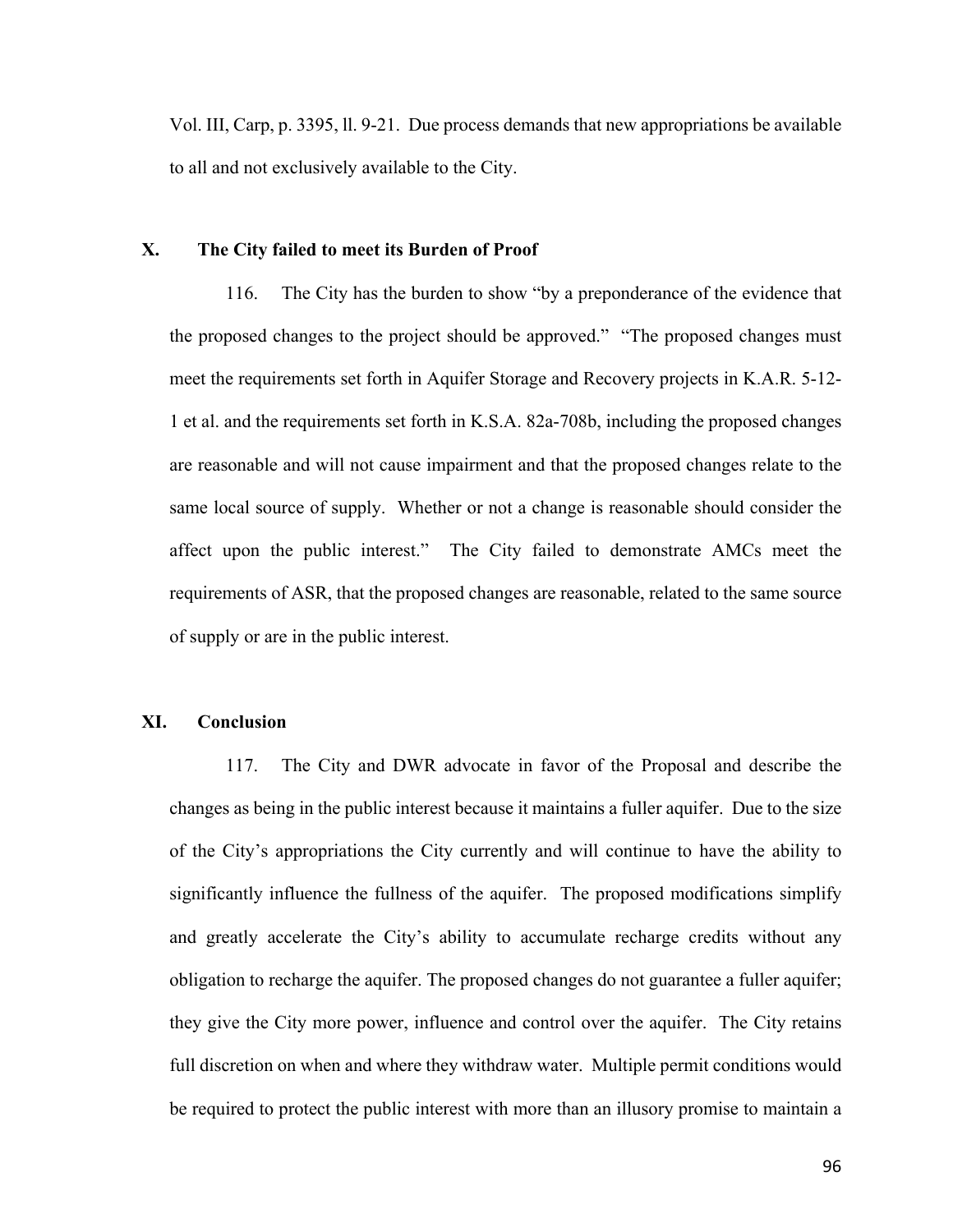Vol. III, Carp, p. 3395, ll. 9-21. Due process demands that new appropriations be available to all and not exclusively available to the City.

# **X. The City failed to meet its Burden of Proof**

116. The City has the burden to show "by a preponderance of the evidence that the proposed changes to the project should be approved." "The proposed changes must meet the requirements set forth in Aquifer Storage and Recovery projects in K.A.R. 5-12- 1 et al. and the requirements set forth in K.S.A. 82a-708b, including the proposed changes are reasonable and will not cause impairment and that the proposed changes relate to the same local source of supply. Whether or not a change is reasonable should consider the affect upon the public interest." The City failed to demonstrate AMCs meet the requirements of ASR, that the proposed changes are reasonable, related to the same source of supply or are in the public interest.

## **XI. Conclusion**

117. The City and DWR advocate in favor of the Proposal and describe the changes as being in the public interest because it maintains a fuller aquifer. Due to the size of the City's appropriations the City currently and will continue to have the ability to significantly influence the fullness of the aquifer. The proposed modifications simplify and greatly accelerate the City's ability to accumulate recharge credits without any obligation to recharge the aquifer. The proposed changes do not guarantee a fuller aquifer; they give the City more power, influence and control over the aquifer. The City retains full discretion on when and where they withdraw water. Multiple permit conditions would be required to protect the public interest with more than an illusory promise to maintain a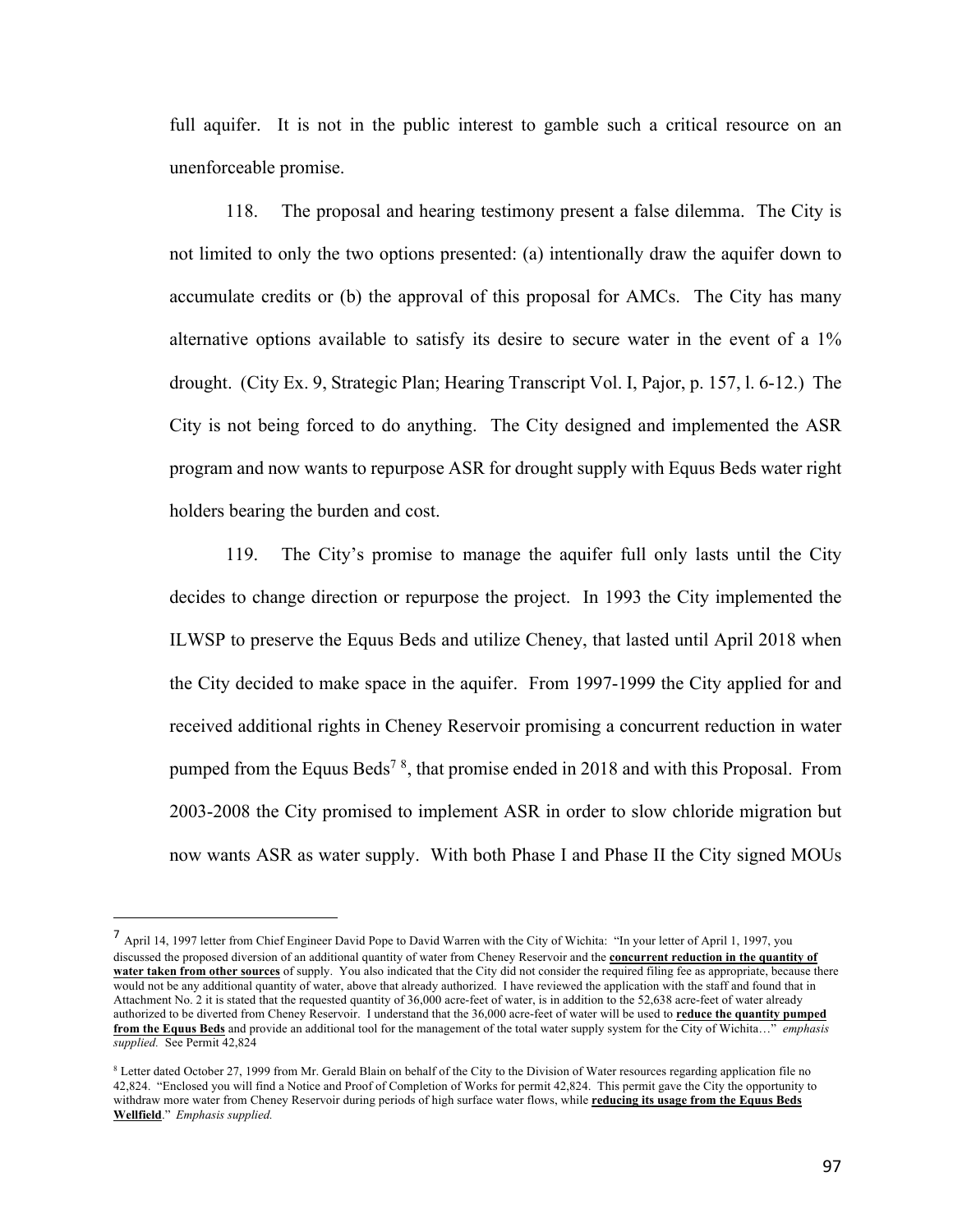full aquifer. It is not in the public interest to gamble such a critical resource on an unenforceable promise.

118. The proposal and hearing testimony present a false dilemma. The City is not limited to only the two options presented: (a) intentionally draw the aquifer down to accumulate credits or (b) the approval of this proposal for AMCs. The City has many alternative options available to satisfy its desire to secure water in the event of a 1% drought. (City Ex. 9, Strategic Plan; Hearing Transcript Vol. I, Pajor, p. 157, l. 6-12.) The City is not being forced to do anything. The City designed and implemented the ASR program and now wants to repurpose ASR for drought supply with Equus Beds water right holders bearing the burden and cost.

119. The City's promise to manage the aquifer full only lasts until the City decides to change direction or repurpose the project. In 1993 the City implemented the ILWSP to preserve the Equus Beds and utilize Cheney, that lasted until April 2018 when the City decided to make space in the aquifer. From 1997-1999 the City applied for and received additional rights in Cheney Reservoir promising a concurrent reduction in water pumped from the Equus Beds<sup>78</sup>, that promise ended in 2018 and with this Proposal. From 2003-2008 the City promised to implement ASR in order to slow chloride migration but now wants ASR as water supply. With both Phase I and Phase II the City signed MOUs

<sup>7</sup> April 14, 1997 letter from Chief Engineer David Pope to David Warren with the City of Wichita: "In your letter of April 1, 1997, you discussed the proposed diversion of an additional quantity of water from Cheney Reservoir and the **concurrent reduction in the quantity of water taken from other sources** of supply. You also indicated that the City did not consider the required filing fee as appropriate, because there would not be any additional quantity of water, above that already authorized. I have reviewed the application with the staff and found that in Attachment No. 2 it is stated that the requested quantity of 36,000 acre-feet of water, is in addition to the 52,638 acre-feet of water already authorized to be diverted from Cheney Reservoir. I understand that the 36,000 acre-feet of water will be used to **reduce the quantity pumped from the Equus Beds** and provide an additional tool for the management of the total water supply system for the City of Wichita…" *emphasis supplied.* See Permit 42,824

<sup>&</sup>lt;sup>8</sup> Letter dated October 27, 1999 from Mr. Gerald Blain on behalf of the City to the Division of Water resources regarding application file no 42,824. "Enclosed you will find a Notice and Proof of Completion of Works for permit 42,824. This permit gave the City the opportunity to withdraw more water from Cheney Reservoir during periods of high surface water flows, while **reducing its usage from the Equus Beds Wellfield**." *Emphasis supplied.*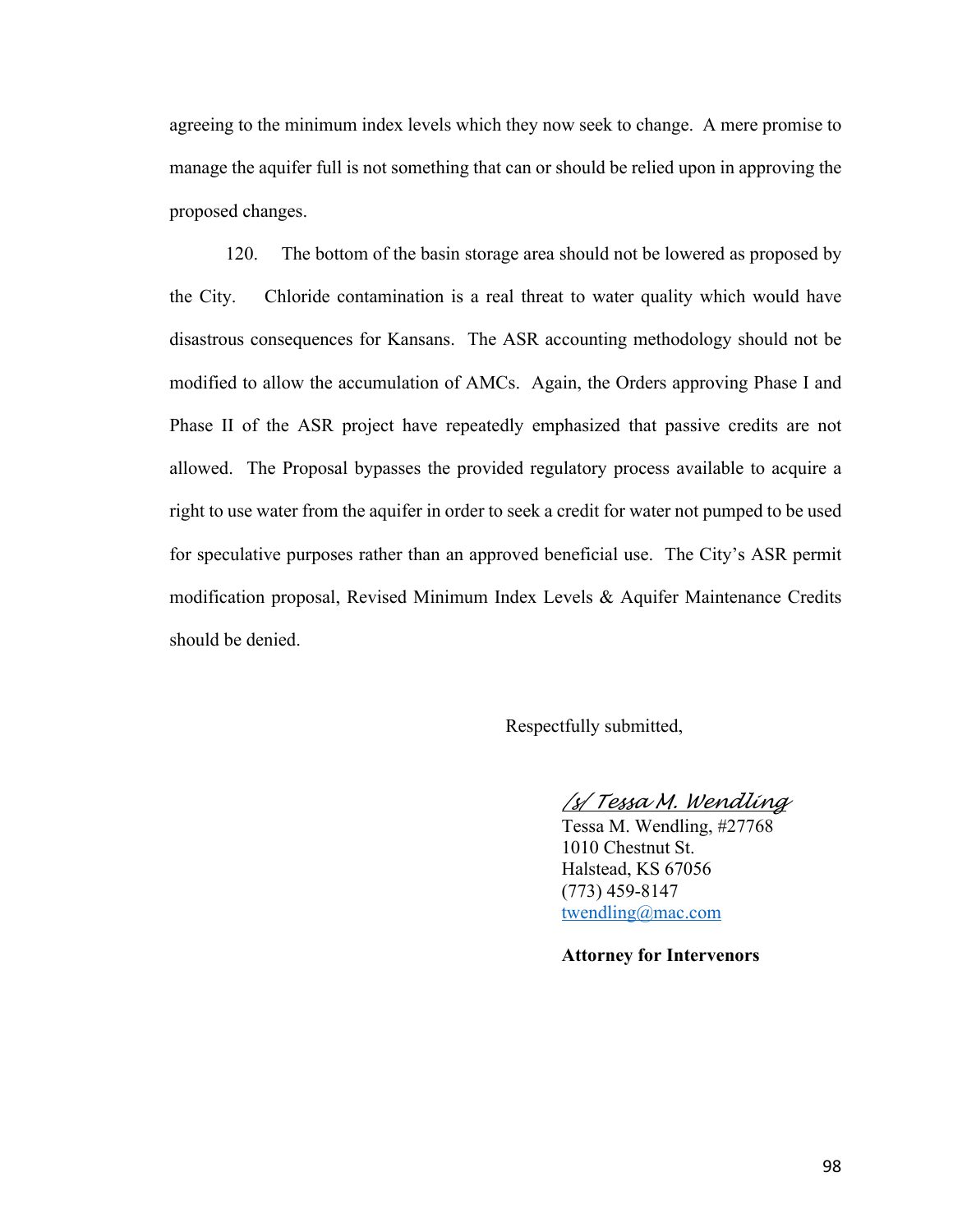agreeing to the minimum index levels which they now seek to change. A mere promise to manage the aquifer full is not something that can or should be relied upon in approving the proposed changes.

120. The bottom of the basin storage area should not be lowered as proposed by the City. Chloride contamination is a real threat to water quality which would have disastrous consequences for Kansans. The ASR accounting methodology should not be modified to allow the accumulation of AMCs. Again, the Orders approving Phase I and Phase II of the ASR project have repeatedly emphasized that passive credits are not allowed. The Proposal bypasses the provided regulatory process available to acquire a right to use water from the aquifer in order to seek a credit for water not pumped to be used for speculative purposes rather than an approved beneficial use. The City's ASR permit modification proposal, Revised Minimum Index Levels & Aquifer Maintenance Credits should be denied.

Respectfully submitted,

*/s/ Tessa M. Wendling*

Tessa M. Wendling, #27768 1010 Chestnut St. Halstead, KS 67056 (773) 459-8147 twendling@mac.com

**Attorney for Intervenors**